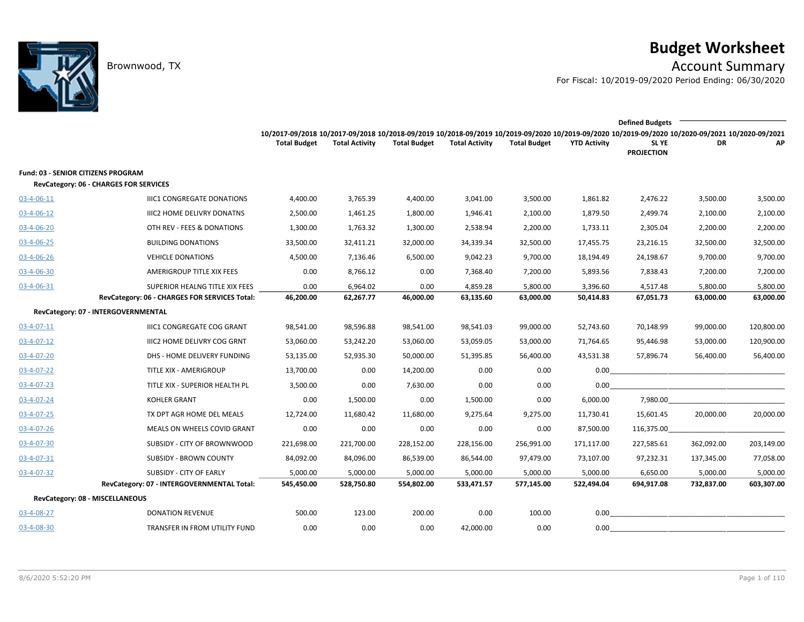

# **Budget Worksheet**

Brownwood, TX Account Summary

For Fiscal: 10/2019-09/2020 Period Ending: 06/30/2020

|                                           |                                               | <b>Defined Budgets</b>                                                                                                                          |                       |                     |                       |                     |                     |                            |            |            |  |  |
|-------------------------------------------|-----------------------------------------------|-------------------------------------------------------------------------------------------------------------------------------------------------|-----------------------|---------------------|-----------------------|---------------------|---------------------|----------------------------|------------|------------|--|--|
|                                           |                                               | 10/2017-09/2018 10/2017-09/2018 10/2018-09/2019 10/2018-09/2019 10/2019-09/2020 10/2019-09/2020 10/2019-09/2020 10/2020-09/2021 10/2020-09/2021 |                       |                     |                       |                     |                     |                            |            |            |  |  |
|                                           |                                               | <b>Total Budget</b>                                                                                                                             | <b>Total Activity</b> | <b>Total Budget</b> | <b>Total Activity</b> | <b>Total Budget</b> | <b>YTD Activity</b> | SL YE<br><b>PROJECTION</b> | DR         | AP         |  |  |
| <b>Fund: 03 - SENIOR CITIZENS PROGRAM</b> |                                               |                                                                                                                                                 |                       |                     |                       |                     |                     |                            |            |            |  |  |
|                                           | RevCategory: 06 - CHARGES FOR SERVICES        |                                                                                                                                                 |                       |                     |                       |                     |                     |                            |            |            |  |  |
| 03-4-06-11                                | <b>IIIC1 CONGREGATE DONATIONS</b>             | 4,400.00                                                                                                                                        | 3,765.39              | 4,400.00            | 3,041.00              | 3,500.00            | 1,861.82            | 2,476.22                   | 3,500.00   | 3,500.00   |  |  |
| $03 - 4 - 06 - 12$                        | <b>IIIC2 HOME DELIVRY DONATNS</b>             | 2,500.00                                                                                                                                        | 1,461.25              | 1,800.00            | 1,946.41              | 2,100.00            | 1,879.50            | 2,499.74                   | 2,100.00   | 2,100.00   |  |  |
| 03-4-06-20                                | OTH REV - FEES & DONATIONS                    | 1,300.00                                                                                                                                        | 1,763.32              | 1,300.00            | 2,538.94              | 2,200.00            | 1,733.11            | 2,305.04                   | 2,200.00   | 2,200.00   |  |  |
| 03-4-06-25                                | <b>BUILDING DONATIONS</b>                     | 33,500.00                                                                                                                                       | 32,411.21             | 32,000.00           | 34,339.34             | 32,500.00           | 17,455.75           | 23,216.15                  | 32,500.00  | 32,500.00  |  |  |
| $03 - 4 - 06 - 26$                        | <b>VEHICLE DONATIONS</b>                      | 4,500.00                                                                                                                                        | 7,136.46              | 6,500.00            | 9,042.23              | 9,700.00            | 18,194.49           | 24,198.67                  | 9,700.00   | 9,700.00   |  |  |
| 03-4-06-30                                | AMERIGROUP TITLE XIX FEES                     | 0.00                                                                                                                                            | 8,766.12              | 0.00                | 7,368.40              | 7,200.00            | 5,893.56            | 7,838.43                   | 7,200.00   | 7,200.00   |  |  |
| 03-4-06-31                                | SUPERIOR HEALNG TITLE XIX FEES                | 0.00                                                                                                                                            | 6,964.02              | 0.00                | 4,859.28              | 5,800.00            | 3,396.60            | 4,517.48                   | 5,800.00   | 5,800.00   |  |  |
|                                           | RevCategory: 06 - CHARGES FOR SERVICES Total: | 46,200.00                                                                                                                                       | 62,267.77             | 46,000.00           | 63,135.60             | 63,000.00           | 50,414.83           | 67,051.73                  | 63,000.00  | 63,000.00  |  |  |
|                                           | RevCategory: 07 - INTERGOVERNMENTAL           |                                                                                                                                                 |                       |                     |                       |                     |                     |                            |            |            |  |  |
| 03-4-07-11                                | IIIC1 CONGREGATE COG GRANT                    | 98,541.00                                                                                                                                       | 98,596.88             | 98,541.00           | 98,541.03             | 99,000.00           | 52,743.60           | 70,148.99                  | 99,000.00  | 120,800.00 |  |  |
| 03-4-07-12                                | IIIC2 HOME DELIVRY COG GRNT                   | 53,060.00                                                                                                                                       | 53,242.20             | 53,060.00           | 53,059.05             | 53,000.00           | 71,764.65           | 95,446.98                  | 53,000.00  | 120,900.00 |  |  |
| 03-4-07-20                                | DHS - HOME DELIVERY FUNDING                   | 53,135.00                                                                                                                                       | 52,935.30             | 50,000.00           | 51,395.85             | 56,400.00           | 43,531.38           | 57,896.74                  | 56,400.00  | 56,400.00  |  |  |
| 03-4-07-22                                | TITLE XIX - AMERIGROUP                        | 13,700.00                                                                                                                                       | 0.00                  | 14,200.00           | 0.00                  | 0.00                | 0.00                |                            |            |            |  |  |
| 03-4-07-23                                | TITLE XIX - SUPERIOR HEALTH PL                | 3,500.00                                                                                                                                        | 0.00                  | 7,630.00            | 0.00                  | 0.00                | 0.00                |                            |            |            |  |  |
| 03-4-07-24                                | <b>KOHLER GRANT</b>                           | 0.00                                                                                                                                            | 1,500.00              | 0.00                | 1,500.00              | 0.00                | 6,000.00            | 7,980.00                   |            |            |  |  |
| $03 - 4 - 07 - 25$                        | TX DPT AGR HOME DEL MEALS                     | 12,724.00                                                                                                                                       | 11,680.42             | 11,680.00           | 9,275.64              | 9,275.00            | 11,730.41           | 15,601.45                  | 20,000.00  | 20,000.00  |  |  |
| 03-4-07-26                                | MEALS ON WHEELS COVID GRANT                   | 0.00                                                                                                                                            | 0.00                  | 0.00                | 0.00                  | 0.00                | 87,500.00           | 116,375.00                 |            |            |  |  |
| $03 - 4 - 07 - 30$                        | SUBSIDY - CITY OF BROWNWOOD                   | 221,698.00                                                                                                                                      | 221,700.00            | 228,152.00          | 228,156.00            | 256,991.00          | 171,117.00          | 227,585.61                 | 362,092.00 | 203,149.00 |  |  |
| 03-4-07-31                                | <b>SUBSIDY - BROWN COUNTY</b>                 | 84,092.00                                                                                                                                       | 84,096.00             | 86,539.00           | 86,544.00             | 97,479.00           | 73,107.00           | 97,232.31                  | 137,345.00 | 77,058.00  |  |  |
| 03-4-07-32                                | SUBSIDY - CITY OF EARLY                       | 5,000.00                                                                                                                                        | 5,000.00              | 5,000.00            | 5,000.00              | 5,000.00            | 5,000.00            | 6,650.00                   | 5,000.00   | 5,000.00   |  |  |
|                                           | RevCategory: 07 - INTERGOVERNMENTAL Total:    | 545,450.00                                                                                                                                      | 528,750.80            | 554,802.00          | 533,471.57            | 577,145.00          | 522,494.04          | 694,917.08                 | 732,837.00 | 603,307.00 |  |  |
| RevCategory: 08 - MISCELLANEOUS           |                                               |                                                                                                                                                 |                       |                     |                       |                     |                     |                            |            |            |  |  |
| 03-4-08-27                                | <b>DONATION REVENUE</b>                       | 500.00                                                                                                                                          | 123.00                | 200.00              | 0.00                  | 100.00              | 0.00                |                            |            |            |  |  |
| 03-4-08-30                                | TRANSFER IN FROM UTILITY FUND                 | 0.00                                                                                                                                            | 0.00                  | 0.00                | 42,000.00             | 0.00                | 0.00                |                            |            |            |  |  |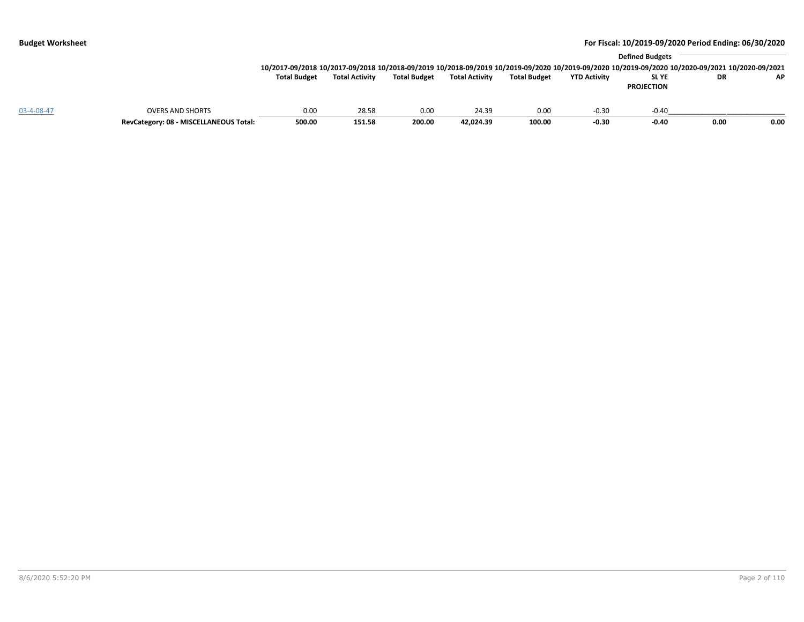|            |                                        |                                                                                                                                                 |                       |                     |                       | <b>Defined Budgets</b> |                     |                   |      |      |  |  |  |
|------------|----------------------------------------|-------------------------------------------------------------------------------------------------------------------------------------------------|-----------------------|---------------------|-----------------------|------------------------|---------------------|-------------------|------|------|--|--|--|
|            |                                        | 10/2017-09/2018 10/2017-09/2018 10/2018-09/2019 10/2018-09/2019 10/2019-09/2020 10/2019-09/2020 10/2019-09/2020 10/2020-09/2021 10/2020-09/2021 |                       |                     |                       |                        |                     |                   |      |      |  |  |  |
|            |                                        | <b>Total Budget</b>                                                                                                                             | <b>Total Activity</b> | <b>Total Budget</b> | <b>Total Activity</b> | <b>Total Budget</b>    | <b>YTD Activity</b> | <b>SLYE</b>       | DR   | AP   |  |  |  |
|            |                                        |                                                                                                                                                 |                       |                     |                       |                        |                     | <b>PROJECTION</b> |      |      |  |  |  |
| 03-4-08-47 | <b>OVERS AND SHORTS</b>                | 0.00                                                                                                                                            | 28.58                 | 0.00                | 24.39                 | 0.00                   | $-0.30$             | $-0.40$           |      |      |  |  |  |
|            | RevCategory: 08 - MISCELLANEOUS Total: | 500.00                                                                                                                                          | 151.58                | 200.00              | 42,024.39             | 100.00                 | $-0.30$             | $-0.40$           | 0.00 | 0.00 |  |  |  |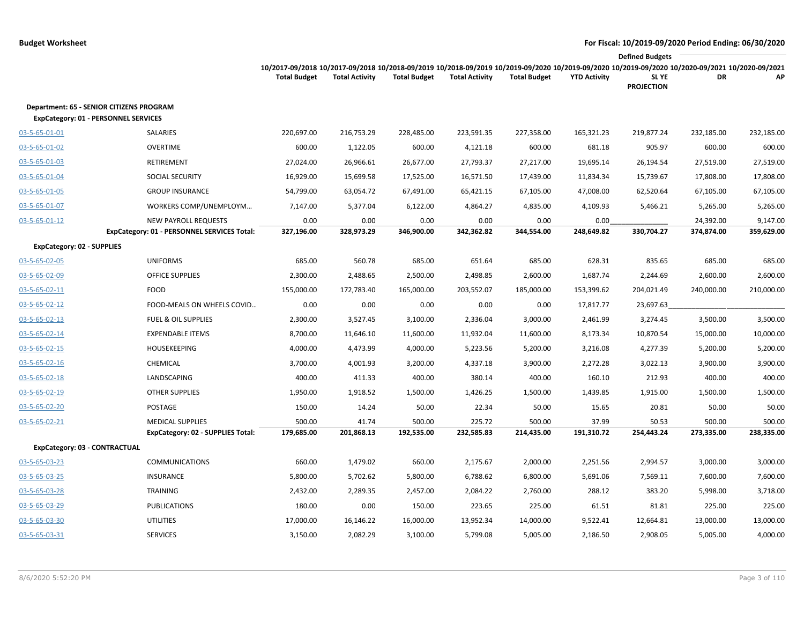|                                                                                                | <b>Defined Budgets</b>                      |                                                                                                                                                                        |                       |                     |                       |                     |                     |                            |            |            |  |
|------------------------------------------------------------------------------------------------|---------------------------------------------|------------------------------------------------------------------------------------------------------------------------------------------------------------------------|-----------------------|---------------------|-----------------------|---------------------|---------------------|----------------------------|------------|------------|--|
|                                                                                                |                                             | 10/2017-09/2018 10/2017-09/2018 10/2018-09/2019 10/2018-09/2019 10/2019-09/2020 10/2019-09/2020 10/2019-09/2020 10/2020-09/2021 10/2020-09/2021<br><b>Total Budget</b> | <b>Total Activity</b> | <b>Total Budget</b> | <b>Total Activity</b> | <b>Total Budget</b> | <b>YTD Activity</b> | SL YE<br><b>PROJECTION</b> | DR         | AP         |  |
| <b>Department: 65 - SENIOR CITIZENS PROGRAM</b><br><b>ExpCategory: 01 - PERSONNEL SERVICES</b> |                                             |                                                                                                                                                                        |                       |                     |                       |                     |                     |                            |            |            |  |
| 03-5-65-01-01                                                                                  | SALARIES                                    | 220,697.00                                                                                                                                                             | 216,753.29            | 228,485.00          | 223,591.35            | 227,358.00          | 165,321.23          | 219,877.24                 | 232,185.00 | 232,185.00 |  |
| 03-5-65-01-02                                                                                  | <b>OVERTIME</b>                             | 600.00                                                                                                                                                                 | 1,122.05              | 600.00              | 4,121.18              | 600.00              | 681.18              | 905.97                     | 600.00     | 600.00     |  |
| 03-5-65-01-03                                                                                  | RETIREMENT                                  | 27,024.00                                                                                                                                                              | 26,966.61             | 26,677.00           | 27,793.37             | 27,217.00           | 19,695.14           | 26,194.54                  | 27,519.00  | 27,519.00  |  |
| 03-5-65-01-04                                                                                  | <b>SOCIAL SECURITY</b>                      | 16,929.00                                                                                                                                                              | 15,699.58             | 17,525.00           | 16,571.50             | 17,439.00           | 11,834.34           | 15,739.67                  | 17,808.00  | 17,808.00  |  |
| 03-5-65-01-05                                                                                  | <b>GROUP INSURANCE</b>                      | 54,799.00                                                                                                                                                              | 63,054.72             | 67,491.00           | 65,421.15             | 67,105.00           | 47,008.00           | 62,520.64                  | 67,105.00  | 67,105.00  |  |
| 03-5-65-01-07                                                                                  | WORKERS COMP/UNEMPLOYM                      | 7,147.00                                                                                                                                                               | 5,377.04              | 6,122.00            | 4,864.27              | 4,835.00            | 4,109.93            | 5,466.21                   | 5,265.00   | 5,265.00   |  |
| 03-5-65-01-12                                                                                  | <b>NEW PAYROLL REQUESTS</b>                 | 0.00                                                                                                                                                                   | 0.00                  | 0.00                | 0.00                  | 0.00                | 0.00                |                            | 24,392.00  | 9,147.00   |  |
|                                                                                                | ExpCategory: 01 - PERSONNEL SERVICES Total: | 327,196.00                                                                                                                                                             | 328,973.29            | 346,900.00          | 342,362.82            | 344,554.00          | 248,649.82          | 330,704.27                 | 374,874.00 | 359,629.00 |  |
| <b>ExpCategory: 02 - SUPPLIES</b>                                                              |                                             |                                                                                                                                                                        |                       |                     |                       |                     |                     |                            |            |            |  |
| 03-5-65-02-05                                                                                  | <b>UNIFORMS</b>                             | 685.00                                                                                                                                                                 | 560.78                | 685.00              | 651.64                | 685.00              | 628.31              | 835.65                     | 685.00     | 685.00     |  |
| 03-5-65-02-09                                                                                  | <b>OFFICE SUPPLIES</b>                      | 2,300.00                                                                                                                                                               | 2,488.65              | 2,500.00            | 2,498.85              | 2,600.00            | 1,687.74            | 2,244.69                   | 2,600.00   | 2,600.00   |  |
| 03-5-65-02-11                                                                                  | <b>FOOD</b>                                 | 155,000.00                                                                                                                                                             | 172,783.40            | 165,000.00          | 203,552.07            | 185,000.00          | 153,399.62          | 204,021.49                 | 240,000.00 | 210,000.00 |  |
| 03-5-65-02-12                                                                                  | FOOD-MEALS ON WHEELS COVID                  | 0.00                                                                                                                                                                   | 0.00                  | 0.00                | 0.00                  | 0.00                | 17,817.77           | 23,697.63                  |            |            |  |
| 03-5-65-02-13                                                                                  | <b>FUEL &amp; OIL SUPPLIES</b>              | 2,300.00                                                                                                                                                               | 3,527.45              | 3,100.00            | 2,336.04              | 3,000.00            | 2,461.99            | 3,274.45                   | 3,500.00   | 3,500.00   |  |
| 03-5-65-02-14                                                                                  | <b>EXPENDABLE ITEMS</b>                     | 8,700.00                                                                                                                                                               | 11,646.10             | 11,600.00           | 11,932.04             | 11,600.00           | 8,173.34            | 10,870.54                  | 15,000.00  | 10,000.00  |  |
| 03-5-65-02-15                                                                                  | <b>HOUSEKEEPING</b>                         | 4,000.00                                                                                                                                                               | 4,473.99              | 4,000.00            | 5,223.56              | 5,200.00            | 3,216.08            | 4,277.39                   | 5,200.00   | 5,200.00   |  |
| 03-5-65-02-16                                                                                  | CHEMICAL                                    | 3,700.00                                                                                                                                                               | 4,001.93              | 3,200.00            | 4,337.18              | 3,900.00            | 2,272.28            | 3,022.13                   | 3,900.00   | 3,900.00   |  |
| 03-5-65-02-18                                                                                  | LANDSCAPING                                 | 400.00                                                                                                                                                                 | 411.33                | 400.00              | 380.14                | 400.00              | 160.10              | 212.93                     | 400.00     | 400.00     |  |
| 03-5-65-02-19                                                                                  | <b>OTHER SUPPLIES</b>                       | 1,950.00                                                                                                                                                               | 1,918.52              | 1,500.00            | 1,426.25              | 1,500.00            | 1,439.85            | 1,915.00                   | 1,500.00   | 1,500.00   |  |
| 03-5-65-02-20                                                                                  | POSTAGE                                     | 150.00                                                                                                                                                                 | 14.24                 | 50.00               | 22.34                 | 50.00               | 15.65               | 20.81                      | 50.00      | 50.00      |  |
| 03-5-65-02-21                                                                                  | <b>MEDICAL SUPPLIES</b>                     | 500.00                                                                                                                                                                 | 41.74                 | 500.00              | 225.72                | 500.00              | 37.99               | 50.53                      | 500.00     | 500.00     |  |
|                                                                                                | <b>ExpCategory: 02 - SUPPLIES Total:</b>    | 179,685.00                                                                                                                                                             | 201,868.13            | 192,535.00          | 232,585.83            | 214,435.00          | 191,310.72          | 254,443.24                 | 273,335.00 | 238,335.00 |  |
| ExpCategory: 03 - CONTRACTUAL                                                                  |                                             |                                                                                                                                                                        |                       |                     |                       |                     |                     |                            |            |            |  |
| 03-5-65-03-23                                                                                  | <b>COMMUNICATIONS</b>                       | 660.00                                                                                                                                                                 | 1,479.02              | 660.00              | 2,175.67              | 2,000.00            | 2,251.56            | 2,994.57                   | 3,000.00   | 3,000.00   |  |
| 03-5-65-03-25                                                                                  | INSURANCE                                   | 5,800.00                                                                                                                                                               | 5,702.62              | 5,800.00            | 6,788.62              | 6,800.00            | 5,691.06            | 7,569.11                   | 7,600.00   | 7,600.00   |  |
| 03-5-65-03-28                                                                                  | <b>TRAINING</b>                             | 2,432.00                                                                                                                                                               | 2,289.35              | 2,457.00            | 2,084.22              | 2,760.00            | 288.12              | 383.20                     | 5,998.00   | 3,718.00   |  |
| 03-5-65-03-29                                                                                  | <b>PUBLICATIONS</b>                         | 180.00                                                                                                                                                                 | 0.00                  | 150.00              | 223.65                | 225.00              | 61.51               | 81.81                      | 225.00     | 225.00     |  |
| 03-5-65-03-30                                                                                  | <b>UTILITIES</b>                            | 17,000.00                                                                                                                                                              | 16,146.22             | 16,000.00           | 13,952.34             | 14,000.00           | 9,522.41            | 12,664.81                  | 13,000.00  | 13,000.00  |  |
| 03-5-65-03-31                                                                                  | <b>SERVICES</b>                             | 3,150.00                                                                                                                                                               | 2,082.29              | 3,100.00            | 5,799.08              | 5,005.00            | 2,186.50            | 2,908.05                   | 5,005.00   | 4,000.00   |  |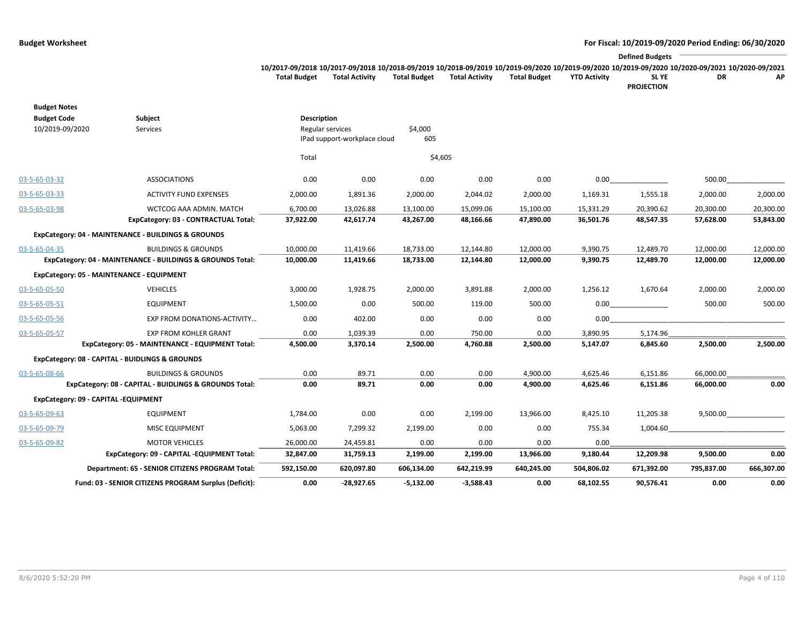### **Budget Worksheet For Fiscal: 10/2019-09/2020 Period Ending: 06/30/2020**  $\overline{\phantom{a}}$

**PROJECTION**

|              |                       |                     |                       |                     |                     | <b>Defined Budgets</b>                                                                                                                          |    |     |
|--------------|-----------------------|---------------------|-----------------------|---------------------|---------------------|-------------------------------------------------------------------------------------------------------------------------------------------------|----|-----|
|              |                       |                     |                       |                     |                     | 10/2017-09/2018 10/2017-09/2018 10/2018-09/2019 10/2018-09/2019 10/2019-09/2020 10/2019-09/2020 10/2019-09/2020 10/2020-09/2021 10/2020-09/2021 |    |     |
| Total Budget | <b>Total Activity</b> | <b>Total Budget</b> | <b>Total Activity</b> | <b>Total Budget</b> | <b>YTD Activity</b> | SL YE                                                                                                                                           | DR | AP. |

|                                       | Fund: 03 - SENIOR CITIZENS PROGRAM Surplus (Deficit):      | 0.00               | $-28.927.65$                                     | $-5,132.00$    | $-3,588.43$ | 0.00       | 68,102.55  | 90,576.41  | 0.00       | 0.00       |
|---------------------------------------|------------------------------------------------------------|--------------------|--------------------------------------------------|----------------|-------------|------------|------------|------------|------------|------------|
|                                       | Department: 65 - SENIOR CITIZENS PROGRAM Total:            | 592,150.00         | 620,097.80                                       | 606,134.00     | 642,219.99  | 640,245.00 | 504,806.02 | 671,392.00 | 795,837.00 | 666,307.00 |
|                                       | ExpCategory: 09 - CAPITAL -EQUIPMENT Total:                | 32,847.00          | 31,759.13                                        | 2,199.00       | 2,199.00    | 13,966.00  | 9,180.44   | 12,209.98  | 9,500.00   | 0.00       |
| 03-5-65-09-82                         | <b>MOTOR VEHICLES</b>                                      | 26,000.00          | 24,459.81                                        | 0.00           | 0.00        | 0.00       | 0.00       |            |            |            |
| 03-5-65-09-79                         | <b>MISC EQUIPMENT</b>                                      | 5,063.00           | 7,299.32                                         | 2,199.00       | 0.00        | 0.00       | 755.34     | 1,004.60   |            |            |
| 03-5-65-09-63                         | <b>EQUIPMENT</b>                                           | 1,784.00           | 0.00                                             | 0.00           | 2,199.00    | 13,966.00  | 8,425.10   | 11,205.38  | 9,500.00   |            |
|                                       | ExpCategory: 09 - CAPITAL -EQUIPMENT                       |                    |                                                  |                |             |            |            |            |            |            |
|                                       | ExpCategory: 08 - CAPITAL - BUIDLINGS & GROUNDS Total:     | 0.00               | 89.71                                            | 0.00           | 0.00        | 4,900.00   | 4,625.46   | 6,151.86   | 66,000.00  | 0.00       |
| 03-5-65-08-66                         | <b>BUILDINGS &amp; GROUNDS</b>                             | 0.00               | 89.71                                            | 0.00           | 0.00        | 4,900.00   | 4,625.46   | 6,151.86   | 66,000.00  |            |
|                                       | ExpCategory: 08 - CAPITAL - BUIDLINGS & GROUNDS            |                    |                                                  |                |             |            |            |            |            |            |
|                                       | ExpCategory: 05 - MAINTENANCE - EQUIPMENT Total:           | 4,500.00           | 3,370.14                                         | 2,500.00       | 4,760.88    | 2,500.00   | 5,147.07   | 6,845.60   | 2,500.00   | 2,500.00   |
| 03-5-65-05-57                         | <b>EXP FROM KOHLER GRANT</b>                               | 0.00               | 1,039.39                                         | 0.00           | 750.00      | 0.00       | 3,890.95   | 5,174.96   |            |            |
| 03-5-65-05-56                         | EXP FROM DONATIONS-ACTIVITY                                | 0.00               | 402.00                                           | 0.00           | 0.00        | 0.00       | 0.00       |            |            |            |
| 03-5-65-05-51                         | <b>EQUIPMENT</b>                                           | 1,500.00           | 0.00                                             | 500.00         | 119.00      | 500.00     | 0.00       |            | 500.00     | 500.00     |
| 03-5-65-05-50                         | <b>VEHICLES</b>                                            | 3,000.00           | 1,928.75                                         | 2,000.00       | 3,891.88    | 2,000.00   | 1,256.12   | 1,670.64   | 2,000.00   | 2,000.00   |
|                                       | ExpCategory: 05 - MAINTENANCE - EQUIPMENT                  |                    |                                                  |                |             |            |            |            |            |            |
|                                       | ExpCategory: 04 - MAINTENANCE - BUILDINGS & GROUNDS Total: | 10,000.00          | 11,419.66                                        | 18,733.00      | 12,144.80   | 12,000.00  | 9,390.75   | 12,489.70  | 12,000.00  | 12,000.00  |
| 03-5-65-04-35                         | <b>BUILDINGS &amp; GROUNDS</b>                             | 10,000.00          | 11,419.66                                        | 18,733.00      | 12,144.80   | 12,000.00  | 9,390.75   | 12,489.70  | 12,000.00  | 12,000.00  |
|                                       | ExpCategory: 04 - MAINTENANCE - BUILDINGS & GROUNDS        |                    |                                                  |                |             |            |            |            |            |            |
|                                       | ExpCategory: 03 - CONTRACTUAL Total:                       | 37,922.00          | 42,617.74                                        | 43,267.00      | 48,166.66   | 47,890.00  | 36,501.76  | 48,547.35  | 57,628.00  | 53,843.00  |
| 03-5-65-03-98                         | WCTCOG AAA ADMIN. MATCH                                    | 6,700.00           | 13,026.88                                        | 13,100.00      | 15,099.06   | 15,100.00  | 15,331.29  | 20,390.62  | 20,300.00  | 20,300.00  |
| 03-5-65-03-33                         | <b>ACTIVITY FUND EXPENSES</b>                              | 2,000.00           | 1,891.36                                         | 2,000.00       | 2,044.02    | 2,000.00   | 1,169.31   | 1,555.18   | 2,000.00   | 2,000.00   |
| 03-5-65-03-32                         | <b>ASSOCIATIONS</b>                                        | 0.00               | 0.00                                             | 0.00           | 0.00        | 0.00       | 0.00       |            | 500.00     |            |
|                                       |                                                            | Total              |                                                  | \$4,605        |             |            |            |            |            |            |
| <b>Budget Code</b><br>10/2019-09/2020 | Subject<br>Services                                        | <b>Description</b> | Regular services<br>IPad support-workplace cloud | \$4,000<br>605 |             |            |            |            |            |            |
| <b>Budget Notes</b>                   |                                                            |                    |                                                  |                |             |            |            |            |            |            |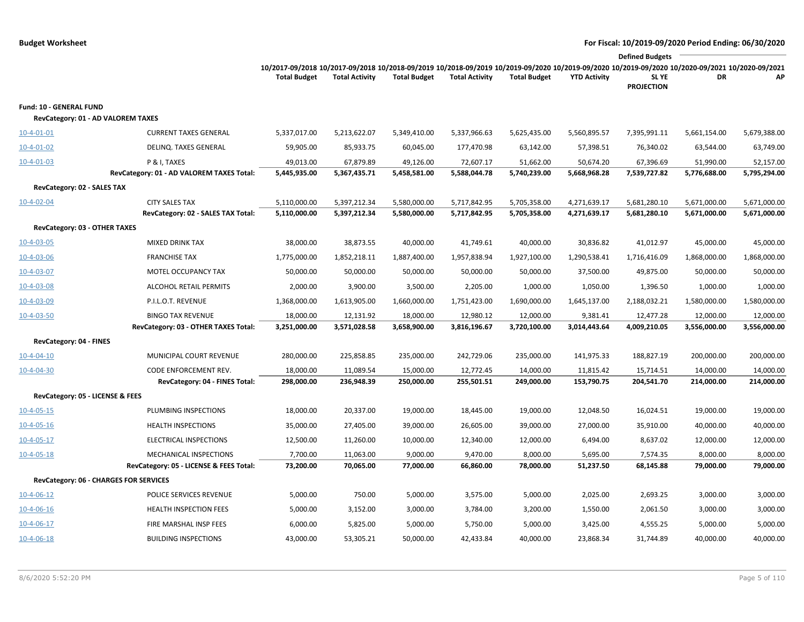|                                                               |                                                             |                                                                                                                                                                                        |                              |                              |                              |                              |                              | <b>Defined Budgets</b>       |                              |                              |
|---------------------------------------------------------------|-------------------------------------------------------------|----------------------------------------------------------------------------------------------------------------------------------------------------------------------------------------|------------------------------|------------------------------|------------------------------|------------------------------|------------------------------|------------------------------|------------------------------|------------------------------|
|                                                               |                                                             | 10/2017-09/2018 10/2017-09/2018 10/2018-09/2019 10/2018-09/2019 10/2019-09/2020 10/2019-09/2020 10/2019-09/2020 10/2019-09/2020 10/2020-09/2021 10/2020-09/2021<br><b>Total Budget</b> | <b>Total Activity</b>        | <b>Total Budget</b>          | <b>Total Activity</b>        | <b>Total Budget</b>          | <b>YTD Activity</b>          | SL YE<br><b>PROJECTION</b>   | DR                           | AP                           |
| Fund: 10 - GENERAL FUND<br>RevCategory: 01 - AD VALOREM TAXES |                                                             |                                                                                                                                                                                        |                              |                              |                              |                              |                              |                              |                              |                              |
| $10-4-01-01$                                                  | <b>CURRENT TAXES GENERAL</b>                                | 5,337,017.00                                                                                                                                                                           | 5,213,622.07                 | 5,349,410.00                 | 5,337,966.63                 | 5,625,435.00                 | 5,560,895.57                 | 7,395,991.11                 | 5,661,154.00                 | 5,679,388.00                 |
| 10-4-01-02                                                    | DELINQ. TAXES GENERAL                                       | 59,905.00                                                                                                                                                                              | 85,933.75                    | 60,045.00                    | 177,470.98                   | 63,142.00                    | 57,398.51                    | 76,340.02                    | 63,544.00                    | 63,749.00                    |
| $10-4-01-03$                                                  | P & I, TAXES<br>RevCategory: 01 - AD VALOREM TAXES Total:   | 49,013.00<br>5,445,935.00                                                                                                                                                              | 67,879.89<br>5,367,435.71    | 49,126.00<br>5,458,581.00    | 72,607.17<br>5,588,044.78    | 51,662.00<br>5,740,239.00    | 50,674.20<br>5,668,968.28    | 67,396.69<br>7,539,727.82    | 51,990.00<br>5,776,688.00    | 52,157.00<br>5,795,294.00    |
| RevCategory: 02 - SALES TAX                                   |                                                             |                                                                                                                                                                                        |                              |                              |                              |                              |                              |                              |                              |                              |
| $10 - 4 - 02 - 04$                                            | <b>CITY SALES TAX</b><br>RevCategory: 02 - SALES TAX Total: | 5,110,000.00<br>5,110,000.00                                                                                                                                                           | 5,397,212.34<br>5,397,212.34 | 5,580,000.00<br>5,580,000.00 | 5,717,842.95<br>5,717,842.95 | 5,705,358.00<br>5,705,358.00 | 4,271,639.17<br>4,271,639.17 | 5,681,280.10<br>5,681,280.10 | 5,671,000.00<br>5,671,000.00 | 5,671,000.00<br>5,671,000.00 |
| RevCategory: 03 - OTHER TAXES                                 |                                                             |                                                                                                                                                                                        |                              |                              |                              |                              |                              |                              |                              |                              |
| 10-4-03-05                                                    | <b>MIXED DRINK TAX</b>                                      | 38,000.00                                                                                                                                                                              | 38,873.55                    | 40,000.00                    | 41,749.61                    | 40,000.00                    | 30,836.82                    | 41,012.97                    | 45,000.00                    | 45,000.00                    |
| $10 - 4 - 03 - 06$                                            | <b>FRANCHISE TAX</b>                                        | 1,775,000.00                                                                                                                                                                           | 1,852,218.11                 | 1,887,400.00                 | 1,957,838.94                 | 1,927,100.00                 | 1,290,538.41                 | 1,716,416.09                 | 1,868,000.00                 | 1,868,000.00                 |
| 10-4-03-07                                                    | MOTEL OCCUPANCY TAX                                         | 50,000.00                                                                                                                                                                              | 50,000.00                    | 50,000.00                    | 50,000.00                    | 50,000.00                    | 37,500.00                    | 49,875.00                    | 50,000.00                    | 50,000.00                    |
| 10-4-03-08                                                    | ALCOHOL RETAIL PERMITS                                      | 2,000.00                                                                                                                                                                               | 3,900.00                     | 3,500.00                     | 2,205.00                     | 1,000.00                     | 1,050.00                     | 1,396.50                     | 1,000.00                     | 1,000.00                     |
| 10-4-03-09                                                    | P.I.L.O.T. REVENUE                                          | 1,368,000.00                                                                                                                                                                           | 1,613,905.00                 | 1,660,000.00                 | 1,751,423.00                 | 1,690,000.00                 | 1,645,137.00                 | 2,188,032.21                 | 1,580,000.00                 | 1,580,000.00                 |
| $10-4-03-50$                                                  | <b>BINGO TAX REVENUE</b>                                    | 18,000.00                                                                                                                                                                              | 12,131.92                    | 18,000.00                    | 12,980.12                    | 12,000.00                    | 9,381.41                     | 12,477.28                    | 12,000.00                    | 12,000.00                    |
|                                                               | RevCategory: 03 - OTHER TAXES Total:                        | 3,251,000.00                                                                                                                                                                           | 3,571,028.58                 | 3,658,900.00                 | 3,816,196.67                 | 3,720,100.00                 | 3,014,443.64                 | 4,009,210.05                 | 3,556,000.00                 | 3,556,000.00                 |
| RevCategory: 04 - FINES                                       |                                                             |                                                                                                                                                                                        |                              |                              |                              |                              |                              |                              |                              |                              |
| $10-4-04-10$                                                  | MUNICIPAL COURT REVENUE                                     | 280,000.00                                                                                                                                                                             | 225,858.85                   | 235,000.00                   | 242,729.06                   | 235,000.00                   | 141,975.33                   | 188,827.19                   | 200,000.00                   | 200,000.00                   |
| $10-4-04-30$                                                  | CODE ENFORCEMENT REV.<br>RevCategory: 04 - FINES Total:     | 18,000.00<br>298,000.00                                                                                                                                                                | 11,089.54<br>236,948.39      | 15,000.00<br>250,000.00      | 12,772.45                    | 14,000.00<br>249,000.00      | 11,815.42<br>153,790.75      | 15,714.51<br>204,541.70      | 14,000.00                    | 14,000.00<br>214,000.00      |
| RevCategory: 05 - LICENSE & FEES                              |                                                             |                                                                                                                                                                                        |                              |                              | 255,501.51                   |                              |                              |                              | 214,000.00                   |                              |
| $10-4-05-15$                                                  | PLUMBING INSPECTIONS                                        | 18,000.00                                                                                                                                                                              | 20,337.00                    | 19,000.00                    | 18,445.00                    | 19,000.00                    | 12,048.50                    | 16,024.51                    | 19,000.00                    | 19,000.00                    |
| $10-4-05-16$                                                  | <b>HEALTH INSPECTIONS</b>                                   | 35,000.00                                                                                                                                                                              | 27,405.00                    | 39,000.00                    | 26,605.00                    | 39,000.00                    | 27,000.00                    | 35,910.00                    | 40,000.00                    | 40,000.00                    |
| $10-4-05-17$                                                  | ELECTRICAL INSPECTIONS                                      | 12,500.00                                                                                                                                                                              | 11,260.00                    | 10,000.00                    | 12,340.00                    | 12,000.00                    | 6,494.00                     | 8,637.02                     | 12,000.00                    | 12,000.00                    |
| 10-4-05-18                                                    | MECHANICAL INSPECTIONS                                      | 7,700.00                                                                                                                                                                               | 11,063.00                    | 9,000.00                     | 9,470.00                     | 8,000.00                     | 5,695.00                     | 7,574.35                     | 8,000.00                     | 8,000.00                     |
|                                                               | RevCategory: 05 - LICENSE & FEES Total:                     | 73,200.00                                                                                                                                                                              | 70,065.00                    | 77,000.00                    | 66,860.00                    | 78,000.00                    | 51,237.50                    | 68,145.88                    | 79,000.00                    | 79,000.00                    |
| RevCategory: 06 - CHARGES FOR SERVICES                        |                                                             |                                                                                                                                                                                        |                              |                              |                              |                              |                              |                              |                              |                              |
| $10-4-06-12$                                                  | POLICE SERVICES REVENUE                                     | 5,000.00                                                                                                                                                                               | 750.00                       | 5,000.00                     | 3,575.00                     | 5,000.00                     | 2,025.00                     | 2,693.25                     | 3,000.00                     | 3,000.00                     |
| $10-4-06-16$                                                  | <b>HEALTH INSPECTION FEES</b>                               | 5,000.00                                                                                                                                                                               | 3,152.00                     | 3,000.00                     | 3,784.00                     | 3,200.00                     | 1,550.00                     | 2,061.50                     | 3,000.00                     | 3,000.00                     |
| $10-4-06-17$                                                  | FIRE MARSHAL INSP FEES                                      | 6,000.00                                                                                                                                                                               | 5,825.00                     | 5,000.00                     | 5,750.00                     | 5,000.00                     | 3,425.00                     | 4,555.25                     | 5,000.00                     | 5,000.00                     |
| $10-4-06-18$                                                  | <b>BUILDING INSPECTIONS</b>                                 | 43,000.00                                                                                                                                                                              | 53,305.21                    | 50,000.00                    | 42,433.84                    | 40,000.00                    | 23,868.34                    | 31,744.89                    | 40,000.00                    | 40,000.00                    |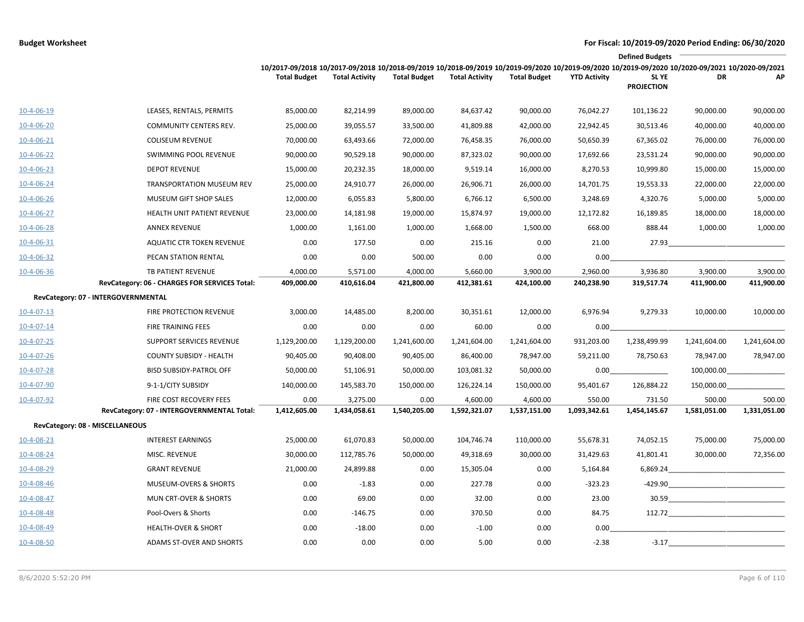|                    | <b>Defined Budgets</b>                        |                                                                                                                                                                        |                       |                     |                       |                     |                     |                            |              |                                                                                                                       |
|--------------------|-----------------------------------------------|------------------------------------------------------------------------------------------------------------------------------------------------------------------------|-----------------------|---------------------|-----------------------|---------------------|---------------------|----------------------------|--------------|-----------------------------------------------------------------------------------------------------------------------|
|                    |                                               | 10/2017-09/2018 10/2017-09/2018 10/2018-09/2019 10/2018-09/2019 10/2019-09/2020 10/2019-09/2020 10/2019-09/2020 10/2020-09/2021 10/2020-09/2021<br><b>Total Budget</b> | <b>Total Activity</b> | <b>Total Budget</b> | <b>Total Activity</b> | <b>Total Budget</b> | <b>YTD Activity</b> | SL YE<br><b>PROJECTION</b> | DR           | AP                                                                                                                    |
| 10-4-06-19         | LEASES, RENTALS, PERMITS                      | 85,000.00                                                                                                                                                              | 82,214.99             | 89,000.00           | 84,637.42             | 90,000.00           | 76,042.27           | 101,136.22                 | 90,000.00    | 90,000.00                                                                                                             |
| 10-4-06-20         | COMMUNITY CENTERS REV.                        | 25,000.00                                                                                                                                                              | 39,055.57             | 33,500.00           | 41,809.88             | 42,000.00           | 22,942.45           | 30,513.46                  | 40,000.00    | 40,000.00                                                                                                             |
| $10-4-06-21$       | <b>COLISEUM REVENUE</b>                       | 70,000.00                                                                                                                                                              | 63,493.66             | 72,000.00           | 76,458.35             | 76,000.00           | 50,650.39           | 67,365.02                  | 76,000.00    | 76,000.00                                                                                                             |
| $10-4-06-22$       | SWIMMING POOL REVENUE                         | 90,000.00                                                                                                                                                              | 90,529.18             | 90,000.00           | 87,323.02             | 90,000.00           | 17,692.66           | 23,531.24                  | 90,000.00    | 90,000.00                                                                                                             |
| $10 - 4 - 06 - 23$ | <b>DEPOT REVENUE</b>                          | 15,000.00                                                                                                                                                              | 20,232.35             | 18,000.00           | 9,519.14              | 16,000.00           | 8,270.53            | 10,999.80                  | 15,000.00    | 15,000.00                                                                                                             |
| $10 - 4 - 06 - 24$ | <b>TRANSPORTATION MUSEUM REV</b>              | 25,000.00                                                                                                                                                              | 24,910.77             | 26,000.00           | 26,906.71             | 26,000.00           | 14,701.75           | 19,553.33                  | 22,000.00    | 22,000.00                                                                                                             |
| $10-4-06-26$       | MUSEUM GIFT SHOP SALES                        | 12,000.00                                                                                                                                                              | 6,055.83              | 5,800.00            | 6,766.12              | 6,500.00            | 3,248.69            | 4,320.76                   | 5,000.00     | 5,000.00                                                                                                              |
| $10-4-06-27$       | HEALTH UNIT PATIENT REVENUE                   | 23,000.00                                                                                                                                                              | 14,181.98             | 19,000.00           | 15,874.97             | 19,000.00           | 12,172.82           | 16,189.85                  | 18,000.00    | 18,000.00                                                                                                             |
| $10 - 4 - 06 - 28$ | <b>ANNEX REVENUE</b>                          | 1,000.00                                                                                                                                                               | 1,161.00              | 1,000.00            | 1,668.00              | 1,500.00            | 668.00              | 888.44                     | 1,000.00     | 1,000.00                                                                                                              |
| 10-4-06-31         | <b>AQUATIC CTR TOKEN REVENUE</b>              | 0.00                                                                                                                                                                   | 177.50                | 0.00                | 215.16                | 0.00                | 21.00               | 27.93                      |              |                                                                                                                       |
| 10-4-06-32         | PECAN STATION RENTAL                          | 0.00                                                                                                                                                                   | 0.00                  | 500.00              | 0.00                  | 0.00                | 0.00                |                            |              |                                                                                                                       |
| 10-4-06-36         | TB PATIENT REVENUE                            | 4,000.00                                                                                                                                                               | 5,571.00              | 4,000.00            | 5,660.00              | 3,900.00            | 2,960.00            | 3,936.80                   | 3,900.00     | 3,900.00                                                                                                              |
|                    | RevCategory: 06 - CHARGES FOR SERVICES Total: | 409,000.00                                                                                                                                                             | 410,616.04            | 421,800.00          | 412,381.61            | 424,100.00          | 240,238.90          | 319,517.74                 | 411,900.00   | 411,900.00                                                                                                            |
|                    | RevCategory: 07 - INTERGOVERNMENTAL           |                                                                                                                                                                        |                       |                     |                       |                     |                     |                            |              |                                                                                                                       |
| $10-4-07-13$       | <b>FIRE PROTECTION REVENUE</b>                | 3,000.00                                                                                                                                                               | 14,485.00             | 8,200.00            | 30,351.61             | 12,000.00           | 6,976.94            | 9,279.33                   | 10,000.00    | 10,000.00                                                                                                             |
| $10 - 4 - 07 - 14$ | <b>FIRE TRAINING FEES</b>                     | 0.00                                                                                                                                                                   | 0.00                  | 0.00                | 60.00                 | 0.00                | 0.00                |                            |              |                                                                                                                       |
| $10 - 4 - 07 - 25$ | SUPPORT SERVICES REVENUE                      | 1,129,200.00                                                                                                                                                           | 1,129,200.00          | 1,241,600.00        | 1,241,604.00          | 1,241,604.00        | 931,203.00          | 1,238,499.99               | 1,241,604.00 | 1,241,604.00                                                                                                          |
| $10 - 4 - 07 - 26$ | <b>COUNTY SUBSIDY - HEALTH</b>                | 90,405.00                                                                                                                                                              | 90,408.00             | 90,405.00           | 86,400.00             | 78,947.00           | 59,211.00           | 78,750.63                  | 78,947.00    | 78,947.00                                                                                                             |
| 10-4-07-28         | <b>BISD SUBSIDY-PATROL OFF</b>                | 50,000.00                                                                                                                                                              | 51,106.91             | 50,000.00           | 103,081.32            | 50,000.00           | 0.00                |                            | 100,000.00   |                                                                                                                       |
| $10 - 4 - 07 - 90$ | 9-1-1/CITY SUBSIDY                            | 140,000.00                                                                                                                                                             | 145,583.70            | 150,000.00          | 126,224.14            | 150,000.00          | 95,401.67           | 126,884.22                 | 150,000.00   |                                                                                                                       |
| 10-4-07-92         | FIRE COST RECOVERY FEES                       | 0.00                                                                                                                                                                   | 3,275.00              | 0.00                | 4,600.00              | 4,600.00            | 550.00              | 731.50                     | 500.00       | 500.00                                                                                                                |
|                    | RevCategory: 07 - INTERGOVERNMENTAL Total:    | 1,412,605.00                                                                                                                                                           | 1,434,058.61          | 1,540,205.00        | 1,592,321.07          | 1,537,151.00        | 1,093,342.61        | 1,454,145.67               | 1,581,051.00 | 1,331,051.00                                                                                                          |
|                    | RevCategory: 08 - MISCELLANEOUS               |                                                                                                                                                                        |                       |                     |                       |                     |                     |                            |              |                                                                                                                       |
| 10-4-08-23         | <b>INTEREST EARNINGS</b>                      | 25,000.00                                                                                                                                                              | 61,070.83             | 50,000.00           | 104,746.74            | 110,000.00          | 55,678.31           | 74,052.15                  | 75,000.00    | 75,000.00                                                                                                             |
| 10-4-08-24         | MISC. REVENUE                                 | 30,000.00                                                                                                                                                              | 112,785.76            | 50,000.00           | 49,318.69             | 30,000.00           | 31,429.63           | 41,801.41                  | 30,000.00    | 72,356.00                                                                                                             |
| 10-4-08-29         | <b>GRANT REVENUE</b>                          | 21,000.00                                                                                                                                                              | 24,899.88             | 0.00                | 15,305.04             | 0.00                | 5,164.84            | 6,869.24                   |              |                                                                                                                       |
| 10-4-08-46         | <b>MUSEUM-OVERS &amp; SHORTS</b>              | 0.00                                                                                                                                                                   | $-1.83$               | 0.00                | 227.78                | 0.00                | $-323.23$           | $-429.90$                  |              | <u> 1990 - Johann John Stone, markin film ar yn y brenin y brenin y brenin y brenin y brenin y brenin y brenin y</u>  |
| 10-4-08-47         | <b>MUN CRT-OVER &amp; SHORTS</b>              | 0.00                                                                                                                                                                   | 69.00                 | 0.00                | 32.00                 | 0.00                | 23.00               | 30.59                      |              | <u> 1989 - John Harry Harry Harry Harry Harry Harry Harry Harry Harry Harry Harry Harry Harry Harry Harry Harry H</u> |
| 10-4-08-48         | Pool-Overs & Shorts                           | 0.00                                                                                                                                                                   | $-146.75$             | 0.00                | 370.50                | 0.00                | 84.75               | 112.72                     |              |                                                                                                                       |
| 10-4-08-49         | <b>HEALTH-OVER &amp; SHORT</b>                | 0.00                                                                                                                                                                   | $-18.00$              | 0.00                | $-1.00$               | 0.00                | 0.00                |                            |              |                                                                                                                       |
| 10-4-08-50         | ADAMS ST-OVER AND SHORTS                      | 0.00                                                                                                                                                                   | 0.00                  | 0.00                | 5.00                  | 0.00                | $-2.38$             | $-3.17$                    |              |                                                                                                                       |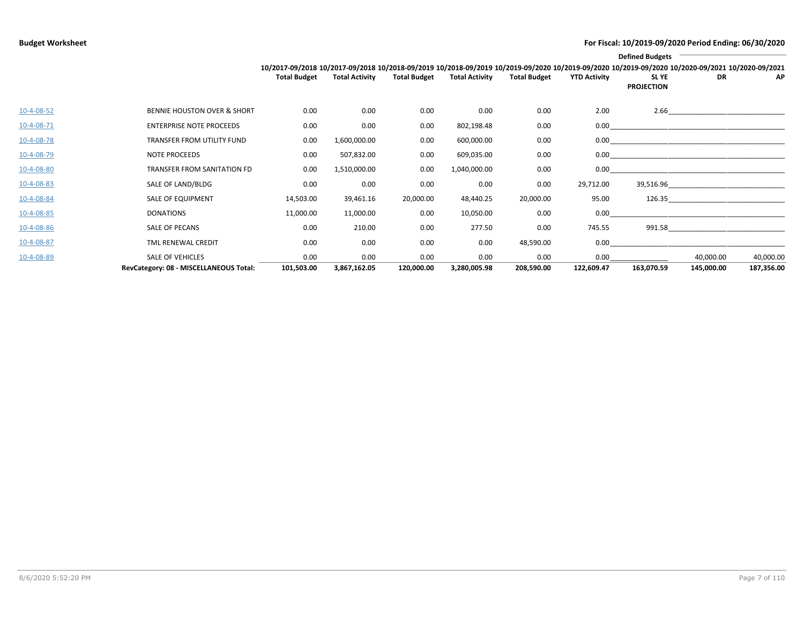|              |                                        | <b>Defined Budgets</b><br>10/2017-09/2018 10/2017-09/2018 10/2018-09/2019 10/2018-09/2019 10/2019-09/2020 10/2019-09/2020 10/2019-09/2020 10/2020-09/2021 10/2020-09/2021 |                       |                     |                       |                     |                     |                            |                                                                                                                                                                                                                                     |            |  |  |
|--------------|----------------------------------------|---------------------------------------------------------------------------------------------------------------------------------------------------------------------------|-----------------------|---------------------|-----------------------|---------------------|---------------------|----------------------------|-------------------------------------------------------------------------------------------------------------------------------------------------------------------------------------------------------------------------------------|------------|--|--|
|              |                                        | <b>Total Budget</b>                                                                                                                                                       | <b>Total Activity</b> | <b>Total Budget</b> | <b>Total Activity</b> | <b>Total Budget</b> | <b>YTD Activity</b> | SL YE<br><b>PROJECTION</b> | DR                                                                                                                                                                                                                                  | <b>AP</b>  |  |  |
| $10-4-08-52$ | <b>BENNIE HOUSTON OVER &amp; SHORT</b> | 0.00                                                                                                                                                                      | 0.00                  | 0.00                | 0.00                  | 0.00                | 2.00                |                            |                                                                                                                                                                                                                                     |            |  |  |
| 10-4-08-71   | <b>ENTERPRISE NOTE PROCEEDS</b>        | 0.00                                                                                                                                                                      | 0.00                  | 0.00                | 802,198.48            | 0.00                |                     |                            |                                                                                                                                                                                                                                     |            |  |  |
| 10-4-08-78   | TRANSFER FROM UTILITY FUND             | 0.00                                                                                                                                                                      | 1,600,000.00          | 0.00                | 600,000.00            | 0.00                |                     |                            |                                                                                                                                                                                                                                     |            |  |  |
| 10-4-08-79   | NOTE PROCEEDS                          | 0.00                                                                                                                                                                      | 507,832.00            | 0.00                | 609,035.00            | 0.00                |                     |                            |                                                                                                                                                                                                                                     |            |  |  |
| 10-4-08-80   | TRANSFER FROM SANITATION FD            | 0.00                                                                                                                                                                      | 1,510,000.00          | 0.00                | 1,040,000.00          | 0.00                |                     |                            |                                                                                                                                                                                                                                     |            |  |  |
| 10-4-08-83   | SALE OF LAND/BLDG                      | 0.00                                                                                                                                                                      | 0.00                  | 0.00                | 0.00                  | 0.00                | 29,712.00           |                            | <b>39,516.96</b> and the state of the state of the state of the state of the state of the state of the state of the state of the state of the state of the state of the state of the state of the state of the state of the state o |            |  |  |
| 10-4-08-84   | SALE OF EQUIPMENT                      | 14,503.00                                                                                                                                                                 | 39,461.16             | 20,000.00           | 48,440.25             | 20,000.00           | 95.00               |                            |                                                                                                                                                                                                                                     |            |  |  |
| 10-4-08-85   | DONATIONS                              | 11,000.00                                                                                                                                                                 | 11,000.00             | 0.00                | 10,050.00             | 0.00                | 0.00                |                            |                                                                                                                                                                                                                                     |            |  |  |
| 10-4-08-86   | SALE OF PECANS                         | 0.00                                                                                                                                                                      | 210.00                | 0.00                | 277.50                | 0.00                | 745.55              | 991.58                     |                                                                                                                                                                                                                                     |            |  |  |
| 10-4-08-87   | TML RENEWAL CREDIT                     | 0.00                                                                                                                                                                      | 0.00                  | 0.00                | 0.00                  | 48,590.00           | 0.00                |                            |                                                                                                                                                                                                                                     |            |  |  |
| 10-4-08-89   | <b>SALE OF VEHICLES</b>                | 0.00                                                                                                                                                                      | 0.00                  | 0.00                | 0.00                  | 0.00                | 0.00                |                            | 40,000.00                                                                                                                                                                                                                           | 40,000.00  |  |  |
|              | RevCategory: 08 - MISCELLANEOUS Total: | 101,503.00                                                                                                                                                                | 3,867,162.05          | 120,000.00          | 3,280,005.98          | 208,590.00          | 122,609.47          | 163,070.59                 | 145,000.00                                                                                                                                                                                                                          | 187,356.00 |  |  |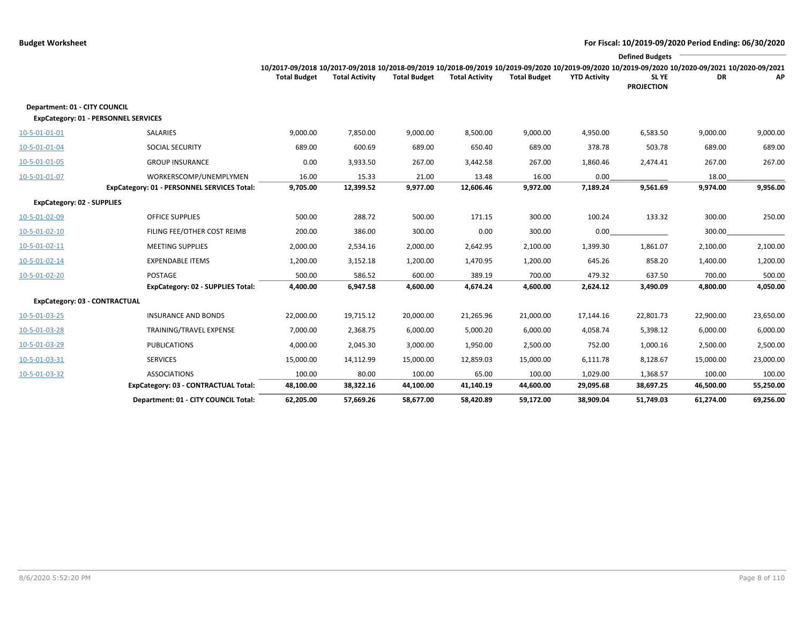|                                             | <b>Defined Budgets</b>                      |                     |                       |                     |                       |                     |                     |                                                                                                                                                                 |           |           |  |
|---------------------------------------------|---------------------------------------------|---------------------|-----------------------|---------------------|-----------------------|---------------------|---------------------|-----------------------------------------------------------------------------------------------------------------------------------------------------------------|-----------|-----------|--|
|                                             |                                             |                     |                       |                     |                       |                     |                     | 10/2017-09/2018 10/2017-09/2018 10/2018-09/2019 10/2018-09/2019 10/2019-09/2020 10/2019-09/2020 10/2019-09/2020 10/2019-09/2020 10/2020-09/2021 10/2020-09/2021 |           |           |  |
|                                             |                                             | <b>Total Budget</b> | <b>Total Activity</b> | <b>Total Budget</b> | <b>Total Activity</b> | <b>Total Budget</b> | <b>YTD Activity</b> | SL YE<br><b>PROJECTION</b>                                                                                                                                      | DR        | АΡ        |  |
| Department: 01 - CITY COUNCIL               |                                             |                     |                       |                     |                       |                     |                     |                                                                                                                                                                 |           |           |  |
| <b>ExpCategory: 01 - PERSONNEL SERVICES</b> |                                             |                     |                       |                     |                       |                     |                     |                                                                                                                                                                 |           |           |  |
| 10-5-01-01-01                               | SALARIES                                    | 9,000.00            | 7,850.00              | 9,000.00            | 8,500.00              | 9,000.00            | 4,950.00            | 6,583.50                                                                                                                                                        | 9,000.00  | 9,000.00  |  |
| 10-5-01-01-04                               | <b>SOCIAL SECURITY</b>                      | 689.00              | 600.69                | 689.00              | 650.40                | 689.00              | 378.78              | 503.78                                                                                                                                                          | 689.00    | 689.00    |  |
| 10-5-01-01-05                               | <b>GROUP INSURANCE</b>                      | 0.00                | 3,933.50              | 267.00              | 3,442.58              | 267.00              | 1,860.46            | 2,474.41                                                                                                                                                        | 267.00    | 267.00    |  |
| 10-5-01-01-07                               | WORKERSCOMP/UNEMPLYMEN                      | 16.00               | 15.33                 | 21.00               | 13.48                 | 16.00               | 0.00                |                                                                                                                                                                 | 18.00     |           |  |
|                                             | ExpCategory: 01 - PERSONNEL SERVICES Total: | 9,705.00            | 12,399.52             | 9,977.00            | 12,606.46             | 9,972.00            | 7,189.24            | 9,561.69                                                                                                                                                        | 9,974.00  | 9,956.00  |  |
| <b>ExpCategory: 02 - SUPPLIES</b>           |                                             |                     |                       |                     |                       |                     |                     |                                                                                                                                                                 |           |           |  |
| 10-5-01-02-09                               | <b>OFFICE SUPPLIES</b>                      | 500.00              | 288.72                | 500.00              | 171.15                | 300.00              | 100.24              | 133.32                                                                                                                                                          | 300.00    | 250.00    |  |
| 10-5-01-02-10                               | FILING FEE/OTHER COST REIMB                 | 200.00              | 386.00                | 300.00              | 0.00                  | 300.00              | 0.00                |                                                                                                                                                                 | 300.00    |           |  |
| 10-5-01-02-11                               | <b>MEETING SUPPLIES</b>                     | 2,000.00            | 2,534.16              | 2,000.00            | 2,642.95              | 2,100.00            | 1,399.30            | 1,861.07                                                                                                                                                        | 2,100.00  | 2,100.00  |  |
| 10-5-01-02-14                               | <b>EXPENDABLE ITEMS</b>                     | 1,200.00            | 3,152.18              | 1,200.00            | 1,470.95              | 1,200.00            | 645.26              | 858.20                                                                                                                                                          | 1,400.00  | 1,200.00  |  |
| 10-5-01-02-20                               | POSTAGE                                     | 500.00              | 586.52                | 600.00              | 389.19                | 700.00              | 479.32              | 637.50                                                                                                                                                          | 700.00    | 500.00    |  |
|                                             | <b>ExpCategory: 02 - SUPPLIES Total:</b>    | 4,400.00            | 6,947.58              | 4,600.00            | 4,674.24              | 4,600.00            | 2,624.12            | 3,490.09                                                                                                                                                        | 4,800.00  | 4,050.00  |  |
| ExpCategory: 03 - CONTRACTUAL               |                                             |                     |                       |                     |                       |                     |                     |                                                                                                                                                                 |           |           |  |
| 10-5-01-03-25                               | <b>INSURANCE AND BONDS</b>                  | 22,000.00           | 19,715.12             | 20,000.00           | 21,265.96             | 21,000.00           | 17,144.16           | 22,801.73                                                                                                                                                       | 22,900.00 | 23,650.00 |  |
| 10-5-01-03-28                               | TRAINING/TRAVEL EXPENSE                     | 7,000.00            | 2,368.75              | 6,000.00            | 5,000.20              | 6,000.00            | 4,058.74            | 5,398.12                                                                                                                                                        | 6,000.00  | 6,000.00  |  |
| 10-5-01-03-29                               | <b>PUBLICATIONS</b>                         | 4,000.00            | 2,045.30              | 3,000.00            | 1,950.00              | 2,500.00            | 752.00              | 1,000.16                                                                                                                                                        | 2,500.00  | 2,500.00  |  |
| 10-5-01-03-31                               | <b>SERVICES</b>                             | 15,000.00           | 14,112.99             | 15,000.00           | 12,859.03             | 15,000.00           | 6,111.78            | 8,128.67                                                                                                                                                        | 15,000.00 | 23,000.00 |  |
| 10-5-01-03-32                               | <b>ASSOCIATIONS</b>                         | 100.00              | 80.00                 | 100.00              | 65.00                 | 100.00              | 1,029.00            | 1,368.57                                                                                                                                                        | 100.00    | 100.00    |  |
|                                             | ExpCategory: 03 - CONTRACTUAL Total:        | 48,100.00           | 38,322.16             | 44,100.00           | 41,140.19             | 44,600.00           | 29,095.68           | 38,697.25                                                                                                                                                       | 46,500.00 | 55,250.00 |  |
|                                             | Department: 01 - CITY COUNCIL Total:        | 62,205.00           | 57,669.26             | 58,677.00           | 58.420.89             | 59.172.00           | 38,909.04           | 51.749.03                                                                                                                                                       | 61,274.00 | 69,256.00 |  |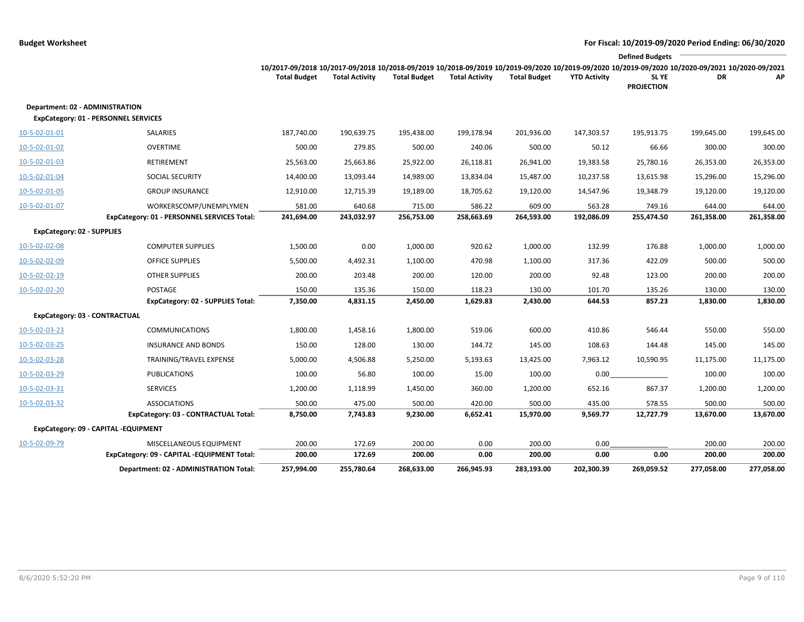|                                   | <b>Defined Budgets</b>                      |                                                                                                                                                 |                       |                     |                       |                     |                     |                                  |            |            |  |  |
|-----------------------------------|---------------------------------------------|-------------------------------------------------------------------------------------------------------------------------------------------------|-----------------------|---------------------|-----------------------|---------------------|---------------------|----------------------------------|------------|------------|--|--|
|                                   |                                             | 10/2017-09/2018 10/2017-09/2018 10/2018-09/2019 10/2018-09/2019 10/2019-09/2020 10/2019-09/2020 10/2019-09/2020 10/2020-09/2021 10/2020-09/2021 |                       |                     |                       |                     |                     |                                  |            |            |  |  |
|                                   |                                             | <b>Total Budget</b>                                                                                                                             | <b>Total Activity</b> | <b>Total Budget</b> | <b>Total Activity</b> | <b>Total Budget</b> | <b>YTD Activity</b> | <b>SLYE</b><br><b>PROJECTION</b> | DR         | АP         |  |  |
|                                   |                                             |                                                                                                                                                 |                       |                     |                       |                     |                     |                                  |            |            |  |  |
| Department: 02 - ADMINISTRATION   |                                             |                                                                                                                                                 |                       |                     |                       |                     |                     |                                  |            |            |  |  |
|                                   | ExpCategory: 01 - PERSONNEL SERVICES        |                                                                                                                                                 |                       |                     |                       |                     |                     |                                  |            |            |  |  |
| 10-5-02-01-01                     | SALARIES                                    | 187,740.00                                                                                                                                      | 190,639.75            | 195,438.00          | 199,178.94            | 201,936.00          | 147,303.57          | 195,913.75                       | 199,645.00 | 199,645.00 |  |  |
| 10-5-02-01-02                     | <b>OVERTIME</b>                             | 500.00                                                                                                                                          | 279.85                | 500.00              | 240.06                | 500.00              | 50.12               | 66.66                            | 300.00     | 300.00     |  |  |
| 10-5-02-01-03                     | RETIREMENT                                  | 25,563.00                                                                                                                                       | 25,663.86             | 25,922.00           | 26,118.81             | 26,941.00           | 19,383.58           | 25,780.16                        | 26,353.00  | 26,353.00  |  |  |
| 10-5-02-01-04                     | SOCIAL SECURITY                             | 14,400.00                                                                                                                                       | 13,093.44             | 14,989.00           | 13,834.04             | 15,487.00           | 10,237.58           | 13,615.98                        | 15,296.00  | 15,296.00  |  |  |
| 10-5-02-01-05                     | <b>GROUP INSURANCE</b>                      | 12,910.00                                                                                                                                       | 12,715.39             | 19,189.00           | 18,705.62             | 19,120.00           | 14,547.96           | 19,348.79                        | 19,120.00  | 19,120.00  |  |  |
| 10-5-02-01-07                     | WORKERSCOMP/UNEMPLYMEN                      | 581.00                                                                                                                                          | 640.68                | 715.00              | 586.22                | 609.00              | 563.28              | 749.16                           | 644.00     | 644.00     |  |  |
|                                   | ExpCategory: 01 - PERSONNEL SERVICES Total: | 241,694.00                                                                                                                                      | 243,032.97            | 256,753.00          | 258,663.69            | 264,593.00          | 192,086.09          | 255,474.50                       | 261,358.00 | 261,358.00 |  |  |
| <b>ExpCategory: 02 - SUPPLIES</b> |                                             |                                                                                                                                                 |                       |                     |                       |                     |                     |                                  |            |            |  |  |
| 10-5-02-02-08                     | <b>COMPUTER SUPPLIES</b>                    | 1,500.00                                                                                                                                        | 0.00                  | 1,000.00            | 920.62                | 1,000.00            | 132.99              | 176.88                           | 1,000.00   | 1,000.00   |  |  |
| 10-5-02-02-09                     | <b>OFFICE SUPPLIES</b>                      | 5,500.00                                                                                                                                        | 4,492.31              | 1,100.00            | 470.98                | 1,100.00            | 317.36              | 422.09                           | 500.00     | 500.00     |  |  |
| 10-5-02-02-19                     | <b>OTHER SUPPLIES</b>                       | 200.00                                                                                                                                          | 203.48                | 200.00              | 120.00                | 200.00              | 92.48               | 123.00                           | 200.00     | 200.00     |  |  |
| 10-5-02-02-20                     | POSTAGE                                     | 150.00                                                                                                                                          | 135.36                | 150.00              | 118.23                | 130.00              | 101.70              | 135.26                           | 130.00     | 130.00     |  |  |
|                                   | ExpCategory: 02 - SUPPLIES Total:           | 7,350.00                                                                                                                                        | 4,831.15              | 2,450.00            | 1,629.83              | 2,430.00            | 644.53              | 857.23                           | 1,830.00   | 1,830.00   |  |  |
| ExpCategory: 03 - CONTRACTUAL     |                                             |                                                                                                                                                 |                       |                     |                       |                     |                     |                                  |            |            |  |  |
| 10-5-02-03-23                     | <b>COMMUNICATIONS</b>                       | 1,800.00                                                                                                                                        | 1,458.16              | 1,800.00            | 519.06                | 600.00              | 410.86              | 546.44                           | 550.00     | 550.00     |  |  |
| 10-5-02-03-25                     | <b>INSURANCE AND BONDS</b>                  | 150.00                                                                                                                                          | 128.00                | 130.00              | 144.72                | 145.00              | 108.63              | 144.48                           | 145.00     | 145.00     |  |  |
| 10-5-02-03-28                     | TRAINING/TRAVEL EXPENSE                     | 5,000.00                                                                                                                                        | 4,506.88              | 5,250.00            | 5,193.63              | 13,425.00           | 7,963.12            | 10,590.95                        | 11,175.00  | 11,175.00  |  |  |
| 10-5-02-03-29                     | <b>PUBLICATIONS</b>                         | 100.00                                                                                                                                          | 56.80                 | 100.00              | 15.00                 | 100.00              | 0.00                |                                  | 100.00     | 100.00     |  |  |
| 10-5-02-03-31                     | <b>SERVICES</b>                             | 1,200.00                                                                                                                                        | 1,118.99              | 1,450.00            | 360.00                | 1,200.00            | 652.16              | 867.37                           | 1,200.00   | 1,200.00   |  |  |
| 10-5-02-03-32                     | <b>ASSOCIATIONS</b>                         | 500.00                                                                                                                                          | 475.00                | 500.00              | 420.00                | 500.00              | 435.00              | 578.55                           | 500.00     | 500.00     |  |  |
|                                   | ExpCategory: 03 - CONTRACTUAL Total:        | 8,750.00                                                                                                                                        | 7,743.83              | 9,230.00            | 6,652.41              | 15,970.00           | 9,569.77            | 12,727.79                        | 13,670.00  | 13,670.00  |  |  |
|                                   | ExpCategory: 09 - CAPITAL -EQUIPMENT        |                                                                                                                                                 |                       |                     |                       |                     |                     |                                  |            |            |  |  |
| 10-5-02-09-79                     | MISCELLANEOUS EQUIPMENT                     | 200.00                                                                                                                                          | 172.69                | 200.00              | 0.00                  | 200.00              | 0.00                |                                  | 200.00     | 200.00     |  |  |
|                                   | ExpCategory: 09 - CAPITAL -EQUIPMENT Total: | 200.00                                                                                                                                          | 172.69                | 200.00              | 0.00                  | 200.00              | 0.00                | 0.00                             | 200.00     | 200.00     |  |  |
|                                   | Department: 02 - ADMINISTRATION Total:      | 257,994.00                                                                                                                                      | 255,780.64            | 268,633.00          | 266,945.93            | 283,193.00          | 202,300.39          | 269,059.52                       | 277,058.00 | 277,058.00 |  |  |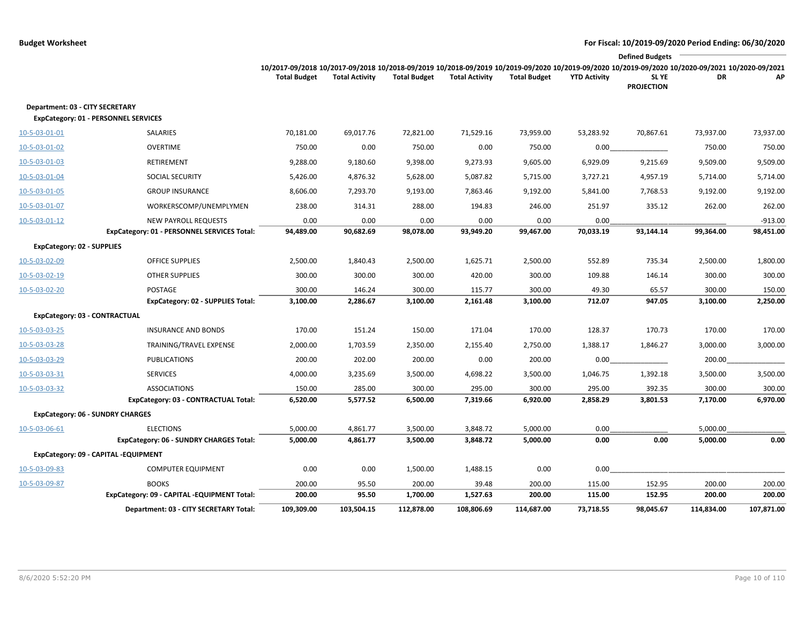|                                         |                                             |                                                                                                                                                                                        |                       |                     |                       |                     |                     | <b>Defined Budgets</b>     |            |            |
|-----------------------------------------|---------------------------------------------|----------------------------------------------------------------------------------------------------------------------------------------------------------------------------------------|-----------------------|---------------------|-----------------------|---------------------|---------------------|----------------------------|------------|------------|
|                                         |                                             | 10/2017-09/2018 10/2017-09/2018 10/2018-09/2019 10/2018-09/2019 10/2019-09/2020 10/2019-09/2020 10/2019-09/2020 10/2019-09/2020 10/2020-09/2021 10/2020-09/2021<br><b>Total Budget</b> | <b>Total Activity</b> | <b>Total Budget</b> | <b>Total Activity</b> | <b>Total Budget</b> | <b>YTD Activity</b> | SL YE<br><b>PROJECTION</b> | DR         | АΡ         |
| Department: 03 - CITY SECRETARY         | <b>ExpCategory: 01 - PERSONNEL SERVICES</b> |                                                                                                                                                                                        |                       |                     |                       |                     |                     |                            |            |            |
| 10-5-03-01-01                           | SALARIES                                    | 70,181.00                                                                                                                                                                              | 69,017.76             | 72,821.00           | 71,529.16             | 73,959.00           | 53,283.92           | 70,867.61                  | 73,937.00  | 73,937.00  |
| 10-5-03-01-02                           | <b>OVERTIME</b>                             | 750.00                                                                                                                                                                                 | 0.00                  | 750.00              | 0.00                  | 750.00              | 0.00                |                            | 750.00     | 750.00     |
| 10-5-03-01-03                           | RETIREMENT                                  | 9,288.00                                                                                                                                                                               | 9,180.60              | 9,398.00            | 9,273.93              | 9,605.00            | 6,929.09            | 9,215.69                   | 9,509.00   | 9,509.00   |
| 10-5-03-01-04                           | SOCIAL SECURITY                             | 5,426.00                                                                                                                                                                               | 4,876.32              | 5,628.00            | 5,087.82              | 5,715.00            | 3,727.21            | 4,957.19                   | 5,714.00   | 5,714.00   |
| 10-5-03-01-05                           | <b>GROUP INSURANCE</b>                      | 8,606.00                                                                                                                                                                               | 7,293.70              | 9,193.00            | 7,863.46              | 9,192.00            | 5,841.00            | 7,768.53                   | 9,192.00   | 9,192.00   |
| 10-5-03-01-07                           | WORKERSCOMP/UNEMPLYMEN                      | 238.00                                                                                                                                                                                 | 314.31                | 288.00              | 194.83                | 246.00              | 251.97              | 335.12                     | 262.00     | 262.00     |
| 10-5-03-01-12                           | <b>NEW PAYROLL REQUESTS</b>                 | 0.00                                                                                                                                                                                   | 0.00                  | 0.00                | 0.00                  | 0.00                | 0.00                |                            |            | $-913.00$  |
|                                         | ExpCategory: 01 - PERSONNEL SERVICES Total: | 94,489.00                                                                                                                                                                              | 90,682.69             | 98,078.00           | 93,949.20             | 99,467.00           | 70,033.19           | 93,144.14                  | 99,364.00  | 98,451.00  |
| <b>ExpCategory: 02 - SUPPLIES</b>       |                                             |                                                                                                                                                                                        |                       |                     |                       |                     |                     |                            |            |            |
| 10-5-03-02-09                           | <b>OFFICE SUPPLIES</b>                      | 2,500.00                                                                                                                                                                               | 1,840.43              | 2,500.00            | 1,625.71              | 2,500.00            | 552.89              | 735.34                     | 2,500.00   | 1,800.00   |
| 10-5-03-02-19                           | <b>OTHER SUPPLIES</b>                       | 300.00                                                                                                                                                                                 | 300.00                | 300.00              | 420.00                | 300.00              | 109.88              | 146.14                     | 300.00     | 300.00     |
| 10-5-03-02-20                           | <b>POSTAGE</b>                              | 300.00                                                                                                                                                                                 | 146.24                | 300.00              | 115.77                | 300.00              | 49.30               | 65.57                      | 300.00     | 150.00     |
|                                         | <b>ExpCategory: 02 - SUPPLIES Total:</b>    | 3,100.00                                                                                                                                                                               | 2,286.67              | 3,100.00            | 2,161.48              | 3,100.00            | 712.07              | 947.05                     | 3,100.00   | 2,250.00   |
| ExpCategory: 03 - CONTRACTUAL           |                                             |                                                                                                                                                                                        |                       |                     |                       |                     |                     |                            |            |            |
| 10-5-03-03-25                           | <b>INSURANCE AND BONDS</b>                  | 170.00                                                                                                                                                                                 | 151.24                | 150.00              | 171.04                | 170.00              | 128.37              | 170.73                     | 170.00     | 170.00     |
| 10-5-03-03-28                           | TRAINING/TRAVEL EXPENSE                     | 2,000.00                                                                                                                                                                               | 1,703.59              | 2,350.00            | 2,155.40              | 2,750.00            | 1,388.17            | 1,846.27                   | 3,000.00   | 3,000.00   |
| 10-5-03-03-29                           | <b>PUBLICATIONS</b>                         | 200.00                                                                                                                                                                                 | 202.00                | 200.00              | 0.00                  | 200.00              | 0.00                |                            | 200.00     |            |
| 10-5-03-03-31                           | <b>SERVICES</b>                             | 4,000.00                                                                                                                                                                               | 3,235.69              | 3,500.00            | 4,698.22              | 3,500.00            | 1,046.75            | 1,392.18                   | 3,500.00   | 3,500.00   |
| 10-5-03-03-32                           | <b>ASSOCIATIONS</b>                         | 150.00                                                                                                                                                                                 | 285.00                | 300.00              | 295.00                | 300.00              | 295.00              | 392.35                     | 300.00     | 300.00     |
|                                         | ExpCategory: 03 - CONTRACTUAL Total:        | 6,520.00                                                                                                                                                                               | 5,577.52              | 6,500.00            | 7,319.66              | 6,920.00            | 2,858.29            | 3,801.53                   | 7,170.00   | 6,970.00   |
| <b>ExpCategory: 06 - SUNDRY CHARGES</b> |                                             |                                                                                                                                                                                        |                       |                     |                       |                     |                     |                            |            |            |
| 10-5-03-06-61                           | <b>ELECTIONS</b>                            | 5,000.00                                                                                                                                                                               | 4,861.77              | 3,500.00            | 3,848.72              | 5,000.00            | 0.00                |                            | 5,000.00   |            |
|                                         | ExpCategory: 06 - SUNDRY CHARGES Total:     | 5,000.00                                                                                                                                                                               | 4,861.77              | 3,500.00            | 3,848.72              | 5,000.00            | 0.00                | 0.00                       | 5,000.00   | 0.00       |
|                                         | ExpCategory: 09 - CAPITAL -EQUIPMENT        |                                                                                                                                                                                        |                       |                     |                       |                     |                     |                            |            |            |
| 10-5-03-09-83                           | <b>COMPUTER EQUIPMENT</b>                   | 0.00                                                                                                                                                                                   | 0.00                  | 1,500.00            | 1,488.15              | 0.00                | 0.00                |                            |            |            |
| 10-5-03-09-87                           | <b>BOOKS</b>                                | 200.00                                                                                                                                                                                 | 95.50                 | 200.00              | 39.48                 | 200.00              | 115.00              | 152.95                     | 200.00     | 200.00     |
|                                         | ExpCategory: 09 - CAPITAL -EQUIPMENT Total: | 200.00                                                                                                                                                                                 | 95.50                 | 1,700.00            | 1,527.63              | 200.00              | 115.00              | 152.95                     | 200.00     | 200.00     |
|                                         | Department: 03 - CITY SECRETARY Total:      | 109,309.00                                                                                                                                                                             | 103,504.15            | 112,878.00          | 108,806.69            | 114,687.00          | 73,718.55           | 98,045.67                  | 114,834.00 | 107,871.00 |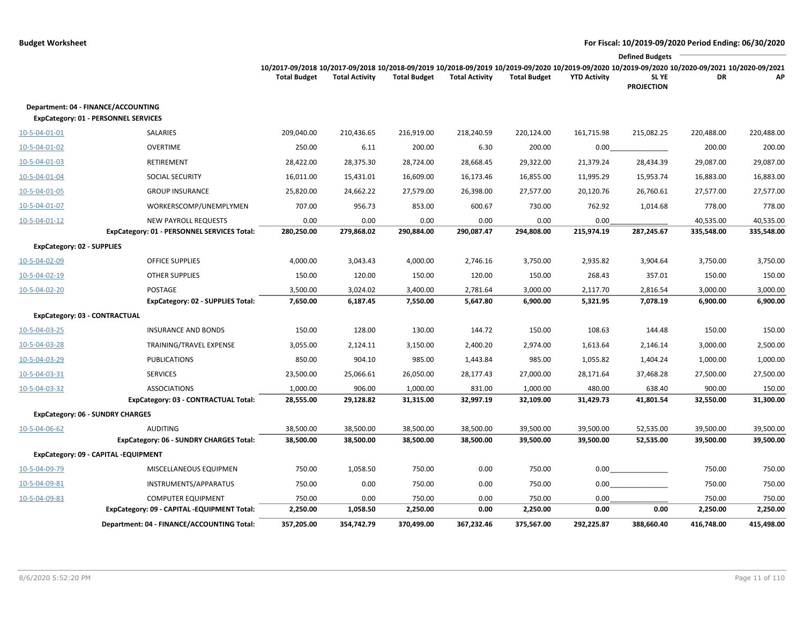|                                                                                           |                                                                                                                                                                        |                       |                     |                       |                     |                     | <b>Defined Budgets</b>     |                    |                    |
|-------------------------------------------------------------------------------------------|------------------------------------------------------------------------------------------------------------------------------------------------------------------------|-----------------------|---------------------|-----------------------|---------------------|---------------------|----------------------------|--------------------|--------------------|
|                                                                                           | 10/2017-09/2018 10/2017-09/2018 10/2018-09/2019 10/2018-09/2019 10/2019-09/2020 10/2019-09/2020 10/2019-09/2020 10/2020-09/2021 10/2020-09/2021<br><b>Total Budget</b> | <b>Total Activity</b> | <b>Total Budget</b> | <b>Total Activity</b> | <b>Total Budget</b> | <b>YTD Activity</b> | SL YE<br><b>PROJECTION</b> | DR                 | АP                 |
| Department: 04 - FINANCE/ACCOUNTING<br><b>ExpCategory: 01 - PERSONNEL SERVICES</b>        |                                                                                                                                                                        |                       |                     |                       |                     |                     |                            |                    |                    |
| 10-5-04-01-01<br>SALARIES                                                                 | 209,040.00                                                                                                                                                             | 210,436.65            | 216,919.00          | 218,240.59            | 220,124.00          | 161,715.98          | 215,082.25                 | 220,488.00         | 220,488.00         |
| OVERTIME<br>10-5-04-01-02                                                                 | 250.00                                                                                                                                                                 | 6.11                  | 200.00              | 6.30                  | 200.00              | 0.00                |                            | 200.00             | 200.00             |
| 10-5-04-01-03<br>RETIREMENT                                                               | 28,422.00                                                                                                                                                              | 28,375.30             | 28,724.00           | 28,668.45             | 29,322.00           | 21,379.24           | 28,434.39                  | 29,087.00          | 29,087.00          |
| SOCIAL SECURITY<br>10-5-04-01-04                                                          | 16,011.00                                                                                                                                                              | 15,431.01             | 16,609.00           | 16,173.46             | 16,855.00           | 11,995.29           | 15,953.74                  | 16,883.00          | 16,883.00          |
| 10-5-04-01-05<br><b>GROUP INSURANCE</b>                                                   | 25,820.00                                                                                                                                                              | 24,662.22             | 27,579.00           | 26,398.00             | 27,577.00           | 20,120.76           | 26,760.61                  | 27,577.00          | 27,577.00          |
| 10-5-04-01-07<br>WORKERSCOMP/UNEMPLYMEN                                                   | 707.00                                                                                                                                                                 | 956.73                | 853.00              | 600.67                | 730.00              | 762.92              | 1,014.68                   | 778.00             | 778.00             |
| NEW PAYROLL REQUESTS<br>$10 - 5 - 04 - 01 - 12$                                           | 0.00                                                                                                                                                                   | 0.00                  | 0.00                | 0.00                  | 0.00                | 0.00                |                            | 40,535.00          | 40,535.00          |
| ExpCategory: 01 - PERSONNEL SERVICES Total:                                               | 280,250.00                                                                                                                                                             | 279,868.02            | 290,884.00          | 290,087.47            | 294,808.00          | 215,974.19          | 287,245.67                 | 335,548.00         | 335,548.00         |
| <b>ExpCategory: 02 - SUPPLIES</b>                                                         |                                                                                                                                                                        |                       |                     |                       |                     |                     |                            |                    |                    |
| 10-5-04-02-09<br><b>OFFICE SUPPLIES</b>                                                   | 4,000.00                                                                                                                                                               | 3,043.43              | 4,000.00            | 2,746.16              | 3,750.00            | 2,935.82            | 3,904.64                   | 3,750.00           | 3,750.00           |
| <b>OTHER SUPPLIES</b><br>10-5-04-02-19                                                    | 150.00                                                                                                                                                                 | 120.00                | 150.00              | 120.00                | 150.00              | 268.43              | 357.01                     | 150.00             | 150.00             |
| 10-5-04-02-20<br>POSTAGE                                                                  | 3,500.00                                                                                                                                                               | 3,024.02              | 3,400.00            | 2,781.64              | 3,000.00            | 2,117.70            | 2,816.54                   | 3,000.00           | 3,000.00           |
| <b>ExpCategory: 02 - SUPPLIES Total:</b>                                                  | 7,650.00                                                                                                                                                               | 6,187.45              | 7,550.00            | 5,647.80              | 6,900.00            | 5,321.95            | 7,078.19                   | 6,900.00           | 6,900.00           |
| ExpCategory: 03 - CONTRACTUAL                                                             |                                                                                                                                                                        |                       |                     |                       |                     |                     |                            |                    |                    |
| <b>INSURANCE AND BONDS</b><br>10-5-04-03-25                                               | 150.00                                                                                                                                                                 | 128.00                | 130.00              | 144.72                | 150.00              | 108.63              | 144.48                     | 150.00             | 150.00             |
| 10-5-04-03-28<br>TRAINING/TRAVEL EXPENSE                                                  | 3,055.00                                                                                                                                                               | 2,124.11              | 3,150.00            | 2,400.20              | 2,974.00            | 1,613.64            | 2,146.14                   | 3,000.00           | 2,500.00           |
| <b>PUBLICATIONS</b><br>10-5-04-03-29                                                      | 850.00                                                                                                                                                                 | 904.10                | 985.00              | 1,443.84              | 985.00              | 1,055.82            | 1,404.24                   | 1,000.00           | 1,000.00           |
| 10-5-04-03-31<br><b>SERVICES</b>                                                          | 23,500.00                                                                                                                                                              | 25,066.61             | 26,050.00           | 28,177.43             | 27,000.00           | 28,171.64           | 37,468.28                  | 27,500.00          | 27,500.00          |
| 10-5-04-03-32<br><b>ASSOCIATIONS</b>                                                      | 1,000.00                                                                                                                                                               | 906.00                | 1,000.00            | 831.00                | 1,000.00            | 480.00              | 638.40                     | 900.00             | 150.00             |
| ExpCategory: 03 - CONTRACTUAL Total:                                                      | 28,555.00                                                                                                                                                              | 29,128.82             | 31,315.00           | 32,997.19             | 32,109.00           | 31,429.73           | 41,801.54                  | 32,550.00          | 31,300.00          |
| <b>ExpCategory: 06 - SUNDRY CHARGES</b>                                                   |                                                                                                                                                                        |                       |                     |                       |                     |                     |                            |                    |                    |
| <b>AUDITING</b><br>10-5-04-06-62                                                          | 38,500.00                                                                                                                                                              | 38,500.00             | 38,500.00           | 38,500.00             | 39,500.00           | 39,500.00           | 52,535.00                  | 39,500.00          | 39,500.00          |
| ExpCategory: 06 - SUNDRY CHARGES Total:                                                   | 38,500.00                                                                                                                                                              | 38,500.00             | 38,500.00           | 38,500.00             | 39,500.00           | 39,500.00           | 52,535.00                  | 39,500.00          | 39,500.00          |
| ExpCategory: 09 - CAPITAL -EQUIPMENT                                                      |                                                                                                                                                                        |                       |                     |                       |                     |                     |                            |                    |                    |
| 10-5-04-09-79<br>MISCELLANEOUS EQUIPMEN                                                   | 750.00                                                                                                                                                                 | 1,058.50              | 750.00              | 0.00                  | 750.00              | 0.00                |                            | 750.00             | 750.00             |
| 10-5-04-09-81<br>INSTRUMENTS/APPARATUS                                                    | 750.00                                                                                                                                                                 | 0.00                  | 750.00              | 0.00                  | 750.00              | 0.00                |                            | 750.00             | 750.00             |
| 10-5-04-09-83<br><b>COMPUTER EQUIPMENT</b><br>ExpCategory: 09 - CAPITAL -EQUIPMENT Total: | 750.00<br>2,250.00                                                                                                                                                     | 0.00<br>1,058.50      | 750.00<br>2,250.00  | 0.00<br>0.00          | 750.00<br>2,250.00  | 0.00<br>0.00        | 0.00                       | 750.00<br>2,250.00 | 750.00<br>2,250.00 |
| Department: 04 - FINANCE/ACCOUNTING Total:                                                | 357,205.00                                                                                                                                                             | 354,742.79            | 370,499.00          | 367,232.46            | 375,567.00          | 292,225.87          | 388,660.40                 | 416,748.00         | 415,498.00         |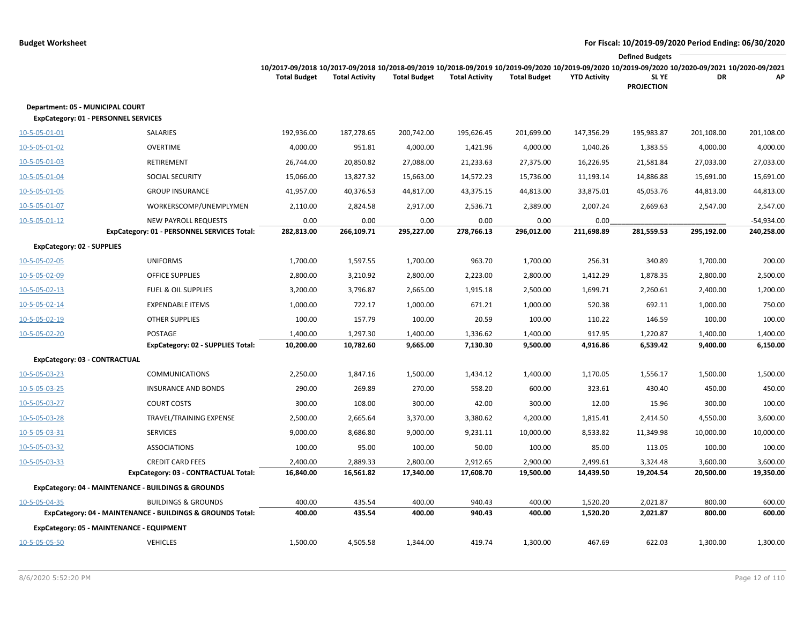|                                   |                                                                            |                                                                                                                                                                                        |                       |                     |                       |                     |                     | <b>Defined Budgets</b>     |            |                            |
|-----------------------------------|----------------------------------------------------------------------------|----------------------------------------------------------------------------------------------------------------------------------------------------------------------------------------|-----------------------|---------------------|-----------------------|---------------------|---------------------|----------------------------|------------|----------------------------|
|                                   |                                                                            | 10/2017-09/2018 10/2017-09/2018 10/2018-09/2019 10/2018-09/2019 10/2019-09/2020 10/2019-09/2020 10/2019-09/2020 10/2019-09/2020 10/2020-09/2021 10/2020-09/2021<br><b>Total Budget</b> | <b>Total Activity</b> | <b>Total Budget</b> | <b>Total Activity</b> | <b>Total Budget</b> | <b>YTD Activity</b> | SL YE<br><b>PROJECTION</b> | DR         | АP                         |
| Department: 05 - MUNICIPAL COURT  | <b>ExpCategory: 01 - PERSONNEL SERVICES</b>                                |                                                                                                                                                                                        |                       |                     |                       |                     |                     |                            |            |                            |
| 10-5-05-01-01                     | SALARIES                                                                   | 192,936.00                                                                                                                                                                             | 187,278.65            | 200,742.00          | 195,626.45            | 201,699.00          | 147,356.29          | 195,983.87                 | 201,108.00 | 201,108.00                 |
| 10-5-05-01-02                     | <b>OVERTIME</b>                                                            | 4,000.00                                                                                                                                                                               | 951.81                | 4,000.00            | 1,421.96              | 4,000.00            | 1,040.26            | 1,383.55                   | 4,000.00   | 4,000.00                   |
| 10-5-05-01-03                     | RETIREMENT                                                                 | 26,744.00                                                                                                                                                                              | 20,850.82             | 27,088.00           | 21,233.63             | 27,375.00           | 16,226.95           | 21,581.84                  | 27,033.00  | 27,033.00                  |
| 10-5-05-01-04                     | <b>SOCIAL SECURITY</b>                                                     | 15,066.00                                                                                                                                                                              | 13,827.32             | 15,663.00           | 14,572.23             | 15,736.00           | 11,193.14           | 14,886.88                  | 15,691.00  | 15,691.00                  |
| 10-5-05-01-05                     | <b>GROUP INSURANCE</b>                                                     | 41,957.00                                                                                                                                                                              | 40,376.53             | 44,817.00           | 43,375.15             | 44,813.00           | 33,875.01           | 45,053.76                  | 44,813.00  | 44,813.00                  |
| 10-5-05-01-07                     | WORKERSCOMP/UNEMPLYMEN                                                     | 2,110.00                                                                                                                                                                               | 2,824.58              | 2,917.00            | 2,536.71              | 2,389.00            | 2,007.24            | 2,669.63                   | 2,547.00   | 2,547.00                   |
| $10 - 5 - 05 - 01 - 12$           | <b>NEW PAYROLL REQUESTS</b><br>ExpCategory: 01 - PERSONNEL SERVICES Total: | 0.00<br>282,813.00                                                                                                                                                                     | 0.00<br>266,109.71    | 0.00<br>295,227.00  | 0.00<br>278,766.13    | 0.00<br>296,012.00  | 0.00<br>211,698.89  | 281,559.53                 | 295,192.00 | $-54,934.00$<br>240,258.00 |
| <b>ExpCategory: 02 - SUPPLIES</b> |                                                                            |                                                                                                                                                                                        |                       |                     |                       |                     |                     |                            |            |                            |
| 10-5-05-02-05                     | <b>UNIFORMS</b>                                                            | 1,700.00                                                                                                                                                                               | 1,597.55              | 1,700.00            | 963.70                | 1,700.00            | 256.31              | 340.89                     | 1,700.00   | 200.00                     |
| 10-5-05-02-09                     | <b>OFFICE SUPPLIES</b>                                                     | 2,800.00                                                                                                                                                                               | 3,210.92              | 2,800.00            | 2,223.00              | 2,800.00            | 1,412.29            | 1,878.35                   | 2,800.00   | 2,500.00                   |
| 10-5-05-02-13                     | <b>FUEL &amp; OIL SUPPLIES</b>                                             | 3,200.00                                                                                                                                                                               | 3,796.87              | 2,665.00            | 1,915.18              | 2,500.00            | 1,699.71            | 2,260.61                   | 2,400.00   | 1,200.00                   |
| 10-5-05-02-14                     | <b>EXPENDABLE ITEMS</b>                                                    | 1,000.00                                                                                                                                                                               | 722.17                | 1,000.00            | 671.21                | 1,000.00            | 520.38              | 692.11                     | 1,000.00   | 750.00                     |
| 10-5-05-02-19                     | <b>OTHER SUPPLIES</b>                                                      | 100.00                                                                                                                                                                                 | 157.79                | 100.00              | 20.59                 | 100.00              | 110.22              | 146.59                     | 100.00     | 100.00                     |
| 10-5-05-02-20                     | POSTAGE                                                                    | 1,400.00                                                                                                                                                                               | 1,297.30              | 1,400.00            | 1,336.62              | 1,400.00            | 917.95              | 1,220.87                   | 1,400.00   | 1,400.00                   |
|                                   | <b>ExpCategory: 02 - SUPPLIES Total:</b>                                   | 10,200.00                                                                                                                                                                              | 10,782.60             | 9,665.00            | 7,130.30              | 9,500.00            | 4,916.86            | 6,539.42                   | 9,400.00   | 6,150.00                   |
| ExpCategory: 03 - CONTRACTUAL     |                                                                            |                                                                                                                                                                                        |                       |                     |                       |                     |                     |                            |            |                            |
| 10-5-05-03-23                     | <b>COMMUNICATIONS</b>                                                      | 2,250.00                                                                                                                                                                               | 1,847.16              | 1,500.00            | 1,434.12              | 1,400.00            | 1,170.05            | 1,556.17                   | 1,500.00   | 1,500.00                   |
| 10-5-05-03-25                     | <b>INSURANCE AND BONDS</b>                                                 | 290.00                                                                                                                                                                                 | 269.89                | 270.00              | 558.20                | 600.00              | 323.61              | 430.40                     | 450.00     | 450.00                     |
| 10-5-05-03-27                     | <b>COURT COSTS</b>                                                         | 300.00                                                                                                                                                                                 | 108.00                | 300.00              | 42.00                 | 300.00              | 12.00               | 15.96                      | 300.00     | 100.00                     |
| 10-5-05-03-28                     | TRAVEL/TRAINING EXPENSE                                                    | 2,500.00                                                                                                                                                                               | 2,665.64              | 3,370.00            | 3,380.62              | 4,200.00            | 1,815.41            | 2,414.50                   | 4,550.00   | 3,600.00                   |
| 10-5-05-03-31                     | <b>SERVICES</b>                                                            | 9,000.00                                                                                                                                                                               | 8,686.80              | 9,000.00            | 9,231.11              | 10,000.00           | 8,533.82            | 11,349.98                  | 10,000.00  | 10,000.00                  |
| 10-5-05-03-32                     | <b>ASSOCIATIONS</b>                                                        | 100.00                                                                                                                                                                                 | 95.00                 | 100.00              | 50.00                 | 100.00              | 85.00               | 113.05                     | 100.00     | 100.00                     |
| 10-5-05-03-33                     | <b>CREDIT CARD FEES</b>                                                    | 2,400.00                                                                                                                                                                               | 2,889.33              | 2,800.00            | 2,912.65              | 2,900.00            | 2,499.61            | 3,324.48                   | 3,600.00   | 3,600.00                   |
|                                   | ExpCategory: 03 - CONTRACTUAL Total:                                       | 16,840.00                                                                                                                                                                              | 16,561.82             | 17,340.00           | 17,608.70             | 19,500.00           | 14,439.50           | 19,204.54                  | 20,500.00  | 19,350.00                  |
|                                   | ExpCategory: 04 - MAINTENANCE - BUILDINGS & GROUNDS                        |                                                                                                                                                                                        |                       |                     |                       |                     |                     |                            |            |                            |
| 10-5-05-04-35                     | <b>BUILDINGS &amp; GROUNDS</b>                                             | 400.00                                                                                                                                                                                 | 435.54                | 400.00              | 940.43                | 400.00              | 1,520.20            | 2,021.87                   | 800.00     | 600.00                     |
|                                   | ExpCategory: 04 - MAINTENANCE - BUILDINGS & GROUNDS Total:                 | 400.00                                                                                                                                                                                 | 435.54                | 400.00              | 940.43                | 400.00              | 1,520.20            | 2,021.87                   | 800.00     | 600.00                     |
|                                   | ExpCategory: 05 - MAINTENANCE - EQUIPMENT                                  |                                                                                                                                                                                        |                       |                     |                       |                     |                     |                            |            |                            |
| 10-5-05-05-50                     | <b>VEHICLES</b>                                                            | 1,500.00                                                                                                                                                                               | 4,505.58              | 1,344.00            | 419.74                | 1,300.00            | 467.69              | 622.03                     | 1,300.00   | 1,300.00                   |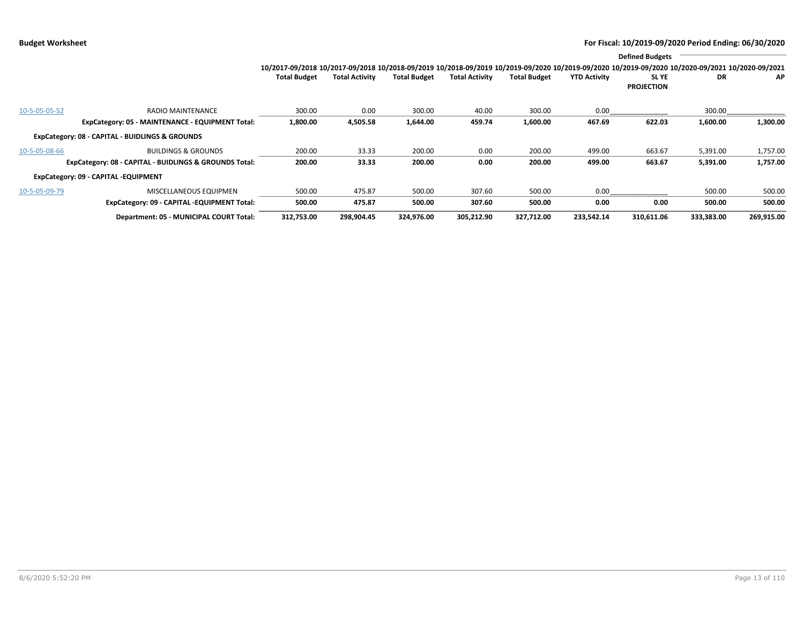|               |                                                        |                                                                                                                                                                 |                       |                     |                       |                     |                     | <b>Defined Budgets</b>           |            |            |
|---------------|--------------------------------------------------------|-----------------------------------------------------------------------------------------------------------------------------------------------------------------|-----------------------|---------------------|-----------------------|---------------------|---------------------|----------------------------------|------------|------------|
|               |                                                        | 10/2017-09/2018 10/2017-09/2018 10/2018-09/2019 10/2018-09/2019 10/2019-09/2020 10/2019-09/2020 10/2019-09/2020 10/2019-09/2020 10/2020-09/2021 10/2020-09/2021 |                       |                     |                       |                     |                     |                                  |            |            |
|               |                                                        | <b>Total Budget</b>                                                                                                                                             | <b>Total Activity</b> | <b>Total Budget</b> | <b>Total Activity</b> | <b>Total Budget</b> | <b>YTD Activity</b> | <b>SLYE</b><br><b>PROJECTION</b> | DR         | ΑP         |
| 10-5-05-05-52 | <b>RADIO MAINTENANCE</b>                               | 300.00                                                                                                                                                          | 0.00                  | 300.00              | 40.00                 | 300.00              | 0.00                |                                  | 300.00     |            |
|               | ExpCategory: 05 - MAINTENANCE - EQUIPMENT Total:       | 1,800.00                                                                                                                                                        | 4,505.58              | 1,644.00            | 459.74                | 1,600.00            | 467.69              | 622.03                           | 1,600.00   | 1,300.00   |
|               | ExpCategory: 08 - CAPITAL - BUIDLINGS & GROUNDS        |                                                                                                                                                                 |                       |                     |                       |                     |                     |                                  |            |            |
| 10-5-05-08-66 | <b>BUILDINGS &amp; GROUNDS</b>                         | 200.00                                                                                                                                                          | 33.33                 | 200.00              | 0.00                  | 200.00              | 499.00              | 663.67                           | 5,391.00   | 1,757.00   |
|               | ExpCategory: 08 - CAPITAL - BUIDLINGS & GROUNDS Total: | 200.00                                                                                                                                                          | 33.33                 | 200.00              | 0.00                  | 200.00              | 499.00              | 663.67                           | 5,391.00   | 1,757.00   |
|               | ExpCategory: 09 - CAPITAL -EQUIPMENT                   |                                                                                                                                                                 |                       |                     |                       |                     |                     |                                  |            |            |
| 10-5-05-09-79 | MISCELLANEOUS EQUIPMEN                                 | 500.00                                                                                                                                                          | 475.87                | 500.00              | 307.60                | 500.00              | 0.00                |                                  | 500.00     | 500.00     |
|               | ExpCategory: 09 - CAPITAL -EQUIPMENT Total:            | 500.00                                                                                                                                                          | 475.87                | 500.00              | 307.60                | 500.00              | 0.00                | 0.00                             | 500.00     | 500.00     |
|               | Department: 05 - MUNICIPAL COURT Total:                | 312,753.00                                                                                                                                                      | 298,904.45            | 324,976.00          | 305,212.90            | 327,712.00          | 233,542.14          | 310,611.06                       | 333,383.00 | 269,915.00 |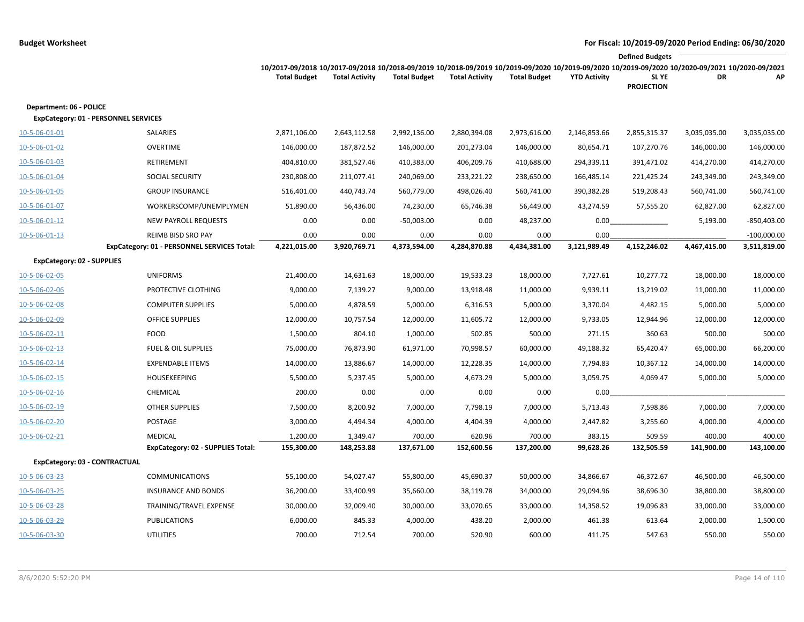|                                                                        |                                                                   |                                                                                                                                                                        |                       |                      |                       |                      |                      | <b>Defined Budgets</b>     |              |                               |
|------------------------------------------------------------------------|-------------------------------------------------------------------|------------------------------------------------------------------------------------------------------------------------------------------------------------------------|-----------------------|----------------------|-----------------------|----------------------|----------------------|----------------------------|--------------|-------------------------------|
|                                                                        |                                                                   | 10/2017-09/2018 10/2017-09/2018 10/2018-09/2019 10/2018-09/2019 10/2019-09/2020 10/2019-09/2020 10/2019-09/2020 10/2020-09/2021 10/2020-09/2021<br><b>Total Budget</b> | <b>Total Activity</b> | <b>Total Budget</b>  | <b>Total Activity</b> | <b>Total Budget</b>  | <b>YTD Activity</b>  | SL YE<br><b>PROJECTION</b> | DR           | АP                            |
| Department: 06 - POLICE<br><b>ExpCategory: 01 - PERSONNEL SERVICES</b> |                                                                   |                                                                                                                                                                        |                       |                      |                       |                      |                      |                            |              |                               |
| 10-5-06-01-01                                                          | SALARIES                                                          | 2,871,106.00                                                                                                                                                           | 2,643,112.58          | 2,992,136.00         | 2,880,394.08          | 2,973,616.00         | 2,146,853.66         | 2,855,315.37               | 3,035,035.00 | 3,035,035.00                  |
| 10-5-06-01-02                                                          | <b>OVERTIME</b>                                                   | 146,000.00                                                                                                                                                             | 187,872.52            | 146,000.00           | 201,273.04            | 146,000.00           | 80,654.71            | 107,270.76                 | 146,000.00   | 146,000.00                    |
| 10-5-06-01-03                                                          | RETIREMENT                                                        | 404,810.00                                                                                                                                                             | 381,527.46            | 410,383.00           | 406,209.76            | 410,688.00           | 294,339.11           | 391,471.02                 | 414,270.00   | 414,270.00                    |
| 10-5-06-01-04                                                          | SOCIAL SECURITY                                                   | 230,808.00                                                                                                                                                             | 211,077.41            | 240,069.00           | 233,221.22            | 238,650.00           | 166,485.14           | 221,425.24                 | 243,349.00   | 243,349.00                    |
| 10-5-06-01-05                                                          | <b>GROUP INSURANCE</b>                                            | 516,401.00                                                                                                                                                             | 440,743.74            | 560,779.00           | 498,026.40            | 560,741.00           | 390,382.28           | 519,208.43                 | 560,741.00   | 560,741.00                    |
| 10-5-06-01-07                                                          | WORKERSCOMP/UNEMPLYMEN                                            | 51,890.00                                                                                                                                                              | 56,436.00             | 74,230.00            | 65,746.38             | 56,449.00            | 43,274.59            | 57,555.20                  | 62,827.00    | 62,827.00                     |
| $10 - 5 - 06 - 01 - 12$                                                | <b>NEW PAYROLL REQUESTS</b>                                       | 0.00                                                                                                                                                                   | 0.00                  | $-50,003.00$         | 0.00                  | 48,237.00            | 0.00                 |                            | 5,193.00     | $-850,403.00$                 |
| 10-5-06-01-13                                                          | REIMB BISD SRO PAY<br>ExpCategory: 01 - PERSONNEL SERVICES Total: | 0.00<br>4,221,015.00                                                                                                                                                   | 0.00<br>3,920,769.71  | 0.00<br>4,373,594.00 | 0.00<br>4,284,870.88  | 0.00<br>4,434,381.00 | 0.00<br>3,121,989.49 | 4,152,246.02               | 4,467,415.00 | $-100,000.00$<br>3,511,819.00 |
| <b>ExpCategory: 02 - SUPPLIES</b>                                      |                                                                   |                                                                                                                                                                        |                       |                      |                       |                      |                      |                            |              |                               |
| 10-5-06-02-05                                                          | <b>UNIFORMS</b>                                                   | 21,400.00                                                                                                                                                              | 14,631.63             | 18,000.00            | 19,533.23             | 18,000.00            | 7,727.61             | 10,277.72                  | 18,000.00    | 18,000.00                     |
| 10-5-06-02-06                                                          | PROTECTIVE CLOTHING                                               | 9,000.00                                                                                                                                                               | 7,139.27              | 9,000.00             | 13,918.48             | 11,000.00            | 9,939.11             | 13,219.02                  | 11,000.00    | 11,000.00                     |
| 10-5-06-02-08                                                          | <b>COMPUTER SUPPLIES</b>                                          | 5,000.00                                                                                                                                                               | 4,878.59              | 5,000.00             | 6,316.53              | 5,000.00             | 3,370.04             | 4,482.15                   | 5,000.00     | 5,000.00                      |
| 10-5-06-02-09                                                          | <b>OFFICE SUPPLIES</b>                                            | 12,000.00                                                                                                                                                              | 10,757.54             | 12,000.00            | 11,605.72             | 12,000.00            | 9,733.05             | 12,944.96                  | 12,000.00    | 12,000.00                     |
| 10-5-06-02-11                                                          | <b>FOOD</b>                                                       | 1,500.00                                                                                                                                                               | 804.10                | 1,000.00             | 502.85                | 500.00               | 271.15               | 360.63                     | 500.00       | 500.00                        |
| 10-5-06-02-13                                                          | <b>FUEL &amp; OIL SUPPLIES</b>                                    | 75,000.00                                                                                                                                                              | 76,873.90             | 61,971.00            | 70,998.57             | 60,000.00            | 49,188.32            | 65,420.47                  | 65,000.00    | 66,200.00                     |
| 10-5-06-02-14                                                          | <b>EXPENDABLE ITEMS</b>                                           | 14,000.00                                                                                                                                                              | 13,886.67             | 14,000.00            | 12,228.35             | 14,000.00            | 7,794.83             | 10,367.12                  | 14,000.00    | 14,000.00                     |
| 10-5-06-02-15                                                          | <b>HOUSEKEEPING</b>                                               | 5,500.00                                                                                                                                                               | 5,237.45              | 5,000.00             | 4,673.29              | 5,000.00             | 3,059.75             | 4,069.47                   | 5,000.00     | 5,000.00                      |
| 10-5-06-02-16                                                          | CHEMICAL                                                          | 200.00                                                                                                                                                                 | 0.00                  | 0.00                 | 0.00                  | 0.00                 | 0.00                 |                            |              |                               |
| 10-5-06-02-19                                                          | <b>OTHER SUPPLIES</b>                                             | 7,500.00                                                                                                                                                               | 8,200.92              | 7,000.00             | 7,798.19              | 7,000.00             | 5,713.43             | 7,598.86                   | 7,000.00     | 7,000.00                      |
| 10-5-06-02-20                                                          | POSTAGE                                                           | 3,000.00                                                                                                                                                               | 4,494.34              | 4,000.00             | 4,404.39              | 4,000.00             | 2,447.82             | 3,255.60                   | 4,000.00     | 4,000.00                      |
| 10-5-06-02-21                                                          | <b>MEDICAL</b>                                                    | 1,200.00                                                                                                                                                               | 1,349.47              | 700.00               | 620.96                | 700.00               | 383.15               | 509.59                     | 400.00       | 400.00                        |
|                                                                        | ExpCategory: 02 - SUPPLIES Total:                                 | 155,300.00                                                                                                                                                             | 148,253.88            | 137,671.00           | 152,600.56            | 137,200.00           | 99,628.26            | 132,505.59                 | 141,900.00   | 143,100.00                    |
| ExpCategory: 03 - CONTRACTUAL                                          |                                                                   |                                                                                                                                                                        |                       |                      |                       |                      |                      |                            |              |                               |
| 10-5-06-03-23                                                          | <b>COMMUNICATIONS</b>                                             | 55,100.00                                                                                                                                                              | 54,027.47             | 55,800.00            | 45,690.37             | 50,000.00            | 34,866.67            | 46,372.67                  | 46,500.00    | 46,500.00                     |
| 10-5-06-03-25                                                          | <b>INSURANCE AND BONDS</b>                                        | 36,200.00                                                                                                                                                              | 33,400.99             | 35,660.00            | 38,119.78             | 34,000.00            | 29,094.96            | 38,696.30                  | 38,800.00    | 38,800.00                     |
| 10-5-06-03-28                                                          | TRAINING/TRAVEL EXPENSE                                           | 30,000.00                                                                                                                                                              | 32,009.40             | 30,000.00            | 33,070.65             | 33,000.00            | 14,358.52            | 19,096.83                  | 33,000.00    | 33,000.00                     |
| 10-5-06-03-29                                                          | <b>PUBLICATIONS</b>                                               | 6,000.00                                                                                                                                                               | 845.33                | 4,000.00             | 438.20                | 2,000.00             | 461.38               | 613.64                     | 2,000.00     | 1,500.00                      |
| 10-5-06-03-30                                                          | <b>UTILITIES</b>                                                  | 700.00                                                                                                                                                                 | 712.54                | 700.00               | 520.90                | 600.00               | 411.75               | 547.63                     | 550.00       | 550.00                        |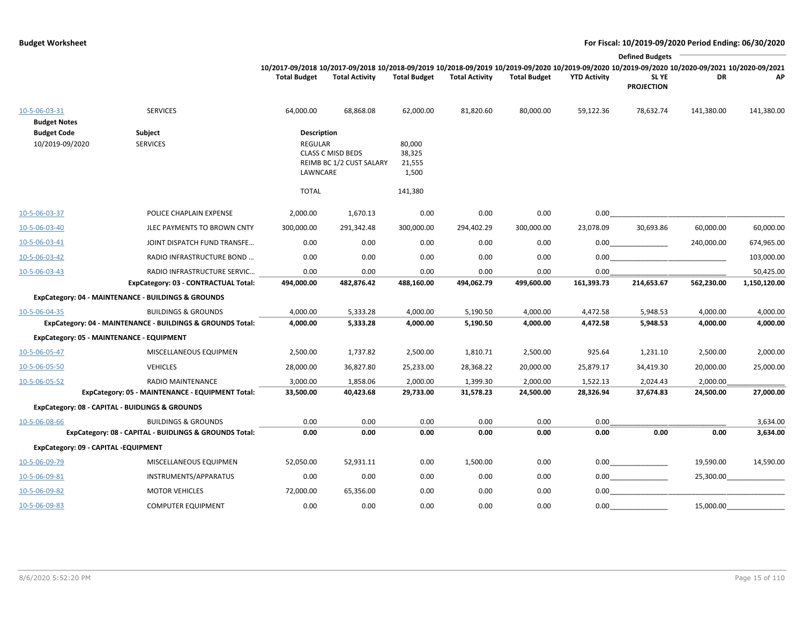|                                           |                                                                                              |                                           |                                                                                                                                                                          |                                     |                       |                       |                       | <b>Defined Budgets</b>     |                       |                           |
|-------------------------------------------|----------------------------------------------------------------------------------------------|-------------------------------------------|--------------------------------------------------------------------------------------------------------------------------------------------------------------------------|-------------------------------------|-----------------------|-----------------------|-----------------------|----------------------------|-----------------------|---------------------------|
|                                           |                                                                                              | <b>Total Budget</b>                       | 10/2017-09/2018 10/2017-09/2018 10/2018-09/2019 10/2018-09/2019 10/2019-09/2020 10/2019-09/2020 10/2019-09/2020 10/2020-09/2020 10/2020-09/2021<br><b>Total Activity</b> | <b>Total Budget</b>                 | <b>Total Activity</b> | <b>Total Budget</b>   | <b>YTD Activity</b>   | SL YE<br><b>PROJECTION</b> | DR                    | ΑP                        |
| 10-5-06-03-31<br><b>Budget Notes</b>      | <b>SERVICES</b>                                                                              | 64,000.00                                 | 68,868.08                                                                                                                                                                | 62,000.00                           | 81,820.60             | 80,000.00             | 59,122.36             | 78,632.74                  | 141,380.00            | 141,380.00                |
| <b>Budget Code</b><br>10/2019-09/2020     | Subject<br><b>SERVICES</b>                                                                   | <b>Description</b><br>REGULAR<br>LAWNCARE | <b>CLASS C MISD BEDS</b><br>REIMB BC 1/2 CUST SALARY                                                                                                                     | 80,000<br>38,325<br>21,555<br>1,500 |                       |                       |                       |                            |                       |                           |
|                                           |                                                                                              | <b>TOTAL</b>                              |                                                                                                                                                                          | 141,380                             |                       |                       |                       |                            |                       |                           |
| 10-5-06-03-37                             | POLICE CHAPLAIN EXPENSE                                                                      | 2,000.00                                  | 1,670.13                                                                                                                                                                 | 0.00                                | 0.00                  | 0.00                  | 0.00                  |                            |                       |                           |
| 10-5-06-03-40                             | JLEC PAYMENTS TO BROWN CNTY                                                                  | 300,000.00                                | 291,342.48                                                                                                                                                               | 300,000.00                          | 294,402.29            | 300,000.00            | 23,078.09             | 30,693.86                  | 60,000.00             | 60,000.00                 |
| 10-5-06-03-41                             | JOINT DISPATCH FUND TRANSFE                                                                  | 0.00                                      | 0.00                                                                                                                                                                     | 0.00                                | 0.00                  | 0.00                  | 0.00                  |                            | 240,000.00            | 674,965.00                |
| 10-5-06-03-42                             | RADIO INFRASTRUCTURE BOND                                                                    | 0.00                                      | 0.00                                                                                                                                                                     | 0.00                                | 0.00                  | 0.00                  | 0.00                  |                            |                       | 103,000.00                |
| 10-5-06-03-43                             | RADIO INFRASTRUCTURE SERVIC<br>ExpCategory: 03 - CONTRACTUAL Total:                          | 0.00<br>494,000.00                        | 0.00<br>482,876.42                                                                                                                                                       | 0.00<br>488,160.00                  | 0.00<br>494,062.79    | 0.00<br>499,600.00    | 0.00<br>161,393.73    | 214,653.67                 | 562,230.00            | 50,425.00<br>1,150,120.00 |
|                                           | ExpCategory: 04 - MAINTENANCE - BUILDINGS & GROUNDS                                          |                                           |                                                                                                                                                                          |                                     |                       |                       |                       |                            |                       |                           |
| 10-5-06-04-35                             | <b>BUILDINGS &amp; GROUNDS</b><br>ExpCategory: 04 - MAINTENANCE - BUILDINGS & GROUNDS Total: | 4,000.00<br>4,000.00                      | 5,333.28<br>5,333.28                                                                                                                                                     | 4,000.00<br>4,000.00                | 5,190.50<br>5,190.50  | 4,000.00<br>4,000.00  | 4,472.58<br>4,472.58  | 5,948.53<br>5,948.53       | 4,000.00<br>4,000.00  | 4,000.00<br>4,000.00      |
| ExpCategory: 05 - MAINTENANCE - EQUIPMENT |                                                                                              |                                           |                                                                                                                                                                          |                                     |                       |                       |                       |                            |                       |                           |
| 10-5-06-05-47                             | MISCELLANEOUS EQUIPMEN                                                                       | 2,500.00                                  | 1,737.82                                                                                                                                                                 | 2,500.00                            | 1,810.71              | 2,500.00              | 925.64                | 1,231.10                   | 2,500.00              | 2,000.00                  |
| 10-5-06-05-50                             | <b>VEHICLES</b>                                                                              | 28,000.00                                 | 36,827.80                                                                                                                                                                | 25,233.00                           | 28,368.22             | 20,000.00             | 25,879.17             | 34,419.30                  | 20,000.00             | 25,000.00                 |
| 10-5-06-05-52                             | RADIO MAINTENANCE<br>ExpCategory: 05 - MAINTENANCE - EQUIPMENT Total:                        | 3,000.00<br>33,500.00                     | 1,858.06<br>40,423.68                                                                                                                                                    | 2,000.00<br>29,733.00               | 1,399.30<br>31,578.23 | 2,000.00<br>24,500.00 | 1,522.13<br>28,326.94 | 2,024.43<br>37,674.83      | 2,000.00<br>24,500.00 | 27,000.00                 |
|                                           | ExpCategory: 08 - CAPITAL - BUIDLINGS & GROUNDS                                              |                                           |                                                                                                                                                                          |                                     |                       |                       |                       |                            |                       |                           |
| 10-5-06-08-66                             | <b>BUILDINGS &amp; GROUNDS</b><br>ExpCategory: 08 - CAPITAL - BUIDLINGS & GROUNDS Total:     | 0.00<br>0.00                              | 0.00<br>0.00                                                                                                                                                             | 0.00<br>0.00                        | 0.00<br>0.00          | 0.00<br>0.00          | 0.00<br>0.00          | 0.00                       | 0.00                  | 3,634.00<br>3,634.00      |
| ExpCategory: 09 - CAPITAL -EQUIPMENT      |                                                                                              |                                           |                                                                                                                                                                          |                                     |                       |                       |                       |                            |                       |                           |
| 10-5-06-09-79                             | MISCELLANEOUS EQUIPMEN                                                                       | 52,050.00                                 | 52,931.11                                                                                                                                                                | 0.00                                | 1,500.00              | 0.00                  |                       | 0.00                       | 19,590.00             | 14,590.00                 |
| 10-5-06-09-81                             | INSTRUMENTS/APPARATUS                                                                        | 0.00                                      | 0.00                                                                                                                                                                     | 0.00                                | 0.00                  | 0.00                  |                       | 0.00                       | 25,300.00             |                           |
| 10-5-06-09-82                             | <b>MOTOR VEHICLES</b>                                                                        | 72,000.00                                 | 65,356.00                                                                                                                                                                | 0.00                                | 0.00                  | 0.00                  | 0.00                  |                            |                       |                           |
| 10-5-06-09-83                             | <b>COMPUTER EQUIPMENT</b>                                                                    | 0.00                                      | 0.00                                                                                                                                                                     | 0.00                                | 0.00                  | 0.00                  | 0.00                  |                            | 15,000.00             |                           |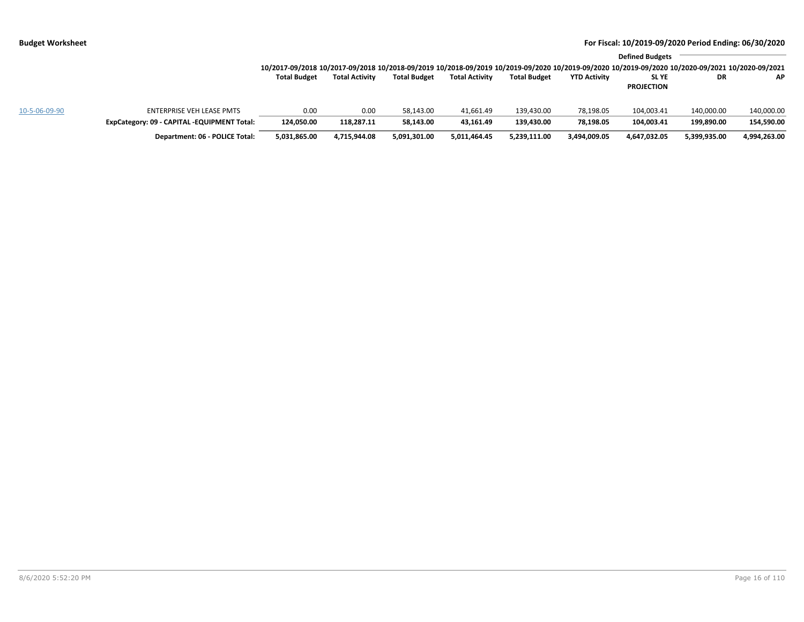|               |                                             | 10/2017-09/2018 10/2017-09/2018 10/2018-09/2019 10/2018-09/2019 10/2019-09/2020 10/2019-09/2020 10/2019-09/2020 10/2019-09/2020 10/2020-09/2021 10/2020-09/2021 |                       |                     |                       |                     |                     | <b>Defined Budgets</b>     |              |              |
|---------------|---------------------------------------------|-----------------------------------------------------------------------------------------------------------------------------------------------------------------|-----------------------|---------------------|-----------------------|---------------------|---------------------|----------------------------|--------------|--------------|
|               |                                             | <b>Total Budget</b>                                                                                                                                             | <b>Total Activity</b> | <b>Total Budget</b> | <b>Total Activity</b> | <b>Total Budget</b> | <b>YTD Activity</b> | SL YE<br><b>PROJECTION</b> | DR           | <b>AP</b>    |
| 10-5-06-09-90 | ENTERPRISE VEH LEASE PMTS                   | 0.00                                                                                                                                                            | 0.00                  | 58,143.00           | 41,661.49             | 139,430.00          | 78,198.05           | 104,003.41                 | 140,000.00   | 140,000.00   |
|               | ExpCategory: 09 - CAPITAL -EQUIPMENT Total: | 124,050.00                                                                                                                                                      | 118.287.11            | 58,143.00           | 43,161.49             | 139,430.00          | 78,198.05           | 104,003.41                 | 199,890.00   | 154,590.00   |
|               | Department: 06 - POLICE Total:              | 5,031,865.00                                                                                                                                                    | 4,715,944.08          | 5,091,301.00        | 5,011,464.45          | 5,239,111.00        | 3,494,009.05        | 4,647,032.05               | 5,399,935.00 | 4,994,263.00 |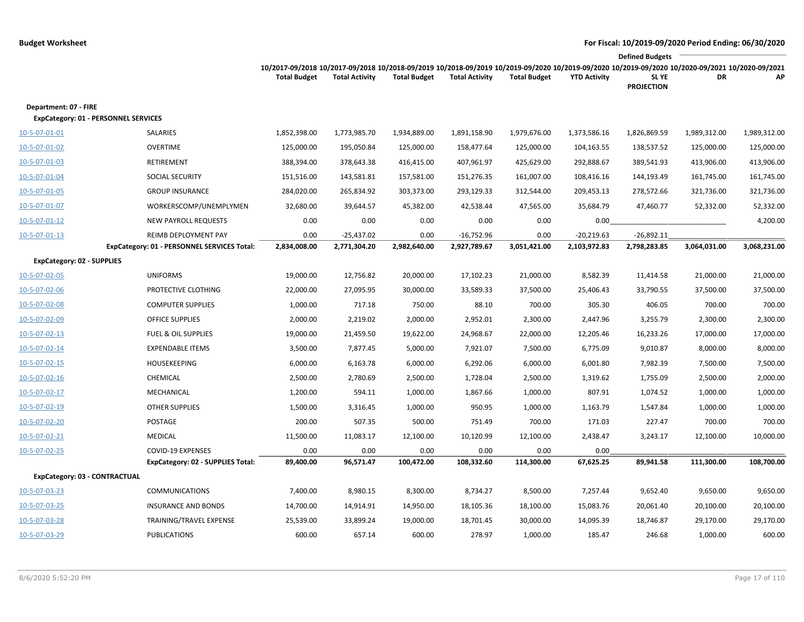|                                   |                                             |                                                                                                                                                                        |                       |                     |                       |                     |                     | <b>Defined Budgets</b>     |              |              |
|-----------------------------------|---------------------------------------------|------------------------------------------------------------------------------------------------------------------------------------------------------------------------|-----------------------|---------------------|-----------------------|---------------------|---------------------|----------------------------|--------------|--------------|
|                                   |                                             | 10/2017-09/2018 10/2017-09/2018 10/2018-09/2019 10/2018-09/2019 10/2019-09/2020 10/2019-09/2020 10/2019-09/2020 10/2020-09/2021 10/2020-09/2021<br><b>Total Budget</b> | <b>Total Activity</b> | <b>Total Budget</b> | <b>Total Activity</b> | <b>Total Budget</b> | <b>YTD Activity</b> | SL YE<br><b>PROJECTION</b> | DR           | АP           |
| Department: 07 - FIRE             | ExpCategory: 01 - PERSONNEL SERVICES        |                                                                                                                                                                        |                       |                     |                       |                     |                     |                            |              |              |
| 10-5-07-01-01                     | SALARIES                                    | 1,852,398.00                                                                                                                                                           | 1,773,985.70          | 1,934,889.00        | 1,891,158.90          | 1,979,676.00        | 1,373,586.16        | 1,826,869.59               | 1,989,312.00 | 1,989,312.00 |
| 10-5-07-01-02                     | <b>OVERTIME</b>                             | 125,000.00                                                                                                                                                             | 195,050.84            | 125,000.00          | 158,477.64            | 125,000.00          | 104,163.55          | 138,537.52                 | 125,000.00   | 125,000.00   |
| 10-5-07-01-03                     | RETIREMENT                                  | 388,394.00                                                                                                                                                             | 378,643.38            | 416,415.00          | 407,961.97            | 425,629.00          | 292,888.67          | 389,541.93                 | 413,906.00   | 413,906.00   |
| 10-5-07-01-04                     | <b>SOCIAL SECURITY</b>                      | 151,516.00                                                                                                                                                             | 143,581.81            | 157,581.00          | 151,276.35            | 161,007.00          | 108,416.16          | 144,193.49                 | 161,745.00   | 161,745.00   |
| 10-5-07-01-05                     | <b>GROUP INSURANCE</b>                      | 284,020.00                                                                                                                                                             | 265,834.92            | 303,373.00          | 293,129.33            | 312,544.00          | 209,453.13          | 278,572.66                 | 321,736.00   | 321,736.00   |
| 10-5-07-01-07                     | WORKERSCOMP/UNEMPLYMEN                      | 32,680.00                                                                                                                                                              | 39,644.57             | 45,382.00           | 42,538.44             | 47,565.00           | 35,684.79           | 47,460.77                  | 52,332.00    | 52,332.00    |
| 10-5-07-01-12                     | <b>NEW PAYROLL REQUESTS</b>                 | 0.00                                                                                                                                                                   | 0.00                  | 0.00                | 0.00                  | 0.00                | 0.00                |                            |              | 4,200.00     |
| 10-5-07-01-13                     | REIMB DEPLOYMENT PAY                        | 0.00                                                                                                                                                                   | $-25,437.02$          | 0.00                | $-16,752.96$          | 0.00                | $-20,219.63$        | $-26,892.11$               |              |              |
|                                   | ExpCategory: 01 - PERSONNEL SERVICES Total: | 2,834,008.00                                                                                                                                                           | 2,771,304.20          | 2,982,640.00        | 2,927,789.67          | 3,051,421.00        | 2,103,972.83        | 2,798,283.85               | 3,064,031.00 | 3,068,231.00 |
| <b>ExpCategory: 02 - SUPPLIES</b> |                                             |                                                                                                                                                                        |                       |                     |                       |                     |                     |                            |              |              |
| 10-5-07-02-05                     | <b>UNIFORMS</b>                             | 19,000.00                                                                                                                                                              | 12,756.82             | 20,000.00           | 17,102.23             | 21,000.00           | 8,582.39            | 11,414.58                  | 21,000.00    | 21,000.00    |
| 10-5-07-02-06                     | PROTECTIVE CLOTHING                         | 22,000.00                                                                                                                                                              | 27,095.95             | 30,000.00           | 33,589.33             | 37,500.00           | 25,406.43           | 33,790.55                  | 37,500.00    | 37,500.00    |
| 10-5-07-02-08                     | <b>COMPUTER SUPPLIES</b>                    | 1,000.00                                                                                                                                                               | 717.18                | 750.00              | 88.10                 | 700.00              | 305.30              | 406.05                     | 700.00       | 700.00       |
| 10-5-07-02-09                     | <b>OFFICE SUPPLIES</b>                      | 2,000.00                                                                                                                                                               | 2,219.02              | 2,000.00            | 2,952.01              | 2,300.00            | 2,447.96            | 3,255.79                   | 2,300.00     | 2,300.00     |
| 10-5-07-02-13                     | <b>FUEL &amp; OIL SUPPLIES</b>              | 19,000.00                                                                                                                                                              | 21,459.50             | 19,622.00           | 24,968.67             | 22,000.00           | 12,205.46           | 16,233.26                  | 17,000.00    | 17,000.00    |
| 10-5-07-02-14                     | <b>EXPENDABLE ITEMS</b>                     | 3,500.00                                                                                                                                                               | 7,877.45              | 5,000.00            | 7,921.07              | 7,500.00            | 6,775.09            | 9,010.87                   | 8,000.00     | 8,000.00     |
| 10-5-07-02-15                     | <b>HOUSEKEEPING</b>                         | 6,000.00                                                                                                                                                               | 6,163.78              | 6,000.00            | 6,292.06              | 6,000.00            | 6,001.80            | 7,982.39                   | 7,500.00     | 7,500.00     |
| 10-5-07-02-16                     | CHEMICAL                                    | 2,500.00                                                                                                                                                               | 2,780.69              | 2,500.00            | 1,728.04              | 2,500.00            | 1,319.62            | 1,755.09                   | 2,500.00     | 2,000.00     |
| 10-5-07-02-17                     | MECHANICAL                                  | 1,200.00                                                                                                                                                               | 594.11                | 1,000.00            | 1,867.66              | 1,000.00            | 807.91              | 1,074.52                   | 1,000.00     | 1,000.00     |
| 10-5-07-02-19                     | <b>OTHER SUPPLIES</b>                       | 1,500.00                                                                                                                                                               | 3,316.45              | 1,000.00            | 950.95                | 1,000.00            | 1,163.79            | 1,547.84                   | 1,000.00     | 1,000.00     |
| 10-5-07-02-20                     | POSTAGE                                     | 200.00                                                                                                                                                                 | 507.35                | 500.00              | 751.49                | 700.00              | 171.03              | 227.47                     | 700.00       | 700.00       |
| 10-5-07-02-21                     | <b>MEDICAL</b>                              | 11,500.00                                                                                                                                                              | 11,083.17             | 12,100.00           | 10,120.99             | 12,100.00           | 2,438.47            | 3,243.17                   | 12,100.00    | 10,000.00    |
| 10-5-07-02-25                     | <b>COVID-19 EXPENSES</b>                    | 0.00                                                                                                                                                                   | 0.00                  | 0.00                | 0.00                  | 0.00                | 0.00                |                            |              |              |
|                                   | ExpCategory: 02 - SUPPLIES Total:           | 89,400.00                                                                                                                                                              | 96,571.47             | 100,472.00          | 108,332.60            | 114,300.00          | 67,625.25           | 89,941.58                  | 111,300.00   | 108,700.00   |
| ExpCategory: 03 - CONTRACTUAL     |                                             |                                                                                                                                                                        |                       |                     |                       |                     |                     |                            |              |              |
| 10-5-07-03-23                     | <b>COMMUNICATIONS</b>                       | 7,400.00                                                                                                                                                               | 8,980.15              | 8,300.00            | 8,734.27              | 8,500.00            | 7,257.44            | 9,652.40                   | 9,650.00     | 9,650.00     |
| 10-5-07-03-25                     | <b>INSURANCE AND BONDS</b>                  | 14,700.00                                                                                                                                                              | 14,914.91             | 14,950.00           | 18,105.36             | 18,100.00           | 15,083.76           | 20,061.40                  | 20,100.00    | 20,100.00    |
| 10-5-07-03-28                     | TRAINING/TRAVEL EXPENSE                     | 25,539.00                                                                                                                                                              | 33,899.24             | 19,000.00           | 18,701.45             | 30,000.00           | 14,095.39           | 18,746.87                  | 29,170.00    | 29,170.00    |
| 10-5-07-03-29                     | <b>PUBLICATIONS</b>                         | 600.00                                                                                                                                                                 | 657.14                | 600.00              | 278.97                | 1,000.00            | 185.47              | 246.68                     | 1,000.00     | 600.00       |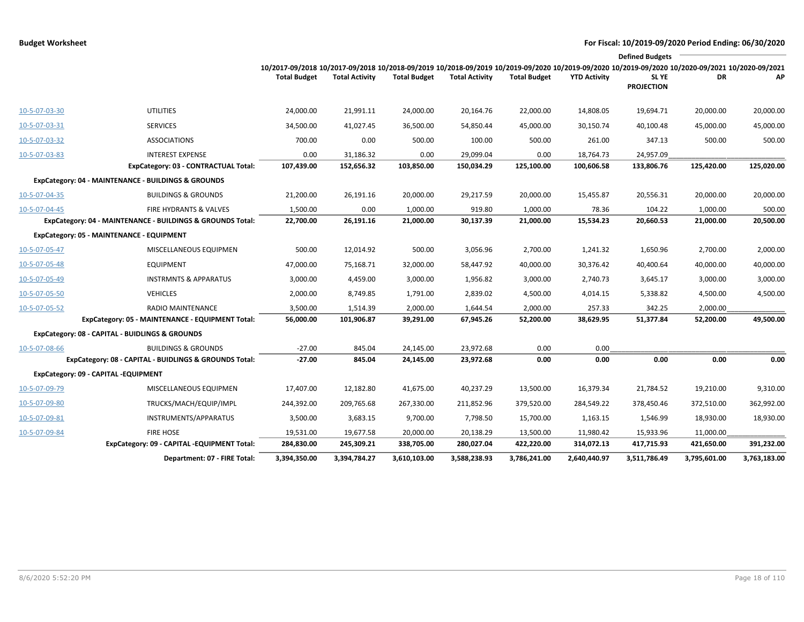|               |                                                            |                                                                                                                                                                        |                       |                     |                       |                     |                     | <b>Defined Budgets</b>           |              |              |
|---------------|------------------------------------------------------------|------------------------------------------------------------------------------------------------------------------------------------------------------------------------|-----------------------|---------------------|-----------------------|---------------------|---------------------|----------------------------------|--------------|--------------|
|               |                                                            | 10/2017-09/2018 10/2017-09/2018 10/2018-09/2019 10/2018-09/2019 10/2019-09/2020 10/2019-09/2020 10/2019-09/2020 10/2020-09/2021 10/2020-09/2021<br><b>Total Budget</b> | <b>Total Activity</b> | <b>Total Budget</b> | <b>Total Activity</b> | <b>Total Budget</b> | <b>YTD Activity</b> | <b>SLYE</b><br><b>PROJECTION</b> | DR.          | АΡ           |
| 10-5-07-03-30 | <b>UTILITIES</b>                                           | 24,000.00                                                                                                                                                              | 21,991.11             | 24,000.00           | 20,164.76             | 22,000.00           | 14,808.05           | 19,694.71                        | 20,000.00    | 20,000.00    |
| 10-5-07-03-31 | <b>SERVICES</b>                                            | 34,500.00                                                                                                                                                              | 41,027.45             | 36,500.00           | 54,850.44             | 45,000.00           | 30,150.74           | 40,100.48                        | 45,000.00    | 45,000.00    |
| 10-5-07-03-32 | <b>ASSOCIATIONS</b>                                        | 700.00                                                                                                                                                                 | 0.00                  | 500.00              | 100.00                | 500.00              | 261.00              | 347.13                           | 500.00       | 500.00       |
| 10-5-07-03-83 | <b>INTEREST EXPENSE</b>                                    | 0.00                                                                                                                                                                   | 31,186.32             | 0.00                | 29,099.04             | 0.00                | 18,764.73           | 24,957.09                        |              |              |
|               | ExpCategory: 03 - CONTRACTUAL Total:                       | 107,439.00                                                                                                                                                             | 152,656.32            | 103,850.00          | 150,034.29            | 125,100.00          | 100,606.58          | 133,806.76                       | 125,420.00   | 125,020.00   |
|               | ExpCategory: 04 - MAINTENANCE - BUILDINGS & GROUNDS        |                                                                                                                                                                        |                       |                     |                       |                     |                     |                                  |              |              |
| 10-5-07-04-35 | <b>BUILDINGS &amp; GROUNDS</b>                             | 21,200.00                                                                                                                                                              | 26,191.16             | 20,000.00           | 29,217.59             | 20,000.00           | 15,455.87           | 20,556.31                        | 20,000.00    | 20,000.00    |
| 10-5-07-04-45 | FIRE HYDRANTS & VALVES                                     | 1,500.00                                                                                                                                                               | 0.00                  | 1,000.00            | 919.80                | 1,000.00            | 78.36               | 104.22                           | 1,000.00     | 500.00       |
|               | ExpCategory: 04 - MAINTENANCE - BUILDINGS & GROUNDS Total: | 22,700.00                                                                                                                                                              | 26,191.16             | 21,000.00           | 30,137.39             | 21,000.00           | 15,534.23           | 20,660.53                        | 21,000.00    | 20,500.00    |
|               | ExpCategory: 05 - MAINTENANCE - EQUIPMENT                  |                                                                                                                                                                        |                       |                     |                       |                     |                     |                                  |              |              |
| 10-5-07-05-47 | MISCELLANEOUS EQUIPMEN                                     | 500.00                                                                                                                                                                 | 12,014.92             | 500.00              | 3,056.96              | 2,700.00            | 1,241.32            | 1,650.96                         | 2,700.00     | 2,000.00     |
| 10-5-07-05-48 | <b>EQUIPMENT</b>                                           | 47,000.00                                                                                                                                                              | 75,168.71             | 32,000.00           | 58,447.92             | 40,000.00           | 30,376.42           | 40,400.64                        | 40,000.00    | 40,000.00    |
| 10-5-07-05-49 | <b>INSTRMNTS &amp; APPARATUS</b>                           | 3,000.00                                                                                                                                                               | 4,459.00              | 3,000.00            | 1,956.82              | 3,000.00            | 2,740.73            | 3,645.17                         | 3,000.00     | 3,000.00     |
| 10-5-07-05-50 | <b>VEHICLES</b>                                            | 2,000.00                                                                                                                                                               | 8,749.85              | 1,791.00            | 2,839.02              | 4,500.00            | 4,014.15            | 5,338.82                         | 4,500.00     | 4,500.00     |
| 10-5-07-05-52 | RADIO MAINTENANCE                                          | 3,500.00                                                                                                                                                               | 1,514.39              | 2,000.00            | 1,644.54              | 2,000.00            | 257.33              | 342.25                           | 2,000.00     |              |
|               | ExpCategory: 05 - MAINTENANCE - EQUIPMENT Total:           | 56,000.00                                                                                                                                                              | 101,906.87            | 39,291.00           | 67,945.26             | 52,200.00           | 38,629.95           | 51,377.84                        | 52,200.00    | 49,500.00    |
|               | ExpCategory: 08 - CAPITAL - BUIDLINGS & GROUNDS            |                                                                                                                                                                        |                       |                     |                       |                     |                     |                                  |              |              |
| 10-5-07-08-66 | <b>BUILDINGS &amp; GROUNDS</b>                             | $-27.00$                                                                                                                                                               | 845.04                | 24,145.00           | 23,972.68             | 0.00                | 0.00                |                                  |              |              |
|               | ExpCategory: 08 - CAPITAL - BUIDLINGS & GROUNDS Total:     | $-27.00$                                                                                                                                                               | 845.04                | 24,145.00           | 23,972.68             | 0.00                | 0.00                | 0.00                             | 0.00         | 0.00         |
|               | ExpCategory: 09 - CAPITAL -EQUIPMENT                       |                                                                                                                                                                        |                       |                     |                       |                     |                     |                                  |              |              |
| 10-5-07-09-79 | MISCELLANEOUS EQUIPMEN                                     | 17,407.00                                                                                                                                                              | 12,182.80             | 41,675.00           | 40,237.29             | 13,500.00           | 16,379.34           | 21,784.52                        | 19,210.00    | 9,310.00     |
| 10-5-07-09-80 | TRUCKS/MACH/EQUIP/IMPL                                     | 244,392.00                                                                                                                                                             | 209,765.68            | 267,330.00          | 211,852.96            | 379,520.00          | 284,549.22          | 378,450.46                       | 372,510.00   | 362,992.00   |
| 10-5-07-09-81 | INSTRUMENTS/APPARATUS                                      | 3,500.00                                                                                                                                                               | 3,683.15              | 9,700.00            | 7,798.50              | 15,700.00           | 1,163.15            | 1,546.99                         | 18,930.00    | 18,930.00    |
| 10-5-07-09-84 | FIRE HOSE                                                  | 19,531.00                                                                                                                                                              | 19,677.58             | 20,000.00           | 20,138.29             | 13,500.00           | 11,980.42           | 15,933.96                        | 11,000.00    |              |
|               | ExpCategory: 09 - CAPITAL -EQUIPMENT Total:                | 284,830.00                                                                                                                                                             | 245,309.21            | 338,705.00          | 280,027.04            | 422,220.00          | 314,072.13          | 417,715.93                       | 421,650.00   | 391,232.00   |
|               | Department: 07 - FIRE Total:                               | 3,394,350.00                                                                                                                                                           | 3,394,784.27          | 3,610,103.00        | 3,588,238.93          | 3,786,241.00        | 2,640,440.97        | 3,511,786.49                     | 3,795,601.00 | 3,763,183.00 |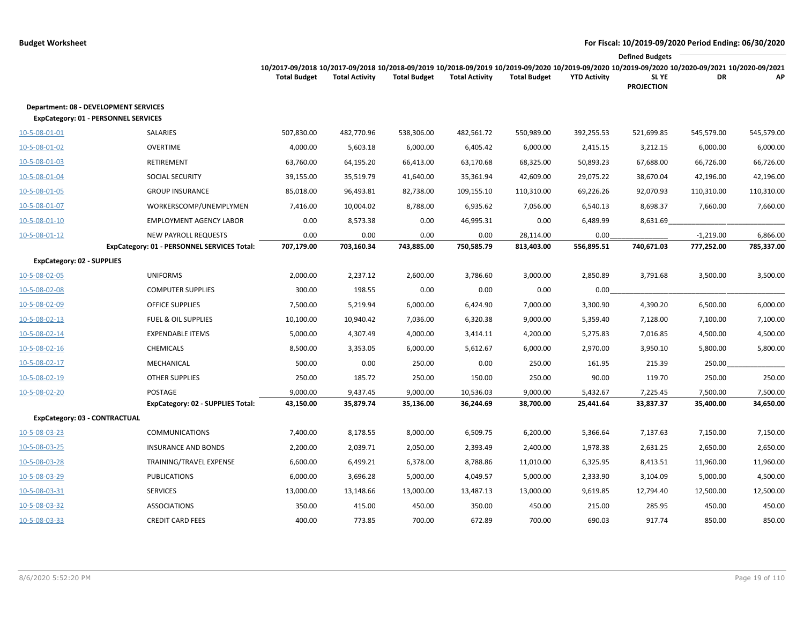|                                                                                             |                                             |                                                                                                                                                                        |                       |                     |                       |                     |                     | <b>Defined Budgets</b>           |             |            |
|---------------------------------------------------------------------------------------------|---------------------------------------------|------------------------------------------------------------------------------------------------------------------------------------------------------------------------|-----------------------|---------------------|-----------------------|---------------------|---------------------|----------------------------------|-------------|------------|
|                                                                                             |                                             | 10/2017-09/2018 10/2017-09/2018 10/2018-09/2019 10/2018-09/2019 10/2019-09/2020 10/2019-09/2020 10/2019-09/2020 10/2020-09/2021 10/2020-09/2021<br><b>Total Budget</b> | <b>Total Activity</b> | <b>Total Budget</b> | <b>Total Activity</b> | <b>Total Budget</b> | <b>YTD Activity</b> | <b>SLYE</b><br><b>PROJECTION</b> | DR          | АP         |
| <b>Department: 08 - DEVELOPMENT SERVICES</b><br><b>ExpCategory: 01 - PERSONNEL SERVICES</b> |                                             |                                                                                                                                                                        |                       |                     |                       |                     |                     |                                  |             |            |
| 10-5-08-01-01                                                                               | SALARIES                                    | 507,830.00                                                                                                                                                             | 482,770.96            | 538,306.00          | 482,561.72            | 550,989.00          | 392,255.53          | 521,699.85                       | 545,579.00  | 545,579.00 |
| 10-5-08-01-02                                                                               | OVERTIME                                    | 4,000.00                                                                                                                                                               | 5,603.18              | 6,000.00            | 6,405.42              | 6,000.00            | 2,415.15            | 3,212.15                         | 6,000.00    | 6,000.00   |
| 10-5-08-01-03                                                                               | RETIREMENT                                  | 63,760.00                                                                                                                                                              | 64,195.20             | 66,413.00           | 63,170.68             | 68,325.00           | 50,893.23           | 67,688.00                        | 66,726.00   | 66,726.00  |
| 10-5-08-01-04                                                                               | SOCIAL SECURITY                             | 39,155.00                                                                                                                                                              | 35,519.79             | 41,640.00           | 35,361.94             | 42,609.00           | 29,075.22           | 38,670.04                        | 42,196.00   | 42,196.00  |
| 10-5-08-01-05                                                                               | <b>GROUP INSURANCE</b>                      | 85,018.00                                                                                                                                                              | 96,493.81             | 82,738.00           | 109,155.10            | 110,310.00          | 69,226.26           | 92,070.93                        | 110,310.00  | 110,310.00 |
| 10-5-08-01-07                                                                               | WORKERSCOMP/UNEMPLYMEN                      | 7,416.00                                                                                                                                                               | 10,004.02             | 8,788.00            | 6,935.62              | 7,056.00            | 6,540.13            | 8,698.37                         | 7,660.00    | 7,660.00   |
| 10-5-08-01-10                                                                               | <b>EMPLOYMENT AGENCY LABOR</b>              | 0.00                                                                                                                                                                   | 8,573.38              | 0.00                | 46,995.31             | 0.00                | 6,489.99            | 8,631.69                         |             |            |
| 10-5-08-01-12                                                                               | <b>NEW PAYROLL REQUESTS</b>                 | 0.00                                                                                                                                                                   | 0.00                  | 0.00                | 0.00                  | 28,114.00           | 0.00                |                                  | $-1,219.00$ | 6,866.00   |
|                                                                                             | ExpCategory: 01 - PERSONNEL SERVICES Total: | 707,179.00                                                                                                                                                             | 703,160.34            | 743,885.00          | 750,585.79            | 813,403.00          | 556,895.51          | 740,671.03                       | 777,252.00  | 785,337.00 |
| <b>ExpCategory: 02 - SUPPLIES</b>                                                           |                                             |                                                                                                                                                                        |                       |                     |                       |                     |                     |                                  |             |            |
| 10-5-08-02-05                                                                               | <b>UNIFORMS</b>                             | 2,000.00                                                                                                                                                               | 2,237.12              | 2,600.00            | 3,786.60              | 3,000.00            | 2,850.89            | 3,791.68                         | 3,500.00    | 3,500.00   |
| 10-5-08-02-08                                                                               | <b>COMPUTER SUPPLIES</b>                    | 300.00                                                                                                                                                                 | 198.55                | 0.00                | 0.00                  | 0.00                | 0.00                |                                  |             |            |
| 10-5-08-02-09                                                                               | <b>OFFICE SUPPLIES</b>                      | 7,500.00                                                                                                                                                               | 5,219.94              | 6,000.00            | 6,424.90              | 7,000.00            | 3,300.90            | 4,390.20                         | 6,500.00    | 6,000.00   |
| 10-5-08-02-13                                                                               | FUEL & OIL SUPPLIES                         | 10,100.00                                                                                                                                                              | 10,940.42             | 7,036.00            | 6,320.38              | 9,000.00            | 5,359.40            | 7,128.00                         | 7,100.00    | 7,100.00   |
| 10-5-08-02-14                                                                               | <b>EXPENDABLE ITEMS</b>                     | 5,000.00                                                                                                                                                               | 4,307.49              | 4,000.00            | 3,414.11              | 4,200.00            | 5,275.83            | 7,016.85                         | 4,500.00    | 4,500.00   |
| 10-5-08-02-16                                                                               | <b>CHEMICALS</b>                            | 8,500.00                                                                                                                                                               | 3,353.05              | 6,000.00            | 5,612.67              | 6,000.00            | 2,970.00            | 3,950.10                         | 5,800.00    | 5,800.00   |
| 10-5-08-02-17                                                                               | MECHANICAL                                  | 500.00                                                                                                                                                                 | 0.00                  | 250.00              | 0.00                  | 250.00              | 161.95              | 215.39                           | 250.00      |            |
| 10-5-08-02-19                                                                               | <b>OTHER SUPPLIES</b>                       | 250.00                                                                                                                                                                 | 185.72                | 250.00              | 150.00                | 250.00              | 90.00               | 119.70                           | 250.00      | 250.00     |
| 10-5-08-02-20                                                                               | POSTAGE                                     | 9,000.00                                                                                                                                                               | 9,437.45              | 9,000.00            | 10,536.03             | 9,000.00            | 5,432.67            | 7,225.45                         | 7,500.00    | 7,500.00   |
|                                                                                             | ExpCategory: 02 - SUPPLIES Total:           | 43,150.00                                                                                                                                                              | 35,879.74             | 35,136.00           | 36,244.69             | 38,700.00           | 25,441.64           | 33,837.37                        | 35,400.00   | 34,650.00  |
| ExpCategory: 03 - CONTRACTUAL                                                               |                                             |                                                                                                                                                                        |                       |                     |                       |                     |                     |                                  |             |            |
| 10-5-08-03-23                                                                               | <b>COMMUNICATIONS</b>                       | 7,400.00                                                                                                                                                               | 8,178.55              | 8,000.00            | 6,509.75              | 6,200.00            | 5,366.64            | 7,137.63                         | 7,150.00    | 7,150.00   |
| 10-5-08-03-25                                                                               | <b>INSURANCE AND BONDS</b>                  | 2,200.00                                                                                                                                                               | 2,039.71              | 2,050.00            | 2,393.49              | 2,400.00            | 1,978.38            | 2,631.25                         | 2,650.00    | 2,650.00   |
| 10-5-08-03-28                                                                               | TRAINING/TRAVEL EXPENSE                     | 6,600.00                                                                                                                                                               | 6,499.21              | 6,378.00            | 8,788.86              | 11,010.00           | 6,325.95            | 8,413.51                         | 11,960.00   | 11,960.00  |
| 10-5-08-03-29                                                                               | <b>PUBLICATIONS</b>                         | 6,000.00                                                                                                                                                               | 3,696.28              | 5,000.00            | 4,049.57              | 5,000.00            | 2,333.90            | 3,104.09                         | 5,000.00    | 4,500.00   |
| 10-5-08-03-31                                                                               | <b>SERVICES</b>                             | 13,000.00                                                                                                                                                              | 13,148.66             | 13,000.00           | 13,487.13             | 13,000.00           | 9,619.85            | 12,794.40                        | 12,500.00   | 12,500.00  |
| 10-5-08-03-32                                                                               | <b>ASSOCIATIONS</b>                         | 350.00                                                                                                                                                                 | 415.00                | 450.00              | 350.00                | 450.00              | 215.00              | 285.95                           | 450.00      | 450.00     |
| 10-5-08-03-33                                                                               | <b>CREDIT CARD FEES</b>                     | 400.00                                                                                                                                                                 | 773.85                | 700.00              | 672.89                | 700.00              | 690.03              | 917.74                           | 850.00      | 850.00     |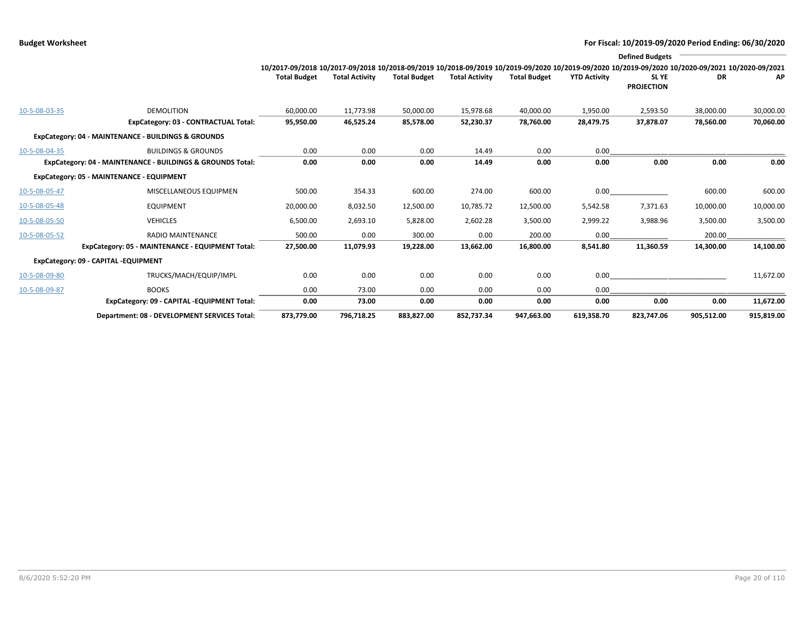|               |                                                            |                                                                                                                                                                        |                       |                     |                       |                     |                     | <b>Defined Budgets</b>     |            |            |
|---------------|------------------------------------------------------------|------------------------------------------------------------------------------------------------------------------------------------------------------------------------|-----------------------|---------------------|-----------------------|---------------------|---------------------|----------------------------|------------|------------|
|               |                                                            | 10/2017-09/2018 10/2017-09/2018 10/2018-09/2019 10/2018-09/2019 10/2019-09/2020 10/2019-09/2020 10/2019-09/2020 10/2020-09/2021 10/2020-09/2021<br><b>Total Budget</b> | <b>Total Activity</b> | <b>Total Budget</b> | <b>Total Activity</b> | <b>Total Budget</b> | <b>YTD Activity</b> | SL YE<br><b>PROJECTION</b> | DR         | AP         |
| 10-5-08-03-35 | <b>DEMOLITION</b>                                          | 60,000.00                                                                                                                                                              | 11,773.98             | 50,000.00           | 15,978.68             | 40,000.00           | 1,950.00            | 2,593.50                   | 38,000.00  | 30,000.00  |
|               | ExpCategory: 03 - CONTRACTUAL Total:                       | 95,950.00                                                                                                                                                              | 46,525.24             | 85,578.00           | 52,230.37             | 78,760.00           | 28,479.75           | 37,878.07                  | 78,560.00  | 70,060.00  |
|               | ExpCategory: 04 - MAINTENANCE - BUILDINGS & GROUNDS        |                                                                                                                                                                        |                       |                     |                       |                     |                     |                            |            |            |
| 10-5-08-04-35 | <b>BUILDINGS &amp; GROUNDS</b>                             | 0.00                                                                                                                                                                   | 0.00                  | 0.00                | 14.49                 | 0.00                | 0.00                |                            |            |            |
|               | ExpCategory: 04 - MAINTENANCE - BUILDINGS & GROUNDS Total: | 0.00                                                                                                                                                                   | 0.00                  | 0.00                | 14.49                 | 0.00                | 0.00                | 0.00                       | 0.00       | 0.00       |
|               | ExpCategory: 05 - MAINTENANCE - EQUIPMENT                  |                                                                                                                                                                        |                       |                     |                       |                     |                     |                            |            |            |
| 10-5-08-05-47 | MISCELLANEOUS EQUIPMEN                                     | 500.00                                                                                                                                                                 | 354.33                | 600.00              | 274.00                | 600.00              | 0.00                |                            | 600.00     | 600.00     |
| 10-5-08-05-48 | <b>EQUIPMENT</b>                                           | 20,000.00                                                                                                                                                              | 8,032.50              | 12,500.00           | 10,785.72             | 12,500.00           | 5,542.58            | 7,371.63                   | 10,000.00  | 10,000.00  |
| 10-5-08-05-50 | <b>VEHICLES</b>                                            | 6,500.00                                                                                                                                                               | 2,693.10              | 5,828.00            | 2,602.28              | 3,500.00            | 2,999.22            | 3,988.96                   | 3,500.00   | 3,500.00   |
| 10-5-08-05-52 | <b>RADIO MAINTENANCE</b>                                   | 500.00                                                                                                                                                                 | 0.00                  | 300.00              | 0.00                  | 200.00              | 0.00                |                            | 200.00     |            |
|               | ExpCategory: 05 - MAINTENANCE - EQUIPMENT Total:           | 27,500.00                                                                                                                                                              | 11,079.93             | 19,228.00           | 13,662.00             | 16,800.00           | 8,541.80            | 11,360.59                  | 14,300.00  | 14,100.00  |
|               | ExpCategory: 09 - CAPITAL -EQUIPMENT                       |                                                                                                                                                                        |                       |                     |                       |                     |                     |                            |            |            |
| 10-5-08-09-80 | TRUCKS/MACH/EQUIP/IMPL                                     | 0.00                                                                                                                                                                   | 0.00                  | 0.00                | 0.00                  | 0.00                | 0.00                |                            |            | 11,672.00  |
| 10-5-08-09-87 | <b>BOOKS</b>                                               | 0.00                                                                                                                                                                   | 73.00                 | 0.00                | 0.00                  | 0.00                | 0.00                |                            |            |            |
|               | ExpCategory: 09 - CAPITAL -EQUIPMENT Total:                | 0.00                                                                                                                                                                   | 73.00                 | 0.00                | 0.00                  | 0.00                | 0.00                | 0.00                       | 0.00       | 11,672.00  |
|               | Department: 08 - DEVELOPMENT SERVICES Total:               | 873,779.00                                                                                                                                                             | 796,718.25            | 883,827.00          | 852,737.34            | 947,663.00          | 619,358.70          | 823,747.06                 | 905,512.00 | 915,819.00 |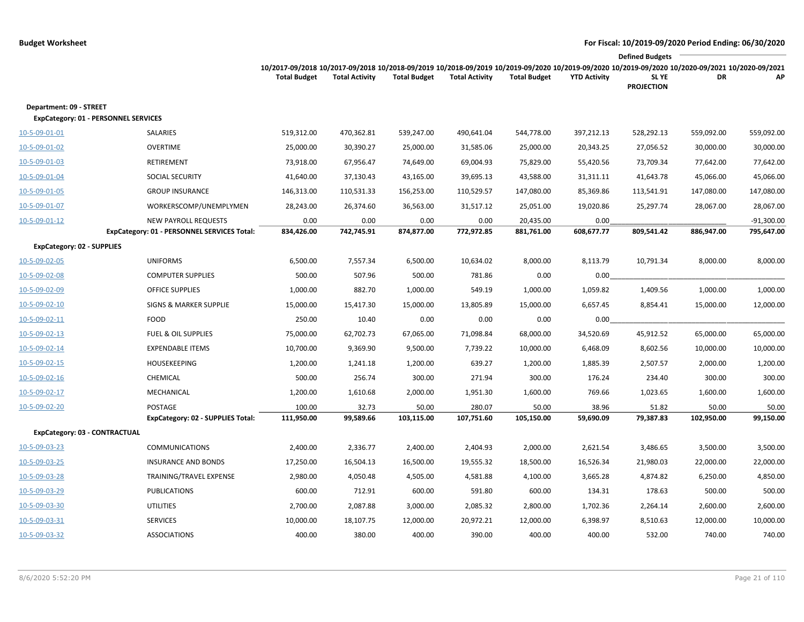|                                                                 |                                                                            |                                                                                                                                                                        |                       |                     |                       |                         |                     | <b>Defined Budgets</b>     |                     |                            |
|-----------------------------------------------------------------|----------------------------------------------------------------------------|------------------------------------------------------------------------------------------------------------------------------------------------------------------------|-----------------------|---------------------|-----------------------|-------------------------|---------------------|----------------------------|---------------------|----------------------------|
|                                                                 |                                                                            | 10/2017-09/2018 10/2017-09/2018 10/2018-09/2019 10/2018-09/2019 10/2019-09/2020 10/2019-09/2020 10/2019-09/2020 10/2020-09/2021 10/2020-09/2021<br><b>Total Budget</b> | <b>Total Activity</b> | <b>Total Budget</b> | <b>Total Activity</b> | <b>Total Budget</b>     | <b>YTD Activity</b> | SL YE<br><b>PROJECTION</b> | DR                  | АP                         |
| Department: 09 - STREET<br>ExpCategory: 01 - PERSONNEL SERVICES |                                                                            |                                                                                                                                                                        |                       |                     |                       |                         |                     |                            |                     |                            |
| 10-5-09-01-01                                                   | SALARIES                                                                   | 519,312.00                                                                                                                                                             | 470,362.81            | 539,247.00          | 490,641.04            | 544,778.00              | 397,212.13          | 528,292.13                 | 559,092.00          | 559,092.00                 |
| 10-5-09-01-02                                                   | <b>OVERTIME</b>                                                            | 25,000.00                                                                                                                                                              | 30,390.27             | 25,000.00           | 31,585.06             | 25,000.00               | 20,343.25           | 27,056.52                  | 30,000.00           | 30,000.00                  |
| 10-5-09-01-03                                                   | <b>RETIREMENT</b>                                                          | 73,918.00                                                                                                                                                              | 67,956.47             | 74,649.00           | 69,004.93             | 75,829.00               | 55,420.56           | 73,709.34                  | 77,642.00           | 77,642.00                  |
| 10-5-09-01-04                                                   | <b>SOCIAL SECURITY</b>                                                     | 41,640.00                                                                                                                                                              | 37,130.43             | 43,165.00           | 39,695.13             | 43,588.00               | 31,311.11           | 41,643.78                  | 45,066.00           | 45,066.00                  |
| 10-5-09-01-05                                                   | <b>GROUP INSURANCE</b>                                                     | 146,313.00                                                                                                                                                             | 110,531.33            | 156,253.00          | 110,529.57            | 147,080.00              | 85,369.86           | 113,541.91                 | 147,080.00          | 147,080.00                 |
| 10-5-09-01-07                                                   | WORKERSCOMP/UNEMPLYMEN                                                     | 28,243.00                                                                                                                                                              | 26,374.60             | 36,563.00           | 31,517.12             | 25,051.00               | 19,020.86           | 25,297.74                  | 28,067.00           | 28,067.00                  |
| 10-5-09-01-12                                                   | <b>NEW PAYROLL REQUESTS</b><br>ExpCategory: 01 - PERSONNEL SERVICES Total: | 0.00<br>834,426.00                                                                                                                                                     | 0.00<br>742,745.91    | 0.00<br>874,877.00  | 0.00<br>772,972.85    | 20,435.00<br>881,761.00 | 0.00<br>608,677.77  | 809,541.42                 | 886,947.00          | $-91,300.00$<br>795,647.00 |
| <b>ExpCategory: 02 - SUPPLIES</b>                               |                                                                            |                                                                                                                                                                        |                       |                     |                       |                         |                     |                            |                     |                            |
| 10-5-09-02-05                                                   | <b>UNIFORMS</b>                                                            | 6,500.00                                                                                                                                                               | 7,557.34              | 6,500.00            | 10,634.02             | 8,000.00                | 8,113.79            | 10,791.34                  | 8,000.00            | 8,000.00                   |
| 10-5-09-02-08                                                   | <b>COMPUTER SUPPLIES</b>                                                   | 500.00                                                                                                                                                                 | 507.96                | 500.00              | 781.86                | 0.00                    | 0.00                |                            |                     |                            |
| 10-5-09-02-09                                                   | <b>OFFICE SUPPLIES</b>                                                     | 1,000.00                                                                                                                                                               | 882.70                | 1,000.00            | 549.19                | 1,000.00                | 1,059.82            | 1,409.56                   | 1,000.00            | 1,000.00                   |
| 10-5-09-02-10                                                   | SIGNS & MARKER SUPPLIE                                                     | 15,000.00                                                                                                                                                              | 15,417.30             | 15,000.00           | 13,805.89             | 15,000.00               | 6,657.45            | 8,854.41                   | 15,000.00           | 12,000.00                  |
| 10-5-09-02-11                                                   | <b>FOOD</b>                                                                | 250.00                                                                                                                                                                 | 10.40                 | 0.00                | 0.00                  | 0.00                    | 0.00                |                            |                     |                            |
| 10-5-09-02-13                                                   | <b>FUEL &amp; OIL SUPPLIES</b>                                             | 75,000.00                                                                                                                                                              | 62,702.73             | 67,065.00           | 71,098.84             | 68,000.00               | 34,520.69           | 45,912.52                  | 65,000.00           | 65,000.00                  |
| 10-5-09-02-14                                                   | <b>EXPENDABLE ITEMS</b>                                                    | 10,700.00                                                                                                                                                              | 9,369.90              | 9,500.00            | 7,739.22              | 10,000.00               | 6,468.09            | 8,602.56                   | 10,000.00           | 10,000.00                  |
| 10-5-09-02-15                                                   | <b>HOUSEKEEPING</b>                                                        | 1,200.00                                                                                                                                                               | 1,241.18              | 1,200.00            | 639.27                | 1,200.00                | 1,885.39            | 2,507.57                   | 2,000.00            | 1,200.00                   |
| 10-5-09-02-16                                                   | CHEMICAL                                                                   | 500.00                                                                                                                                                                 | 256.74                | 300.00              | 271.94                | 300.00                  | 176.24              | 234.40                     | 300.00              | 300.00                     |
| 10-5-09-02-17                                                   | MECHANICAL                                                                 | 1,200.00                                                                                                                                                               | 1,610.68              | 2,000.00            | 1,951.30              | 1,600.00                | 769.66              | 1,023.65                   | 1,600.00            | 1,600.00                   |
| 10-5-09-02-20                                                   | <b>POSTAGE</b><br>ExpCategory: 02 - SUPPLIES Total:                        | 100.00<br>111,950.00                                                                                                                                                   | 32.73<br>99,589.66    | 50.00<br>103,115.00 | 280.07<br>107,751.60  | 50.00<br>105,150.00     | 38.96<br>59,690.09  | 51.82<br>79,387.83         | 50.00<br>102,950.00 | 50.00<br>99,150.00         |
| ExpCategory: 03 - CONTRACTUAL                                   |                                                                            |                                                                                                                                                                        |                       |                     |                       |                         |                     |                            |                     |                            |
| 10-5-09-03-23                                                   | <b>COMMUNICATIONS</b>                                                      | 2,400.00                                                                                                                                                               | 2,336.77              | 2,400.00            | 2,404.93              | 2,000.00                | 2,621.54            | 3,486.65                   | 3,500.00            | 3,500.00                   |
| 10-5-09-03-25                                                   | <b>INSURANCE AND BONDS</b>                                                 | 17,250.00                                                                                                                                                              | 16,504.13             | 16,500.00           | 19,555.32             | 18,500.00               | 16,526.34           | 21,980.03                  | 22,000.00           | 22,000.00                  |
| 10-5-09-03-28                                                   | TRAINING/TRAVEL EXPENSE                                                    | 2,980.00                                                                                                                                                               | 4,050.48              | 4,505.00            | 4,581.88              | 4,100.00                | 3,665.28            | 4,874.82                   | 6,250.00            | 4,850.00                   |
| 10-5-09-03-29                                                   | <b>PUBLICATIONS</b>                                                        | 600.00                                                                                                                                                                 | 712.91                | 600.00              | 591.80                | 600.00                  | 134.31              | 178.63                     | 500.00              | 500.00                     |
| 10-5-09-03-30                                                   | UTILITIES                                                                  | 2,700.00                                                                                                                                                               | 2,087.88              | 3,000.00            | 2,085.32              | 2,800.00                | 1,702.36            | 2,264.14                   | 2,600.00            | 2,600.00                   |
| 10-5-09-03-31                                                   | <b>SERVICES</b>                                                            | 10,000.00                                                                                                                                                              | 18,107.75             | 12,000.00           | 20,972.21             | 12,000.00               | 6,398.97            | 8,510.63                   | 12,000.00           | 10,000.00                  |
| 10-5-09-03-32                                                   | <b>ASSOCIATIONS</b>                                                        | 400.00                                                                                                                                                                 | 380.00                | 400.00              | 390.00                | 400.00                  | 400.00              | 532.00                     | 740.00              | 740.00                     |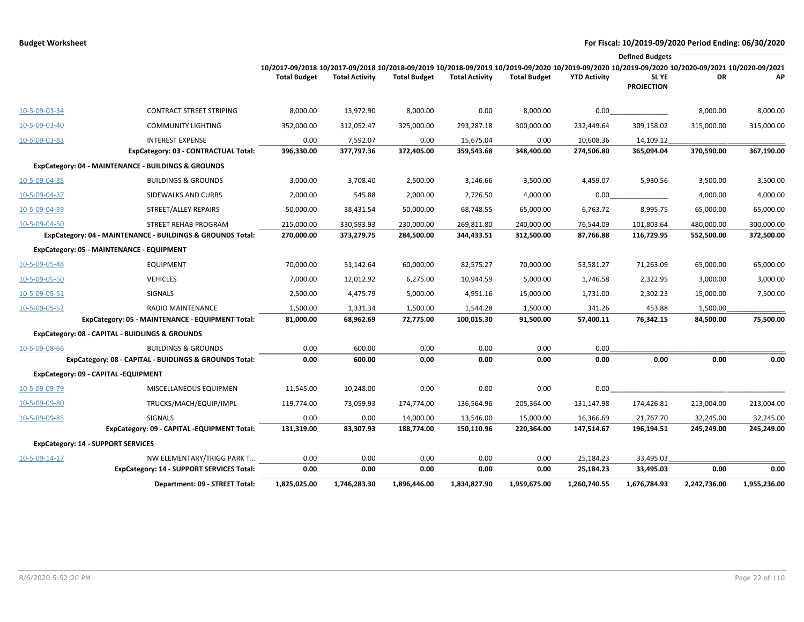|               |                                                            |                                                                                                                                                                                        |                       |                     |                       |                     |                     | <b>Defined Budgets</b>     |              |              |
|---------------|------------------------------------------------------------|----------------------------------------------------------------------------------------------------------------------------------------------------------------------------------------|-----------------------|---------------------|-----------------------|---------------------|---------------------|----------------------------|--------------|--------------|
|               |                                                            | 10/2017-09/2018 10/2017-09/2018 10/2018-09/2019 10/2018-09/2019 10/2019-09/2020 10/2019-09/2020 10/2019-09/2020 10/2019-09/2020 10/2020-09/2021 10/2020-09/2021<br><b>Total Budget</b> | <b>Total Activity</b> | <b>Total Budget</b> | <b>Total Activity</b> | <b>Total Budget</b> | <b>YTD Activity</b> | SL YE<br><b>PROJECTION</b> | DR           | AP           |
| 10-5-09-03-34 | <b>CONTRACT STREET STRIPING</b>                            | 8,000.00                                                                                                                                                                               | 13,972.90             | 8,000.00            | 0.00                  | 8,000.00            | 0.00                |                            | 8,000.00     | 8,000.00     |
| 10-5-09-03-40 | <b>COMMUNITY LIGHTING</b>                                  | 352,000.00                                                                                                                                                                             | 312,052.47            | 325,000.00          | 293,287.18            | 300,000.00          | 232,449.64          | 309,158.02                 | 315,000.00   | 315,000.00   |
| 10-5-09-03-83 | <b>INTEREST EXPENSE</b>                                    | 0.00                                                                                                                                                                                   | 7,592.07              | 0.00                | 15,675.04             | 0.00                | 10,608.36           | 14,109.12                  |              |              |
|               | ExpCategory: 03 - CONTRACTUAL Total:                       | 396,330.00                                                                                                                                                                             | 377,797.36            | 372,405.00          | 359,543.68            | 348,400.00          | 274,506.80          | 365,094.04                 | 370,590.00   | 367,190.00   |
|               | ExpCategory: 04 - MAINTENANCE - BUILDINGS & GROUNDS        |                                                                                                                                                                                        |                       |                     |                       |                     |                     |                            |              |              |
| 10-5-09-04-35 | <b>BUILDINGS &amp; GROUNDS</b>                             | 3,000.00                                                                                                                                                                               | 3,708.40              | 2,500.00            | 3,146.66              | 3,500.00            | 4,459.07            | 5,930.56                   | 3,500.00     | 3,500.00     |
| 10-5-09-04-37 | SIDEWALKS AND CURBS                                        | 2,000.00                                                                                                                                                                               | 545.88                | 2,000.00            | 2,726.50              | 4,000.00            | 0.00                |                            | 4,000.00     | 4,000.00     |
| 10-5-09-04-39 | STREET/ALLEY REPAIRS                                       | 50,000.00                                                                                                                                                                              | 38,431.54             | 50,000.00           | 68,748.55             | 65,000.00           | 6,763.72            | 8,995.75                   | 65,000.00    | 65,000.00    |
| 10-5-09-04-50 | STREET REHAB PROGRAM                                       | 215,000.00                                                                                                                                                                             | 330,593.93            | 230,000.00          | 269,811.80            | 240,000.00          | 76,544.09           | 101,803.64                 | 480,000.00   | 300,000.00   |
|               | ExpCategory: 04 - MAINTENANCE - BUILDINGS & GROUNDS Total: | 270,000.00                                                                                                                                                                             | 373,279.75            | 284,500.00          | 344,433.51            | 312,500.00          | 87,766.88           | 116,729.95                 | 552,500.00   | 372,500.00   |
|               | ExpCategory: 05 - MAINTENANCE - EQUIPMENT                  |                                                                                                                                                                                        |                       |                     |                       |                     |                     |                            |              |              |
| 10-5-09-05-48 | EQUIPMENT                                                  | 70,000.00                                                                                                                                                                              | 51,142.64             | 60,000.00           | 82,575.27             | 70,000.00           | 53,581.27           | 71,263.09                  | 65,000.00    | 65,000.00    |
| 10-5-09-05-50 | <b>VEHICLES</b>                                            | 7,000.00                                                                                                                                                                               | 12,012.92             | 6,275.00            | 10,944.59             | 5,000.00            | 1,746.58            | 2,322.95                   | 3,000.00     | 3,000.00     |
| 10-5-09-05-51 | <b>SIGNALS</b>                                             | 2,500.00                                                                                                                                                                               | 4,475.79              | 5,000.00            | 4,951.16              | 15,000.00           | 1,731.00            | 2,302.23                   | 15,000.00    | 7,500.00     |
| 10-5-09-05-52 | <b>RADIO MAINTENANCE</b>                                   | 1,500.00                                                                                                                                                                               | 1,331.34              | 1,500.00            | 1,544.28              | 1,500.00            | 341.26              | 453.88                     | 1,500.00     |              |
|               | ExpCategory: 05 - MAINTENANCE - EQUIPMENT Total:           | 81,000.00                                                                                                                                                                              | 68,962.69             | 72,775.00           | 100,015.30            | 91,500.00           | 57,400.11           | 76,342.15                  | 84,500.00    | 75,500.00    |
|               | ExpCategory: 08 - CAPITAL - BUIDLINGS & GROUNDS            |                                                                                                                                                                                        |                       |                     |                       |                     |                     |                            |              |              |
| 10-5-09-08-66 | <b>BUILDINGS &amp; GROUNDS</b>                             | 0.00                                                                                                                                                                                   | 600.00                | 0.00                | 0.00                  | 0.00                | 0.00                |                            |              |              |
|               | ExpCategory: 08 - CAPITAL - BUIDLINGS & GROUNDS Total:     | 0.00                                                                                                                                                                                   | 600.00                | 0.00                | 0.00                  | 0.00                | 0.00                | 0.00                       | 0.00         | 0.00         |
|               | ExpCategory: 09 - CAPITAL -EQUIPMENT                       |                                                                                                                                                                                        |                       |                     |                       |                     |                     |                            |              |              |
| 10-5-09-09-79 | MISCELLANEOUS EQUIPMEN                                     | 11,545.00                                                                                                                                                                              | 10,248.00             | 0.00                | 0.00                  | 0.00                | 0.00                |                            |              |              |
| 10-5-09-09-80 | TRUCKS/MACH/EQUIP/IMPL                                     | 119,774.00                                                                                                                                                                             | 73,059.93             | 174,774.00          | 136,564.96            | 205,364.00          | 131,147.98          | 174,426.81                 | 213,004.00   | 213,004.00   |
| 10-5-09-09-85 | <b>SIGNALS</b>                                             | 0.00                                                                                                                                                                                   | 0.00                  | 14,000.00           | 13,546.00             | 15,000.00           | 16,366.69           | 21,767.70                  | 32,245.00    | 32,245.00    |
|               | ExpCategory: 09 - CAPITAL -EQUIPMENT Total:                | 131,319.00                                                                                                                                                                             | 83,307.93             | 188,774.00          | 150,110.96            | 220,364.00          | 147,514.67          | 196,194.51                 | 245,249.00   | 245,249.00   |
|               | <b>ExpCategory: 14 - SUPPORT SERVICES</b>                  |                                                                                                                                                                                        |                       |                     |                       |                     |                     |                            |              |              |
| 10-5-09-14-17 | NW ELEMENTARY/TRIGG PARK T                                 | 0.00                                                                                                                                                                                   | 0.00                  | 0.00                | 0.00                  | 0.00                | 25,184.23           | 33,495.03                  |              |              |
|               | <b>ExpCategory: 14 - SUPPORT SERVICES Total:</b>           | 0.00                                                                                                                                                                                   | 0.00                  | 0.00                | 0.00                  | 0.00                | 25,184.23           | 33,495.03                  | 0.00         | 0.00         |
|               | Department: 09 - STREET Total:                             | 1,825,025.00                                                                                                                                                                           | 1,746,283.30          | 1,896,446.00        | 1,834,827.90          | 1,959,675.00        | 1,260,740.55        | 1,676,784.93               | 2,242,736.00 | 1,955,236.00 |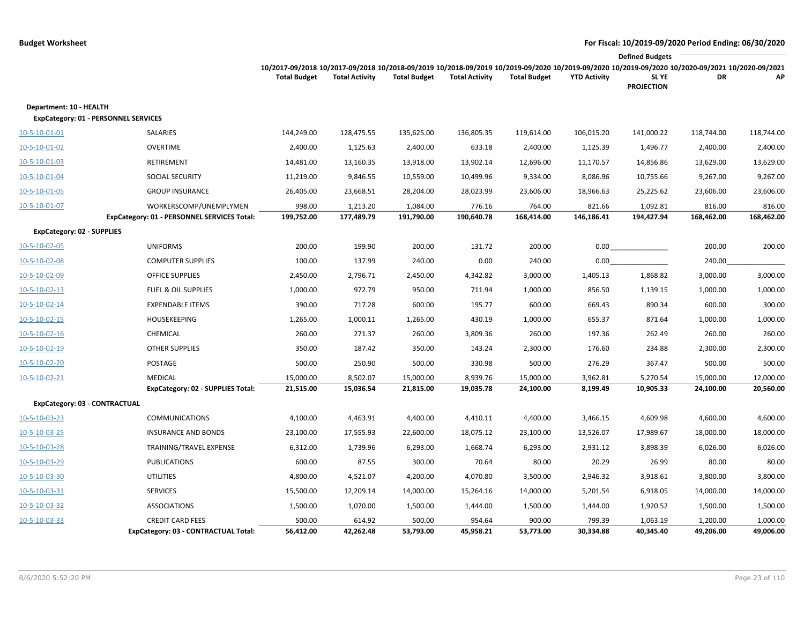|                                                                        |                                                                 |                                                                                                                                                                        |                       |                        |                       |                        |                      | <b>Defined Budgets</b>     |                        |                        |
|------------------------------------------------------------------------|-----------------------------------------------------------------|------------------------------------------------------------------------------------------------------------------------------------------------------------------------|-----------------------|------------------------|-----------------------|------------------------|----------------------|----------------------------|------------------------|------------------------|
|                                                                        |                                                                 | 10/2017-09/2018 10/2017-09/2018 10/2018-09/2019 10/2018-09/2019 10/2019-09/2020 10/2019-09/2020 10/2019-09/2020 10/2020-09/2021 10/2020-09/2021<br><b>Total Budget</b> | <b>Total Activity</b> | <b>Total Budget</b>    | <b>Total Activity</b> | <b>Total Budget</b>    | <b>YTD Activity</b>  | SL YE<br><b>PROJECTION</b> | DR                     | AP                     |
| Department: 10 - HEALTH<br><b>ExpCategory: 01 - PERSONNEL SERVICES</b> |                                                                 |                                                                                                                                                                        |                       |                        |                       |                        |                      |                            |                        |                        |
| 10-5-10-01-01                                                          | SALARIES                                                        | 144,249.00                                                                                                                                                             | 128,475.55            | 135,625.00             | 136,805.35            | 119,614.00             | 106,015.20           | 141,000.22                 | 118,744.00             | 118,744.00             |
| 10-5-10-01-02                                                          | <b>OVERTIME</b>                                                 | 2,400.00                                                                                                                                                               | 1,125.63              | 2,400.00               | 633.18                | 2,400.00               | 1,125.39             | 1,496.77                   | 2,400.00               | 2,400.00               |
| 10-5-10-01-03                                                          | RETIREMENT                                                      | 14,481.00                                                                                                                                                              | 13,160.35             | 13,918.00              | 13,902.14             | 12,696.00              | 11,170.57            | 14,856.86                  | 13,629.00              | 13,629.00              |
| 10-5-10-01-04                                                          | <b>SOCIAL SECURITY</b>                                          | 11,219.00                                                                                                                                                              | 9,846.55              | 10,559.00              | 10,499.96             | 9,334.00               | 8,086.96             | 10,755.66                  | 9,267.00               | 9,267.00               |
| 10-5-10-01-05                                                          | <b>GROUP INSURANCE</b>                                          | 26,405.00                                                                                                                                                              | 23,668.51             | 28,204.00              | 28,023.99             | 23,606.00              | 18,966.63            | 25,225.62                  | 23,606.00              | 23,606.00              |
| 10-5-10-01-07                                                          | WORKERSCOMP/UNEMPLYMEN                                          | 998.00                                                                                                                                                                 | 1,213.20              | 1,084.00               | 776.16                | 764.00                 | 821.66               | 1,092.81                   | 816.00                 | 816.00                 |
|                                                                        | ExpCategory: 01 - PERSONNEL SERVICES Total:                     | 199,752.00                                                                                                                                                             | 177,489.79            | 191,790.00             | 190,640.78            | 168,414.00             | 146,186.41           | 194,427.94                 | 168,462.00             | 168,462.00             |
| <b>ExpCategory: 02 - SUPPLIES</b>                                      |                                                                 |                                                                                                                                                                        |                       |                        |                       |                        |                      |                            |                        |                        |
| 10-5-10-02-05                                                          | <b>UNIFORMS</b>                                                 | 200.00                                                                                                                                                                 | 199.90                | 200.00                 | 131.72                | 200.00                 | 0.00                 |                            | 200.00                 | 200.00                 |
| 10-5-10-02-08                                                          | <b>COMPUTER SUPPLIES</b>                                        | 100.00                                                                                                                                                                 | 137.99                | 240.00                 | 0.00                  | 240.00                 | 0.00                 |                            | 240.00                 |                        |
| 10-5-10-02-09                                                          | <b>OFFICE SUPPLIES</b>                                          | 2,450.00                                                                                                                                                               | 2,796.71              | 2,450.00               | 4,342.82              | 3,000.00               | 1,405.13             | 1,868.82                   | 3,000.00               | 3,000.00               |
| 10-5-10-02-13                                                          | <b>FUEL &amp; OIL SUPPLIES</b>                                  | 1,000.00                                                                                                                                                               | 972.79                | 950.00                 | 711.94                | 1,000.00               | 856.50               | 1,139.15                   | 1,000.00               | 1,000.00               |
| 10-5-10-02-14                                                          | <b>EXPENDABLE ITEMS</b>                                         | 390.00                                                                                                                                                                 | 717.28                | 600.00                 | 195.77                | 600.00                 | 669.43               | 890.34                     | 600.00                 | 300.00                 |
| 10-5-10-02-15                                                          | <b>HOUSEKEEPING</b>                                             | 1,265.00                                                                                                                                                               | 1,000.11              | 1,265.00               | 430.19                | 1,000.00               | 655.37               | 871.64                     | 1,000.00               | 1,000.00               |
| $10 - 5 - 10 - 02 - 16$                                                | CHEMICAL                                                        | 260.00                                                                                                                                                                 | 271.37                | 260.00                 | 3,809.36              | 260.00                 | 197.36               | 262.49                     | 260.00                 | 260.00                 |
| 10-5-10-02-19                                                          | <b>OTHER SUPPLIES</b>                                           | 350.00                                                                                                                                                                 | 187.42                | 350.00                 | 143.24                | 2,300.00               | 176.60               | 234.88                     | 2,300.00               | 2,300.00               |
| 10-5-10-02-20                                                          | POSTAGE                                                         | 500.00                                                                                                                                                                 | 250.90                | 500.00                 | 330.98                | 500.00                 | 276.29               | 367.47                     | 500.00                 | 500.00                 |
| 10-5-10-02-21                                                          | <b>MEDICAL</b><br>ExpCategory: 02 - SUPPLIES Total:             | 15,000.00<br>21,515.00                                                                                                                                                 | 8,502.07<br>15,036.54 | 15,000.00<br>21,815.00 | 8,939.76<br>19,035.78 | 15,000.00<br>24,100.00 | 3,962.81<br>8,199.49 | 5,270.54<br>10,905.33      | 15,000.00<br>24,100.00 | 12,000.00<br>20,560.00 |
| ExpCategory: 03 - CONTRACTUAL                                          |                                                                 |                                                                                                                                                                        |                       |                        |                       |                        |                      |                            |                        |                        |
| 10-5-10-03-23                                                          | <b>COMMUNICATIONS</b>                                           | 4,100.00                                                                                                                                                               | 4,463.91              | 4,400.00               | 4,410.11              | 4,400.00               | 3,466.15             | 4,609.98                   | 4,600.00               | 4,600.00               |
| 10-5-10-03-25                                                          | <b>INSURANCE AND BONDS</b>                                      | 23,100.00                                                                                                                                                              | 17,555.93             | 22,600.00              | 18,075.12             | 23,100.00              | 13,526.07            | 17,989.67                  | 18,000.00              | 18,000.00              |
| 10-5-10-03-28                                                          | TRAINING/TRAVEL EXPENSE                                         | 6,312.00                                                                                                                                                               | 1,739.96              | 6,293.00               | 1,668.74              | 6,293.00               | 2,931.12             | 3,898.39                   | 6,026.00               | 6,026.00               |
| 10-5-10-03-29                                                          | <b>PUBLICATIONS</b>                                             | 600.00                                                                                                                                                                 | 87.55                 | 300.00                 | 70.64                 | 80.00                  | 20.29                | 26.99                      | 80.00                  | 80.00                  |
| 10-5-10-03-30                                                          | <b>UTILITIES</b>                                                | 4,800.00                                                                                                                                                               | 4,521.07              | 4,200.00               | 4,070.80              | 3,500.00               | 2,946.32             | 3,918.61                   | 3,800.00               | 3,800.00               |
| 10-5-10-03-31                                                          | <b>SERVICES</b>                                                 | 15,500.00                                                                                                                                                              | 12,209.14             | 14,000.00              | 15,264.16             | 14,000.00              | 5,201.54             | 6,918.05                   | 14,000.00              | 14,000.00              |
| 10-5-10-03-32                                                          | <b>ASSOCIATIONS</b>                                             | 1,500.00                                                                                                                                                               | 1,070.00              | 1,500.00               | 1,444.00              | 1,500.00               | 1,444.00             | 1,920.52                   | 1,500.00               | 1,500.00               |
| 10-5-10-03-33                                                          | <b>CREDIT CARD FEES</b><br>ExpCategory: 03 - CONTRACTUAL Total: | 500.00<br>56,412.00                                                                                                                                                    | 614.92<br>42,262.48   | 500.00<br>53,793.00    | 954.64<br>45,958.21   | 900.00<br>53,773.00    | 799.39<br>30,334.88  | 1,063.19<br>40,345.40      | 1,200.00<br>49,206.00  | 1,000.00<br>49,006.00  |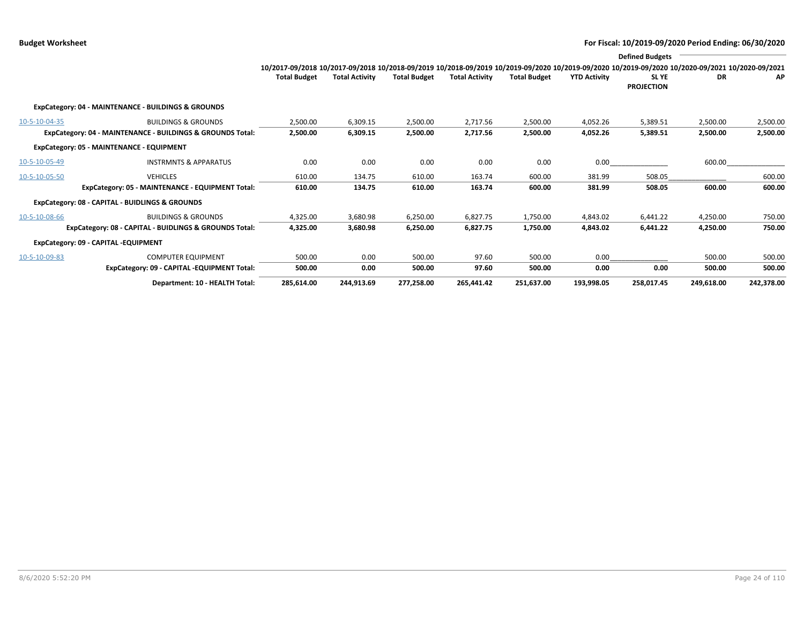|               |                                                            |                                                                                                                                                 |                       |                     |                       |                     |                     | <b>Defined Budgets</b>           |            |            |
|---------------|------------------------------------------------------------|-------------------------------------------------------------------------------------------------------------------------------------------------|-----------------------|---------------------|-----------------------|---------------------|---------------------|----------------------------------|------------|------------|
|               |                                                            | 10/2017-09/2018 10/2017-09/2018 10/2018-09/2019 10/2018-09/2019 10/2019-09/2020 10/2019-09/2020 10/2019-09/2020 10/2020-09/2020 10/2020-09/2021 |                       |                     |                       |                     |                     |                                  |            |            |
|               |                                                            | <b>Total Budget</b>                                                                                                                             | <b>Total Activity</b> | <b>Total Budget</b> | <b>Total Activity</b> | <b>Total Budget</b> | <b>YTD Activity</b> | <b>SLYE</b><br><b>PROJECTION</b> | <b>DR</b>  | АP         |
|               | ExpCategory: 04 - MAINTENANCE - BUILDINGS & GROUNDS        |                                                                                                                                                 |                       |                     |                       |                     |                     |                                  |            |            |
| 10-5-10-04-35 | <b>BUILDINGS &amp; GROUNDS</b>                             | 2,500.00                                                                                                                                        | 6,309.15              | 2,500.00            | 2,717.56              | 2,500.00            | 4,052.26            | 5,389.51                         | 2,500.00   | 2,500.00   |
|               | ExpCategory: 04 - MAINTENANCE - BUILDINGS & GROUNDS Total: | 2,500.00                                                                                                                                        | 6,309.15              | 2,500.00            | 2,717.56              | 2,500.00            | 4,052.26            | 5,389.51                         | 2,500.00   | 2,500.00   |
|               | ExpCategory: 05 - MAINTENANCE - EQUIPMENT                  |                                                                                                                                                 |                       |                     |                       |                     |                     |                                  |            |            |
| 10-5-10-05-49 | <b>INSTRMNTS &amp; APPARATUS</b>                           | 0.00                                                                                                                                            | 0.00                  | 0.00                | 0.00                  | 0.00                | 0.00                |                                  | 600.00     |            |
| 10-5-10-05-50 | <b>VEHICLES</b>                                            | 610.00                                                                                                                                          | 134.75                | 610.00              | 163.74                | 600.00              | 381.99              | 508.05                           |            | 600.00     |
|               | ExpCategory: 05 - MAINTENANCE - EQUIPMENT Total:           | 610.00                                                                                                                                          | 134.75                | 610.00              | 163.74                | 600.00              | 381.99              | 508.05                           | 600.00     | 600.00     |
|               | ExpCategory: 08 - CAPITAL - BUIDLINGS & GROUNDS            |                                                                                                                                                 |                       |                     |                       |                     |                     |                                  |            |            |
| 10-5-10-08-66 | <b>BUILDINGS &amp; GROUNDS</b>                             | 4,325.00                                                                                                                                        | 3,680.98              | 6,250.00            | 6,827.75              | 1,750.00            | 4,843.02            | 6,441.22                         | 4,250.00   | 750.00     |
|               | ExpCategory: 08 - CAPITAL - BUIDLINGS & GROUNDS Total:     | 4,325.00                                                                                                                                        | 3,680.98              | 6,250.00            | 6,827.75              | 1,750.00            | 4,843.02            | 6,441.22                         | 4,250.00   | 750.00     |
|               | ExpCategory: 09 - CAPITAL -EQUIPMENT                       |                                                                                                                                                 |                       |                     |                       |                     |                     |                                  |            |            |
| 10-5-10-09-83 | <b>COMPUTER EQUIPMENT</b>                                  | 500.00                                                                                                                                          | 0.00                  | 500.00              | 97.60                 | 500.00              | 0.00                |                                  | 500.00     | 500.00     |
|               | ExpCategory: 09 - CAPITAL -EQUIPMENT Total:                | 500.00                                                                                                                                          | 0.00                  | 500.00              | 97.60                 | 500.00              | 0.00                | 0.00                             | 500.00     | 500.00     |
|               | Department: 10 - HEALTH Total:                             | 285,614.00                                                                                                                                      | 244,913.69            | 277,258.00          | 265,441.42            | 251,637.00          | 193,998.05          | 258,017.45                       | 249,618.00 | 242,378.00 |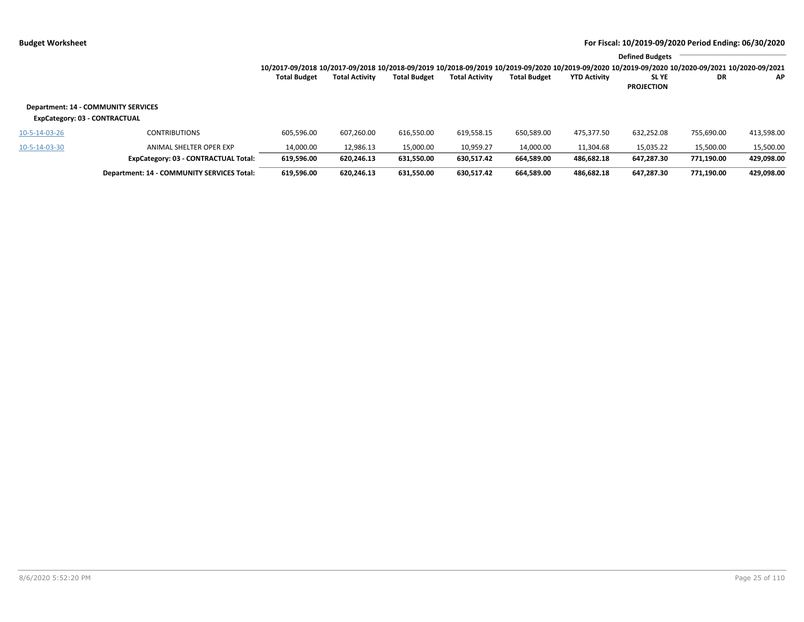|              |                       |                     |                |                     |                     | <b>Defined Budgets</b>                                                                                                                          |    |           |
|--------------|-----------------------|---------------------|----------------|---------------------|---------------------|-------------------------------------------------------------------------------------------------------------------------------------------------|----|-----------|
|              |                       |                     |                |                     |                     | 10/2017-09/2018 10/2017-09/2018 10/2018-09/2019 10/2018-09/2019 10/2019-09/2020 10/2019-09/2020 10/2019-09/2020 10/2020-09/2021 10/2020-09/2021 |    |           |
| Total Budget | <b>Total Activity</b> | <b>Total Budget</b> | Total Activity | <b>Total Budget</b> | <b>YTD Activity</b> | <b>SLYE</b>                                                                                                                                     | DR | <b>AP</b> |
|              |                       |                     |                |                     |                     | <b>PROJECTION</b>                                                                                                                               |    |           |

### **Department: 14 - COMMUNITY SERVICES**

### **ExpCategory: 03 - CONTRACTUAL**

| 10-5-14-03-26<br>10-5-14-03-30 | <b>CONTRIBUTIONS</b><br>ANIMAL SHELTER OPER EXP | 605,596.00<br>14.000.00 | 607.260.00<br>12.986.13 | 616.550.00<br>15,000.00 | 619.558.15<br>10.959.27 | 650.589.00<br>14.000.00 | 475.377.50<br>11.304.68 | 632.252.08<br>15.035.22 | 755,690.00<br>15.500.00 | 413,598.00<br>15,500.00 |
|--------------------------------|-------------------------------------------------|-------------------------|-------------------------|-------------------------|-------------------------|-------------------------|-------------------------|-------------------------|-------------------------|-------------------------|
|                                | ExpCategory: 03 - CONTRACTUAL Total:            | 619,596.00              | 620.246.13              | 631.550.00              | 630.517.42              | 664.589.00              | 486.682.18              | 647.287.30              | 771.190.00              | 429,098.00              |
|                                | Department: 14 - COMMUNITY SERVICES Total:      | 619,596.00              | 620,246.13              | 631.550.00              | 630.517.42              | 664.589.00              | 486.682.18              | 647.287.30              | 771,190.00              | 429,098.00              |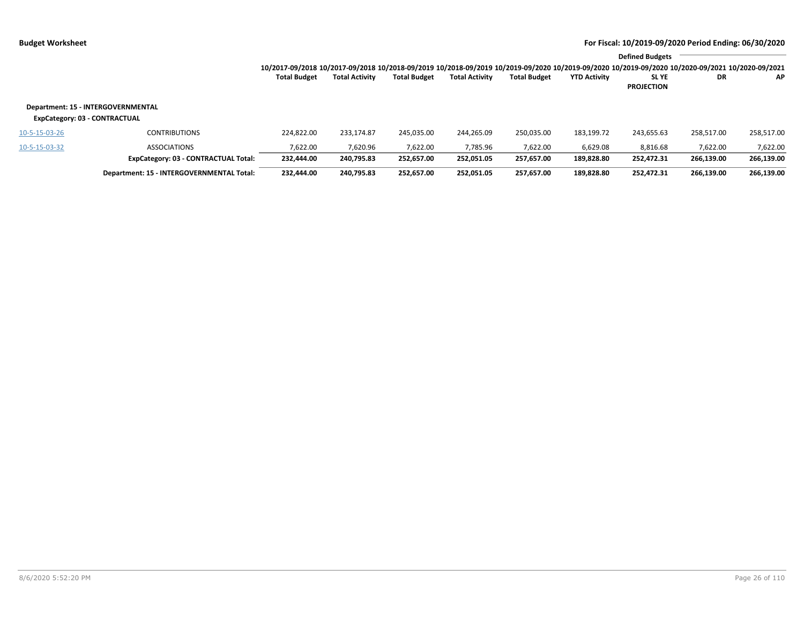|                               |                                           |                                                                                                                                                                 |                       |                     |                       |                     |                     | <b>Defined Budgets</b>           |            |            |
|-------------------------------|-------------------------------------------|-----------------------------------------------------------------------------------------------------------------------------------------------------------------|-----------------------|---------------------|-----------------------|---------------------|---------------------|----------------------------------|------------|------------|
|                               |                                           | 10/2017-09/2018 10/2017-09/2018 10/2018-09/2019 10/2018-09/2019 10/2019-09/2020 10/2019-09/2020 10/2019-09/2020 10/2019-09/2020 10/2020-09/2021 10/2020-09/2021 |                       |                     |                       |                     |                     |                                  |            |            |
|                               |                                           | <b>Total Budget</b>                                                                                                                                             | <b>Total Activity</b> | <b>Total Budget</b> | <b>Total Activity</b> | <b>Total Budget</b> | <b>YTD Activity</b> | <b>SLYE</b><br><b>PROJECTION</b> | DR         | ΑP         |
| ExpCategory: 03 - CONTRACTUAL | Department: 15 - INTERGOVERNMENTAL        |                                                                                                                                                                 |                       |                     |                       |                     |                     |                                  |            |            |
| 10-5-15-03-26                 | <b>CONTRIBUTIONS</b>                      | 224.822.00                                                                                                                                                      | 233.174.87            | 245.035.00          | 244.265.09            | 250,035.00          | 183,199.72          | 243.655.63                       | 258,517.00 | 258,517.00 |
| 10-5-15-03-32                 | <b>ASSOCIATIONS</b>                       | 7.622.00                                                                                                                                                        | 7.620.96              | 7,622.00            | 7,785.96              | 7,622.00            | 6,629.08            | 8,816.68                         | 7,622.00   | 7,622.00   |
|                               | ExpCategory: 03 - CONTRACTUAL Total:      | 232.444.00                                                                                                                                                      | 240,795.83            | 252.657.00          | 252.051.05            | 257.657.00          | 189.828.80          | 252.472.31                       | 266,139.00 | 266,139.00 |
|                               | Department: 15 - INTERGOVERNMENTAL Total: | 232.444.00                                                                                                                                                      | 240.795.83            | 252.657.00          | 252.051.05            | 257.657.00          | 189.828.80          | 252.472.31                       | 266.139.00 | 266,139.00 |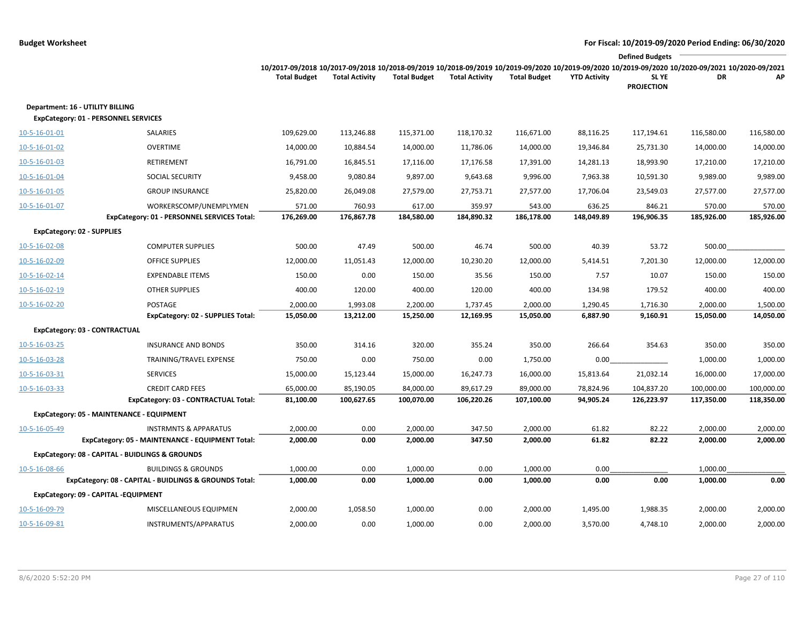|                                                                                 |                                                        |                                                                                                                                                                        |                       |                     |                       |                     |                     | <b>Defined Budgets</b>     |                      |            |
|---------------------------------------------------------------------------------|--------------------------------------------------------|------------------------------------------------------------------------------------------------------------------------------------------------------------------------|-----------------------|---------------------|-----------------------|---------------------|---------------------|----------------------------|----------------------|------------|
|                                                                                 |                                                        | 10/2017-09/2018 10/2017-09/2018 10/2018-09/2019 10/2018-09/2019 10/2019-09/2020 10/2019-09/2020 10/2019-09/2020 10/2020-09/2021 10/2020-09/2021<br><b>Total Budget</b> | <b>Total Activity</b> | <b>Total Budget</b> | <b>Total Activity</b> | <b>Total Budget</b> | <b>YTD Activity</b> | SL YE<br><b>PROJECTION</b> | DR                   | АP         |
| Department: 16 - UTILITY BILLING<br><b>ExpCategory: 01 - PERSONNEL SERVICES</b> |                                                        |                                                                                                                                                                        |                       |                     |                       |                     |                     |                            |                      |            |
| 10-5-16-01-01                                                                   | SALARIES                                               | 109,629.00                                                                                                                                                             | 113,246.88            | 115,371.00          | 118,170.32            | 116,671.00          | 88,116.25           | 117,194.61                 | 116,580.00           | 116,580.00 |
| 10-5-16-01-02                                                                   | <b>OVERTIME</b>                                        | 14,000.00                                                                                                                                                              | 10,884.54             | 14,000.00           | 11,786.06             | 14,000.00           | 19,346.84           | 25,731.30                  | 14,000.00            | 14,000.00  |
| 10-5-16-01-03                                                                   | RETIREMENT                                             | 16,791.00                                                                                                                                                              | 16,845.51             | 17,116.00           | 17,176.58             | 17,391.00           | 14,281.13           | 18,993.90                  | 17,210.00            | 17,210.00  |
| 10-5-16-01-04                                                                   | SOCIAL SECURITY                                        | 9,458.00                                                                                                                                                               | 9,080.84              | 9,897.00            | 9,643.68              | 9,996.00            | 7,963.38            | 10,591.30                  | 9,989.00             | 9,989.00   |
| 10-5-16-01-05                                                                   | <b>GROUP INSURANCE</b>                                 | 25,820.00                                                                                                                                                              | 26,049.08             | 27,579.00           | 27,753.71             | 27,577.00           | 17,706.04           | 23,549.03                  | 27,577.00            | 27,577.00  |
| 10-5-16-01-07                                                                   | WORKERSCOMP/UNEMPLYMEN                                 | 571.00                                                                                                                                                                 | 760.93                | 617.00              | 359.97                | 543.00              | 636.25              | 846.21                     | 570.00               | 570.00     |
|                                                                                 | ExpCategory: 01 - PERSONNEL SERVICES Total:            | 176,269.00                                                                                                                                                             | 176,867.78            | 184,580.00          | 184,890.32            | 186,178.00          | 148,049.89          | 196,906.35                 | 185,926.00           | 185,926.00 |
| <b>ExpCategory: 02 - SUPPLIES</b>                                               |                                                        |                                                                                                                                                                        |                       |                     |                       |                     |                     |                            |                      |            |
| 10-5-16-02-08                                                                   | <b>COMPUTER SUPPLIES</b>                               | 500.00                                                                                                                                                                 | 47.49                 | 500.00              | 46.74                 | 500.00              | 40.39               | 53.72                      | 500.00               |            |
| 10-5-16-02-09                                                                   | <b>OFFICE SUPPLIES</b>                                 | 12,000.00                                                                                                                                                              | 11,051.43             | 12,000.00           | 10,230.20             | 12,000.00           | 5,414.51            | 7,201.30                   | 12,000.00            | 12,000.00  |
| $10 - 5 - 16 - 02 - 14$                                                         | <b>EXPENDABLE ITEMS</b>                                | 150.00                                                                                                                                                                 | 0.00                  | 150.00              | 35.56                 | 150.00              | 7.57                | 10.07                      | 150.00               | 150.00     |
| 10-5-16-02-19                                                                   | <b>OTHER SUPPLIES</b>                                  | 400.00                                                                                                                                                                 | 120.00                | 400.00              | 120.00                | 400.00              | 134.98              | 179.52                     | 400.00               | 400.00     |
| 10-5-16-02-20                                                                   | POSTAGE                                                | 2,000.00                                                                                                                                                               | 1,993.08              | 2,200.00            | 1,737.45              | 2,000.00            | 1,290.45            | 1,716.30                   | 2,000.00             | 1,500.00   |
|                                                                                 | ExpCategory: 02 - SUPPLIES Total:                      | 15,050.00                                                                                                                                                              | 13,212.00             | 15,250.00           | 12,169.95             | 15,050.00           | 6,887.90            | 9,160.91                   | 15,050.00            | 14,050.00  |
| ExpCategory: 03 - CONTRACTUAL                                                   |                                                        |                                                                                                                                                                        |                       |                     |                       |                     |                     |                            |                      |            |
| 10-5-16-03-25                                                                   | <b>INSURANCE AND BONDS</b>                             | 350.00                                                                                                                                                                 | 314.16                | 320.00              | 355.24                | 350.00              | 266.64              | 354.63                     | 350.00               | 350.00     |
| 10-5-16-03-28                                                                   | TRAINING/TRAVEL EXPENSE                                | 750.00                                                                                                                                                                 | 0.00                  | 750.00              | 0.00                  | 1,750.00            | 0.00                |                            | 1,000.00             | 1,000.00   |
| 10-5-16-03-31                                                                   | <b>SERVICES</b>                                        | 15,000.00                                                                                                                                                              | 15,123.44             | 15,000.00           | 16,247.73             | 16,000.00           | 15,813.64           | 21,032.14                  | 16,000.00            | 17,000.00  |
| 10-5-16-03-33                                                                   | <b>CREDIT CARD FEES</b>                                | 65,000.00                                                                                                                                                              | 85,190.05             | 84,000.00           | 89,617.29             | 89,000.00           | 78,824.96           | 104,837.20                 | 100,000.00           | 100,000.00 |
|                                                                                 | ExpCategory: 03 - CONTRACTUAL Total:                   | 81,100.00                                                                                                                                                              | 100,627.65            | 100,070.00          | 106,220.26            | 107,100.00          | 94,905.24           | 126,223.97                 | 117,350.00           | 118,350.00 |
| ExpCategory: 05 - MAINTENANCE - EQUIPMENT                                       |                                                        |                                                                                                                                                                        |                       |                     |                       |                     |                     |                            |                      |            |
| 10-5-16-05-49                                                                   | <b>INSTRMNTS &amp; APPARATUS</b>                       | 2,000.00                                                                                                                                                               | 0.00                  | 2,000.00            | 347.50                | 2,000.00            | 61.82               | 82.22                      | 2,000.00             | 2,000.00   |
|                                                                                 | ExpCategory: 05 - MAINTENANCE - EQUIPMENT Total:       | 2,000.00                                                                                                                                                               | 0.00                  | 2,000.00            | 347.50                | 2,000.00            | 61.82               | 82.22                      | 2,000.00             | 2,000.00   |
|                                                                                 | ExpCategory: 08 - CAPITAL - BUIDLINGS & GROUNDS        |                                                                                                                                                                        |                       |                     |                       |                     |                     |                            |                      |            |
| 10-5-16-08-66                                                                   | <b>BUILDINGS &amp; GROUNDS</b>                         | 1,000.00<br>1,000.00                                                                                                                                                   | 0.00<br>0.00          | 1,000.00            | 0.00<br>0.00          | 1,000.00            | 0.00<br>0.00        | 0.00                       | 1,000.00<br>1,000.00 | 0.00       |
|                                                                                 | ExpCategory: 08 - CAPITAL - BUIDLINGS & GROUNDS Total: |                                                                                                                                                                        |                       | 1,000.00            |                       | 1,000.00            |                     |                            |                      |            |
| ExpCategory: 09 - CAPITAL -EQUIPMENT                                            |                                                        |                                                                                                                                                                        |                       |                     |                       |                     |                     |                            |                      |            |
| 10-5-16-09-79                                                                   | MISCELLANEOUS EQUIPMEN                                 | 2,000.00                                                                                                                                                               | 1,058.50              | 1,000.00            | 0.00                  | 2,000.00            | 1,495.00            | 1,988.35                   | 2,000.00             | 2,000.00   |
| 10-5-16-09-81                                                                   | INSTRUMENTS/APPARATUS                                  | 2,000.00                                                                                                                                                               | 0.00                  | 1,000.00            | 0.00                  | 2,000.00            | 3,570.00            | 4,748.10                   | 2,000.00             | 2,000.00   |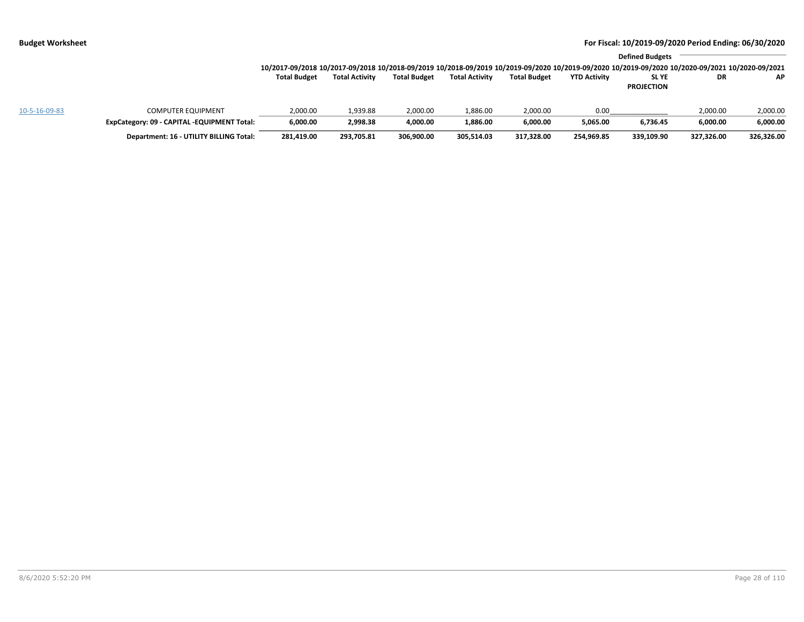|               |                                             |                                                                                                                                                                 |                       |                     |                       |                     |                     | <b>Defined Budgets</b> |            |            |
|---------------|---------------------------------------------|-----------------------------------------------------------------------------------------------------------------------------------------------------------------|-----------------------|---------------------|-----------------------|---------------------|---------------------|------------------------|------------|------------|
|               |                                             | 10/2017-09/2018 10/2017-09/2018 10/2018-09/2019 10/2018-09/2019 10/2019-09/2020 10/2019-09/2020 10/2019-09/2020 10/2019-09/2020 10/2020-09/2021 10/2020-09/2021 |                       |                     |                       |                     |                     |                        |            |            |
|               |                                             | <b>Total Budget</b>                                                                                                                                             | <b>Total Activity</b> | <b>Total Budget</b> | <b>Total Activity</b> | <b>Total Budget</b> | <b>YTD Activity</b> | SL YE                  | DR         | <b>AP</b>  |
|               |                                             |                                                                                                                                                                 |                       |                     |                       |                     |                     | <b>PROJECTION</b>      |            |            |
| 10-5-16-09-83 | <b>COMPUTER EQUIPMENT</b>                   | 2,000.00                                                                                                                                                        | 1,939.88              | 2,000.00            | 1,886.00              | 2,000.00            | 0.00                |                        | 2,000.00   | 2,000.00   |
|               | ExpCategory: 09 - CAPITAL -EQUIPMENT Total: | 6,000.00                                                                                                                                                        | 2,998.38              | 4,000.00            | 1,886.00              | 6,000.00            | 5.065.00            | 6,736.45               | 6,000.00   | 6,000.00   |
|               | Department: 16 - UTILITY BILLING Total:     | 281,419.00                                                                                                                                                      | 293,705.81            | 306,900.00          | 305,514.03            | 317,328.00          | 254,969.85          | 339,109.90             | 327,326.00 | 326,326.00 |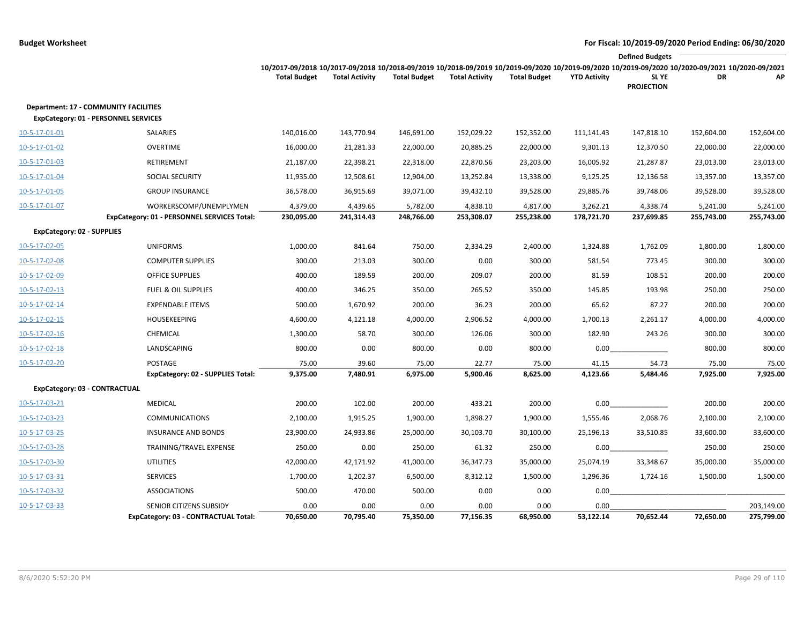|                                   |                                                                                      |                                                                                                                                                 |                       |                     |                       |                     |                     | <b>Defined Budgets</b>     |            |            |
|-----------------------------------|--------------------------------------------------------------------------------------|-------------------------------------------------------------------------------------------------------------------------------------------------|-----------------------|---------------------|-----------------------|---------------------|---------------------|----------------------------|------------|------------|
|                                   |                                                                                      | 10/2017-09/2018 10/2017-09/2018 10/2018-09/2019 10/2018-09/2019 10/2019-09/2020 10/2019-09/2020 10/2019-09/2020 10/2020-09/2021 10/2020-09/2021 |                       |                     |                       |                     |                     |                            |            |            |
|                                   |                                                                                      | <b>Total Budget</b>                                                                                                                             | <b>Total Activity</b> | <b>Total Budget</b> | <b>Total Activity</b> | <b>Total Budget</b> | <b>YTD Activity</b> | SL YE<br><b>PROJECTION</b> | <b>DR</b>  | АP         |
|                                   | Department: 17 - COMMUNITY FACILITIES<br><b>ExpCategory: 01 - PERSONNEL SERVICES</b> |                                                                                                                                                 |                       |                     |                       |                     |                     |                            |            |            |
| 10-5-17-01-01                     | SALARIES                                                                             | 140,016.00                                                                                                                                      | 143,770.94            | 146,691.00          | 152,029.22            | 152,352.00          | 111,141.43          | 147,818.10                 | 152,604.00 | 152,604.00 |
| 10-5-17-01-02                     | <b>OVERTIME</b>                                                                      | 16,000.00                                                                                                                                       | 21,281.33             | 22,000.00           | 20,885.25             | 22,000.00           | 9,301.13            | 12,370.50                  | 22,000.00  | 22,000.00  |
| 10-5-17-01-03                     | RETIREMENT                                                                           | 21,187.00                                                                                                                                       | 22,398.21             | 22,318.00           | 22,870.56             | 23,203.00           | 16,005.92           | 21,287.87                  | 23,013.00  | 23,013.00  |
| 10-5-17-01-04                     | SOCIAL SECURITY                                                                      | 11,935.00                                                                                                                                       | 12,508.61             | 12,904.00           | 13,252.84             | 13,338.00           | 9,125.25            | 12,136.58                  | 13,357.00  | 13,357.00  |
| 10-5-17-01-05                     | <b>GROUP INSURANCE</b>                                                               | 36,578.00                                                                                                                                       | 36,915.69             | 39,071.00           | 39,432.10             | 39,528.00           | 29,885.76           | 39,748.06                  | 39,528.00  | 39,528.00  |
| 10-5-17-01-07                     | WORKERSCOMP/UNEMPLYMEN                                                               | 4,379.00                                                                                                                                        | 4,439.65              | 5,782.00            | 4,838.10              | 4,817.00            | 3,262.21            | 4,338.74                   | 5,241.00   | 5,241.00   |
|                                   | ExpCategory: 01 - PERSONNEL SERVICES Total:                                          | 230,095.00                                                                                                                                      | 241,314.43            | 248,766.00          | 253,308.07            | 255,238.00          | 178,721.70          | 237,699.85                 | 255,743.00 | 255,743.00 |
| <b>ExpCategory: 02 - SUPPLIES</b> |                                                                                      |                                                                                                                                                 |                       |                     |                       |                     |                     |                            |            |            |
| 10-5-17-02-05                     | <b>UNIFORMS</b>                                                                      | 1,000.00                                                                                                                                        | 841.64                | 750.00              | 2,334.29              | 2,400.00            | 1,324.88            | 1,762.09                   | 1,800.00   | 1,800.00   |
| 10-5-17-02-08                     | <b>COMPUTER SUPPLIES</b>                                                             | 300.00                                                                                                                                          | 213.03                | 300.00              | 0.00                  | 300.00              | 581.54              | 773.45                     | 300.00     | 300.00     |
| 10-5-17-02-09                     | <b>OFFICE SUPPLIES</b>                                                               | 400.00                                                                                                                                          | 189.59                | 200.00              | 209.07                | 200.00              | 81.59               | 108.51                     | 200.00     | 200.00     |
| 10-5-17-02-13                     | <b>FUEL &amp; OIL SUPPLIES</b>                                                       | 400.00                                                                                                                                          | 346.25                | 350.00              | 265.52                | 350.00              | 145.85              | 193.98                     | 250.00     | 250.00     |
| 10-5-17-02-14                     | <b>EXPENDABLE ITEMS</b>                                                              | 500.00                                                                                                                                          | 1,670.92              | 200.00              | 36.23                 | 200.00              | 65.62               | 87.27                      | 200.00     | 200.00     |
| 10-5-17-02-15                     | <b>HOUSEKEEPING</b>                                                                  | 4,600.00                                                                                                                                        | 4,121.18              | 4,000.00            | 2,906.52              | 4,000.00            | 1,700.13            | 2,261.17                   | 4,000.00   | 4,000.00   |
| $10 - 5 - 17 - 02 - 16$           | CHEMICAL                                                                             | 1,300.00                                                                                                                                        | 58.70                 | 300.00              | 126.06                | 300.00              | 182.90              | 243.26                     | 300.00     | 300.00     |
| 10-5-17-02-18                     | LANDSCAPING                                                                          | 800.00                                                                                                                                          | 0.00                  | 800.00              | 0.00                  | 800.00              | 0.00                |                            | 800.00     | 800.00     |
| 10-5-17-02-20                     | POSTAGE                                                                              | 75.00                                                                                                                                           | 39.60                 | 75.00               | 22.77                 | 75.00               | 41.15               | 54.73                      | 75.00      | 75.00      |
|                                   | ExpCategory: 02 - SUPPLIES Total:                                                    | 9,375.00                                                                                                                                        | 7,480.91              | 6,975.00            | 5,900.46              | 8,625.00            | 4,123.66            | 5,484.46                   | 7,925.00   | 7,925.00   |
| ExpCategory: 03 - CONTRACTUAL     |                                                                                      |                                                                                                                                                 |                       |                     |                       |                     |                     |                            |            |            |
| 10-5-17-03-21                     | <b>MEDICAL</b>                                                                       | 200.00                                                                                                                                          | 102.00                | 200.00              | 433.21                | 200.00              | 0.00                |                            | 200.00     | 200.00     |
| 10-5-17-03-23                     | <b>COMMUNICATIONS</b>                                                                | 2,100.00                                                                                                                                        | 1,915.25              | 1,900.00            | 1,898.27              | 1,900.00            | 1,555.46            | 2,068.76                   | 2,100.00   | 2,100.00   |
| 10-5-17-03-25                     | <b>INSURANCE AND BONDS</b>                                                           | 23,900.00                                                                                                                                       | 24,933.86             | 25,000.00           | 30,103.70             | 30,100.00           | 25,196.13           | 33,510.85                  | 33,600.00  | 33,600.00  |
| 10-5-17-03-28                     | TRAINING/TRAVEL EXPENSE                                                              | 250.00                                                                                                                                          | 0.00                  | 250.00              | 61.32                 | 250.00              | 0.00                |                            | 250.00     | 250.00     |
| 10-5-17-03-30                     | <b>UTILITIES</b>                                                                     | 42,000.00                                                                                                                                       | 42,171.92             | 41,000.00           | 36,347.73             | 35,000.00           | 25,074.19           | 33,348.67                  | 35,000.00  | 35,000.00  |
| 10-5-17-03-31                     | <b>SERVICES</b>                                                                      | 1,700.00                                                                                                                                        | 1,202.37              | 6,500.00            | 8,312.12              | 1,500.00            | 1,296.36            | 1,724.16                   | 1,500.00   | 1,500.00   |
| 10-5-17-03-32                     | <b>ASSOCIATIONS</b>                                                                  | 500.00                                                                                                                                          | 470.00                | 500.00              | 0.00                  | 0.00                | 0.00                |                            |            |            |
| 10-5-17-03-33                     | SENIOR CITIZENS SUBSIDY                                                              | 0.00                                                                                                                                            | 0.00                  | 0.00                | 0.00                  | 0.00                | 0.00                |                            |            | 203,149.00 |
|                                   | ExpCategory: 03 - CONTRACTUAL Total:                                                 | 70,650.00                                                                                                                                       | 70,795.40             | 75,350.00           | 77,156.35             | 68,950.00           | 53,122.14           | 70,652.44                  | 72,650.00  | 275,799.00 |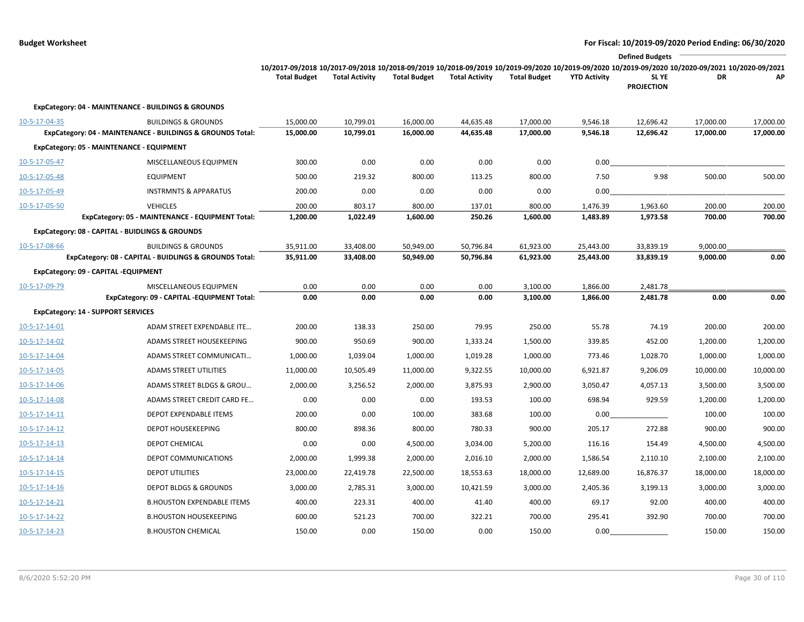|                         |                                                                                              |                                                                                                                                                                        |                        |                        |                        |                        |                      | <b>Defined Budgets</b>     |                        |                        |
|-------------------------|----------------------------------------------------------------------------------------------|------------------------------------------------------------------------------------------------------------------------------------------------------------------------|------------------------|------------------------|------------------------|------------------------|----------------------|----------------------------|------------------------|------------------------|
|                         |                                                                                              | 10/2017-09/2018 10/2017-09/2018 10/2018-09/2019 10/2018-09/2019 10/2019-09/2020 10/2019-09/2020 10/2019-09/2020 10/2020-09/2021 10/2020-09/2021<br><b>Total Budget</b> | <b>Total Activity</b>  | <b>Total Budget</b>    | <b>Total Activity</b>  | <b>Total Budget</b>    | <b>YTD Activity</b>  | SL YE<br><b>PROJECTION</b> | DR                     | AP                     |
|                         | ExpCategory: 04 - MAINTENANCE - BUILDINGS & GROUNDS                                          |                                                                                                                                                                        |                        |                        |                        |                        |                      |                            |                        |                        |
| 10-5-17-04-35           | <b>BUILDINGS &amp; GROUNDS</b><br>ExpCategory: 04 - MAINTENANCE - BUILDINGS & GROUNDS Total: | 15,000.00<br>15,000.00                                                                                                                                                 | 10,799.01<br>10,799.01 | 16,000.00<br>16,000.00 | 44,635.48<br>44,635.48 | 17,000.00<br>17,000.00 | 9,546.18<br>9,546.18 | 12,696.42<br>12,696.42     | 17,000.00<br>17,000.00 | 17,000.00<br>17,000.00 |
|                         | ExpCategory: 05 - MAINTENANCE - EQUIPMENT                                                    |                                                                                                                                                                        |                        |                        |                        |                        |                      |                            |                        |                        |
| 10-5-17-05-47           | MISCELLANEOUS EQUIPMEN                                                                       | 300.00                                                                                                                                                                 | 0.00                   | 0.00                   | 0.00                   | 0.00                   | 0.00                 |                            |                        |                        |
| 10-5-17-05-48           | <b>EQUIPMENT</b>                                                                             | 500.00                                                                                                                                                                 | 219.32                 | 800.00                 | 113.25                 | 800.00                 | 7.50                 | 9.98                       | 500.00                 | 500.00                 |
| 10-5-17-05-49           | <b>INSTRMNTS &amp; APPARATUS</b>                                                             | 200.00                                                                                                                                                                 | 0.00                   | 0.00                   | 0.00                   | 0.00                   | 0.00                 |                            |                        |                        |
| 10-5-17-05-50           | <b>VEHICLES</b>                                                                              | 200.00                                                                                                                                                                 | 803.17                 | 800.00                 | 137.01                 | 800.00                 | 1,476.39             | 1,963.60                   | 200.00                 | 200.00                 |
|                         | ExpCategory: 05 - MAINTENANCE - EQUIPMENT Total:                                             | 1,200.00                                                                                                                                                               | 1,022.49               | 1,600.00               | 250.26                 | 1,600.00               | 1,483.89             | 1,973.58                   | 700.00                 | 700.00                 |
|                         | ExpCategory: 08 - CAPITAL - BUIDLINGS & GROUNDS                                              |                                                                                                                                                                        |                        |                        |                        |                        |                      |                            |                        |                        |
| 10-5-17-08-66           | <b>BUILDINGS &amp; GROUNDS</b>                                                               | 35,911.00                                                                                                                                                              | 33,408.00              | 50,949.00              | 50,796.84              | 61,923.00              | 25,443.00            | 33,839.19                  | 9,000.00               |                        |
|                         | ExpCategory: 08 - CAPITAL - BUIDLINGS & GROUNDS Total:                                       | 35,911.00                                                                                                                                                              | 33,408.00              | 50,949.00              | 50,796.84              | 61,923.00              | 25,443.00            | 33,839.19                  | 9,000.00               | 0.00                   |
|                         | ExpCategory: 09 - CAPITAL -EQUIPMENT                                                         |                                                                                                                                                                        |                        |                        |                        |                        |                      |                            |                        |                        |
| 10-5-17-09-79           | MISCELLANEOUS EQUIPMEN                                                                       | 0.00                                                                                                                                                                   | 0.00                   | 0.00                   | 0.00                   | 3,100.00               | 1,866.00             | 2,481.78                   |                        |                        |
|                         | ExpCategory: 09 - CAPITAL -EQUIPMENT Total:                                                  | 0.00                                                                                                                                                                   | 0.00                   | 0.00                   | 0.00                   | 3,100.00               | 1,866.00             | 2,481.78                   | 0.00                   | 0.00                   |
|                         | <b>ExpCategory: 14 - SUPPORT SERVICES</b>                                                    |                                                                                                                                                                        |                        |                        |                        |                        |                      |                            |                        |                        |
| 10-5-17-14-01           | ADAM STREET EXPENDABLE ITE                                                                   | 200.00                                                                                                                                                                 | 138.33                 | 250.00                 | 79.95                  | 250.00                 | 55.78                | 74.19                      | 200.00                 | 200.00                 |
| 10-5-17-14-02           | ADAMS STREET HOUSEKEEPING                                                                    | 900.00                                                                                                                                                                 | 950.69                 | 900.00                 | 1,333.24               | 1,500.00               | 339.85               | 452.00                     | 1,200.00               | 1,200.00               |
| 10-5-17-14-04           | ADAMS STREET COMMUNICATI                                                                     | 1,000.00                                                                                                                                                               | 1,039.04               | 1,000.00               | 1,019.28               | 1,000.00               | 773.46               | 1,028.70                   | 1,000.00               | 1,000.00               |
| 10-5-17-14-05           | ADAMS STREET UTILITIES                                                                       | 11,000.00                                                                                                                                                              | 10,505.49              | 11,000.00              | 9,322.55               | 10,000.00              | 6,921.87             | 9,206.09                   | 10,000.00              | 10,000.00              |
| 10-5-17-14-06           | ADAMS STREET BLDGS & GROU                                                                    | 2,000.00                                                                                                                                                               | 3,256.52               | 2,000.00               | 3,875.93               | 2,900.00               | 3,050.47             | 4,057.13                   | 3,500.00               | 3,500.00               |
| 10-5-17-14-08           | ADAMS STREET CREDIT CARD FE                                                                  | 0.00                                                                                                                                                                   | 0.00                   | 0.00                   | 193.53                 | 100.00                 | 698.94               | 929.59                     | 1,200.00               | 1,200.00               |
| $10 - 5 - 17 - 14 - 11$ | DEPOT EXPENDABLE ITEMS                                                                       | 200.00                                                                                                                                                                 | 0.00                   | 100.00                 | 383.68                 | 100.00                 | 0.00                 |                            | 100.00                 | 100.00                 |
| $10 - 5 - 17 - 14 - 12$ | <b>DEPOT HOUSEKEEPING</b>                                                                    | 800.00                                                                                                                                                                 | 898.36                 | 800.00                 | 780.33                 | 900.00                 | 205.17               | 272.88                     | 900.00                 | 900.00                 |
| $10 - 5 - 17 - 14 - 13$ | <b>DEPOT CHEMICAL</b>                                                                        | 0.00                                                                                                                                                                   | 0.00                   | 4,500.00               | 3,034.00               | 5,200.00               | 116.16               | 154.49                     | 4,500.00               | 4,500.00               |
| $10 - 5 - 17 - 14 - 14$ | <b>DEPOT COMMUNICATIONS</b>                                                                  | 2,000.00                                                                                                                                                               | 1,999.38               | 2,000.00               | 2,016.10               | 2,000.00               | 1,586.54             | 2,110.10                   | 2,100.00               | 2,100.00               |
| $10 - 5 - 17 - 14 - 15$ | <b>DEPOT UTILITIES</b>                                                                       | 23,000.00                                                                                                                                                              | 22,419.78              | 22,500.00              | 18,553.63              | 18,000.00              | 12,689.00            | 16,876.37                  | 18,000.00              | 18,000.00              |
| $10 - 5 - 17 - 14 - 16$ | <b>DEPOT BLDGS &amp; GROUNDS</b>                                                             | 3,000.00                                                                                                                                                               | 2,785.31               | 3,000.00               | 10,421.59              | 3,000.00               | 2,405.36             | 3,199.13                   | 3,000.00               | 3,000.00               |
| 10-5-17-14-21           | <b>B.HOUSTON EXPENDABLE ITEMS</b>                                                            | 400.00                                                                                                                                                                 | 223.31                 | 400.00                 | 41.40                  | 400.00                 | 69.17                | 92.00                      | 400.00                 | 400.00                 |
| 10-5-17-14-22           | <b>B.HOUSTON HOUSEKEEPING</b>                                                                | 600.00                                                                                                                                                                 | 521.23                 | 700.00                 | 322.21                 | 700.00                 | 295.41               | 392.90                     | 700.00                 | 700.00                 |
| 10-5-17-14-23           | <b>B.HOUSTON CHEMICAL</b>                                                                    | 150.00                                                                                                                                                                 | 0.00                   | 150.00                 | 0.00                   | 150.00                 | 0.00                 |                            | 150.00                 | 150.00                 |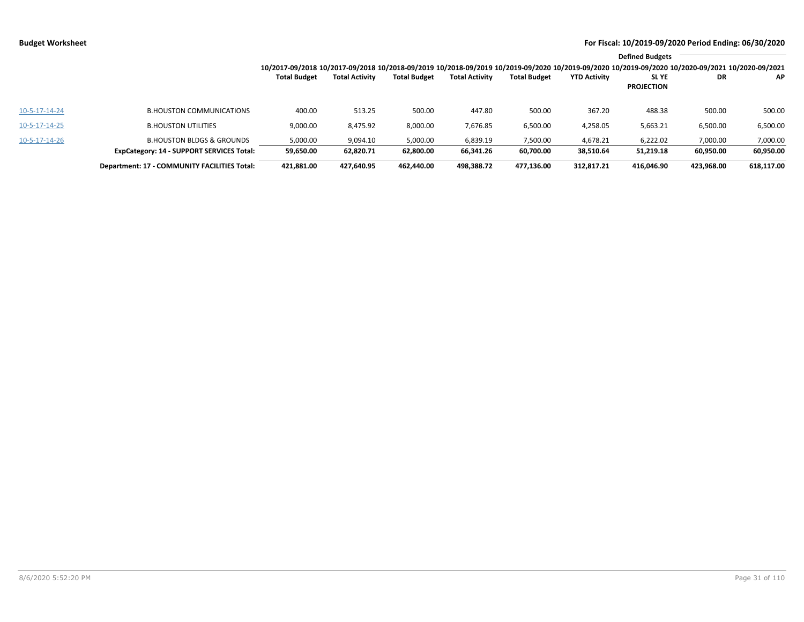|               |                                                  |                                                                                                                                                                 |                       |                     |                       |                     |                     | <b>Defined Budgets</b> |            |            |
|---------------|--------------------------------------------------|-----------------------------------------------------------------------------------------------------------------------------------------------------------------|-----------------------|---------------------|-----------------------|---------------------|---------------------|------------------------|------------|------------|
|               |                                                  | 10/2017-09/2018 10/2017-09/2018 10/2018-09/2019 10/2018-09/2019 10/2019-09/2020 10/2019-09/2020 10/2019-09/2020 10/2019-09/2020 10/2020-09/2021 10/2020-09/2021 |                       |                     |                       |                     |                     |                        |            |            |
|               |                                                  | <b>Total Budget</b>                                                                                                                                             | <b>Total Activity</b> | <b>Total Budget</b> | <b>Total Activity</b> | <b>Total Budget</b> | <b>YTD Activity</b> | SL YE                  | DR         | AP.        |
|               |                                                  |                                                                                                                                                                 |                       |                     |                       |                     |                     | <b>PROJECTION</b>      |            |            |
| 10-5-17-14-24 | <b>B.HOUSTON COMMUNICATIONS</b>                  | 400.00                                                                                                                                                          | 513.25                | 500.00              | 447.80                | 500.00              | 367.20              | 488.38                 | 500.00     | 500.00     |
| 10-5-17-14-25 | <b>B.HOUSTON UTILITIES</b>                       | 9,000.00                                                                                                                                                        | 8,475.92              | 8,000.00            | 7,676.85              | 6,500.00            | 4,258.05            | 5,663.21               | 6,500.00   | 6,500.00   |
| 10-5-17-14-26 | <b>B.HOUSTON BLDGS &amp; GROUNDS</b>             | 5.000.00                                                                                                                                                        | 9.094.10              | 5,000.00            | 6,839.19              | 7.500.00            | 4,678.21            | 6.222.02               | 7,000.00   | 7,000.00   |
|               | <b>ExpCategory: 14 - SUPPORT SERVICES Total:</b> | 59,650.00                                                                                                                                                       | 62,820.71             | 62,800.00           | 66,341.26             | 60,700.00           | 38,510.64           | 51,219.18              | 60,950.00  | 60,950.00  |
|               | Department: 17 - COMMUNITY FACILITIES Total:     | 421.881.00                                                                                                                                                      | 427.640.95            | 462.440.00          | 498.388.72            | 477.136.00          | 312,817.21          | 416.046.90             | 423.968.00 | 618.117.00 |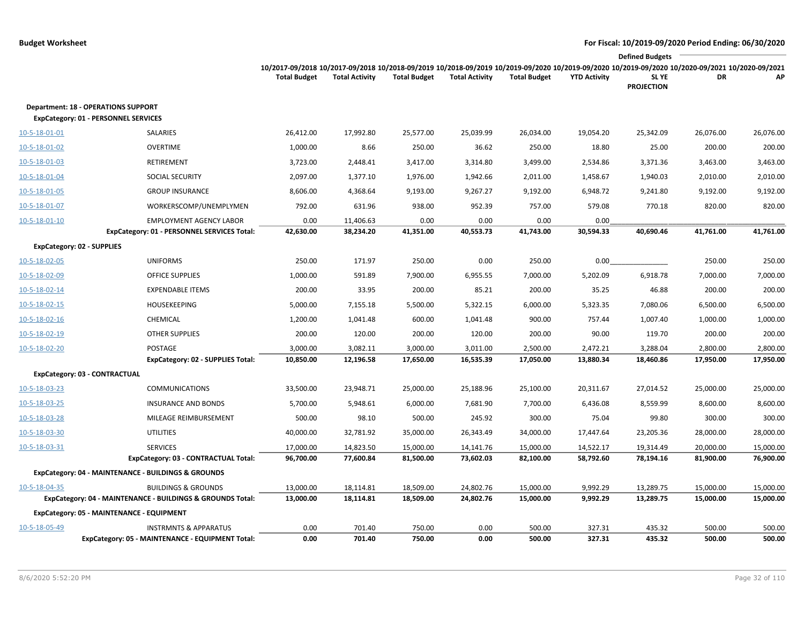|               |                                                            |                                                                                                                                                 |                       |                     |                       |                     |                     | <b>Defined Budgets</b> |           |           |
|---------------|------------------------------------------------------------|-------------------------------------------------------------------------------------------------------------------------------------------------|-----------------------|---------------------|-----------------------|---------------------|---------------------|------------------------|-----------|-----------|
|               |                                                            | 10/2017-09/2018 10/2017-09/2018 10/2018-09/2019 10/2018-09/2019 10/2019-09/2020 10/2019-09/2020 10/2019-09/2020 10/2020-09/2020 10/2020-09/2021 |                       |                     |                       |                     |                     |                        |           |           |
|               |                                                            | <b>Total Budget</b>                                                                                                                             | <b>Total Activity</b> | <b>Total Budget</b> | <b>Total Activity</b> | <b>Total Budget</b> | <b>YTD Activity</b> | <b>SLYE</b>            | DR        | АP        |
|               |                                                            |                                                                                                                                                 |                       |                     |                       |                     |                     | <b>PROJECTION</b>      |           |           |
|               | <b>Department: 18 - OPERATIONS SUPPORT</b>                 |                                                                                                                                                 |                       |                     |                       |                     |                     |                        |           |           |
|               | <b>ExpCategory: 01 - PERSONNEL SERVICES</b>                |                                                                                                                                                 |                       |                     |                       |                     |                     |                        |           |           |
| 10-5-18-01-01 | SALARIES                                                   | 26,412.00                                                                                                                                       | 17,992.80             | 25,577.00           | 25,039.99             | 26,034.00           | 19,054.20           | 25,342.09              | 26,076.00 | 26,076.00 |
| 10-5-18-01-02 | <b>OVERTIME</b>                                            | 1,000.00                                                                                                                                        | 8.66                  | 250.00              | 36.62                 | 250.00              | 18.80               | 25.00                  | 200.00    | 200.00    |
| 10-5-18-01-03 | RETIREMENT                                                 | 3,723.00                                                                                                                                        | 2,448.41              | 3,417.00            | 3,314.80              | 3,499.00            | 2,534.86            | 3,371.36               | 3,463.00  | 3,463.00  |
| 10-5-18-01-04 | SOCIAL SECURITY                                            | 2,097.00                                                                                                                                        | 1,377.10              | 1,976.00            | 1,942.66              | 2,011.00            | 1,458.67            | 1,940.03               | 2,010.00  | 2,010.00  |
| 10-5-18-01-05 | <b>GROUP INSURANCE</b>                                     | 8,606.00                                                                                                                                        | 4,368.64              | 9,193.00            | 9,267.27              | 9,192.00            | 6,948.72            | 9,241.80               | 9,192.00  | 9,192.00  |
| 10-5-18-01-07 | WORKERSCOMP/UNEMPLYMEN                                     | 792.00                                                                                                                                          | 631.96                | 938.00              | 952.39                | 757.00              | 579.08              | 770.18                 | 820.00    | 820.00    |
| 10-5-18-01-10 | <b>EMPLOYMENT AGENCY LABOR</b>                             | 0.00                                                                                                                                            | 11,406.63             | 0.00                | 0.00                  | 0.00                | 0.00                |                        |           |           |
|               | ExpCategory: 01 - PERSONNEL SERVICES Total:                | 42,630.00                                                                                                                                       | 38,234.20             | 41,351.00           | 40,553.73             | 41,743.00           | 30,594.33           | 40,690.46              | 41,761.00 | 41,761.00 |
|               | <b>ExpCategory: 02 - SUPPLIES</b>                          |                                                                                                                                                 |                       |                     |                       |                     |                     |                        |           |           |
| 10-5-18-02-05 | <b>UNIFORMS</b>                                            | 250.00                                                                                                                                          | 171.97                | 250.00              | 0.00                  | 250.00              | 0.00                |                        | 250.00    | 250.00    |
| 10-5-18-02-09 | <b>OFFICE SUPPLIES</b>                                     | 1,000.00                                                                                                                                        | 591.89                | 7,900.00            | 6,955.55              | 7,000.00            | 5,202.09            | 6,918.78               | 7,000.00  | 7,000.00  |
| 10-5-18-02-14 | <b>EXPENDABLE ITEMS</b>                                    | 200.00                                                                                                                                          | 33.95                 | 200.00              | 85.21                 | 200.00              | 35.25               | 46.88                  | 200.00    | 200.00    |
| 10-5-18-02-15 | <b>HOUSEKEEPING</b>                                        | 5,000.00                                                                                                                                        | 7,155.18              | 5,500.00            | 5,322.15              | 6,000.00            | 5,323.35            | 7,080.06               | 6,500.00  | 6,500.00  |
| 10-5-18-02-16 | CHEMICAL                                                   | 1,200.00                                                                                                                                        | 1,041.48              | 600.00              | 1,041.48              | 900.00              | 757.44              | 1,007.40               | 1,000.00  | 1,000.00  |
| 10-5-18-02-19 | <b>OTHER SUPPLIES</b>                                      | 200.00                                                                                                                                          | 120.00                | 200.00              | 120.00                | 200.00              | 90.00               | 119.70                 | 200.00    | 200.00    |
| 10-5-18-02-20 | POSTAGE                                                    | 3,000.00                                                                                                                                        | 3,082.11              | 3,000.00            | 3,011.00              | 2,500.00            | 2,472.21            | 3,288.04               | 2,800.00  | 2,800.00  |
|               | ExpCategory: 02 - SUPPLIES Total:                          | 10,850.00                                                                                                                                       | 12,196.58             | 17,650.00           | 16,535.39             | 17,050.00           | 13,880.34           | 18,460.86              | 17,950.00 | 17,950.00 |
|               | ExpCategory: 03 - CONTRACTUAL                              |                                                                                                                                                 |                       |                     |                       |                     |                     |                        |           |           |
| 10-5-18-03-23 | <b>COMMUNICATIONS</b>                                      | 33,500.00                                                                                                                                       | 23,948.71             | 25,000.00           | 25,188.96             | 25,100.00           | 20,311.67           | 27,014.52              | 25,000.00 | 25,000.00 |
| 10-5-18-03-25 | <b>INSURANCE AND BONDS</b>                                 | 5,700.00                                                                                                                                        | 5,948.61              | 6,000.00            | 7,681.90              | 7,700.00            | 6,436.08            | 8,559.99               | 8,600.00  | 8,600.00  |
| 10-5-18-03-28 | MILEAGE REIMBURSEMENT                                      | 500.00                                                                                                                                          | 98.10                 | 500.00              | 245.92                | 300.00              | 75.04               | 99.80                  | 300.00    | 300.00    |
| 10-5-18-03-30 | <b>UTILITIES</b>                                           | 40,000.00                                                                                                                                       | 32,781.92             | 35,000.00           | 26,343.49             | 34,000.00           | 17,447.64           | 23,205.36              | 28,000.00 | 28,000.00 |
| 10-5-18-03-31 | <b>SERVICES</b>                                            | 17,000.00                                                                                                                                       | 14,823.50             | 15,000.00           | 14,141.76             | 15,000.00           | 14,522.17           | 19,314.49              | 20,000.00 | 15,000.00 |
|               | ExpCategory: 03 - CONTRACTUAL Total:                       | 96,700.00                                                                                                                                       | 77,600.84             | 81,500.00           | 73,602.03             | 82,100.00           | 58,792.60           | 78,194.16              | 81,900.00 | 76,900.00 |
|               | ExpCategory: 04 - MAINTENANCE - BUILDINGS & GROUNDS        |                                                                                                                                                 |                       |                     |                       |                     |                     |                        |           |           |
| 10-5-18-04-35 | <b>BUILDINGS &amp; GROUNDS</b>                             | 13,000.00                                                                                                                                       | 18,114.81             | 18,509.00           | 24,802.76             | 15,000.00           | 9,992.29            | 13,289.75              | 15,000.00 | 15,000.00 |
|               | ExpCategory: 04 - MAINTENANCE - BUILDINGS & GROUNDS Total: | 13,000.00                                                                                                                                       | 18,114.81             | 18,509.00           | 24,802.76             | 15,000.00           | 9,992.29            | 13,289.75              | 15,000.00 | 15,000.00 |
|               | ExpCategory: 05 - MAINTENANCE - EQUIPMENT                  |                                                                                                                                                 |                       |                     |                       |                     |                     |                        |           |           |
| 10-5-18-05-49 | <b>INSTRMNTS &amp; APPARATUS</b>                           | 0.00                                                                                                                                            | 701.40                | 750.00              | 0.00                  | 500.00              | 327.31              | 435.32                 | 500.00    | 500.00    |
|               | ExpCategory: 05 - MAINTENANCE - EQUIPMENT Total:           | 0.00                                                                                                                                            | 701.40                | 750.00              | 0.00                  | 500.00              | 327.31              | 435.32                 | 500.00    | 500.00    |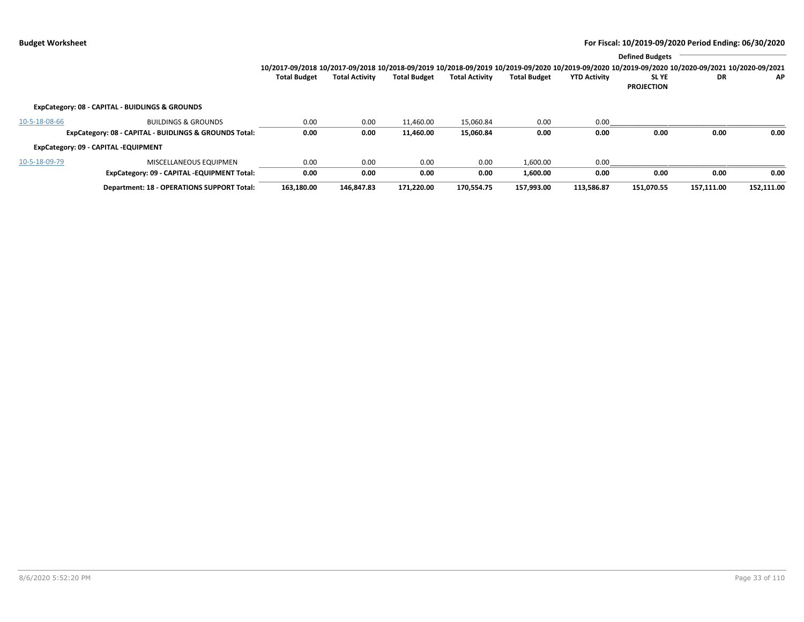|               |                                                        |                                                                                                                                                                 |                       |                     |                       |                     |                     | <b>Defined Budgets</b> |            |            |
|---------------|--------------------------------------------------------|-----------------------------------------------------------------------------------------------------------------------------------------------------------------|-----------------------|---------------------|-----------------------|---------------------|---------------------|------------------------|------------|------------|
|               |                                                        | 10/2017-09/2018 10/2017-09/2018 10/2018-09/2019 10/2018-09/2019 10/2019-09/2020 10/2019-09/2020 10/2019-09/2020 10/2019-09/2020 10/2020-09/2021 10/2020-09/2021 |                       |                     |                       |                     |                     |                        |            |            |
|               |                                                        | <b>Total Budget</b>                                                                                                                                             | <b>Total Activity</b> | <b>Total Budget</b> | <b>Total Activity</b> | <b>Total Budget</b> | <b>YTD Activity</b> | <b>SLYE</b>            | DR         | <b>AP</b>  |
|               |                                                        |                                                                                                                                                                 |                       |                     |                       |                     |                     | <b>PROJECTION</b>      |            |            |
|               | ExpCategory: 08 - CAPITAL - BUIDLINGS & GROUNDS        |                                                                                                                                                                 |                       |                     |                       |                     |                     |                        |            |            |
| 10-5-18-08-66 | <b>BUILDINGS &amp; GROUNDS</b>                         | 0.00                                                                                                                                                            | 0.00                  | 11.460.00           | 15.060.84             | 0.00                | 0.00                |                        |            |            |
|               | ExpCategory: 08 - CAPITAL - BUIDLINGS & GROUNDS Total: | 0.00                                                                                                                                                            | 0.00                  | 11,460.00           | 15,060.84             | 0.00                | 0.00                | 0.00                   | 0.00       | 0.00       |
|               | ExpCategory: 09 - CAPITAL -EQUIPMENT                   |                                                                                                                                                                 |                       |                     |                       |                     |                     |                        |            |            |
| 10-5-18-09-79 | MISCELLANEOUS EQUIPMEN                                 | 0.00                                                                                                                                                            | 0.00                  | 0.00                | 0.00                  | 1,600.00            | 0.00                |                        |            |            |
|               | ExpCategory: 09 - CAPITAL -EQUIPMENT Total:            | 0.00                                                                                                                                                            | 0.00                  | 0.00                | 0.00                  | 1,600.00            | 0.00                | 0.00                   | 0.00       | 0.00       |
|               | <b>Department: 18 - OPERATIONS SUPPORT Total:</b>      | 163.180.00                                                                                                                                                      | 146.847.83            | 171.220.00          | 170.554.75            | 157.993.00          | 113.586.87          | 151.070.55             | 157.111.00 | 152,111.00 |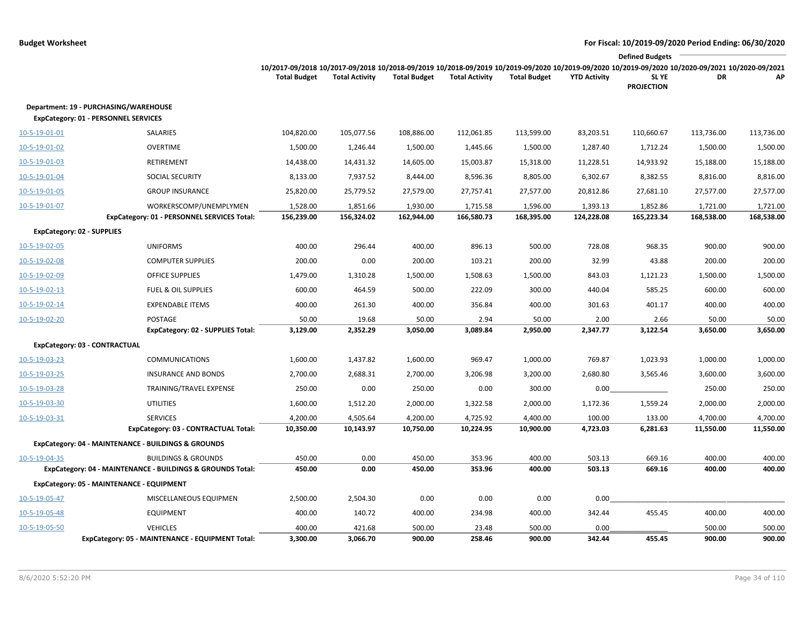|               |                                                            |                                                                                                                                                 |                       |                     |                       |                     |                     | <b>Defined Budgets</b> |            |            |
|---------------|------------------------------------------------------------|-------------------------------------------------------------------------------------------------------------------------------------------------|-----------------------|---------------------|-----------------------|---------------------|---------------------|------------------------|------------|------------|
|               |                                                            | 10/2017-09/2018 10/2017-09/2018 10/2018-09/2019 10/2018-09/2019 10/2019-09/2020 10/2019-09/2020 10/2019-09/2020 10/2020-09/2020 10/2020-09/2021 |                       |                     |                       |                     |                     |                        |            |            |
|               |                                                            | <b>Total Budget</b>                                                                                                                             | <b>Total Activity</b> | <b>Total Budget</b> | <b>Total Activity</b> | <b>Total Budget</b> | <b>YTD Activity</b> | <b>SLYE</b>            | DR         | АP         |
|               |                                                            |                                                                                                                                                 |                       |                     |                       |                     |                     | <b>PROJECTION</b>      |            |            |
|               | Department: 19 - PURCHASING/WAREHOUSE                      |                                                                                                                                                 |                       |                     |                       |                     |                     |                        |            |            |
|               | ExpCategory: 01 - PERSONNEL SERVICES                       |                                                                                                                                                 |                       |                     |                       |                     |                     |                        |            |            |
| 10-5-19-01-01 | SALARIES                                                   | 104,820.00                                                                                                                                      | 105,077.56            | 108,886.00          | 112,061.85            | 113,599.00          | 83,203.51           | 110,660.67             | 113,736.00 | 113,736.00 |
| 10-5-19-01-02 | <b>OVERTIME</b>                                            | 1,500.00                                                                                                                                        | 1,246.44              | 1,500.00            | 1,445.66              | 1,500.00            | 1,287.40            | 1,712.24               | 1,500.00   | 1,500.00   |
| 10-5-19-01-03 | <b>RETIREMENT</b>                                          | 14,438.00                                                                                                                                       | 14,431.32             | 14,605.00           | 15,003.87             | 15,318.00           | 11,228.51           | 14,933.92              | 15,188.00  | 15,188.00  |
| 10-5-19-01-04 | <b>SOCIAL SECURITY</b>                                     | 8,133.00                                                                                                                                        | 7,937.52              | 8,444.00            | 8,596.36              | 8,805.00            | 6,302.67            | 8,382.55               | 8,816.00   | 8,816.00   |
| 10-5-19-01-05 | <b>GROUP INSURANCE</b>                                     | 25,820.00                                                                                                                                       | 25,779.52             | 27,579.00           | 27,757.41             | 27,577.00           | 20,812.86           | 27,681.10              | 27,577.00  | 27,577.00  |
| 10-5-19-01-07 | WORKERSCOMP/UNEMPLYMEN                                     | 1,528.00                                                                                                                                        | 1,851.66              | 1,930.00            | 1,715.58              | 1,596.00            | 1,393.13            | 1,852.86               | 1,721.00   | 1,721.00   |
|               | ExpCategory: 01 - PERSONNEL SERVICES Total:                | 156,239.00                                                                                                                                      | 156,324.02            | 162,944.00          | 166,580.73            | 168,395.00          | 124,228.08          | 165,223.34             | 168,538.00 | 168,538.00 |
|               | <b>ExpCategory: 02 - SUPPLIES</b>                          |                                                                                                                                                 |                       |                     |                       |                     |                     |                        |            |            |
| 10-5-19-02-05 | <b>UNIFORMS</b>                                            | 400.00                                                                                                                                          | 296.44                | 400.00              | 896.13                | 500.00              | 728.08              | 968.35                 | 900.00     | 900.00     |
| 10-5-19-02-08 | <b>COMPUTER SUPPLIES</b>                                   | 200.00                                                                                                                                          | 0.00                  | 200.00              | 103.21                | 200.00              | 32.99               | 43.88                  | 200.00     | 200.00     |
| 10-5-19-02-09 | <b>OFFICE SUPPLIES</b>                                     | 1,479.00                                                                                                                                        | 1,310.28              | 1,500.00            | 1,508.63              | 1,500.00            | 843.03              | 1,121.23               | 1,500.00   | 1,500.00   |
| 10-5-19-02-13 | <b>FUEL &amp; OIL SUPPLIES</b>                             | 600.00                                                                                                                                          | 464.59                | 500.00              | 222.09                | 300.00              | 440.04              | 585.25                 | 600.00     | 600.00     |
| 10-5-19-02-14 | <b>EXPENDABLE ITEMS</b>                                    | 400.00                                                                                                                                          | 261.30                | 400.00              | 356.84                | 400.00              | 301.63              | 401.17                 | 400.00     | 400.00     |
| 10-5-19-02-20 | POSTAGE                                                    | 50.00                                                                                                                                           | 19.68                 | 50.00               | 2.94                  | 50.00               | 2.00                | 2.66                   | 50.00      | 50.00      |
|               | ExpCategory: 02 - SUPPLIES Total:                          | 3,129.00                                                                                                                                        | 2,352.29              | 3,050.00            | 3,089.84              | 2,950.00            | 2,347.77            | 3,122.54               | 3,650.00   | 3,650.00   |
|               | ExpCategory: 03 - CONTRACTUAL                              |                                                                                                                                                 |                       |                     |                       |                     |                     |                        |            |            |
| 10-5-19-03-23 | <b>COMMUNICATIONS</b>                                      | 1,600.00                                                                                                                                        | 1,437.82              | 1,600.00            | 969.47                | 1,000.00            | 769.87              | 1,023.93               | 1,000.00   | 1,000.00   |
| 10-5-19-03-25 | <b>INSURANCE AND BONDS</b>                                 | 2,700.00                                                                                                                                        | 2,688.31              | 2,700.00            | 3,206.98              | 3,200.00            | 2,680.80            | 3,565.46               | 3,600.00   | 3,600.00   |
| 10-5-19-03-28 | TRAINING/TRAVEL EXPENSE                                    | 250.00                                                                                                                                          | 0.00                  | 250.00              | 0.00                  | 300.00              | 0.00                |                        | 250.00     | 250.00     |
| 10-5-19-03-30 | <b>UTILITIES</b>                                           | 1,600.00                                                                                                                                        | 1,512.20              | 2,000.00            | 1,322.58              | 2,000.00            | 1,172.36            | 1,559.24               | 2,000.00   | 2,000.00   |
| 10-5-19-03-31 | <b>SERVICES</b>                                            | 4,200.00                                                                                                                                        | 4,505.64              | 4,200.00            | 4,725.92              | 4,400.00            | 100.00              | 133.00                 | 4,700.00   | 4,700.00   |
|               | ExpCategory: 03 - CONTRACTUAL Total:                       | 10,350.00                                                                                                                                       | 10,143.97             | 10,750.00           | 10,224.95             | 10,900.00           | 4,723.03            | 6,281.63               | 11,550.00  | 11,550.00  |
|               | ExpCategory: 04 - MAINTENANCE - BUILDINGS & GROUNDS        |                                                                                                                                                 |                       |                     |                       |                     |                     |                        |            |            |
| 10-5-19-04-35 | <b>BUILDINGS &amp; GROUNDS</b>                             | 450.00                                                                                                                                          | 0.00                  | 450.00              | 353.96                | 400.00              | 503.13              | 669.16                 | 400.00     | 400.00     |
|               | ExpCategory: 04 - MAINTENANCE - BUILDINGS & GROUNDS Total: | 450.00                                                                                                                                          | 0.00                  | 450.00              | 353.96                | 400.00              | 503.13              | 669.16                 | 400.00     | 400.00     |
|               | ExpCategory: 05 - MAINTENANCE - EQUIPMENT                  |                                                                                                                                                 |                       |                     |                       |                     |                     |                        |            |            |
| 10-5-19-05-47 | MISCELLANEOUS EQUIPMEN                                     | 2,500.00                                                                                                                                        | 2,504.30              | 0.00                | 0.00                  | 0.00                | 0.00                |                        |            |            |
| 10-5-19-05-48 | <b>EQUIPMENT</b>                                           | 400.00                                                                                                                                          | 140.72                | 400.00              | 234.98                | 400.00              | 342.44              | 455.45                 | 400.00     | 400.00     |
| 10-5-19-05-50 | <b>VEHICLES</b>                                            | 400.00                                                                                                                                          | 421.68                | 500.00              | 23.48                 | 500.00              | 0.00                |                        | 500.00     | 500.00     |
|               | ExpCategory: 05 - MAINTENANCE - EQUIPMENT Total:           | 3,300.00                                                                                                                                        | 3,066.70              | 900.00              | 258.46                | 900.00              | 342.44              | 455.45                 | 900.00     | 900.00     |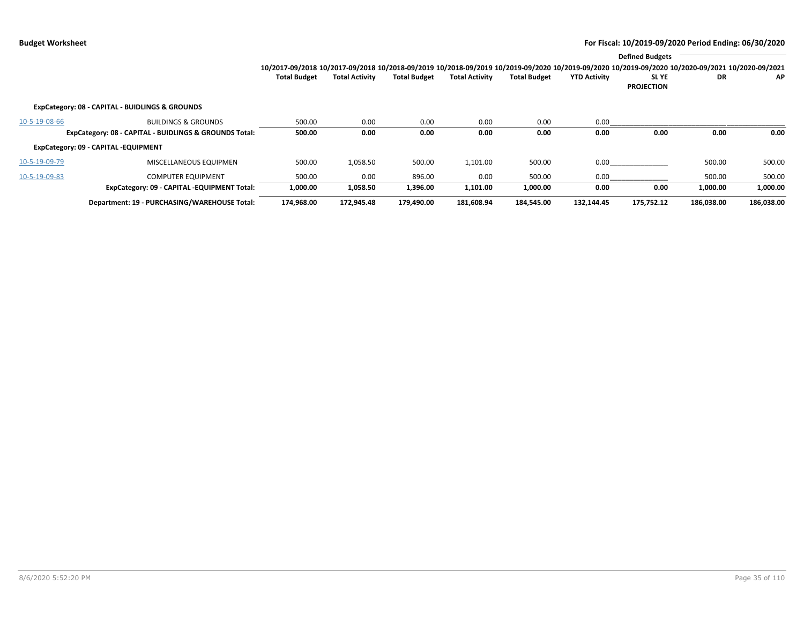|                                                        |                                                 | <b>Defined Budgets</b>                                                                                                                          |                       |                     |                       |                     |                     |                                  |            |            |  |
|--------------------------------------------------------|-------------------------------------------------|-------------------------------------------------------------------------------------------------------------------------------------------------|-----------------------|---------------------|-----------------------|---------------------|---------------------|----------------------------------|------------|------------|--|
|                                                        |                                                 | 10/2017-09/2018 10/2017-09/2018 10/2018-09/2019 10/2018-09/2019 10/2019-09/2020 10/2019-09/2020 10/2019-09/2020 10/2020-09/2021 10/2020-09/2021 |                       |                     |                       |                     |                     |                                  |            |            |  |
|                                                        |                                                 | <b>Total Budget</b>                                                                                                                             | <b>Total Activity</b> | <b>Total Budget</b> | <b>Total Activity</b> | <b>Total Budget</b> | <b>YTD Activity</b> | <b>SLYE</b><br><b>PROJECTION</b> | <b>DR</b>  | AP         |  |
|                                                        | ExpCategory: 08 - CAPITAL - BUIDLINGS & GROUNDS |                                                                                                                                                 |                       |                     |                       |                     |                     |                                  |            |            |  |
| 10-5-19-08-66                                          | <b>BUILDINGS &amp; GROUNDS</b>                  | 500.00                                                                                                                                          | 0.00                  | 0.00                | 0.00                  | 0.00                | 0.00                |                                  |            |            |  |
| ExpCategory: 08 - CAPITAL - BUIDLINGS & GROUNDS Total: |                                                 | 500.00                                                                                                                                          | 0.00                  | 0.00                | 0.00                  | 0.00                | 0.00                | 0.00                             | 0.00       | 0.00       |  |
|                                                        | ExpCategory: 09 - CAPITAL -EQUIPMENT            |                                                                                                                                                 |                       |                     |                       |                     |                     |                                  |            |            |  |
| 10-5-19-09-79                                          | MISCELLANEOUS EQUIPMEN                          | 500.00                                                                                                                                          | 1,058.50              | 500.00              | 1,101.00              | 500.00              | 0.00                |                                  | 500.00     | 500.00     |  |
| 10-5-19-09-83                                          | <b>COMPUTER EQUIPMENT</b>                       | 500.00                                                                                                                                          | 0.00                  | 896.00              | 0.00                  | 500.00              | 0.00                |                                  | 500.00     | 500.00     |  |
|                                                        | ExpCategory: 09 - CAPITAL -EQUIPMENT Total:     | 1,000.00                                                                                                                                        | 1,058.50              | 1,396.00            | 1,101.00              | 1,000.00            | 0.00                | 0.00                             | 1,000.00   | 1,000.00   |  |
|                                                        | Department: 19 - PURCHASING/WAREHOUSE Total:    | 174.968.00                                                                                                                                      | 172.945.48            | 179.490.00          | 181.608.94            | 184.545.00          | 132.144.45          | 175.752.12                       | 186.038.00 | 186.038.00 |  |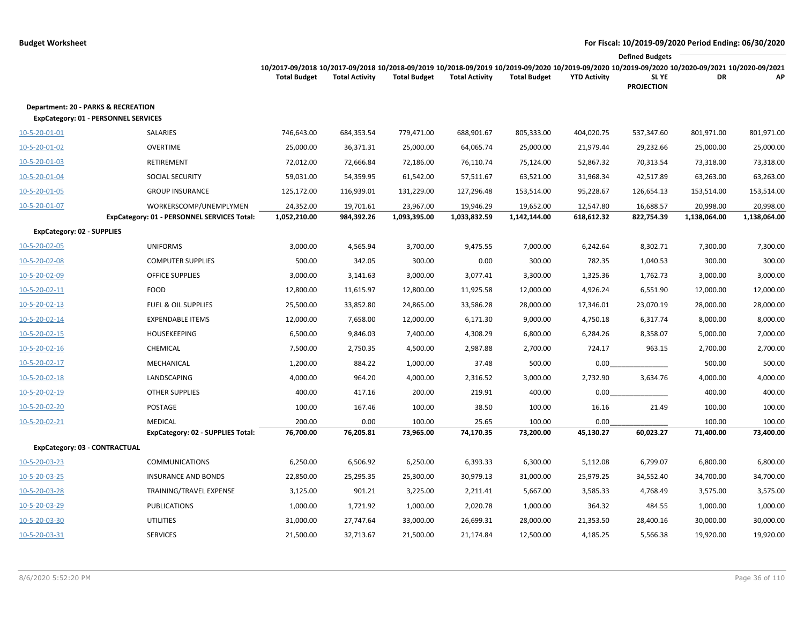|                                                                                    | <b>Defined Budgets</b>                      |                                                                                                                                                                                        |                       |                     |                       |                     |                     |                            |              |              |
|------------------------------------------------------------------------------------|---------------------------------------------|----------------------------------------------------------------------------------------------------------------------------------------------------------------------------------------|-----------------------|---------------------|-----------------------|---------------------|---------------------|----------------------------|--------------|--------------|
|                                                                                    |                                             | 10/2017-09/2018 10/2017-09/2018 10/2018-09/2019 10/2018-09/2019 10/2019-09/2020 10/2019-09/2020 10/2019-09/2020 10/2019-09/2020 10/2020-09/2021 10/2020-09/2021<br><b>Total Budget</b> | <b>Total Activity</b> | <b>Total Budget</b> | <b>Total Activity</b> | <b>Total Budget</b> | <b>YTD Activity</b> | SL YE<br><b>PROJECTION</b> | DR           | AP           |
| Department: 20 - PARKS & RECREATION<br><b>ExpCategory: 01 - PERSONNEL SERVICES</b> |                                             |                                                                                                                                                                                        |                       |                     |                       |                     |                     |                            |              |              |
| 10-5-20-01-01                                                                      | SALARIES                                    | 746,643.00                                                                                                                                                                             | 684,353.54            | 779,471.00          | 688,901.67            | 805,333.00          | 404,020.75          | 537,347.60                 | 801,971.00   | 801,971.00   |
| 10-5-20-01-02                                                                      | <b>OVERTIME</b>                             | 25,000.00                                                                                                                                                                              | 36,371.31             | 25,000.00           | 64,065.74             | 25,000.00           | 21,979.44           | 29,232.66                  | 25,000.00    | 25,000.00    |
| 10-5-20-01-03                                                                      | RETIREMENT                                  | 72,012.00                                                                                                                                                                              | 72,666.84             | 72,186.00           | 76,110.74             | 75,124.00           | 52,867.32           | 70,313.54                  | 73,318.00    | 73,318.00    |
| 10-5-20-01-04                                                                      | SOCIAL SECURITY                             | 59,031.00                                                                                                                                                                              | 54,359.95             | 61,542.00           | 57,511.67             | 63,521.00           | 31,968.34           | 42,517.89                  | 63,263.00    | 63,263.00    |
| 10-5-20-01-05                                                                      | <b>GROUP INSURANCE</b>                      | 125,172.00                                                                                                                                                                             | 116,939.01            | 131,229.00          | 127,296.48            | 153,514.00          | 95,228.67           | 126,654.13                 | 153,514.00   | 153,514.00   |
| 10-5-20-01-07                                                                      | WORKERSCOMP/UNEMPLYMEN                      | 24,352.00                                                                                                                                                                              | 19,701.61             | 23,967.00           | 19,946.29             | 19,652.00           | 12,547.80           | 16,688.57                  | 20,998.00    | 20,998.00    |
|                                                                                    | ExpCategory: 01 - PERSONNEL SERVICES Total: | 1,052,210.00                                                                                                                                                                           | 984,392.26            | 1,093,395.00        | 1,033,832.59          | 1,142,144.00        | 618,612.32          | 822,754.39                 | 1,138,064.00 | 1,138,064.00 |
| ExpCategory: 02 - SUPPLIES                                                         |                                             |                                                                                                                                                                                        |                       |                     |                       |                     |                     |                            |              |              |
| 10-5-20-02-05                                                                      | <b>UNIFORMS</b>                             | 3,000.00                                                                                                                                                                               | 4,565.94              | 3,700.00            | 9,475.55              | 7,000.00            | 6,242.64            | 8,302.71                   | 7,300.00     | 7,300.00     |
| 10-5-20-02-08                                                                      | <b>COMPUTER SUPPLIES</b>                    | 500.00                                                                                                                                                                                 | 342.05                | 300.00              | 0.00                  | 300.00              | 782.35              | 1,040.53                   | 300.00       | 300.00       |
| 10-5-20-02-09                                                                      | <b>OFFICE SUPPLIES</b>                      | 3,000.00                                                                                                                                                                               | 3,141.63              | 3,000.00            | 3,077.41              | 3,300.00            | 1,325.36            | 1,762.73                   | 3,000.00     | 3,000.00     |
| 10-5-20-02-11                                                                      | <b>FOOD</b>                                 | 12,800.00                                                                                                                                                                              | 11,615.97             | 12,800.00           | 11,925.58             | 12,000.00           | 4,926.24            | 6,551.90                   | 12,000.00    | 12,000.00    |
| 10-5-20-02-13                                                                      | <b>FUEL &amp; OIL SUPPLIES</b>              | 25,500.00                                                                                                                                                                              | 33,852.80             | 24,865.00           | 33,586.28             | 28,000.00           | 17,346.01           | 23,070.19                  | 28,000.00    | 28,000.00    |
| $10 - 5 - 20 - 02 - 14$                                                            | <b>EXPENDABLE ITEMS</b>                     | 12,000.00                                                                                                                                                                              | 7,658.00              | 12,000.00           | 6,171.30              | 9,000.00            | 4,750.18            | 6,317.74                   | 8,000.00     | 8,000.00     |
| 10-5-20-02-15                                                                      | HOUSEKEEPING                                | 6,500.00                                                                                                                                                                               | 9,846.03              | 7,400.00            | 4,308.29              | 6,800.00            | 6,284.26            | 8,358.07                   | 5,000.00     | 7,000.00     |
| $10 - 5 - 20 - 02 - 16$                                                            | CHEMICAL                                    | 7,500.00                                                                                                                                                                               | 2,750.35              | 4,500.00            | 2,987.88              | 2,700.00            | 724.17              | 963.15                     | 2,700.00     | 2,700.00     |
| 10-5-20-02-17                                                                      | MECHANICAL                                  | 1,200.00                                                                                                                                                                               | 884.22                | 1,000.00            | 37.48                 | 500.00              | 0.00                |                            | 500.00       | 500.00       |
| 10-5-20-02-18                                                                      | LANDSCAPING                                 | 4,000.00                                                                                                                                                                               | 964.20                | 4,000.00            | 2,316.52              | 3,000.00            | 2,732.90            | 3,634.76                   | 4,000.00     | 4,000.00     |
| 10-5-20-02-19                                                                      | <b>OTHER SUPPLIES</b>                       | 400.00                                                                                                                                                                                 | 417.16                | 200.00              | 219.91                | 400.00              | 0.00                |                            | 400.00       | 400.00       |
| 10-5-20-02-20                                                                      | POSTAGE                                     | 100.00                                                                                                                                                                                 | 167.46                | 100.00              | 38.50                 | 100.00              | 16.16               | 21.49                      | 100.00       | 100.00       |
| 10-5-20-02-21                                                                      | <b>MEDICAL</b>                              | 200.00                                                                                                                                                                                 | 0.00                  | 100.00              | 25.65                 | 100.00              | 0.00                |                            | 100.00       | 100.00       |
|                                                                                    | <b>ExpCategory: 02 - SUPPLIES Total:</b>    | 76,700.00                                                                                                                                                                              | 76,205.81             | 73,965.00           | 74,170.35             | 73,200.00           | 45,130.27           | 60,023.27                  | 71,400.00    | 73,400.00    |
| ExpCategory: 03 - CONTRACTUAL                                                      |                                             |                                                                                                                                                                                        |                       |                     |                       |                     |                     |                            |              |              |
| 10-5-20-03-23                                                                      | <b>COMMUNICATIONS</b>                       | 6,250.00                                                                                                                                                                               | 6,506.92              | 6,250.00            | 6,393.33              | 6,300.00            | 5,112.08            | 6,799.07                   | 6,800.00     | 6,800.00     |
| 10-5-20-03-25                                                                      | <b>INSURANCE AND BONDS</b>                  | 22,850.00                                                                                                                                                                              | 25,295.35             | 25,300.00           | 30,979.13             | 31,000.00           | 25,979.25           | 34,552.40                  | 34,700.00    | 34,700.00    |
| 10-5-20-03-28                                                                      | TRAINING/TRAVEL EXPENSE                     | 3,125.00                                                                                                                                                                               | 901.21                | 3,225.00            | 2,211.41              | 5,667.00            | 3,585.33            | 4,768.49                   | 3,575.00     | 3,575.00     |
| 10-5-20-03-29                                                                      | <b>PUBLICATIONS</b>                         | 1,000.00                                                                                                                                                                               | 1,721.92              | 1,000.00            | 2,020.78              | 1,000.00            | 364.32              | 484.55                     | 1,000.00     | 1,000.00     |
| 10-5-20-03-30                                                                      | <b>UTILITIES</b>                            | 31,000.00                                                                                                                                                                              | 27,747.64             | 33,000.00           | 26,699.31             | 28,000.00           | 21,353.50           | 28,400.16                  | 30,000.00    | 30,000.00    |
| 10-5-20-03-31                                                                      | <b>SERVICES</b>                             | 21,500.00                                                                                                                                                                              | 32,713.67             | 21,500.00           | 21,174.84             | 12,500.00           | 4,185.25            | 5,566.38                   | 19,920.00    | 19,920.00    |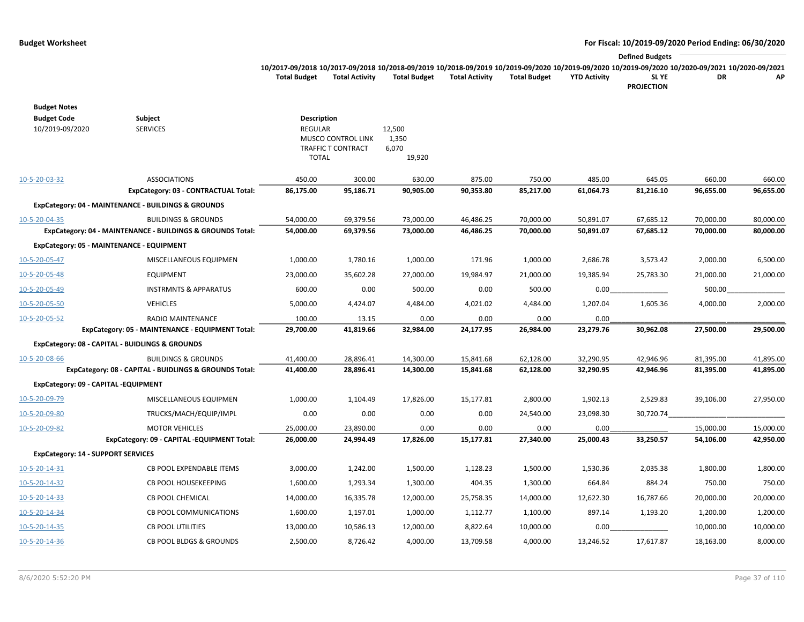|                     |                       |                     |                       |              |                     | <b>Defined Budgets</b>                                                                                                                          |    |     |
|---------------------|-----------------------|---------------------|-----------------------|--------------|---------------------|-------------------------------------------------------------------------------------------------------------------------------------------------|----|-----|
|                     |                       |                     |                       |              |                     | 10/2017-09/2018 10/2017-09/2018 10/2018-09/2019 10/2018-09/2019 10/2019-09/2020 10/2019-09/2020 10/2019-09/2020 10/2020-09/2021 10/2020-09/2021 |    |     |
| <b>Total Budget</b> | <b>Total Activity</b> | <b>Total Budget</b> | <b>Total Activity</b> | Total Budget | <b>YTD Activity</b> | <b>SLYE</b>                                                                                                                                     | DR | AP. |
|                     |                       |                     |                       |              |                     | <b>PROJECTION</b>                                                                                                                               |    |     |

| <b>Budget Notes</b>                       |                                                            |                    |                                          |                |           |           |           |           |           |           |
|-------------------------------------------|------------------------------------------------------------|--------------------|------------------------------------------|----------------|-----------|-----------|-----------|-----------|-----------|-----------|
| <b>Budget Code</b>                        | Subject                                                    | <b>Description</b> |                                          |                |           |           |           |           |           |           |
| 10/2019-09/2020                           | <b>SERVICES</b>                                            | <b>REGULAR</b>     |                                          | 12,500         |           |           |           |           |           |           |
|                                           |                                                            |                    | MUSCO CONTROL LINK<br>TRAFFIC T CONTRACT | 1,350<br>6,070 |           |           |           |           |           |           |
|                                           |                                                            | <b>TOTAL</b>       |                                          | 19,920         |           |           |           |           |           |           |
|                                           |                                                            |                    |                                          |                |           |           |           |           |           |           |
| 10-5-20-03-32                             | <b>ASSOCIATIONS</b>                                        | 450.00             | 300.00                                   | 630.00         | 875.00    | 750.00    | 485.00    | 645.05    | 660.00    | 660.00    |
|                                           | ExpCategory: 03 - CONTRACTUAL Total:                       | 86,175.00          | 95,186.71                                | 90,905.00      | 90,353.80 | 85,217.00 | 61,064.73 | 81,216.10 | 96,655.00 | 96,655.00 |
|                                           | ExpCategory: 04 - MAINTENANCE - BUILDINGS & GROUNDS        |                    |                                          |                |           |           |           |           |           |           |
| 10-5-20-04-35                             | <b>BUILDINGS &amp; GROUNDS</b>                             | 54,000.00          | 69,379.56                                | 73,000.00      | 46,486.25 | 70,000.00 | 50,891.07 | 67,685.12 | 70,000.00 | 80,000.00 |
|                                           | ExpCategory: 04 - MAINTENANCE - BUILDINGS & GROUNDS Total: | 54,000.00          | 69,379.56                                | 73,000.00      | 46,486.25 | 70,000.00 | 50,891.07 | 67,685.12 | 70,000.00 | 80,000.00 |
|                                           | ExpCategory: 05 - MAINTENANCE - EQUIPMENT                  |                    |                                          |                |           |           |           |           |           |           |
| 10-5-20-05-47                             | MISCELLANEOUS EQUIPMEN                                     | 1,000.00           | 1,780.16                                 | 1,000.00       | 171.96    | 1,000.00  | 2,686.78  | 3,573.42  | 2,000.00  | 6,500.00  |
| 10-5-20-05-48                             | <b>EQUIPMENT</b>                                           | 23,000.00          | 35,602.28                                | 27,000.00      | 19,984.97 | 21,000.00 | 19,385.94 | 25,783.30 | 21,000.00 | 21,000.00 |
| 10-5-20-05-49                             | <b>INSTRMNTS &amp; APPARATUS</b>                           | 600.00             | 0.00                                     | 500.00         | 0.00      | 500.00    | 0.00      |           | 500.00    |           |
| 10-5-20-05-50                             | <b>VEHICLES</b>                                            | 5,000.00           | 4,424.07                                 | 4,484.00       | 4,021.02  | 4,484.00  | 1,207.04  | 1,605.36  | 4,000.00  | 2,000.00  |
| 10-5-20-05-52                             | RADIO MAINTENANCE                                          | 100.00             | 13.15                                    | 0.00           | 0.00      | 0.00      | 0.00      |           |           |           |
|                                           | ExpCategory: 05 - MAINTENANCE - EQUIPMENT Total:           | 29,700.00          | 41,819.66                                | 32,984.00      | 24,177.95 | 26,984.00 | 23,279.76 | 30,962.08 | 27,500.00 | 29,500.00 |
|                                           | ExpCategory: 08 - CAPITAL - BUIDLINGS & GROUNDS            |                    |                                          |                |           |           |           |           |           |           |
| 10-5-20-08-66                             | <b>BUILDINGS &amp; GROUNDS</b>                             | 41,400.00          | 28,896.41                                | 14,300.00      | 15,841.68 | 62,128.00 | 32,290.95 | 42,946.96 | 81,395.00 | 41,895.00 |
|                                           | ExpCategory: 08 - CAPITAL - BUIDLINGS & GROUNDS Total:     | 41,400.00          | 28,896.41                                | 14,300.00      | 15,841.68 | 62,128.00 | 32,290.95 | 42,946.96 | 81,395.00 | 41,895.00 |
| ExpCategory: 09 - CAPITAL -EQUIPMENT      |                                                            |                    |                                          |                |           |           |           |           |           |           |
| 10-5-20-09-79                             | MISCELLANEOUS EQUIPMEN                                     | 1,000.00           | 1,104.49                                 | 17,826.00      | 15,177.81 | 2,800.00  | 1,902.13  | 2,529.83  | 39,106.00 | 27,950.00 |
| 10-5-20-09-80                             | TRUCKS/MACH/EQUIP/IMPL                                     | 0.00               | 0.00                                     | 0.00           | 0.00      | 24,540.00 | 23,098.30 | 30,720.74 |           |           |
| 10-5-20-09-82                             | <b>MOTOR VEHICLES</b>                                      | 25,000.00          | 23,890.00                                | 0.00           | 0.00      | 0.00      | 0.00      |           | 15,000.00 | 15,000.00 |
|                                           | ExpCategory: 09 - CAPITAL -EQUIPMENT Total:                | 26,000.00          | 24,994.49                                | 17,826.00      | 15,177.81 | 27,340.00 | 25,000.43 | 33,250.57 | 54,106.00 | 42,950.00 |
| <b>ExpCategory: 14 - SUPPORT SERVICES</b> |                                                            |                    |                                          |                |           |           |           |           |           |           |
| 10-5-20-14-31                             | <b>CB POOL EXPENDABLE ITEMS</b>                            | 3,000.00           | 1,242.00                                 | 1,500.00       | 1,128.23  | 1,500.00  | 1,530.36  | 2,035.38  | 1,800.00  | 1,800.00  |
| 10-5-20-14-32                             | CB POOL HOUSEKEEPING                                       | 1,600.00           | 1,293.34                                 | 1,300.00       | 404.35    | 1,300.00  | 664.84    | 884.24    | 750.00    | 750.00    |
| 10-5-20-14-33                             | <b>CB POOL CHEMICAL</b>                                    | 14,000.00          | 16,335.78                                | 12,000.00      | 25,758.35 | 14,000.00 | 12,622.30 | 16,787.66 | 20,000.00 | 20,000.00 |
| 10-5-20-14-34                             | <b>CB POOL COMMUNICATIONS</b>                              | 1,600.00           | 1,197.01                                 | 1,000.00       | 1,112.77  | 1,100.00  | 897.14    | 1,193.20  | 1,200.00  | 1,200.00  |
| 10-5-20-14-35                             | <b>CB POOL UTILITIES</b>                                   | 13,000.00          | 10,586.13                                | 12,000.00      | 8,822.64  | 10,000.00 | 0.00      |           | 10,000.00 | 10,000.00 |
| 10-5-20-14-36                             | <b>CB POOL BLDGS &amp; GROUNDS</b>                         | 2,500.00           | 8,726.42                                 | 4,000.00       | 13,709.58 | 4,000.00  | 13,246.52 | 17,617.87 | 18,163.00 | 8,000.00  |
|                                           |                                                            |                    |                                          |                |           |           |           |           |           |           |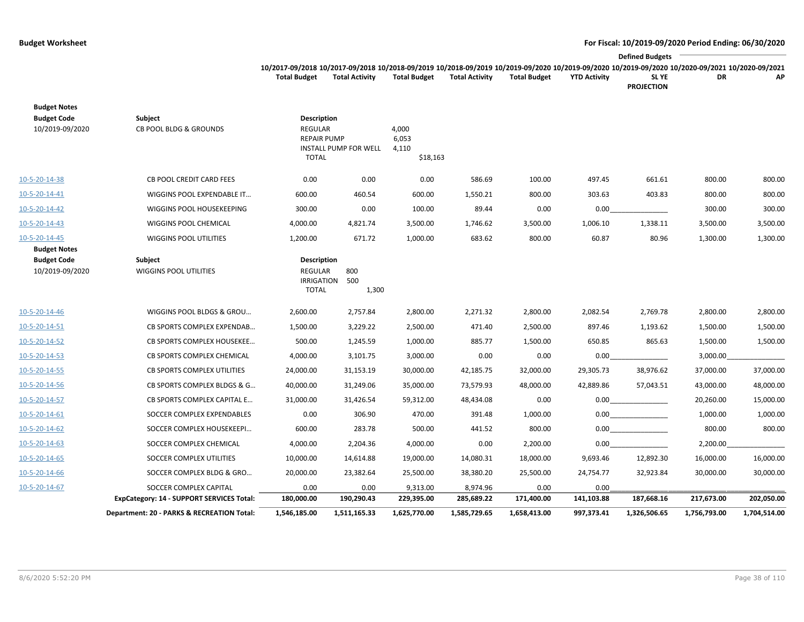### **Budget Worksheet For Fiscal: 10/2019-09/2020 Period Ending: 06/30/2020**  $\overline{\phantom{a}}$

|                                                                                                                                                                 |                |                     |                       |                     |                     | <b>Defined Budgets</b> |    |     |
|-----------------------------------------------------------------------------------------------------------------------------------------------------------------|----------------|---------------------|-----------------------|---------------------|---------------------|------------------------|----|-----|
| 10/2017-09/2018 10/2017-09/2018 10/2018-09/2019 10/2018-09/2019 10/2019-09/2020 10/2019-09/2020 10/2019-09/2020 10/2019-09/2020 10/2020-09/2021 10/2020-09/2021 |                |                     |                       |                     |                     |                        |    |     |
| <b>Total Budget</b>                                                                                                                                             | Total Activity | <b>Total Budget</b> | <b>Total Activity</b> | <b>Total Budget</b> | <b>YTD Activity</b> | <b>SLYE</b>            | DR | AP. |
|                                                                                                                                                                 |                |                     |                       |                     |                     | <b>PROJECTION</b>      |    |     |

|                                       | Department: 20 - PARKS & RECREATION Total: | 1,546,185.00                                                        | 1,511,165.33          | 1,625,770.00                        | 1,585,729.65 | 1,658,413.00 | 997,373.41 | 1,326,506.65 | 1,756,793.00 | 1,704,514.00 |
|---------------------------------------|--------------------------------------------|---------------------------------------------------------------------|-----------------------|-------------------------------------|--------------|--------------|------------|--------------|--------------|--------------|
|                                       | ExpCategory: 14 - SUPPORT SERVICES Total:  | 180,000.00                                                          | 190,290.43            | 229,395.00                          | 285,689.22   | 171,400.00   | 141,103.88 | 187,668.16   | 217,673.00   | 202,050.00   |
| 10-5-20-14-67                         | SOCCER COMPLEX CAPITAL                     | 0.00                                                                | 0.00                  | 9,313.00                            | 8,974.96     | 0.00         | 0.00       |              |              |              |
| 10-5-20-14-66                         | SOCCER COMPLEX BLDG & GRO                  | 20,000.00                                                           | 23,382.64             | 25,500.00                           | 38,380.20    | 25,500.00    | 24,754.77  | 32,923.84    | 30,000.00    | 30,000.00    |
| 10-5-20-14-65                         | SOCCER COMPLEX UTILITIES                   | 10,000.00                                                           | 14,614.88             | 19,000.00                           | 14,080.31    | 18,000.00    | 9,693.46   | 12,892.30    | 16,000.00    | 16,000.00    |
| 10-5-20-14-63                         | SOCCER COMPLEX CHEMICAL                    | 4,000.00                                                            | 2,204.36              | 4,000.00                            | 0.00         | 2,200.00     | 0.00       |              | 2,200.00     |              |
| 10-5-20-14-62                         | SOCCER COMPLEX HOUSEKEEPI                  | 600.00                                                              | 283.78                | 500.00                              | 441.52       | 800.00       | 0.00       |              | 800.00       | 800.00       |
| 10-5-20-14-61                         | SOCCER COMPLEX EXPENDABLES                 | 0.00                                                                | 306.90                | 470.00                              | 391.48       | 1,000.00     | 0.00       |              | 1,000.00     | 1,000.00     |
| 10-5-20-14-57                         | CB SPORTS COMPLEX CAPITAL E                | 31,000.00                                                           | 31,426.54             | 59,312.00                           | 48,434.08    | 0.00         | 0.00       |              | 20,260.00    | 15,000.00    |
| 10-5-20-14-56                         | CB SPORTS COMPLEX BLDGS & G                | 40,000.00                                                           | 31,249.06             | 35,000.00                           | 73,579.93    | 48,000.00    | 42,889.86  | 57,043.51    | 43,000.00    | 48,000.00    |
| 10-5-20-14-55                         | <b>CB SPORTS COMPLEX UTILITIES</b>         | 24,000.00                                                           | 31,153.19             | 30,000.00                           | 42,185.75    | 32,000.00    | 29,305.73  | 38,976.62    | 37,000.00    | 37,000.00    |
| 10-5-20-14-53                         | CB SPORTS COMPLEX CHEMICAL                 | 4,000.00                                                            | 3,101.75              | 3,000.00                            | 0.00         | 0.00         | 0.00       |              | 3,000.00     |              |
| 10-5-20-14-52                         | CB SPORTS COMPLEX HOUSEKEE                 | 500.00                                                              | 1,245.59              | 1,000.00                            | 885.77       | 1,500.00     | 650.85     | 865.63       | 1,500.00     | 1,500.00     |
| 10-5-20-14-51                         | CB SPORTS COMPLEX EXPENDAB                 | 1,500.00                                                            | 3,229.22              | 2,500.00                            | 471.40       | 2,500.00     | 897.46     | 1,193.62     | 1,500.00     | 1,500.00     |
| 10-5-20-14-46                         | WIGGINS POOL BLDGS & GROU                  | 2,600.00                                                            | 2,757.84              | 2,800.00                            | 2,271.32     | 2,800.00     | 2,082.54   | 2,769.78     | 2,800.00     | 2,800.00     |
| <b>Budget Code</b><br>10/2019-09/2020 | Subject<br><b>WIGGINS POOL UTILITIES</b>   | Description<br><b>REGULAR</b><br><b>IRRIGATION</b><br><b>TOTAL</b>  | 800<br>500<br>1,300   |                                     |              |              |            |              |              |              |
| 10-5-20-14-45<br><b>Budget Notes</b>  | WIGGINS POOL UTILITIES                     | 1,200.00                                                            | 671.72                | 1,000.00                            | 683.62       | 800.00       | 60.87      | 80.96        | 1,300.00     | 1,300.00     |
| 10-5-20-14-43                         | WIGGINS POOL CHEMICAL                      | 4,000.00                                                            | 4,821.74              | 3,500.00                            | 1,746.62     | 3,500.00     | 1,006.10   | 1,338.11     | 3,500.00     | 3,500.00     |
| 10-5-20-14-42                         | WIGGINS POOL HOUSEKEEPING                  | 300.00                                                              | 0.00                  | 100.00                              | 89.44        | 0.00         | 0.00       |              | 300.00       | 300.00       |
| 10-5-20-14-41                         | WIGGINS POOL EXPENDABLE IT                 | 600.00                                                              | 460.54                | 600.00                              | 1,550.21     | 800.00       | 303.63     | 403.83       | 800.00       | 800.00       |
| 10-5-20-14-38                         | <b>CB POOL CREDIT CARD FEES</b>            | 0.00                                                                | 0.00                  | 0.00                                | 586.69       | 100.00       | 497.45     | 661.61       | 800.00       | 800.00       |
| <b>Budget Code</b><br>10/2019-09/2020 | Subject<br>CB POOL BLDG & GROUNDS          | Description<br><b>REGULAR</b><br><b>REPAIR PUMP</b><br><b>TOTAL</b> | INSTALL PUMP FOR WELL | 4,000<br>6,053<br>4,110<br>\$18,163 |              |              |            |              |              |              |
| <b>Budget Notes</b>                   |                                            |                                                                     |                       |                                     |              |              |            |              |              |              |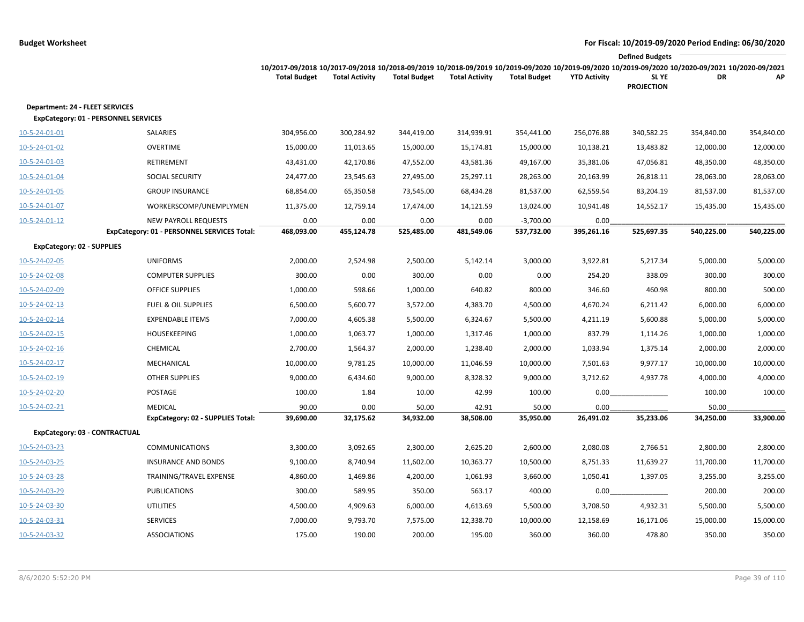|                                                                                       |                                                                            |                                                                                                                                                                        |                       |                     |                       |                           |                     | <b>Defined Budgets</b>     |            |            |
|---------------------------------------------------------------------------------------|----------------------------------------------------------------------------|------------------------------------------------------------------------------------------------------------------------------------------------------------------------|-----------------------|---------------------|-----------------------|---------------------------|---------------------|----------------------------|------------|------------|
|                                                                                       |                                                                            | 10/2017-09/2018 10/2017-09/2018 10/2018-09/2019 10/2018-09/2019 10/2019-09/2020 10/2019-09/2020 10/2019-09/2020 10/2020-09/2021 10/2020-09/2021<br><b>Total Budget</b> | <b>Total Activity</b> | <b>Total Budget</b> | <b>Total Activity</b> | <b>Total Budget</b>       | <b>YTD Activity</b> | SL YE<br><b>PROJECTION</b> | DR         | АP         |
| <b>Department: 24 - FLEET SERVICES</b><br><b>ExpCategory: 01 - PERSONNEL SERVICES</b> |                                                                            |                                                                                                                                                                        |                       |                     |                       |                           |                     |                            |            |            |
| 10-5-24-01-01                                                                         | SALARIES                                                                   | 304,956.00                                                                                                                                                             | 300,284.92            | 344,419.00          | 314,939.91            | 354,441.00                | 256,076.88          | 340,582.25                 | 354,840.00 | 354,840.00 |
| 10-5-24-01-02                                                                         | <b>OVERTIME</b>                                                            | 15,000.00                                                                                                                                                              | 11,013.65             | 15,000.00           | 15,174.81             | 15,000.00                 | 10,138.21           | 13,483.82                  | 12,000.00  | 12,000.00  |
| 10-5-24-01-03                                                                         | RETIREMENT                                                                 | 43,431.00                                                                                                                                                              | 42,170.86             | 47,552.00           | 43,581.36             | 49,167.00                 | 35,381.06           | 47,056.81                  | 48,350.00  | 48,350.00  |
| 10-5-24-01-04                                                                         | SOCIAL SECURITY                                                            | 24,477.00                                                                                                                                                              | 23,545.63             | 27,495.00           | 25,297.11             | 28,263.00                 | 20,163.99           | 26,818.11                  | 28,063.00  | 28,063.00  |
| 10-5-24-01-05                                                                         | <b>GROUP INSURANCE</b>                                                     | 68,854.00                                                                                                                                                              | 65,350.58             | 73,545.00           | 68,434.28             | 81,537.00                 | 62,559.54           | 83,204.19                  | 81,537.00  | 81,537.00  |
| 10-5-24-01-07                                                                         | WORKERSCOMP/UNEMPLYMEN                                                     | 11,375.00                                                                                                                                                              | 12,759.14             | 17,474.00           | 14,121.59             | 13,024.00                 | 10,941.48           | 14,552.17                  | 15,435.00  | 15,435.00  |
| 10-5-24-01-12                                                                         | <b>NEW PAYROLL REQUESTS</b><br>ExpCategory: 01 - PERSONNEL SERVICES Total: | 0.00<br>468,093.00                                                                                                                                                     | 0.00<br>455,124.78    | 0.00<br>525,485.00  | 0.00<br>481,549.06    | $-3,700.00$<br>537,732.00 | 0.00<br>395,261.16  | 525,697.35                 | 540,225.00 | 540,225.00 |
| <b>ExpCategory: 02 - SUPPLIES</b>                                                     |                                                                            |                                                                                                                                                                        |                       |                     |                       |                           |                     |                            |            |            |
| 10-5-24-02-05                                                                         | <b>UNIFORMS</b>                                                            | 2,000.00                                                                                                                                                               | 2,524.98              | 2,500.00            | 5,142.14              | 3,000.00                  | 3,922.81            | 5,217.34                   | 5,000.00   | 5,000.00   |
| 10-5-24-02-08                                                                         | <b>COMPUTER SUPPLIES</b>                                                   | 300.00                                                                                                                                                                 | 0.00                  | 300.00              | 0.00                  | 0.00                      | 254.20              | 338.09                     | 300.00     | 300.00     |
| 10-5-24-02-09                                                                         | <b>OFFICE SUPPLIES</b>                                                     | 1,000.00                                                                                                                                                               | 598.66                | 1,000.00            | 640.82                | 800.00                    | 346.60              | 460.98                     | 800.00     | 500.00     |
| 10-5-24-02-13                                                                         | <b>FUEL &amp; OIL SUPPLIES</b>                                             | 6,500.00                                                                                                                                                               | 5,600.77              | 3,572.00            | 4,383.70              | 4,500.00                  | 4,670.24            | 6,211.42                   | 6,000.00   | 6,000.00   |
| 10-5-24-02-14                                                                         | <b>EXPENDABLE ITEMS</b>                                                    | 7,000.00                                                                                                                                                               | 4,605.38              | 5,500.00            | 6,324.67              | 5,500.00                  | 4,211.19            | 5,600.88                   | 5,000.00   | 5,000.00   |
| 10-5-24-02-15                                                                         | <b>HOUSEKEEPING</b>                                                        | 1,000.00                                                                                                                                                               | 1,063.77              | 1,000.00            | 1,317.46              | 1,000.00                  | 837.79              | 1,114.26                   | 1,000.00   | 1,000.00   |
| $10 - 5 - 24 - 02 - 16$                                                               | CHEMICAL                                                                   | 2,700.00                                                                                                                                                               | 1,564.37              | 2,000.00            | 1,238.40              | 2,000.00                  | 1,033.94            | 1,375.14                   | 2,000.00   | 2,000.00   |
| 10-5-24-02-17                                                                         | MECHANICAL                                                                 | 10,000.00                                                                                                                                                              | 9,781.25              | 10,000.00           | 11,046.59             | 10,000.00                 | 7,501.63            | 9,977.17                   | 10,000.00  | 10,000.00  |
| 10-5-24-02-19                                                                         | <b>OTHER SUPPLIES</b>                                                      | 9,000.00                                                                                                                                                               | 6,434.60              | 9,000.00            | 8,328.32              | 9,000.00                  | 3,712.62            | 4,937.78                   | 4,000.00   | 4,000.00   |
| 10-5-24-02-20                                                                         | POSTAGE                                                                    | 100.00                                                                                                                                                                 | 1.84                  | 10.00               | 42.99                 | 100.00                    | 0.00                |                            | 100.00     | 100.00     |
| 10-5-24-02-21                                                                         | <b>MEDICAL</b>                                                             | 90.00                                                                                                                                                                  | 0.00                  | 50.00               | 42.91                 | 50.00                     | 0.00                |                            | 50.00      |            |
|                                                                                       | <b>ExpCategory: 02 - SUPPLIES Total:</b>                                   | 39,690.00                                                                                                                                                              | 32,175.62             | 34,932.00           | 38,508.00             | 35,950.00                 | 26,491.02           | 35,233.06                  | 34,250.00  | 33,900.00  |
| ExpCategory: 03 - CONTRACTUAL                                                         |                                                                            |                                                                                                                                                                        |                       |                     |                       |                           |                     |                            |            |            |
| 10-5-24-03-23                                                                         | <b>COMMUNICATIONS</b>                                                      | 3,300.00                                                                                                                                                               | 3,092.65              | 2,300.00            | 2,625.20              | 2,600.00                  | 2,080.08            | 2,766.51                   | 2,800.00   | 2,800.00   |
| 10-5-24-03-25                                                                         | <b>INSURANCE AND BONDS</b>                                                 | 9,100.00                                                                                                                                                               | 8,740.94              | 11,602.00           | 10,363.77             | 10,500.00                 | 8,751.33            | 11,639.27                  | 11,700.00  | 11,700.00  |
| 10-5-24-03-28                                                                         | TRAINING/TRAVEL EXPENSE                                                    | 4,860.00                                                                                                                                                               | 1,469.86              | 4,200.00            | 1,061.93              | 3,660.00                  | 1,050.41            | 1,397.05                   | 3,255.00   | 3,255.00   |
| 10-5-24-03-29                                                                         | PUBLICATIONS                                                               | 300.00                                                                                                                                                                 | 589.95                | 350.00              | 563.17                | 400.00                    | 0.00                |                            | 200.00     | 200.00     |
| 10-5-24-03-30                                                                         | <b>UTILITIES</b>                                                           | 4,500.00                                                                                                                                                               | 4,909.63              | 6,000.00            | 4,613.69              | 5,500.00                  | 3,708.50            | 4,932.31                   | 5,500.00   | 5,500.00   |
| 10-5-24-03-31                                                                         | <b>SERVICES</b>                                                            | 7,000.00                                                                                                                                                               | 9,793.70              | 7,575.00            | 12,338.70             | 10,000.00                 | 12,158.69           | 16,171.06                  | 15,000.00  | 15,000.00  |
| 10-5-24-03-32                                                                         | <b>ASSOCIATIONS</b>                                                        | 175.00                                                                                                                                                                 | 190.00                | 200.00              | 195.00                | 360.00                    | 360.00              | 478.80                     | 350.00     | 350.00     |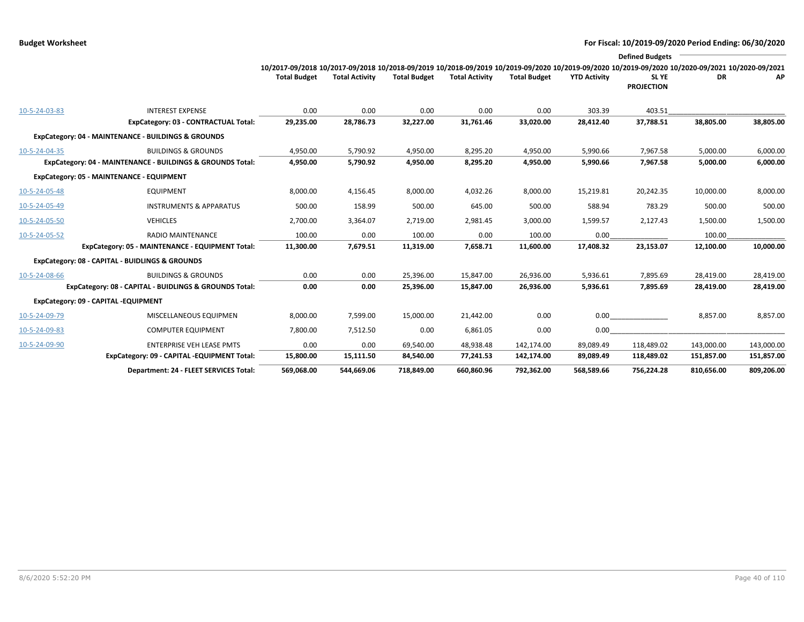|               |                                                            |                                                                                                                                                                        |                       |                     |                       |                     |                     | <b>Defined Budgets</b>     |            |            |
|---------------|------------------------------------------------------------|------------------------------------------------------------------------------------------------------------------------------------------------------------------------|-----------------------|---------------------|-----------------------|---------------------|---------------------|----------------------------|------------|------------|
|               |                                                            | 10/2017-09/2018 10/2017-09/2018 10/2018-09/2019 10/2018-09/2019 10/2019-09/2020 10/2019-09/2020 10/2019-09/2020 10/2020-09/2020 10/2020-09/2021<br><b>Total Budget</b> | <b>Total Activity</b> | <b>Total Budget</b> | <b>Total Activity</b> | <b>Total Budget</b> | <b>YTD Activity</b> | SL YE<br><b>PROJECTION</b> | DR         | AP         |
| 10-5-24-03-83 | <b>INTEREST EXPENSE</b>                                    | 0.00                                                                                                                                                                   | 0.00                  | 0.00                | 0.00                  | 0.00                | 303.39              | 403.51                     |            |            |
|               | ExpCategory: 03 - CONTRACTUAL Total:                       | 29,235.00                                                                                                                                                              | 28,786.73             | 32,227.00           | 31,761.46             | 33,020.00           | 28,412.40           | 37,788.51                  | 38,805.00  | 38,805.00  |
|               | ExpCategory: 04 - MAINTENANCE - BUILDINGS & GROUNDS        |                                                                                                                                                                        |                       |                     |                       |                     |                     |                            |            |            |
| 10-5-24-04-35 | <b>BUILDINGS &amp; GROUNDS</b>                             | 4,950.00                                                                                                                                                               | 5,790.92              | 4,950.00            | 8,295.20              | 4,950.00            | 5,990.66            | 7,967.58                   | 5,000.00   | 6,000.00   |
|               | ExpCategory: 04 - MAINTENANCE - BUILDINGS & GROUNDS Total: | 4,950.00                                                                                                                                                               | 5,790.92              | 4,950.00            | 8,295.20              | 4,950.00            | 5,990.66            | 7,967.58                   | 5,000.00   | 6,000.00   |
|               | ExpCategory: 05 - MAINTENANCE - EQUIPMENT                  |                                                                                                                                                                        |                       |                     |                       |                     |                     |                            |            |            |
| 10-5-24-05-48 | <b>EQUIPMENT</b>                                           | 8,000.00                                                                                                                                                               | 4,156.45              | 8,000.00            | 4,032.26              | 8,000.00            | 15,219.81           | 20,242.35                  | 10,000.00  | 8,000.00   |
| 10-5-24-05-49 | <b>INSTRUMENTS &amp; APPARATUS</b>                         | 500.00                                                                                                                                                                 | 158.99                | 500.00              | 645.00                | 500.00              | 588.94              | 783.29                     | 500.00     | 500.00     |
| 10-5-24-05-50 | <b>VEHICLES</b>                                            | 2,700.00                                                                                                                                                               | 3,364.07              | 2,719.00            | 2,981.45              | 3,000.00            | 1,599.57            | 2,127.43                   | 1,500.00   | 1,500.00   |
| 10-5-24-05-52 | <b>RADIO MAINTENANCE</b>                                   | 100.00                                                                                                                                                                 | 0.00                  | 100.00              | 0.00                  | 100.00              | 0.00                |                            | 100.00     |            |
|               | ExpCategory: 05 - MAINTENANCE - EQUIPMENT Total:           | 11,300.00                                                                                                                                                              | 7,679.51              | 11,319.00           | 7,658.71              | 11,600.00           | 17,408.32           | 23,153.07                  | 12,100.00  | 10,000.00  |
|               | ExpCategory: 08 - CAPITAL - BUIDLINGS & GROUNDS            |                                                                                                                                                                        |                       |                     |                       |                     |                     |                            |            |            |
| 10-5-24-08-66 | <b>BUILDINGS &amp; GROUNDS</b>                             | 0.00                                                                                                                                                                   | 0.00                  | 25,396.00           | 15,847.00             | 26,936.00           | 5,936.61            | 7,895.69                   | 28,419.00  | 28,419.00  |
|               | ExpCategory: 08 - CAPITAL - BUIDLINGS & GROUNDS Total:     | 0.00                                                                                                                                                                   | 0.00                  | 25,396.00           | 15,847.00             | 26,936.00           | 5,936.61            | 7,895.69                   | 28,419.00  | 28,419.00  |
|               | ExpCategory: 09 - CAPITAL -EQUIPMENT                       |                                                                                                                                                                        |                       |                     |                       |                     |                     |                            |            |            |
| 10-5-24-09-79 | MISCELLANEOUS EQUIPMEN                                     | 8,000.00                                                                                                                                                               | 7,599.00              | 15,000.00           | 21,442.00             | 0.00                | $0.00\,$            |                            | 8,857.00   | 8,857.00   |
| 10-5-24-09-83 | <b>COMPUTER EQUIPMENT</b>                                  | 7,800.00                                                                                                                                                               | 7,512.50              | 0.00                | 6,861.05              | 0.00                | 0.00                |                            |            |            |
| 10-5-24-09-90 | <b>ENTERPRISE VEH LEASE PMTS</b>                           | 0.00                                                                                                                                                                   | 0.00                  | 69,540.00           | 48,938.48             | 142,174.00          | 89,089.49           | 118,489.02                 | 143,000.00 | 143,000.00 |
|               | ExpCategory: 09 - CAPITAL -EQUIPMENT Total:                | 15,800.00                                                                                                                                                              | 15,111.50             | 84,540.00           | 77,241.53             | 142,174.00          | 89,089.49           | 118,489.02                 | 151,857.00 | 151,857.00 |
|               | Department: 24 - FLEET SERVICES Total:                     | 569,068.00                                                                                                                                                             | 544,669.06            | 718,849.00          | 660,860.96            | 792,362.00          | 568,589.66          | 756,224.28                 | 810,656.00 | 809,206.00 |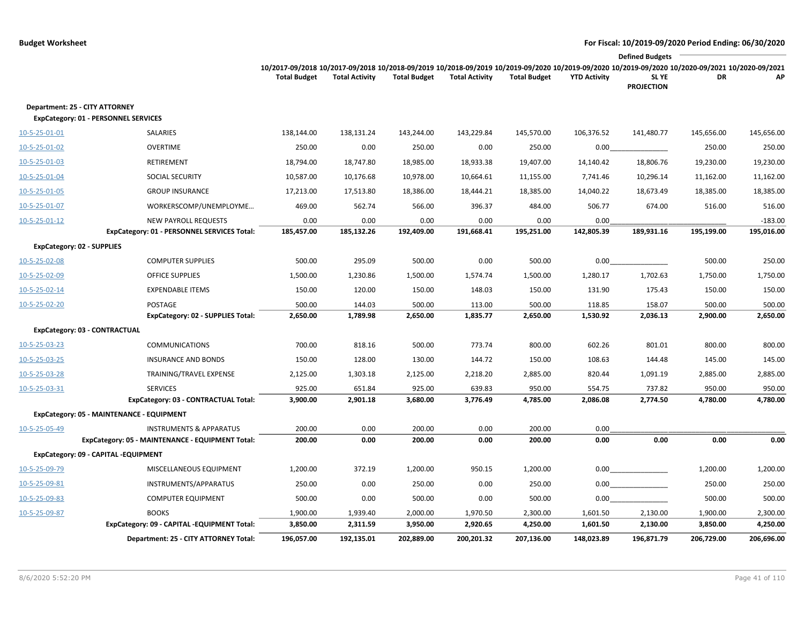|                         |                                                                               | <b>Defined Budgets</b>                                                                                                                                                 |                       |                     |                       |                     |                     |                            |            |            |  |
|-------------------------|-------------------------------------------------------------------------------|------------------------------------------------------------------------------------------------------------------------------------------------------------------------|-----------------------|---------------------|-----------------------|---------------------|---------------------|----------------------------|------------|------------|--|
|                         |                                                                               | 10/2017-09/2018 10/2017-09/2018 10/2018-09/2019 10/2018-09/2019 10/2019-09/2020 10/2019-09/2020 10/2019-09/2020 10/2020-09/2021 10/2020-09/2021<br><b>Total Budget</b> | <b>Total Activity</b> | <b>Total Budget</b> | <b>Total Activity</b> | <b>Total Budget</b> | <b>YTD Activity</b> | SL YE<br><b>PROJECTION</b> | DR         | AP         |  |
|                         | Department: 25 - CITY ATTORNEY<br><b>ExpCategory: 01 - PERSONNEL SERVICES</b> |                                                                                                                                                                        |                       |                     |                       |                     |                     |                            |            |            |  |
| 10-5-25-01-01           | SALARIES                                                                      | 138,144.00                                                                                                                                                             | 138,131.24            | 143,244.00          | 143,229.84            | 145,570.00          | 106,376.52          | 141,480.77                 | 145,656.00 | 145,656.00 |  |
| 10-5-25-01-02           | <b>OVERTIME</b>                                                               | 250.00                                                                                                                                                                 | 0.00                  | 250.00              | 0.00                  | 250.00              | 0.00                |                            | 250.00     | 250.00     |  |
| 10-5-25-01-03           | RETIREMENT                                                                    | 18,794.00                                                                                                                                                              | 18,747.80             | 18,985.00           | 18,933.38             | 19,407.00           | 14,140.42           | 18,806.76                  | 19,230.00  | 19,230.00  |  |
| 10-5-25-01-04           | SOCIAL SECURITY                                                               | 10,587.00                                                                                                                                                              | 10,176.68             | 10,978.00           | 10,664.61             | 11,155.00           | 7,741.46            | 10,296.14                  | 11,162.00  | 11,162.00  |  |
| 10-5-25-01-05           | <b>GROUP INSURANCE</b>                                                        | 17,213.00                                                                                                                                                              | 17,513.80             | 18,386.00           | 18,444.21             | 18,385.00           | 14,040.22           | 18,673.49                  | 18,385.00  | 18,385.00  |  |
| 10-5-25-01-07           | WORKERSCOMP/UNEMPLOYME                                                        | 469.00                                                                                                                                                                 | 562.74                | 566.00              | 396.37                | 484.00              | 506.77              | 674.00                     | 516.00     | 516.00     |  |
| $10 - 5 - 25 - 01 - 12$ | <b>NEW PAYROLL REQUESTS</b>                                                   | 0.00                                                                                                                                                                   | 0.00                  | 0.00                | 0.00                  | 0.00                | 0.00                |                            |            | $-183.00$  |  |
|                         | ExpCategory: 01 - PERSONNEL SERVICES Total:                                   | 185,457.00                                                                                                                                                             | 185,132.26            | 192,409.00          | 191,668.41            | 195,251.00          | 142,805.39          | 189,931.16                 | 195,199.00 | 195,016.00 |  |
|                         | <b>ExpCategory: 02 - SUPPLIES</b>                                             |                                                                                                                                                                        |                       |                     |                       |                     |                     |                            |            |            |  |
| 10-5-25-02-08           | <b>COMPUTER SUPPLIES</b>                                                      | 500.00                                                                                                                                                                 | 295.09                | 500.00              | 0.00                  | 500.00              | 0.00                |                            | 500.00     | 250.00     |  |
| 10-5-25-02-09           | <b>OFFICE SUPPLIES</b>                                                        | 1,500.00                                                                                                                                                               | 1,230.86              | 1,500.00            | 1,574.74              | 1,500.00            | 1,280.17            | 1,702.63                   | 1,750.00   | 1,750.00   |  |
| 10-5-25-02-14           | <b>EXPENDABLE ITEMS</b>                                                       | 150.00                                                                                                                                                                 | 120.00                | 150.00              | 148.03                | 150.00              | 131.90              | 175.43                     | 150.00     | 150.00     |  |
| 10-5-25-02-20           | <b>POSTAGE</b>                                                                | 500.00                                                                                                                                                                 | 144.03                | 500.00              | 113.00                | 500.00              | 118.85              | 158.07                     | 500.00     | 500.00     |  |
|                         | ExpCategory: 02 - SUPPLIES Total:                                             | 2,650.00                                                                                                                                                               | 1,789.98              | 2,650.00            | 1,835.77              | 2,650.00            | 1,530.92            | 2,036.13                   | 2,900.00   | 2,650.00   |  |
|                         | ExpCategory: 03 - CONTRACTUAL                                                 |                                                                                                                                                                        |                       |                     |                       |                     |                     |                            |            |            |  |
| 10-5-25-03-23           | <b>COMMUNICATIONS</b>                                                         | 700.00                                                                                                                                                                 | 818.16                | 500.00              | 773.74                | 800.00              | 602.26              | 801.01                     | 800.00     | 800.00     |  |
| 10-5-25-03-25           | <b>INSURANCE AND BONDS</b>                                                    | 150.00                                                                                                                                                                 | 128.00                | 130.00              | 144.72                | 150.00              | 108.63              | 144.48                     | 145.00     | 145.00     |  |
| 10-5-25-03-28           | TRAINING/TRAVEL EXPENSE                                                       | 2,125.00                                                                                                                                                               | 1,303.18              | 2,125.00            | 2,218.20              | 2,885.00            | 820.44              | 1,091.19                   | 2,885.00   | 2,885.00   |  |
| 10-5-25-03-31           | <b>SERVICES</b>                                                               | 925.00                                                                                                                                                                 | 651.84                | 925.00              | 639.83                | 950.00              | 554.75              | 737.82                     | 950.00     | 950.00     |  |
|                         | ExpCategory: 03 - CONTRACTUAL Total:                                          | 3,900.00                                                                                                                                                               | 2,901.18              | 3,680.00            | 3,776.49              | 4,785.00            | 2,086.08            | 2,774.50                   | 4,780.00   | 4,780.00   |  |
|                         | ExpCategory: 05 - MAINTENANCE - EQUIPMENT                                     |                                                                                                                                                                        |                       |                     |                       |                     |                     |                            |            |            |  |
| 10-5-25-05-49           | <b>INSTRUMENTS &amp; APPARATUS</b>                                            | 200.00                                                                                                                                                                 | 0.00                  | 200.00              | 0.00                  | 200.00              | 0.00                |                            |            |            |  |
|                         | ExpCategory: 05 - MAINTENANCE - EQUIPMENT Total:                              | 200.00                                                                                                                                                                 | 0.00                  | 200.00              | 0.00                  | 200.00              | 0.00                | 0.00                       | 0.00       | 0.00       |  |
|                         | ExpCategory: 09 - CAPITAL -EQUIPMENT                                          |                                                                                                                                                                        |                       |                     |                       |                     |                     |                            |            |            |  |
| 10-5-25-09-79           | MISCELLANEOUS EQUIPMENT                                                       | 1,200.00                                                                                                                                                               | 372.19                | 1,200.00            | 950.15                | 1,200.00            | 0.00                |                            | 1,200.00   | 1,200.00   |  |
| 10-5-25-09-81           | INSTRUMENTS/APPARATUS                                                         | 250.00                                                                                                                                                                 | 0.00                  | 250.00              | 0.00                  | 250.00              |                     | 0.00                       | 250.00     | 250.00     |  |
| 10-5-25-09-83           | <b>COMPUTER EQUIPMENT</b>                                                     | 500.00                                                                                                                                                                 | 0.00                  | 500.00              | 0.00                  | 500.00              | 0.00                |                            | 500.00     | 500.00     |  |
| 10-5-25-09-87           | <b>BOOKS</b>                                                                  | 1,900.00                                                                                                                                                               | 1,939.40              | 2,000.00            | 1,970.50              | 2,300.00            | 1,601.50            | 2,130.00                   | 1,900.00   | 2,300.00   |  |
|                         | ExpCategory: 09 - CAPITAL -EQUIPMENT Total:                                   | 3,850.00                                                                                                                                                               | 2,311.59              | 3,950.00            | 2,920.65              | 4,250.00            | 1,601.50            | 2,130.00                   | 3,850.00   | 4,250.00   |  |
|                         | Department: 25 - CITY ATTORNEY Total:                                         | 196,057.00                                                                                                                                                             | 192,135.01            | 202,889.00          | 200,201.32            | 207,136.00          | 148,023.89          | 196,871.79                 | 206,729.00 | 206,696.00 |  |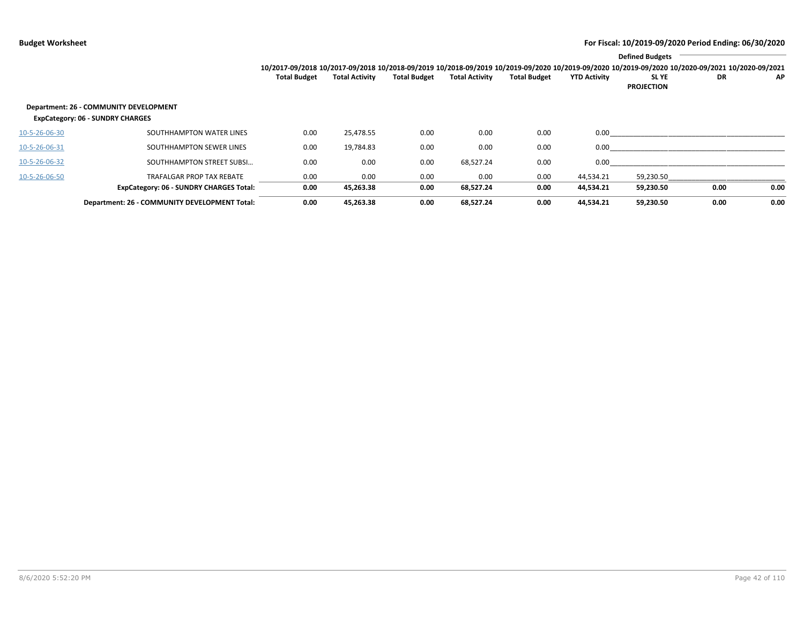|               |                                                                                   |                     |                       |                     |                       |                     |                     | <b>Defined Budgets</b>                                                                                                                                          |      |      |
|---------------|-----------------------------------------------------------------------------------|---------------------|-----------------------|---------------------|-----------------------|---------------------|---------------------|-----------------------------------------------------------------------------------------------------------------------------------------------------------------|------|------|
|               |                                                                                   |                     |                       |                     |                       |                     |                     | 10/2017-09/2018 10/2017-09/2018 10/2018-09/2019 10/2018-09/2019 10/2019-09/2020 10/2019-09/2020 10/2019-09/2020 10/2019-09/2020 10/2020-09/2021 10/2020-09/2021 |      |      |
|               |                                                                                   | <b>Total Budget</b> | <b>Total Activity</b> | <b>Total Budget</b> | <b>Total Activity</b> | <b>Total Budget</b> | <b>YTD Activity</b> | SL YE<br><b>PROJECTION</b>                                                                                                                                      | DR   | ΑP   |
|               | Department: 26 - COMMUNITY DEVELOPMENT<br><b>ExpCategory: 06 - SUNDRY CHARGES</b> |                     |                       |                     |                       |                     |                     |                                                                                                                                                                 |      |      |
| 10-5-26-06-30 | SOUTHHAMPTON WATER LINES                                                          | 0.00                | 25,478.55             | 0.00                | 0.00                  | 0.00                | 0.00                |                                                                                                                                                                 |      |      |
| 10-5-26-06-31 | SOUTHHAMPTON SEWER LINES                                                          | 0.00                | 19,784.83             | 0.00                | 0.00                  | 0.00                | 0.00                |                                                                                                                                                                 |      |      |
| 10-5-26-06-32 | SOUTHHAMPTON STREET SUBSI                                                         | 0.00                | 0.00                  | 0.00                | 68,527.24             | 0.00                | 0.00                |                                                                                                                                                                 |      |      |
| 10-5-26-06-50 | <b>TRAFALGAR PROP TAX REBATE</b>                                                  | 0.00                | 0.00                  | 0.00                | 0.00                  | 0.00                | 44,534.21           | 59,230.50                                                                                                                                                       |      |      |
|               | <b>ExpCategory: 06 - SUNDRY CHARGES Total:</b>                                    | 0.00                | 45,263.38             | 0.00                | 68,527.24             | 0.00                | 44,534.21           | 59,230.50                                                                                                                                                       | 0.00 | 0.00 |
|               | Department: 26 - COMMUNITY DEVELOPMENT Total:                                     | 0.00                | 45,263.38             | 0.00                | 68,527.24             | 0.00                | 44.534.21           | 59.230.50                                                                                                                                                       | 0.00 | 0.00 |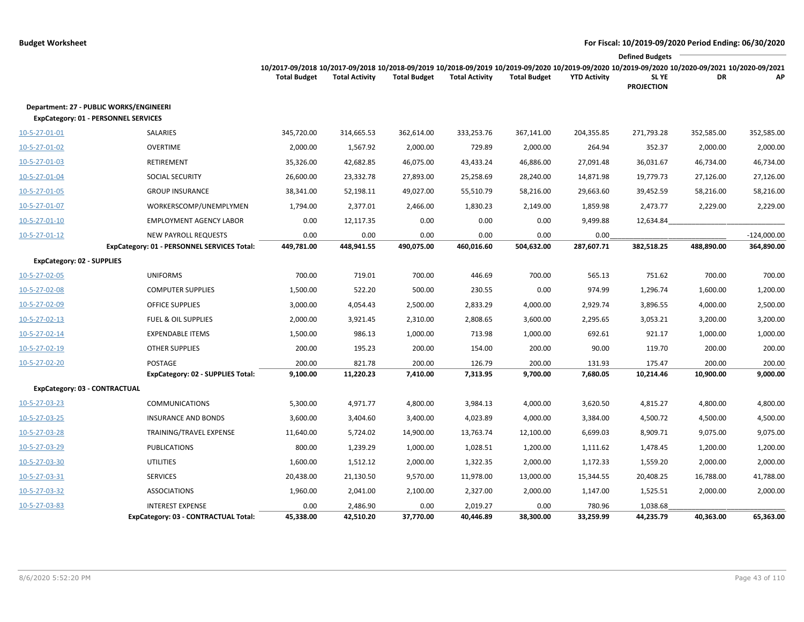|                                                                                        |                                             |                     |                       |                     |                       |                     |                     | <b>Defined Budgets</b>                                                                                                                                                              |            |               |
|----------------------------------------------------------------------------------------|---------------------------------------------|---------------------|-----------------------|---------------------|-----------------------|---------------------|---------------------|-------------------------------------------------------------------------------------------------------------------------------------------------------------------------------------|------------|---------------|
|                                                                                        |                                             | <b>Total Budget</b> | <b>Total Activity</b> | <b>Total Budget</b> | <b>Total Activity</b> | <b>Total Budget</b> | <b>YTD Activity</b> | 10/2017-09/2018 10/2017-09/2018 10/2018-09/2019 10/2018-09/2019 10/2019-09/2020 10/2019-09/2020 10/2019-09/2020 10/2020-09/2021 10/2020-09/2021<br><b>SLYE</b><br><b>PROJECTION</b> | DR         | АP            |
| Department: 27 - PUBLIC WORKS/ENGINEERI<br><b>ExpCategory: 01 - PERSONNEL SERVICES</b> |                                             |                     |                       |                     |                       |                     |                     |                                                                                                                                                                                     |            |               |
| 10-5-27-01-01                                                                          | SALARIES                                    | 345,720.00          | 314,665.53            | 362,614.00          | 333,253.76            | 367,141.00          | 204,355.85          | 271,793.28                                                                                                                                                                          | 352,585.00 | 352,585.00    |
| 10-5-27-01-02                                                                          | <b>OVERTIME</b>                             | 2,000.00            | 1,567.92              | 2,000.00            | 729.89                | 2,000.00            | 264.94              | 352.37                                                                                                                                                                              | 2,000.00   | 2,000.00      |
| 10-5-27-01-03                                                                          | RETIREMENT                                  | 35,326.00           | 42,682.85             | 46,075.00           | 43,433.24             | 46,886.00           | 27,091.48           | 36,031.67                                                                                                                                                                           | 46,734.00  | 46,734.00     |
| 10-5-27-01-04                                                                          | SOCIAL SECURITY                             | 26,600.00           | 23,332.78             | 27,893.00           | 25,258.69             | 28,240.00           | 14,871.98           | 19,779.73                                                                                                                                                                           | 27,126.00  | 27,126.00     |
| 10-5-27-01-05                                                                          | <b>GROUP INSURANCE</b>                      | 38,341.00           | 52,198.11             | 49,027.00           | 55,510.79             | 58,216.00           | 29,663.60           | 39,452.59                                                                                                                                                                           | 58,216.00  | 58,216.00     |
| 10-5-27-01-07                                                                          | WORKERSCOMP/UNEMPLYMEN                      | 1,794.00            | 2,377.01              | 2,466.00            | 1,830.23              | 2,149.00            | 1,859.98            | 2,473.77                                                                                                                                                                            | 2,229.00   | 2,229.00      |
| 10-5-27-01-10                                                                          | <b>EMPLOYMENT AGENCY LABOR</b>              | 0.00                | 12,117.35             | 0.00                | 0.00                  | 0.00                | 9,499.88            | 12,634.84                                                                                                                                                                           |            |               |
| 10-5-27-01-12                                                                          | NEW PAYROLL REQUESTS                        | 0.00                | 0.00                  | 0.00                | 0.00                  | 0.00                | 0.00                |                                                                                                                                                                                     |            | $-124,000.00$ |
|                                                                                        | ExpCategory: 01 - PERSONNEL SERVICES Total: | 449,781.00          | 448,941.55            | 490,075.00          | 460,016.60            | 504,632.00          | 287,607.71          | 382,518.25                                                                                                                                                                          | 488,890.00 | 364,890.00    |
| <b>ExpCategory: 02 - SUPPLIES</b>                                                      |                                             |                     |                       |                     |                       |                     |                     |                                                                                                                                                                                     |            |               |
| 10-5-27-02-05                                                                          | <b>UNIFORMS</b>                             | 700.00              | 719.01                | 700.00              | 446.69                | 700.00              | 565.13              | 751.62                                                                                                                                                                              | 700.00     | 700.00        |
| 10-5-27-02-08                                                                          | <b>COMPUTER SUPPLIES</b>                    | 1,500.00            | 522.20                | 500.00              | 230.55                | 0.00                | 974.99              | 1,296.74                                                                                                                                                                            | 1,600.00   | 1,200.00      |
| 10-5-27-02-09                                                                          | <b>OFFICE SUPPLIES</b>                      | 3,000.00            | 4,054.43              | 2,500.00            | 2,833.29              | 4,000.00            | 2,929.74            | 3,896.55                                                                                                                                                                            | 4,000.00   | 2,500.00      |
| 10-5-27-02-13                                                                          | <b>FUEL &amp; OIL SUPPLIES</b>              | 2,000.00            | 3,921.45              | 2,310.00            | 2,808.65              | 3,600.00            | 2,295.65            | 3,053.21                                                                                                                                                                            | 3,200.00   | 3,200.00      |
| 10-5-27-02-14                                                                          | <b>EXPENDABLE ITEMS</b>                     | 1,500.00            | 986.13                | 1,000.00            | 713.98                | 1,000.00            | 692.61              | 921.17                                                                                                                                                                              | 1,000.00   | 1,000.00      |
| 10-5-27-02-19                                                                          | <b>OTHER SUPPLIES</b>                       | 200.00              | 195.23                | 200.00              | 154.00                | 200.00              | 90.00               | 119.70                                                                                                                                                                              | 200.00     | 200.00        |
| 10-5-27-02-20                                                                          | POSTAGE                                     | 200.00              | 821.78                | 200.00              | 126.79                | 200.00              | 131.93              | 175.47                                                                                                                                                                              | 200.00     | 200.00        |
|                                                                                        | <b>ExpCategory: 02 - SUPPLIES Total:</b>    | 9,100.00            | 11,220.23             | 7,410.00            | 7,313.95              | 9,700.00            | 7,680.05            | 10,214.46                                                                                                                                                                           | 10,900.00  | 9,000.00      |
| ExpCategory: 03 - CONTRACTUAL                                                          |                                             |                     |                       |                     |                       |                     |                     |                                                                                                                                                                                     |            |               |
| 10-5-27-03-23                                                                          | <b>COMMUNICATIONS</b>                       | 5,300.00            | 4,971.77              | 4,800.00            | 3,984.13              | 4,000.00            | 3,620.50            | 4,815.27                                                                                                                                                                            | 4,800.00   | 4,800.00      |
| 10-5-27-03-25                                                                          | <b>INSURANCE AND BONDS</b>                  | 3,600.00            | 3,404.60              | 3,400.00            | 4,023.89              | 4,000.00            | 3,384.00            | 4,500.72                                                                                                                                                                            | 4,500.00   | 4,500.00      |
| 10-5-27-03-28                                                                          | TRAINING/TRAVEL EXPENSE                     | 11,640.00           | 5,724.02              | 14,900.00           | 13,763.74             | 12,100.00           | 6,699.03            | 8,909.71                                                                                                                                                                            | 9,075.00   | 9,075.00      |
| 10-5-27-03-29                                                                          | <b>PUBLICATIONS</b>                         | 800.00              | 1,239.29              | 1,000.00            | 1,028.51              | 1,200.00            | 1,111.62            | 1,478.45                                                                                                                                                                            | 1,200.00   | 1,200.00      |
| 10-5-27-03-30                                                                          | <b>UTILITIES</b>                            | 1,600.00            | 1,512.12              | 2,000.00            | 1,322.35              | 2,000.00            | 1,172.33            | 1,559.20                                                                                                                                                                            | 2,000.00   | 2,000.00      |
| 10-5-27-03-31                                                                          | <b>SERVICES</b>                             | 20,438.00           | 21,130.50             | 9,570.00            | 11,978.00             | 13,000.00           | 15,344.55           | 20,408.25                                                                                                                                                                           | 16,788.00  | 41,788.00     |
| 10-5-27-03-32                                                                          | <b>ASSOCIATIONS</b>                         | 1,960.00            | 2,041.00              | 2,100.00            | 2,327.00              | 2,000.00            | 1,147.00            | 1,525.51                                                                                                                                                                            | 2,000.00   | 2,000.00      |
| 10-5-27-03-83                                                                          | <b>INTEREST EXPENSE</b>                     | 0.00                | 2,486.90              | 0.00                | 2,019.27              | 0.00                | 780.96              | 1,038.68                                                                                                                                                                            |            |               |
|                                                                                        | ExpCategory: 03 - CONTRACTUAL Total:        | 45,338.00           | 42,510.20             | 37,770.00           | 40,446.89             | 38,300.00           | 33,259.99           | 44,235.79                                                                                                                                                                           | 40,363.00  | 65,363.00     |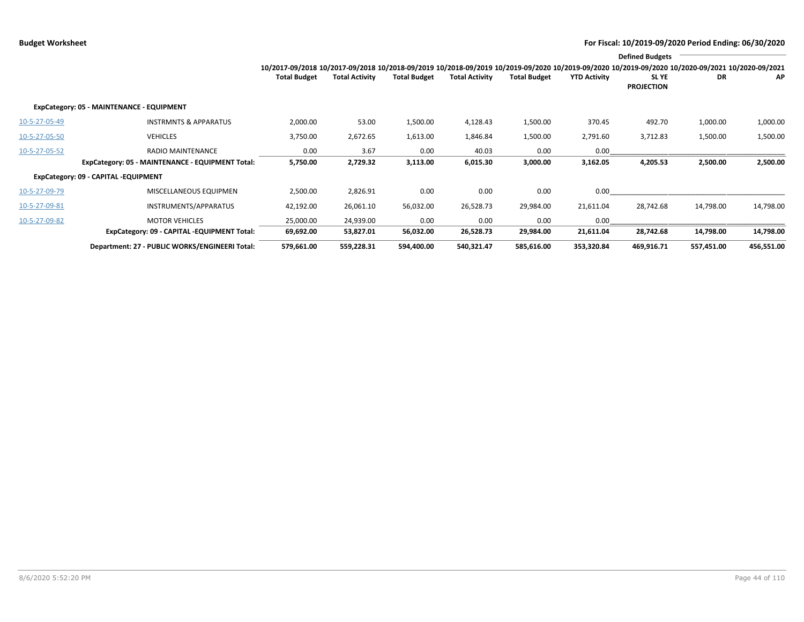|               |                                                  |                                                                                                                                                                 |                       |                     |                       |                     |                     | <b>Defined Budgets</b>           |            |            |
|---------------|--------------------------------------------------|-----------------------------------------------------------------------------------------------------------------------------------------------------------------|-----------------------|---------------------|-----------------------|---------------------|---------------------|----------------------------------|------------|------------|
|               |                                                  | 10/2017-09/2018 10/2017-09/2018 10/2018-09/2019 10/2018-09/2019 10/2019-09/2020 10/2019-09/2020 10/2019-09/2020 10/2019-09/2020 10/2020-09/2021 10/2020-09/2021 |                       |                     |                       |                     |                     |                                  |            |            |
|               |                                                  | <b>Total Budget</b>                                                                                                                                             | <b>Total Activity</b> | <b>Total Budget</b> | <b>Total Activity</b> | <b>Total Budget</b> | <b>YTD Activity</b> | <b>SLYE</b><br><b>PROJECTION</b> | DR         | АP         |
|               | ExpCategory: 05 - MAINTENANCE - EQUIPMENT        |                                                                                                                                                                 |                       |                     |                       |                     |                     |                                  |            |            |
| 10-5-27-05-49 | <b>INSTRMNTS &amp; APPARATUS</b>                 | 2,000.00                                                                                                                                                        | 53.00                 | 1,500.00            | 4,128.43              | 1,500.00            | 370.45              | 492.70                           | 1,000.00   | 1,000.00   |
| 10-5-27-05-50 | <b>VEHICLES</b>                                  | 3,750.00                                                                                                                                                        | 2,672.65              | 1,613.00            | 1,846.84              | 1,500.00            | 2,791.60            | 3,712.83                         | 1,500.00   | 1,500.00   |
| 10-5-27-05-52 | RADIO MAINTENANCE                                | 0.00                                                                                                                                                            | 3.67                  | 0.00                | 40.03                 | 0.00                | 0.00                |                                  |            |            |
|               | ExpCategory: 05 - MAINTENANCE - EQUIPMENT Total: | 5,750.00                                                                                                                                                        | 2,729.32              | 3,113.00            | 6,015.30              | 3,000.00            | 3,162.05            | 4,205.53                         | 2,500.00   | 2,500.00   |
|               | ExpCategory: 09 - CAPITAL -EQUIPMENT             |                                                                                                                                                                 |                       |                     |                       |                     |                     |                                  |            |            |
| 10-5-27-09-79 | MISCELLANEOUS EQUIPMEN                           | 2,500.00                                                                                                                                                        | 2,826.91              | 0.00                | 0.00                  | 0.00                | 0.00                |                                  |            |            |
| 10-5-27-09-81 | INSTRUMENTS/APPARATUS                            | 42,192.00                                                                                                                                                       | 26,061.10             | 56,032.00           | 26,528.73             | 29,984.00           | 21,611.04           | 28,742.68                        | 14,798.00  | 14,798.00  |
| 10-5-27-09-82 | <b>MOTOR VEHICLES</b>                            | 25,000.00                                                                                                                                                       | 24,939.00             | 0.00                | 0.00                  | 0.00                | 0.00                |                                  |            |            |
|               | ExpCategory: 09 - CAPITAL -EQUIPMENT Total:      | 69,692.00                                                                                                                                                       | 53,827.01             | 56,032.00           | 26,528.73             | 29,984.00           | 21,611.04           | 28,742.68                        | 14,798.00  | 14,798.00  |
|               | Department: 27 - PUBLIC WORKS/ENGINEERI Total:   | 579,661.00                                                                                                                                                      | 559,228.31            | 594,400.00          | 540,321.47            | 585,616.00          | 353,320.84          | 469,916.71                       | 557,451.00 | 456,551.00 |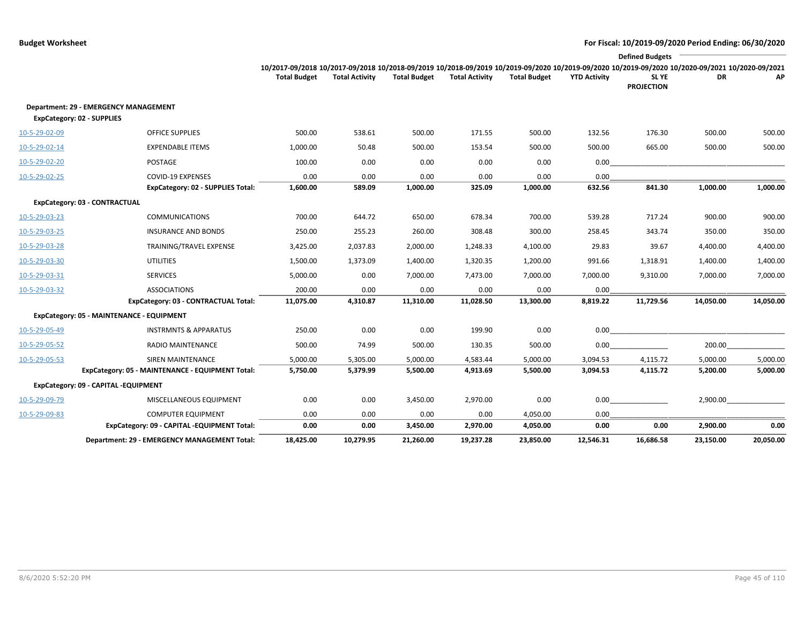|               |                                                     |                     |                       |                     |                       |                     |                     | <b>Defined Budgets</b>                                                                                                                                          |           |           |
|---------------|-----------------------------------------------------|---------------------|-----------------------|---------------------|-----------------------|---------------------|---------------------|-----------------------------------------------------------------------------------------------------------------------------------------------------------------|-----------|-----------|
|               |                                                     |                     |                       |                     |                       |                     |                     | 10/2017-09/2018 10/2017-09/2018 10/2018-09/2019 10/2018-09/2019 10/2019-09/2020 10/2019-09/2020 10/2019-09/2020 10/2019-09/2020 10/2020-09/2021 10/2020-09/2021 |           |           |
|               |                                                     | <b>Total Budget</b> | <b>Total Activity</b> | <b>Total Budget</b> | <b>Total Activity</b> | <b>Total Budget</b> | <b>YTD Activity</b> | SL YE<br><b>PROJECTION</b>                                                                                                                                      | <b>DR</b> | АP        |
|               | Department: 29 - EMERGENCY MANAGEMENT               |                     |                       |                     |                       |                     |                     |                                                                                                                                                                 |           |           |
|               | ExpCategory: 02 - SUPPLIES                          |                     |                       |                     |                       |                     |                     |                                                                                                                                                                 |           |           |
| 10-5-29-02-09 | <b>OFFICE SUPPLIES</b>                              | 500.00              | 538.61                | 500.00              | 171.55                | 500.00              | 132.56              | 176.30                                                                                                                                                          | 500.00    | 500.00    |
| 10-5-29-02-14 | <b>EXPENDABLE ITEMS</b>                             | 1,000.00            | 50.48                 | 500.00              | 153.54                | 500.00              | 500.00              | 665.00                                                                                                                                                          | 500.00    | 500.00    |
| 10-5-29-02-20 | POSTAGE                                             | 100.00              | 0.00                  | 0.00                | 0.00                  | 0.00                | 0.00                |                                                                                                                                                                 |           |           |
| 10-5-29-02-25 | <b>COVID-19 EXPENSES</b>                            | 0.00                | 0.00                  | 0.00                | 0.00                  | 0.00                | 0.00                |                                                                                                                                                                 |           |           |
|               | <b>ExpCategory: 02 - SUPPLIES Total:</b>            | 1,600.00            | 589.09                | 1,000.00            | 325.09                | 1,000.00            | 632.56              | 841.30                                                                                                                                                          | 1,000.00  | 1,000.00  |
|               | ExpCategory: 03 - CONTRACTUAL                       |                     |                       |                     |                       |                     |                     |                                                                                                                                                                 |           |           |
| 10-5-29-03-23 | <b>COMMUNICATIONS</b>                               | 700.00              | 644.72                | 650.00              | 678.34                | 700.00              | 539.28              | 717.24                                                                                                                                                          | 900.00    | 900.00    |
| 10-5-29-03-25 | <b>INSURANCE AND BONDS</b>                          | 250.00              | 255.23                | 260.00              | 308.48                | 300.00              | 258.45              | 343.74                                                                                                                                                          | 350.00    | 350.00    |
| 10-5-29-03-28 | TRAINING/TRAVEL EXPENSE                             | 3,425.00            | 2,037.83              | 2,000.00            | 1,248.33              | 4,100.00            | 29.83               | 39.67                                                                                                                                                           | 4,400.00  | 4,400.00  |
| 10-5-29-03-30 | <b>UTILITIES</b>                                    | 1,500.00            | 1,373.09              | 1,400.00            | 1,320.35              | 1,200.00            | 991.66              | 1,318.91                                                                                                                                                        | 1,400.00  | 1,400.00  |
| 10-5-29-03-31 | <b>SERVICES</b>                                     | 5,000.00            | 0.00                  | 7,000.00            | 7,473.00              | 7,000.00            | 7,000.00            | 9,310.00                                                                                                                                                        | 7,000.00  | 7,000.00  |
| 10-5-29-03-32 | <b>ASSOCIATIONS</b>                                 | 200.00              | 0.00                  | 0.00                | 0.00                  | 0.00                | 0.00                |                                                                                                                                                                 |           |           |
|               | ExpCategory: 03 - CONTRACTUAL Total:                | 11,075.00           | 4,310.87              | 11,310.00           | 11,028.50             | 13,300.00           | 8,819.22            | 11,729.56                                                                                                                                                       | 14,050.00 | 14,050.00 |
|               | ExpCategory: 05 - MAINTENANCE - EQUIPMENT           |                     |                       |                     |                       |                     |                     |                                                                                                                                                                 |           |           |
| 10-5-29-05-49 | <b>INSTRMNTS &amp; APPARATUS</b>                    | 250.00              | 0.00                  | 0.00                | 199.90                | 0.00                | 0.00                |                                                                                                                                                                 |           |           |
| 10-5-29-05-52 | <b>RADIO MAINTENANCE</b>                            | 500.00              | 74.99                 | 500.00              | 130.35                | 500.00              | 0.00                |                                                                                                                                                                 | 200.00    |           |
| 10-5-29-05-53 | <b>SIREN MAINTENANCE</b>                            | 5,000.00            | 5,305.00              | 5,000.00            | 4,583.44              | 5,000.00            | 3,094.53            | 4,115.72                                                                                                                                                        | 5,000.00  | 5,000.00  |
|               | ExpCategory: 05 - MAINTENANCE - EQUIPMENT Total:    | 5,750.00            | 5,379.99              | 5,500.00            | 4,913.69              | 5,500.00            | 3,094.53            | 4,115.72                                                                                                                                                        | 5,200.00  | 5,000.00  |
|               | ExpCategory: 09 - CAPITAL -EQUIPMENT                |                     |                       |                     |                       |                     |                     |                                                                                                                                                                 |           |           |
| 10-5-29-09-79 | MISCELLANEOUS EQUIPMENT                             | 0.00                | 0.00                  | 3,450.00            | 2,970.00              | 0.00                | 0.00                |                                                                                                                                                                 | 2,900.00  |           |
| 10-5-29-09-83 | <b>COMPUTER EQUIPMENT</b>                           | 0.00                | 0.00                  | 0.00                | 0.00                  | 4,050.00            | 0.00                |                                                                                                                                                                 |           |           |
|               | ExpCategory: 09 - CAPITAL -EQUIPMENT Total:         | 0.00                | 0.00                  | 3,450.00            | 2,970.00              | 4,050.00            | 0.00                | 0.00                                                                                                                                                            | 2,900.00  | 0.00      |
|               | <b>Department: 29 - EMERGENCY MANAGEMENT Total:</b> | 18,425.00           | 10,279.95             | 21,260.00           | 19,237.28             | 23,850.00           | 12,546.31           | 16,686.58                                                                                                                                                       | 23,150.00 | 20,050.00 |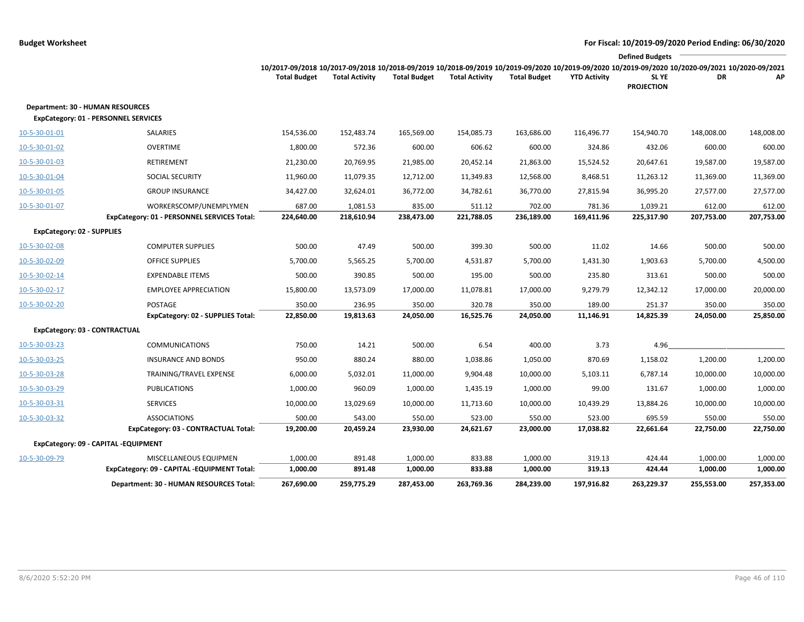|                                   |                                                                                        |                                                                                                                                                                        |                       |                     |                       |                     |                     | <b>Defined Budgets</b>     |            |            |
|-----------------------------------|----------------------------------------------------------------------------------------|------------------------------------------------------------------------------------------------------------------------------------------------------------------------|-----------------------|---------------------|-----------------------|---------------------|---------------------|----------------------------|------------|------------|
|                                   |                                                                                        | 10/2017-09/2018 10/2017-09/2018 10/2018-09/2019 10/2018-09/2019 10/2019-09/2020 10/2019-09/2020 10/2019-09/2020 10/2020-09/2021 10/2020-09/2021<br><b>Total Budget</b> | <b>Total Activity</b> | <b>Total Budget</b> | <b>Total Activity</b> | <b>Total Budget</b> | <b>YTD Activity</b> | SL YE<br><b>PROJECTION</b> | DR         | ΑP         |
|                                   | <b>Department: 30 - HUMAN RESOURCES</b><br><b>ExpCategory: 01 - PERSONNEL SERVICES</b> |                                                                                                                                                                        |                       |                     |                       |                     |                     |                            |            |            |
| 10-5-30-01-01                     | SALARIES                                                                               | 154,536.00                                                                                                                                                             | 152,483.74            | 165,569.00          | 154,085.73            | 163,686.00          | 116,496.77          | 154,940.70                 | 148,008.00 | 148,008.00 |
| 10-5-30-01-02                     | <b>OVERTIME</b>                                                                        | 1,800.00                                                                                                                                                               | 572.36                | 600.00              | 606.62                | 600.00              | 324.86              | 432.06                     | 600.00     | 600.00     |
| 10-5-30-01-03                     | <b>RETIREMENT</b>                                                                      | 21,230.00                                                                                                                                                              | 20,769.95             | 21,985.00           | 20,452.14             | 21,863.00           | 15,524.52           | 20,647.61                  | 19,587.00  | 19,587.00  |
| 10-5-30-01-04                     | SOCIAL SECURITY                                                                        | 11,960.00                                                                                                                                                              | 11,079.35             | 12,712.00           | 11,349.83             | 12,568.00           | 8,468.51            | 11,263.12                  | 11,369.00  | 11,369.00  |
| 10-5-30-01-05                     | <b>GROUP INSURANCE</b>                                                                 | 34,427.00                                                                                                                                                              | 32,624.01             | 36,772.00           | 34,782.61             | 36,770.00           | 27,815.94           | 36,995.20                  | 27,577.00  | 27,577.00  |
| 10-5-30-01-07                     | WORKERSCOMP/UNEMPLYMEN                                                                 | 687.00                                                                                                                                                                 | 1,081.53              | 835.00              | 511.12                | 702.00              | 781.36              | 1,039.21                   | 612.00     | 612.00     |
|                                   | ExpCategory: 01 - PERSONNEL SERVICES Total:                                            | 224,640.00                                                                                                                                                             | 218,610.94            | 238,473.00          | 221,788.05            | 236,189.00          | 169,411.96          | 225,317.90                 | 207,753.00 | 207,753.00 |
| <b>ExpCategory: 02 - SUPPLIES</b> |                                                                                        |                                                                                                                                                                        |                       |                     |                       |                     |                     |                            |            |            |
| 10-5-30-02-08                     | <b>COMPUTER SUPPLIES</b>                                                               | 500.00                                                                                                                                                                 | 47.49                 | 500.00              | 399.30                | 500.00              | 11.02               | 14.66                      | 500.00     | 500.00     |
| 10-5-30-02-09                     | <b>OFFICE SUPPLIES</b>                                                                 | 5,700.00                                                                                                                                                               | 5,565.25              | 5,700.00            | 4,531.87              | 5,700.00            | 1,431.30            | 1,903.63                   | 5,700.00   | 4,500.00   |
| 10-5-30-02-14                     | <b>EXPENDABLE ITEMS</b>                                                                | 500.00                                                                                                                                                                 | 390.85                | 500.00              | 195.00                | 500.00              | 235.80              | 313.61                     | 500.00     | 500.00     |
| 10-5-30-02-17                     | <b>EMPLOYEE APPRECIATION</b>                                                           | 15,800.00                                                                                                                                                              | 13,573.09             | 17,000.00           | 11,078.81             | 17,000.00           | 9,279.79            | 12,342.12                  | 17,000.00  | 20,000.00  |
| 10-5-30-02-20                     | POSTAGE                                                                                | 350.00                                                                                                                                                                 | 236.95                | 350.00              | 320.78                | 350.00              | 189.00              | 251.37                     | 350.00     | 350.00     |
|                                   | ExpCategory: 02 - SUPPLIES Total:                                                      | 22,850.00                                                                                                                                                              | 19,813.63             | 24,050.00           | 16,525.76             | 24,050.00           | 11,146.91           | 14,825.39                  | 24,050.00  | 25,850.00  |
|                                   | ExpCategory: 03 - CONTRACTUAL                                                          |                                                                                                                                                                        |                       |                     |                       |                     |                     |                            |            |            |
| 10-5-30-03-23                     | <b>COMMUNICATIONS</b>                                                                  | 750.00                                                                                                                                                                 | 14.21                 | 500.00              | 6.54                  | 400.00              | 3.73                | 4.96                       |            |            |
| 10-5-30-03-25                     | <b>INSURANCE AND BONDS</b>                                                             | 950.00                                                                                                                                                                 | 880.24                | 880.00              | 1,038.86              | 1,050.00            | 870.69              | 1,158.02                   | 1,200.00   | 1,200.00   |
| 10-5-30-03-28                     | TRAINING/TRAVEL EXPENSE                                                                | 6,000.00                                                                                                                                                               | 5,032.01              | 11,000.00           | 9,904.48              | 10,000.00           | 5,103.11            | 6,787.14                   | 10,000.00  | 10,000.00  |
| 10-5-30-03-29                     | <b>PUBLICATIONS</b>                                                                    | 1,000.00                                                                                                                                                               | 960.09                | 1,000.00            | 1,435.19              | 1,000.00            | 99.00               | 131.67                     | 1,000.00   | 1,000.00   |
| 10-5-30-03-31                     | <b>SERVICES</b>                                                                        | 10,000.00                                                                                                                                                              | 13,029.69             | 10,000.00           | 11,713.60             | 10,000.00           | 10,439.29           | 13,884.26                  | 10,000.00  | 10,000.00  |
| 10-5-30-03-32                     | <b>ASSOCIATIONS</b>                                                                    | 500.00                                                                                                                                                                 | 543.00                | 550.00              | 523.00                | 550.00              | 523.00              | 695.59                     | 550.00     | 550.00     |
|                                   | ExpCategory: 03 - CONTRACTUAL Total:                                                   | 19,200.00                                                                                                                                                              | 20,459.24             | 23,930.00           | 24,621.67             | 23,000.00           | 17,038.82           | 22,661.64                  | 22,750.00  | 22,750.00  |
|                                   | ExpCategory: 09 - CAPITAL -EQUIPMENT                                                   |                                                                                                                                                                        |                       |                     |                       |                     |                     |                            |            |            |
| 10-5-30-09-79                     | MISCELLANEOUS EQUIPMEN                                                                 | 1,000.00                                                                                                                                                               | 891.48                | 1,000.00            | 833.88                | 1,000.00            | 319.13              | 424.44                     | 1,000.00   | 1,000.00   |
|                                   | ExpCategory: 09 - CAPITAL -EQUIPMENT Total:                                            | 1,000.00                                                                                                                                                               | 891.48                | 1,000.00            | 833.88                | 1,000.00            | 319.13              | 424.44                     | 1,000.00   | 1,000.00   |
|                                   | Department: 30 - HUMAN RESOURCES Total:                                                | 267,690.00                                                                                                                                                             | 259,775.29            | 287,453.00          | 263,769.36            | 284,239.00          | 197,916.82          | 263,229.37                 | 255,553.00 | 257,353.00 |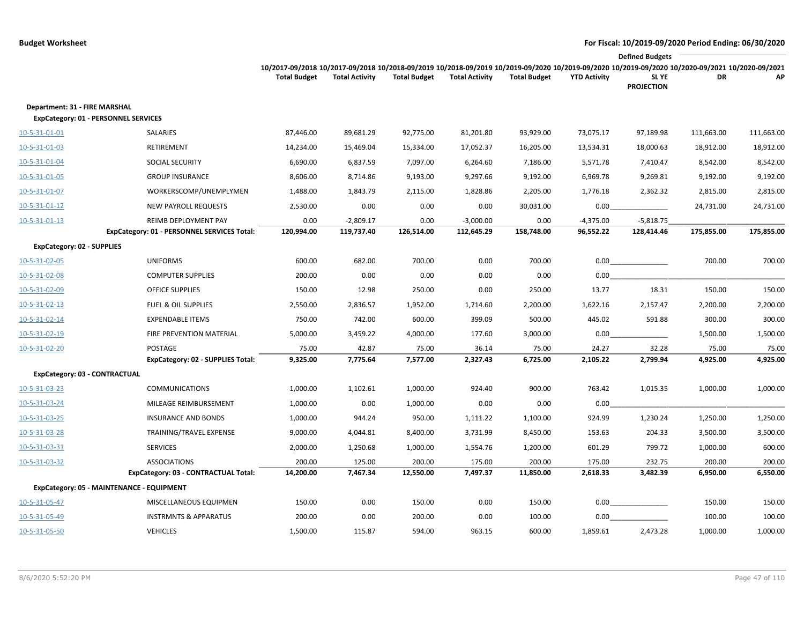|                                                                              |                                                                     |                                                                                                                                                                                        |                           |                     |                           |                     |                          | <b>Defined Budgets</b>     |            |            |
|------------------------------------------------------------------------------|---------------------------------------------------------------------|----------------------------------------------------------------------------------------------------------------------------------------------------------------------------------------|---------------------------|---------------------|---------------------------|---------------------|--------------------------|----------------------------|------------|------------|
|                                                                              |                                                                     | 10/2017-09/2018 10/2017-09/2018 10/2018-09/2019 10/2018-09/2019 10/2019-09/2020 10/2019-09/2020 10/2019-09/2020 10/2019-09/2020 10/2020-09/2021 10/2020-09/2021<br><b>Total Budget</b> | <b>Total Activity</b>     | <b>Total Budget</b> | <b>Total Activity</b>     | <b>Total Budget</b> | <b>YTD Activity</b>      | SL YE<br><b>PROJECTION</b> | DR         | AP         |
| Department: 31 - FIRE MARSHAL<br><b>ExpCategory: 01 - PERSONNEL SERVICES</b> |                                                                     |                                                                                                                                                                                        |                           |                     |                           |                     |                          |                            |            |            |
| 10-5-31-01-01                                                                | SALARIES                                                            | 87,446.00                                                                                                                                                                              | 89,681.29                 | 92,775.00           | 81,201.80                 | 93,929.00           | 73,075.17                | 97,189.98                  | 111,663.00 | 111,663.00 |
| 10-5-31-01-03                                                                | RETIREMENT                                                          | 14,234.00                                                                                                                                                                              | 15,469.04                 | 15,334.00           | 17,052.37                 | 16,205.00           | 13,534.31                | 18,000.63                  | 18,912.00  | 18,912.00  |
| 10-5-31-01-04                                                                | SOCIAL SECURITY                                                     | 6,690.00                                                                                                                                                                               | 6,837.59                  | 7,097.00            | 6,264.60                  | 7,186.00            | 5,571.78                 | 7,410.47                   | 8,542.00   | 8,542.00   |
| 10-5-31-01-05                                                                | <b>GROUP INSURANCE</b>                                              | 8,606.00                                                                                                                                                                               | 8,714.86                  | 9,193.00            | 9,297.66                  | 9,192.00            | 6,969.78                 | 9,269.81                   | 9,192.00   | 9,192.00   |
| 10-5-31-01-07                                                                | WORKERSCOMP/UNEMPLYMEN                                              | 1,488.00                                                                                                                                                                               | 1,843.79                  | 2,115.00            | 1,828.86                  | 2,205.00            | 1,776.18                 | 2,362.32                   | 2,815.00   | 2,815.00   |
| 10-5-31-01-12                                                                | <b>NEW PAYROLL REQUESTS</b>                                         | 2,530.00                                                                                                                                                                               | 0.00                      | 0.00                | 0.00                      | 30,031.00           | 0.00                     |                            | 24,731.00  | 24,731.00  |
| 10-5-31-01-13                                                                | REIMB DEPLOYMENT PAY<br>ExpCategory: 01 - PERSONNEL SERVICES Total: | 0.00<br>120,994.00                                                                                                                                                                     | $-2,809.17$<br>119,737.40 | 0.00<br>126,514.00  | $-3,000.00$<br>112,645.29 | 0.00<br>158,748.00  | $-4,375.00$<br>96,552.22 | $-5,818.75$<br>128,414.46  | 175,855.00 | 175,855.00 |
| <b>ExpCategory: 02 - SUPPLIES</b>                                            |                                                                     |                                                                                                                                                                                        |                           |                     |                           |                     |                          |                            |            |            |
| 10-5-31-02-05                                                                | <b>UNIFORMS</b>                                                     | 600.00                                                                                                                                                                                 | 682.00                    | 700.00              | 0.00                      | 700.00              | 0.00                     |                            | 700.00     | 700.00     |
| 10-5-31-02-08                                                                | <b>COMPUTER SUPPLIES</b>                                            | 200.00                                                                                                                                                                                 | 0.00                      | 0.00                | 0.00                      | 0.00                | 0.00                     |                            |            |            |
| 10-5-31-02-09                                                                | <b>OFFICE SUPPLIES</b>                                              | 150.00                                                                                                                                                                                 | 12.98                     | 250.00              | 0.00                      | 250.00              | 13.77                    | 18.31                      | 150.00     | 150.00     |
| 10-5-31-02-13                                                                | <b>FUEL &amp; OIL SUPPLIES</b>                                      | 2,550.00                                                                                                                                                                               | 2,836.57                  | 1,952.00            | 1,714.60                  | 2,200.00            | 1,622.16                 | 2,157.47                   | 2,200.00   | 2,200.00   |
| 10-5-31-02-14                                                                | <b>EXPENDABLE ITEMS</b>                                             | 750.00                                                                                                                                                                                 | 742.00                    | 600.00              | 399.09                    | 500.00              | 445.02                   | 591.88                     | 300.00     | 300.00     |
| 10-5-31-02-19                                                                | FIRE PREVENTION MATERIAL                                            | 5,000.00                                                                                                                                                                               | 3,459.22                  | 4,000.00            | 177.60                    | 3,000.00            | 0.00                     |                            | 1,500.00   | 1,500.00   |
| 10-5-31-02-20                                                                | POSTAGE                                                             | 75.00                                                                                                                                                                                  | 42.87                     | 75.00               | 36.14                     | 75.00               | 24.27                    | 32.28                      | 75.00      | 75.00      |
|                                                                              | <b>ExpCategory: 02 - SUPPLIES Total:</b>                            | 9,325.00                                                                                                                                                                               | 7,775.64                  | 7,577.00            | 2,327.43                  | 6,725.00            | 2,105.22                 | 2,799.94                   | 4,925.00   | 4,925.00   |
| <b>ExpCategory: 03 - CONTRACTUAL</b>                                         |                                                                     |                                                                                                                                                                                        |                           |                     |                           |                     |                          |                            |            |            |
| 10-5-31-03-23                                                                | <b>COMMUNICATIONS</b>                                               | 1,000.00                                                                                                                                                                               | 1,102.61                  | 1,000.00            | 924.40                    | 900.00              | 763.42                   | 1,015.35                   | 1,000.00   | 1,000.00   |
| 10-5-31-03-24                                                                | MILEAGE REIMBURSEMENT                                               | 1,000.00                                                                                                                                                                               | 0.00                      | 1,000.00            | 0.00                      | 0.00                | 0.00                     |                            |            |            |
| 10-5-31-03-25                                                                | <b>INSURANCE AND BONDS</b>                                          | 1,000.00                                                                                                                                                                               | 944.24                    | 950.00              | 1,111.22                  | 1,100.00            | 924.99                   | 1,230.24                   | 1,250.00   | 1,250.00   |
| 10-5-31-03-28                                                                | TRAINING/TRAVEL EXPENSE                                             | 9,000.00                                                                                                                                                                               | 4,044.81                  | 8,400.00            | 3,731.99                  | 8,450.00            | 153.63                   | 204.33                     | 3,500.00   | 3,500.00   |
| 10-5-31-03-31                                                                | <b>SERVICES</b>                                                     | 2,000.00                                                                                                                                                                               | 1,250.68                  | 1,000.00            | 1,554.76                  | 1,200.00            | 601.29                   | 799.72                     | 1,000.00   | 600.00     |
| 10-5-31-03-32                                                                | <b>ASSOCIATIONS</b>                                                 | 200.00                                                                                                                                                                                 | 125.00                    | 200.00              | 175.00                    | 200.00              | 175.00                   | 232.75                     | 200.00     | 200.00     |
|                                                                              | ExpCategory: 03 - CONTRACTUAL Total:                                | 14,200.00                                                                                                                                                                              | 7,467.34                  | 12,550.00           | 7,497.37                  | 11,850.00           | 2,618.33                 | 3,482.39                   | 6,950.00   | 6,550.00   |
| ExpCategory: 05 - MAINTENANCE - EQUIPMENT                                    |                                                                     |                                                                                                                                                                                        |                           |                     |                           |                     |                          |                            |            |            |
| 10-5-31-05-47                                                                | MISCELLANEOUS EQUIPMEN                                              | 150.00                                                                                                                                                                                 | 0.00                      | 150.00              | 0.00                      | 150.00              | 0.00                     |                            | 150.00     | 150.00     |
| 10-5-31-05-49                                                                | <b>INSTRMNTS &amp; APPARATUS</b>                                    | 200.00                                                                                                                                                                                 | 0.00                      | 200.00              | 0.00                      | 100.00              | 0.00                     |                            | 100.00     | 100.00     |
| 10-5-31-05-50                                                                | <b>VEHICLES</b>                                                     | 1,500.00                                                                                                                                                                               | 115.87                    | 594.00              | 963.15                    | 600.00              | 1,859.61                 | 2,473.28                   | 1,000.00   | 1,000.00   |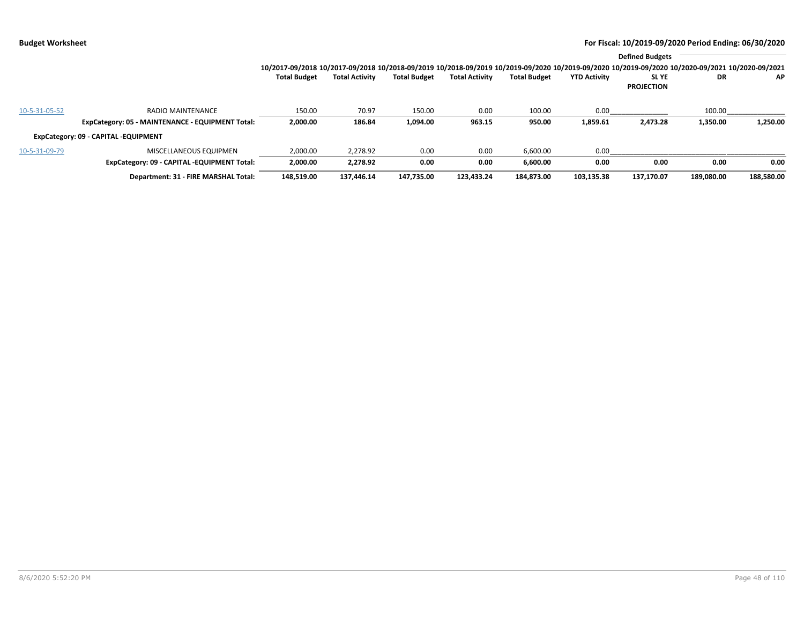|               |                                                  |                                                                                                                                                                 |                       |                     |                       |                     |                     | <b>Defined Budgets</b>     |            |            |
|---------------|--------------------------------------------------|-----------------------------------------------------------------------------------------------------------------------------------------------------------------|-----------------------|---------------------|-----------------------|---------------------|---------------------|----------------------------|------------|------------|
|               |                                                  | 10/2017-09/2018 10/2017-09/2018 10/2018-09/2019 10/2018-09/2019 10/2019-09/2020 10/2019-09/2020 10/2019-09/2020 10/2019-09/2020 10/2020-09/2021 10/2020-09/2021 |                       |                     |                       |                     |                     |                            |            |            |
|               |                                                  | <b>Total Budget</b>                                                                                                                                             | <b>Total Activity</b> | <b>Total Budget</b> | <b>Total Activity</b> | <b>Total Budget</b> | <b>YTD Activity</b> | SL YE<br><b>PROJECTION</b> | <b>DR</b>  | AP.        |
| 10-5-31-05-52 | <b>RADIO MAINTENANCE</b>                         | 150.00                                                                                                                                                          | 70.97                 | 150.00              | 0.00                  | 100.00              | 0.00                |                            | 100.00     |            |
|               | ExpCategory: 05 - MAINTENANCE - EQUIPMENT Total: | 2,000.00                                                                                                                                                        | 186.84                | 1,094.00            | 963.15                | 950.00              | 1,859.61            | 2,473.28                   | 1,350.00   | 1,250.00   |
|               | ExpCategory: 09 - CAPITAL -EQUIPMENT             |                                                                                                                                                                 |                       |                     |                       |                     |                     |                            |            |            |
| 10-5-31-09-79 | MISCELLANEOUS EQUIPMEN                           | 2,000.00                                                                                                                                                        | 2,278.92              | 0.00                | 0.00                  | 6,600.00            | 0.00                |                            |            |            |
|               | ExpCategory: 09 - CAPITAL -EQUIPMENT Total:      | 2,000.00                                                                                                                                                        | 2,278.92              | 0.00                | 0.00                  | 6.600.00            | 0.00                | 0.00                       | 0.00       | 0.00       |
|               | Department: 31 - FIRE MARSHAL Total:             | 148,519.00                                                                                                                                                      | 137.446.14            | 147.735.00          | 123.433.24            | 184.873.00          | 103,135.38          | 137.170.07                 | 189,080.00 | 188,580.00 |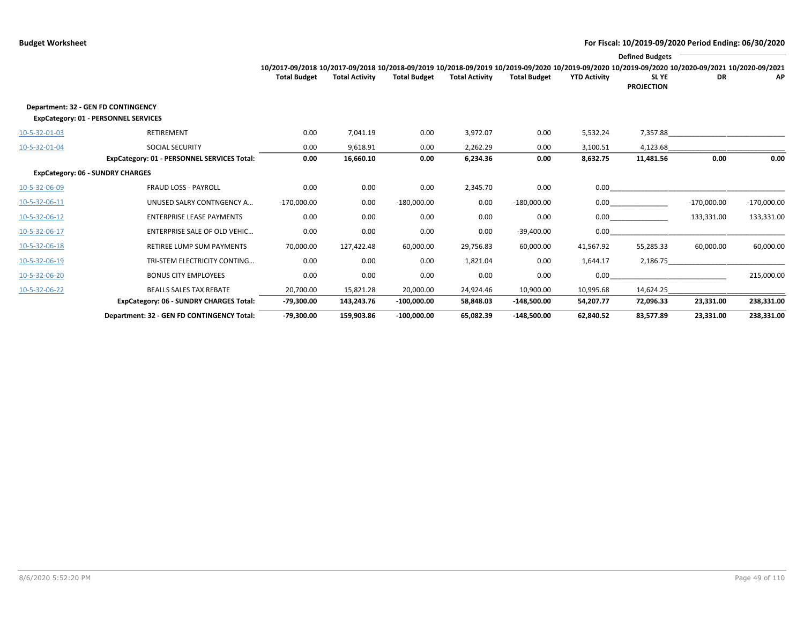|               |                                                                                    |                                                                                                                                                                 |                       |                     |                       |                     |                     | <b>Defined Budgets</b>     |               |               |
|---------------|------------------------------------------------------------------------------------|-----------------------------------------------------------------------------------------------------------------------------------------------------------------|-----------------------|---------------------|-----------------------|---------------------|---------------------|----------------------------|---------------|---------------|
|               |                                                                                    | 10/2017-09/2018 10/2017-09/2018 10/2018-09/2019 10/2018-09/2019 10/2019-09/2020 10/2019-09/2020 10/2019-09/2020 10/2019-09/2020 10/2020-09/2021 10/2020-09/2021 |                       |                     |                       |                     |                     |                            |               |               |
|               |                                                                                    | <b>Total Budget</b>                                                                                                                                             | <b>Total Activity</b> | <b>Total Budget</b> | <b>Total Activity</b> | <b>Total Budget</b> | <b>YTD Activity</b> | SL YE<br><b>PROJECTION</b> | DR            | AP            |
|               | Department: 32 - GEN FD CONTINGENCY<br><b>ExpCategory: 01 - PERSONNEL SERVICES</b> |                                                                                                                                                                 |                       |                     |                       |                     |                     |                            |               |               |
| 10-5-32-01-03 | <b>RETIREMENT</b>                                                                  | 0.00                                                                                                                                                            | 7,041.19              | 0.00                | 3,972.07              | 0.00                | 5,532.24            | 7,357.88                   |               |               |
| 10-5-32-01-04 | <b>SOCIAL SECURITY</b>                                                             | 0.00                                                                                                                                                            | 9,618.91              | 0.00                | 2,262.29              | 0.00                | 3,100.51            | 4,123.68                   |               |               |
|               | ExpCategory: 01 - PERSONNEL SERVICES Total:                                        | 0.00                                                                                                                                                            | 16,660.10             | 0.00                | 6,234.36              | 0.00                | 8,632.75            | 11,481.56                  | 0.00          | 0.00          |
|               | <b>ExpCategory: 06 - SUNDRY CHARGES</b>                                            |                                                                                                                                                                 |                       |                     |                       |                     |                     |                            |               |               |
| 10-5-32-06-09 | <b>FRAUD LOSS - PAYROLL</b>                                                        | 0.00                                                                                                                                                            | 0.00                  | 0.00                | 2,345.70              | 0.00                | 0.00                |                            |               |               |
| 10-5-32-06-11 | UNUSED SALRY CONTNGENCY A                                                          | $-170,000.00$                                                                                                                                                   | 0.00                  | $-180,000.00$       | 0.00                  | $-180,000.00$       | 0.00                |                            | $-170,000.00$ | $-170,000.00$ |
| 10-5-32-06-12 | <b>ENTERPRISE LEASE PAYMENTS</b>                                                   | 0.00                                                                                                                                                            | 0.00                  | 0.00                | 0.00                  | 0.00                | 0.00                |                            | 133,331.00    | 133,331.00    |
| 10-5-32-06-17 | <b>ENTERPRISE SALE OF OLD VEHIC</b>                                                | 0.00                                                                                                                                                            | 0.00                  | 0.00                | 0.00                  | $-39,400.00$        | 0.00                |                            |               |               |
| 10-5-32-06-18 | <b>RETIREE LUMP SUM PAYMENTS</b>                                                   | 70,000.00                                                                                                                                                       | 127,422.48            | 60,000.00           | 29,756.83             | 60,000.00           | 41,567.92           | 55,285.33                  | 60,000.00     | 60,000.00     |
| 10-5-32-06-19 | TRI-STEM ELECTRICITY CONTING                                                       | 0.00                                                                                                                                                            | 0.00                  | 0.00                | 1,821.04              | 0.00                | 1,644.17            | 2,186.75                   |               |               |
| 10-5-32-06-20 | <b>BONUS CITY EMPLOYEES</b>                                                        | 0.00                                                                                                                                                            | 0.00                  | 0.00                | 0.00                  | 0.00                | 0.00                |                            |               | 215,000.00    |
| 10-5-32-06-22 | <b>BEALLS SALES TAX REBATE</b>                                                     | 20,700.00                                                                                                                                                       | 15,821.28             | 20,000.00           | 24,924.46             | 10,900.00           | 10,995.68           | 14,624.25                  |               |               |
|               | <b>ExpCategory: 06 - SUNDRY CHARGES Total:</b>                                     | $-79,300.00$                                                                                                                                                    | 143,243.76            | $-100,000.00$       | 58,848.03             | $-148,500.00$       | 54,207.77           | 72,096.33                  | 23,331.00     | 238,331.00    |
|               | Department: 32 - GEN FD CONTINGENCY Total:                                         | $-79,300.00$                                                                                                                                                    | 159,903.86            | $-100.000.00$       | 65,082.39             | $-148.500.00$       | 62,840.52           | 83,577.89                  | 23,331.00     | 238,331.00    |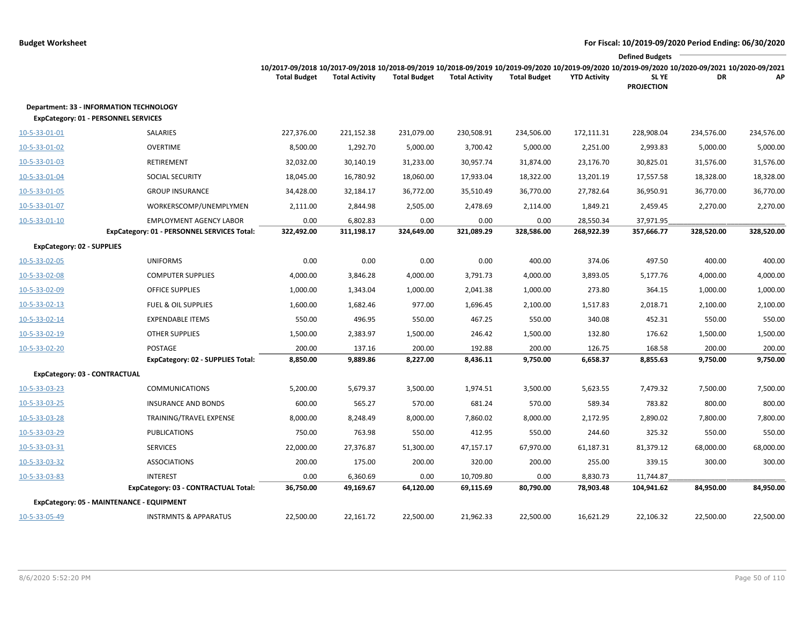|                                                                                               |                                             |                                                                                                                                                                        |                       |                     |                       |                     |                     | <b>Defined Budgets</b>     |            |            |
|-----------------------------------------------------------------------------------------------|---------------------------------------------|------------------------------------------------------------------------------------------------------------------------------------------------------------------------|-----------------------|---------------------|-----------------------|---------------------|---------------------|----------------------------|------------|------------|
|                                                                                               |                                             | 10/2017-09/2018 10/2017-09/2018 10/2018-09/2019 10/2018-09/2019 10/2019-09/2020 10/2019-09/2020 10/2019-09/2020 10/2020-09/2021 10/2020-09/2021<br><b>Total Budget</b> | <b>Total Activity</b> | <b>Total Budget</b> | <b>Total Activity</b> | <b>Total Budget</b> | <b>YTD Activity</b> | SL YE<br><b>PROJECTION</b> | DR         | AP         |
| <b>Department: 33 - INFORMATION TECHNOLOGY</b><br><b>ExpCategory: 01 - PERSONNEL SERVICES</b> |                                             |                                                                                                                                                                        |                       |                     |                       |                     |                     |                            |            |            |
| 10-5-33-01-01                                                                                 | SALARIES                                    | 227,376.00                                                                                                                                                             | 221,152.38            | 231,079.00          | 230,508.91            | 234,506.00          | 172,111.31          | 228,908.04                 | 234,576.00 | 234,576.00 |
| 10-5-33-01-02                                                                                 | <b>OVERTIME</b>                             | 8,500.00                                                                                                                                                               | 1,292.70              | 5,000.00            | 3,700.42              | 5,000.00            | 2,251.00            | 2,993.83                   | 5,000.00   | 5,000.00   |
| 10-5-33-01-03                                                                                 | RETIREMENT                                  | 32,032.00                                                                                                                                                              | 30,140.19             | 31,233.00           | 30,957.74             | 31,874.00           | 23,176.70           | 30,825.01                  | 31,576.00  | 31,576.00  |
| 10-5-33-01-04                                                                                 | SOCIAL SECURITY                             | 18,045.00                                                                                                                                                              | 16,780.92             | 18,060.00           | 17,933.04             | 18,322.00           | 13,201.19           | 17,557.58                  | 18,328.00  | 18,328.00  |
| 10-5-33-01-05                                                                                 | <b>GROUP INSURANCE</b>                      | 34,428.00                                                                                                                                                              | 32,184.17             | 36,772.00           | 35,510.49             | 36,770.00           | 27,782.64           | 36,950.91                  | 36,770.00  | 36,770.00  |
| 10-5-33-01-07                                                                                 | WORKERSCOMP/UNEMPLYMEN                      | 2,111.00                                                                                                                                                               | 2,844.98              | 2,505.00            | 2,478.69              | 2,114.00            | 1,849.21            | 2,459.45                   | 2,270.00   | 2,270.00   |
| 10-5-33-01-10                                                                                 | <b>EMPLOYMENT AGENCY LABOR</b>              | 0.00                                                                                                                                                                   | 6,802.83              | 0.00                | 0.00                  | 0.00                | 28,550.34           | 37,971.95                  |            |            |
|                                                                                               | ExpCategory: 01 - PERSONNEL SERVICES Total: | 322,492.00                                                                                                                                                             | 311,198.17            | 324,649.00          | 321,089.29            | 328,586.00          | 268,922.39          | 357,666.77                 | 328,520.00 | 328,520.00 |
| <b>ExpCategory: 02 - SUPPLIES</b>                                                             |                                             |                                                                                                                                                                        |                       |                     |                       |                     |                     |                            |            |            |
| 10-5-33-02-05                                                                                 | <b>UNIFORMS</b>                             | 0.00                                                                                                                                                                   | 0.00                  | 0.00                | 0.00                  | 400.00              | 374.06              | 497.50                     | 400.00     | 400.00     |
| 10-5-33-02-08                                                                                 | <b>COMPUTER SUPPLIES</b>                    | 4,000.00                                                                                                                                                               | 3,846.28              | 4,000.00            | 3,791.73              | 4,000.00            | 3,893.05            | 5,177.76                   | 4,000.00   | 4,000.00   |
| 10-5-33-02-09                                                                                 | <b>OFFICE SUPPLIES</b>                      | 1,000.00                                                                                                                                                               | 1,343.04              | 1,000.00            | 2,041.38              | 1,000.00            | 273.80              | 364.15                     | 1,000.00   | 1,000.00   |
| 10-5-33-02-13                                                                                 | <b>FUEL &amp; OIL SUPPLIES</b>              | 1,600.00                                                                                                                                                               | 1,682.46              | 977.00              | 1,696.45              | 2,100.00            | 1,517.83            | 2,018.71                   | 2,100.00   | 2,100.00   |
| 10-5-33-02-14                                                                                 | <b>EXPENDABLE ITEMS</b>                     | 550.00                                                                                                                                                                 | 496.95                | 550.00              | 467.25                | 550.00              | 340.08              | 452.31                     | 550.00     | 550.00     |
| 10-5-33-02-19                                                                                 | <b>OTHER SUPPLIES</b>                       | 1,500.00                                                                                                                                                               | 2,383.97              | 1,500.00            | 246.42                | 1,500.00            | 132.80              | 176.62                     | 1,500.00   | 1,500.00   |
| 10-5-33-02-20                                                                                 | POSTAGE                                     | 200.00                                                                                                                                                                 | 137.16                | 200.00              | 192.88                | 200.00              | 126.75              | 168.58                     | 200.00     | 200.00     |
|                                                                                               | ExpCategory: 02 - SUPPLIES Total:           | 8,850.00                                                                                                                                                               | 9,889.86              | 8,227.00            | 8,436.11              | 9,750.00            | 6,658.37            | 8,855.63                   | 9,750.00   | 9,750.00   |
| ExpCategory: 03 - CONTRACTUAL                                                                 |                                             |                                                                                                                                                                        |                       |                     |                       |                     |                     |                            |            |            |
| 10-5-33-03-23                                                                                 | <b>COMMUNICATIONS</b>                       | 5,200.00                                                                                                                                                               | 5,679.37              | 3,500.00            | 1,974.51              | 3,500.00            | 5,623.55            | 7,479.32                   | 7,500.00   | 7,500.00   |
| 10-5-33-03-25                                                                                 | <b>INSURANCE AND BONDS</b>                  | 600.00                                                                                                                                                                 | 565.27                | 570.00              | 681.24                | 570.00              | 589.34              | 783.82                     | 800.00     | 800.00     |
| 10-5-33-03-28                                                                                 | TRAINING/TRAVEL EXPENSE                     | 8,000.00                                                                                                                                                               | 8,248.49              | 8,000.00            | 7,860.02              | 8,000.00            | 2,172.95            | 2,890.02                   | 7,800.00   | 7,800.00   |
| 10-5-33-03-29                                                                                 | <b>PUBLICATIONS</b>                         | 750.00                                                                                                                                                                 | 763.98                | 550.00              | 412.95                | 550.00              | 244.60              | 325.32                     | 550.00     | 550.00     |
| 10-5-33-03-31                                                                                 | <b>SERVICES</b>                             | 22,000.00                                                                                                                                                              | 27,376.87             | 51,300.00           | 47,157.17             | 67,970.00           | 61,187.31           | 81,379.12                  | 68,000.00  | 68,000.00  |
| 10-5-33-03-32                                                                                 | <b>ASSOCIATIONS</b>                         | 200.00                                                                                                                                                                 | 175.00                | 200.00              | 320.00                | 200.00              | 255.00              | 339.15                     | 300.00     | 300.00     |
| 10-5-33-03-83                                                                                 | <b>INTEREST</b>                             | 0.00                                                                                                                                                                   | 6,360.69              | 0.00                | 10,709.80             | 0.00                | 8,830.73            | 11,744.87                  |            |            |
|                                                                                               | ExpCategory: 03 - CONTRACTUAL Total:        | 36,750.00                                                                                                                                                              | 49,169.67             | 64,120.00           | 69,115.69             | 80,790.00           | 78,903.48           | 104,941.62                 | 84,950.00  | 84,950.00  |
|                                                                                               | ExpCategory: 05 - MAINTENANCE - EQUIPMENT   |                                                                                                                                                                        |                       |                     |                       |                     |                     |                            |            |            |
| 10-5-33-05-49                                                                                 | <b>INSTRMNTS &amp; APPARATUS</b>            | 22,500.00                                                                                                                                                              | 22,161.72             | 22,500.00           | 21,962.33             | 22,500.00           | 16,621.29           | 22,106.32                  | 22,500.00  | 22,500.00  |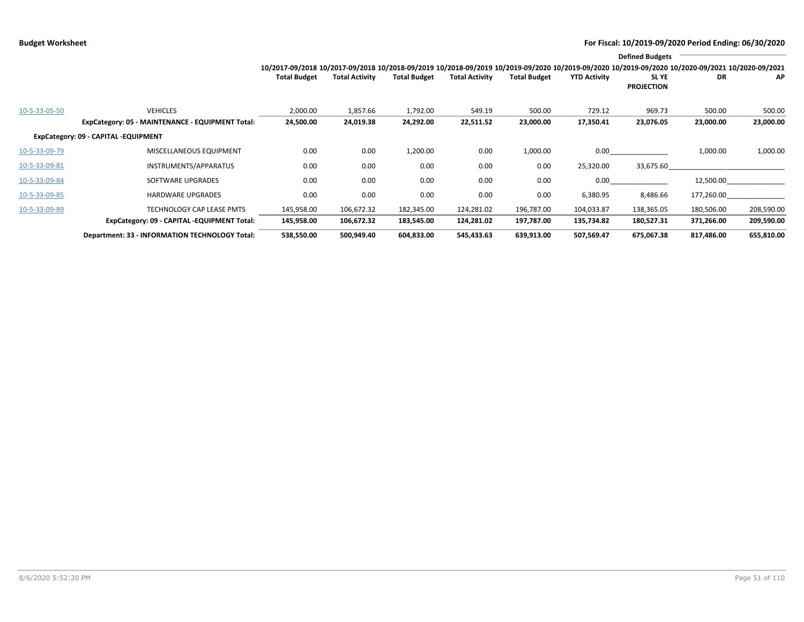|               |                                                  |                                                                                                                                                 |                       |                     |                       |                     |                     | <b>Defined Budgets</b>           |            |            |
|---------------|--------------------------------------------------|-------------------------------------------------------------------------------------------------------------------------------------------------|-----------------------|---------------------|-----------------------|---------------------|---------------------|----------------------------------|------------|------------|
|               |                                                  | 10/2017-09/2018 10/2017-09/2018 10/2018-09/2019 10/2018-09/2019 10/2019-09/2020 10/2019-09/2020 10/2019-09/2020 10/2020-09/2021 10/2020-09/2021 |                       |                     |                       |                     |                     |                                  |            |            |
|               |                                                  | <b>Total Budget</b>                                                                                                                             | <b>Total Activity</b> | <b>Total Budget</b> | <b>Total Activity</b> | <b>Total Budget</b> | <b>YTD Activity</b> | <b>SLYE</b><br><b>PROJECTION</b> | DR         | AP         |
| 10-5-33-05-50 | <b>VEHICLES</b>                                  | 2,000.00                                                                                                                                        | 1,857.66              | 1,792.00            | 549.19                | 500.00              | 729.12              | 969.73                           | 500.00     | 500.00     |
|               | ExpCategory: 05 - MAINTENANCE - EQUIPMENT Total: | 24,500.00                                                                                                                                       | 24,019.38             | 24,292.00           | 22,511.52             | 23,000.00           | 17,350.41           | 23,076.05                        | 23,000.00  | 23,000.00  |
|               | ExpCategory: 09 - CAPITAL -EQUIPMENT             |                                                                                                                                                 |                       |                     |                       |                     |                     |                                  |            |            |
| 10-5-33-09-79 | MISCELLANEOUS EQUIPMENT                          | 0.00                                                                                                                                            | 0.00                  | 1,200.00            | 0.00                  | 1,000.00            | 0.00                |                                  | 1,000.00   | 1,000.00   |
| 10-5-33-09-81 | INSTRUMENTS/APPARATUS                            | 0.00                                                                                                                                            | 0.00                  | 0.00                | 0.00                  | 0.00                | 25,320.00           | 33,675.60                        |            |            |
| 10-5-33-09-84 | SOFTWARE UPGRADES                                | 0.00                                                                                                                                            | 0.00                  | 0.00                | 0.00                  | 0.00                | 0.00                |                                  | 12,500.00  |            |
| 10-5-33-09-85 | <b>HARDWARE UPGRADES</b>                         | 0.00                                                                                                                                            | 0.00                  | 0.00                | 0.00                  | 0.00                | 6,380.95            | 8,486.66                         | 177,260.00 |            |
| 10-5-33-09-89 | <b>TECHNOLOGY CAP LEASE PMTS</b>                 | 145,958.00                                                                                                                                      | 106,672.32            | 182,345.00          | 124,281.02            | 196,787.00          | 104,033.87          | 138,365.05                       | 180,506.00 | 208,590.00 |
|               | ExpCategory: 09 - CAPITAL -EQUIPMENT Total:      | 145,958.00                                                                                                                                      | 106,672.32            | 183,545.00          | 124,281.02            | 197,787.00          | 135,734.82          | 180,527.31                       | 371,266.00 | 209,590.00 |
|               | Department: 33 - INFORMATION TECHNOLOGY Total:   | 538,550.00                                                                                                                                      | 500,949.40            | 604,833.00          | 545,433.63            | 639,913.00          | 507,569.47          | 675,067.38                       | 817,486.00 | 655,810.00 |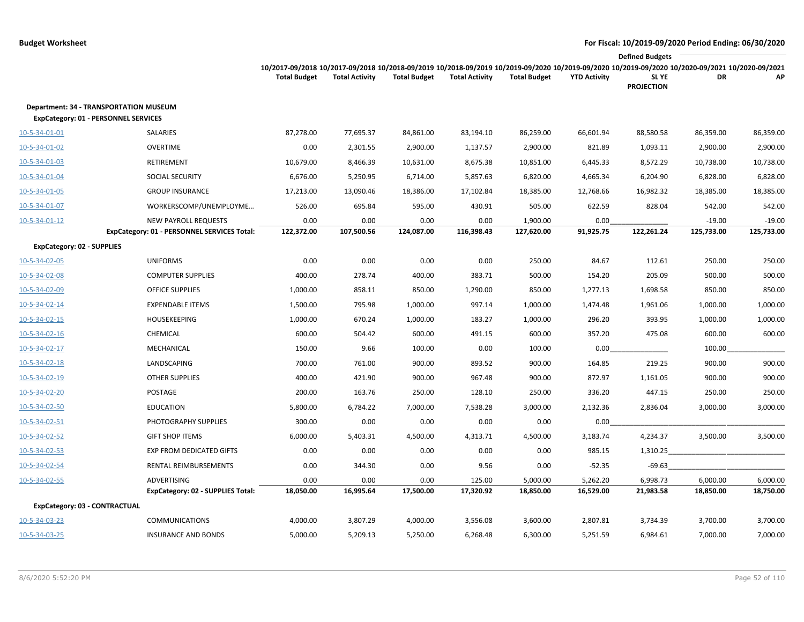|                                             |                                                                            |                     |                       |                     |                       |                        |                     | <b>Defined Budgets</b>                                                                                                                                                                        |                        |                        |
|---------------------------------------------|----------------------------------------------------------------------------|---------------------|-----------------------|---------------------|-----------------------|------------------------|---------------------|-----------------------------------------------------------------------------------------------------------------------------------------------------------------------------------------------|------------------------|------------------------|
|                                             |                                                                            | <b>Total Budget</b> | <b>Total Activity</b> | <b>Total Budget</b> | <b>Total Activity</b> | <b>Total Budget</b>    | <b>YTD Activity</b> | 10/2017-09/2018 10/2017-09/2018 10/2018-09/2019 10/2018-09/2019 10/2019-09/2020 10/2019-09/2020 10/2019-09/2020 10/2019-09/2020 10/2020-09/2021 10/2020-09/2021<br>SL YE<br><b>PROJECTION</b> | DR                     | AP                     |
| <b>ExpCategory: 01 - PERSONNEL SERVICES</b> | <b>Department: 34 - TRANSPORTATION MUSEUM</b>                              |                     |                       |                     |                       |                        |                     |                                                                                                                                                                                               |                        |                        |
| 10-5-34-01-01                               | SALARIES                                                                   | 87,278.00           | 77,695.37             | 84,861.00           | 83,194.10             | 86,259.00              | 66,601.94           | 88,580.58                                                                                                                                                                                     | 86,359.00              | 86,359.00              |
| 10-5-34-01-02                               | <b>OVERTIME</b>                                                            | 0.00                | 2,301.55              | 2,900.00            | 1,137.57              | 2,900.00               | 821.89              | 1,093.11                                                                                                                                                                                      | 2,900.00               | 2,900.00               |
| 10-5-34-01-03                               | RETIREMENT                                                                 | 10,679.00           | 8,466.39              | 10,631.00           | 8,675.38              | 10,851.00              | 6,445.33            | 8,572.29                                                                                                                                                                                      | 10,738.00              | 10,738.00              |
| 10-5-34-01-04                               | <b>SOCIAL SECURITY</b>                                                     | 6,676.00            | 5,250.95              | 6,714.00            | 5,857.63              | 6,820.00               | 4,665.34            | 6,204.90                                                                                                                                                                                      | 6,828.00               | 6,828.00               |
| 10-5-34-01-05                               | <b>GROUP INSURANCE</b>                                                     | 17,213.00           | 13,090.46             | 18,386.00           | 17,102.84             | 18,385.00              | 12,768.66           | 16,982.32                                                                                                                                                                                     | 18,385.00              | 18,385.00              |
| 10-5-34-01-07                               | WORKERSCOMP/UNEMPLOYME                                                     | 526.00              | 695.84                | 595.00              | 430.91                | 505.00                 | 622.59              | 828.04                                                                                                                                                                                        | 542.00                 | 542.00                 |
| $10 - 5 - 34 - 01 - 12$                     | <b>NEW PAYROLL REQUESTS</b><br>ExpCategory: 01 - PERSONNEL SERVICES Total: | 0.00<br>122,372.00  | 0.00<br>107,500.56    | 0.00<br>124,087.00  | 0.00<br>116,398.43    | 1,900.00<br>127,620.00 | 0.00<br>91,925.75   | 122,261.24                                                                                                                                                                                    | $-19.00$<br>125,733.00 | $-19.00$<br>125,733.00 |
| <b>ExpCategory: 02 - SUPPLIES</b>           |                                                                            |                     |                       |                     |                       |                        |                     |                                                                                                                                                                                               |                        |                        |
| 10-5-34-02-05                               | <b>UNIFORMS</b>                                                            | 0.00                | 0.00                  | 0.00                | 0.00                  | 250.00                 | 84.67               | 112.61                                                                                                                                                                                        | 250.00                 | 250.00                 |
| 10-5-34-02-08                               | <b>COMPUTER SUPPLIES</b>                                                   | 400.00              | 278.74                | 400.00              | 383.71                | 500.00                 | 154.20              | 205.09                                                                                                                                                                                        | 500.00                 | 500.00                 |
| 10-5-34-02-09                               | <b>OFFICE SUPPLIES</b>                                                     | 1,000.00            | 858.11                | 850.00              | 1,290.00              | 850.00                 | 1,277.13            | 1,698.58                                                                                                                                                                                      | 850.00                 | 850.00                 |
| 10-5-34-02-14                               | <b>EXPENDABLE ITEMS</b>                                                    | 1,500.00            | 795.98                | 1,000.00            | 997.14                | 1,000.00               | 1,474.48            | 1,961.06                                                                                                                                                                                      | 1,000.00               | 1,000.00               |
| 10-5-34-02-15                               | <b>HOUSEKEEPING</b>                                                        | 1,000.00            | 670.24                | 1,000.00            | 183.27                | 1,000.00               | 296.20              | 393.95                                                                                                                                                                                        | 1,000.00               | 1,000.00               |
| 10-5-34-02-16                               | CHEMICAL                                                                   | 600.00              | 504.42                | 600.00              | 491.15                | 600.00                 | 357.20              | 475.08                                                                                                                                                                                        | 600.00                 | 600.00                 |
| 10-5-34-02-17                               | MECHANICAL                                                                 | 150.00              | 9.66                  | 100.00              | 0.00                  | 100.00                 | 0.00                |                                                                                                                                                                                               | 100.00                 |                        |
| 10-5-34-02-18                               | LANDSCAPING                                                                | 700.00              | 761.00                | 900.00              | 893.52                | 900.00                 | 164.85              | 219.25                                                                                                                                                                                        | 900.00                 | 900.00                 |
| 10-5-34-02-19                               | <b>OTHER SUPPLIES</b>                                                      | 400.00              | 421.90                | 900.00              | 967.48                | 900.00                 | 872.97              | 1,161.05                                                                                                                                                                                      | 900.00                 | 900.00                 |
| 10-5-34-02-20                               | POSTAGE                                                                    | 200.00              | 163.76                | 250.00              | 128.10                | 250.00                 | 336.20              | 447.15                                                                                                                                                                                        | 250.00                 | 250.00                 |
| 10-5-34-02-50                               | <b>EDUCATION</b>                                                           | 5,800.00            | 6,784.22              | 7,000.00            | 7,538.28              | 3,000.00               | 2,132.36            | 2,836.04                                                                                                                                                                                      | 3,000.00               | 3,000.00               |
| 10-5-34-02-51                               | PHOTOGRAPHY SUPPLIES                                                       | 300.00              | 0.00                  | 0.00                | 0.00                  | 0.00                   | 0.00                |                                                                                                                                                                                               |                        |                        |
| 10-5-34-02-52                               | <b>GIFT SHOP ITEMS</b>                                                     | 6,000.00            | 5,403.31              | 4,500.00            | 4,313.71              | 4,500.00               | 3,183.74            | 4,234.37                                                                                                                                                                                      | 3,500.00               | 3,500.00               |
| 10-5-34-02-53                               | <b>EXP FROM DEDICATED GIFTS</b>                                            | 0.00                | 0.00                  | 0.00                | 0.00                  | 0.00                   | 985.15              | 1,310.25                                                                                                                                                                                      |                        |                        |
| 10-5-34-02-54                               | RENTAL REIMBURSEMENTS                                                      | 0.00                | 344.30                | 0.00                | 9.56                  | 0.00                   | $-52.35$            | $-69.63$                                                                                                                                                                                      |                        |                        |
| 10-5-34-02-55                               | <b>ADVERTISING</b>                                                         | 0.00                | 0.00                  | 0.00                | 125.00                | 5,000.00               | 5,262.20            | 6,998.73                                                                                                                                                                                      | 6,000.00               | 6,000.00               |
|                                             | ExpCategory: 02 - SUPPLIES Total:                                          | 18,050.00           | 16,995.64             | 17,500.00           | 17,320.92             | 18,850.00              | 16,529.00           | 21,983.58                                                                                                                                                                                     | 18,850.00              | 18,750.00              |
| <b>ExpCategory: 03 - CONTRACTUAL</b>        |                                                                            |                     |                       |                     |                       |                        |                     |                                                                                                                                                                                               |                        |                        |
| 10-5-34-03-23                               | <b>COMMUNICATIONS</b>                                                      | 4,000.00            | 3,807.29              | 4,000.00            | 3,556.08              | 3,600.00               | 2,807.81            | 3,734.39                                                                                                                                                                                      | 3,700.00               | 3,700.00               |
| 10-5-34-03-25                               | <b>INSURANCE AND BONDS</b>                                                 | 5,000.00            | 5,209.13              | 5,250.00            | 6,268.48              | 6,300.00               | 5,251.59            | 6,984.61                                                                                                                                                                                      | 7,000.00               | 7,000.00               |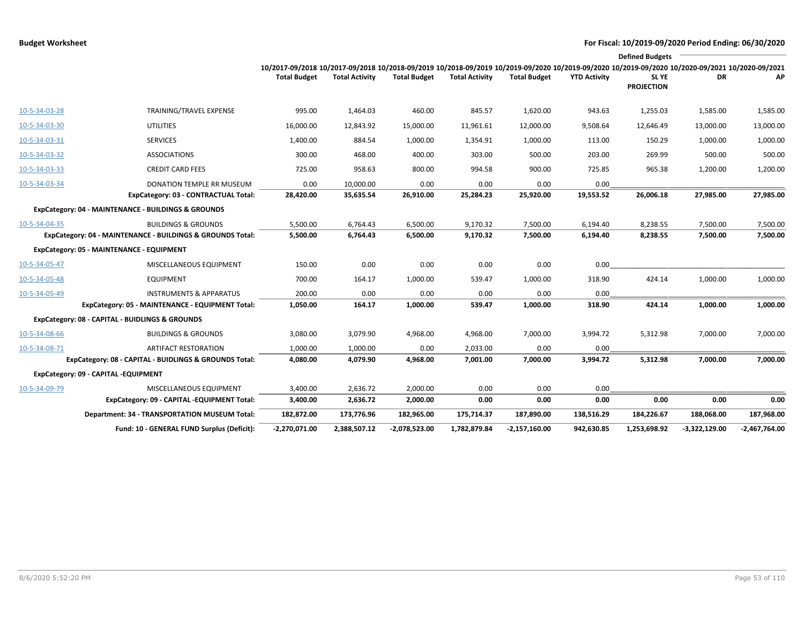|               |                                                            |                                                                                                                                                 |                       |                     |                       |                     |                     | <b>Defined Budgets</b>     |                 |                 |
|---------------|------------------------------------------------------------|-------------------------------------------------------------------------------------------------------------------------------------------------|-----------------------|---------------------|-----------------------|---------------------|---------------------|----------------------------|-----------------|-----------------|
|               |                                                            | 10/2017-09/2018 10/2017-09/2018 10/2018-09/2019 10/2018-09/2019 10/2019-09/2020 10/2019-09/2020 10/2019-09/2020 10/2020-09/2020 10/2020-09/2021 |                       |                     |                       |                     |                     |                            |                 |                 |
|               |                                                            | <b>Total Budget</b>                                                                                                                             | <b>Total Activity</b> | <b>Total Budget</b> | <b>Total Activity</b> | <b>Total Budget</b> | <b>YTD Activity</b> | SL YE<br><b>PROJECTION</b> | <b>DR</b>       | ΑP              |
| 10-5-34-03-28 | TRAINING/TRAVEL EXPENSE                                    | 995.00                                                                                                                                          | 1,464.03              | 460.00              | 845.57                | 1,620.00            | 943.63              | 1,255.03                   | 1,585.00        | 1,585.00        |
| 10-5-34-03-30 | UTILITIES                                                  | 16,000.00                                                                                                                                       | 12,843.92             | 15,000.00           | 11,961.61             | 12,000.00           | 9,508.64            | 12,646.49                  | 13,000.00       | 13,000.00       |
| 10-5-34-03-31 | <b>SERVICES</b>                                            | 1,400.00                                                                                                                                        | 884.54                | 1,000.00            | 1,354.91              | 1,000.00            | 113.00              | 150.29                     | 1,000.00        | 1,000.00        |
| 10-5-34-03-32 | <b>ASSOCIATIONS</b>                                        | 300.00                                                                                                                                          | 468.00                | 400.00              | 303.00                | 500.00              | 203.00              | 269.99                     | 500.00          | 500.00          |
| 10-5-34-03-33 | <b>CREDIT CARD FEES</b>                                    | 725.00                                                                                                                                          | 958.63                | 800.00              | 994.58                | 900.00              | 725.85              | 965.38                     | 1,200.00        | 1,200.00        |
| 10-5-34-03-34 | DONATION TEMPLE RR MUSEUM                                  | 0.00                                                                                                                                            | 10,000.00             | 0.00                | 0.00                  | 0.00                | 0.00                |                            |                 |                 |
|               | ExpCategory: 03 - CONTRACTUAL Total:                       | 28,420.00                                                                                                                                       | 35,635.54             | 26,910.00           | 25,284.23             | 25,920.00           | 19,553.52           | 26,006.18                  | 27,985.00       | 27,985.00       |
|               | ExpCategory: 04 - MAINTENANCE - BUILDINGS & GROUNDS        |                                                                                                                                                 |                       |                     |                       |                     |                     |                            |                 |                 |
| 10-5-34-04-35 | <b>BUILDINGS &amp; GROUNDS</b>                             | 5,500.00                                                                                                                                        | 6,764.43              | 6,500.00            | 9,170.32              | 7,500.00            | 6,194.40            | 8,238.55                   | 7,500.00        | 7,500.00        |
|               | ExpCategory: 04 - MAINTENANCE - BUILDINGS & GROUNDS Total: | 5,500.00                                                                                                                                        | 6,764.43              | 6,500.00            | 9,170.32              | 7,500.00            | 6,194.40            | 8,238.55                   | 7,500.00        | 7,500.00        |
|               | ExpCategory: 05 - MAINTENANCE - EQUIPMENT                  |                                                                                                                                                 |                       |                     |                       |                     |                     |                            |                 |                 |
| 10-5-34-05-47 | MISCELLANEOUS EQUIPMENT                                    | 150.00                                                                                                                                          | 0.00                  | 0.00                | 0.00                  | 0.00                | 0.00                |                            |                 |                 |
| 10-5-34-05-48 | <b>EQUIPMENT</b>                                           | 700.00                                                                                                                                          | 164.17                | 1,000.00            | 539.47                | 1,000.00            | 318.90              | 424.14                     | 1,000.00        | 1,000.00        |
| 10-5-34-05-49 | <b>INSTRUMENTS &amp; APPARATUS</b>                         | 200.00                                                                                                                                          | 0.00                  | 0.00                | 0.00                  | 0.00                | 0.00                |                            |                 |                 |
|               | ExpCategory: 05 - MAINTENANCE - EQUIPMENT Total:           | 1,050.00                                                                                                                                        | 164.17                | 1,000.00            | 539.47                | 1,000.00            | 318.90              | 424.14                     | 1,000.00        | 1,000.00        |
|               | ExpCategory: 08 - CAPITAL - BUIDLINGS & GROUNDS            |                                                                                                                                                 |                       |                     |                       |                     |                     |                            |                 |                 |
| 10-5-34-08-66 | <b>BUILDINGS &amp; GROUNDS</b>                             | 3,080.00                                                                                                                                        | 3,079.90              | 4,968.00            | 4,968.00              | 7,000.00            | 3,994.72            | 5,312.98                   | 7,000.00        | 7,000.00        |
| 10-5-34-08-71 | <b>ARTIFACT RESTORATION</b>                                | 1,000.00                                                                                                                                        | 1,000.00              | 0.00                | 2,033.00              | 0.00                | 0.00                |                            |                 |                 |
|               | ExpCategory: 08 - CAPITAL - BUIDLINGS & GROUNDS Total:     | 4,080.00                                                                                                                                        | 4,079.90              | 4,968.00            | 7,001.00              | 7,000.00            | 3,994.72            | 5,312.98                   | 7,000.00        | 7,000.00        |
|               | ExpCategory: 09 - CAPITAL -EQUIPMENT                       |                                                                                                                                                 |                       |                     |                       |                     |                     |                            |                 |                 |
| 10-5-34-09-79 | MISCELLANEOUS EQUIPMENT                                    | 3,400.00                                                                                                                                        | 2,636.72              | 2,000.00            | 0.00                  | 0.00                | 0.00                |                            |                 |                 |
|               | ExpCategory: 09 - CAPITAL -EQUIPMENT Total:                | 3,400.00                                                                                                                                        | 2,636.72              | 2,000.00            | 0.00                  | 0.00                | 0.00                | 0.00                       | 0.00            | 0.00            |
|               | <b>Department: 34 - TRANSPORTATION MUSEUM Total:</b>       | 182,872.00                                                                                                                                      | 173,776.96            | 182,965.00          | 175,714.37            | 187,890.00          | 138,516.29          | 184,226.67                 | 188,068.00      | 187,968.00      |
|               | Fund: 10 - GENERAL FUND Surplus (Deficit):                 | -2,270,071.00                                                                                                                                   | 2,388,507.12          | -2,078,523.00       | 1,782,879.84          | $-2,157,160.00$     | 942,630.85          | 1,253,698.92               | $-3,322,129.00$ | $-2,467,764.00$ |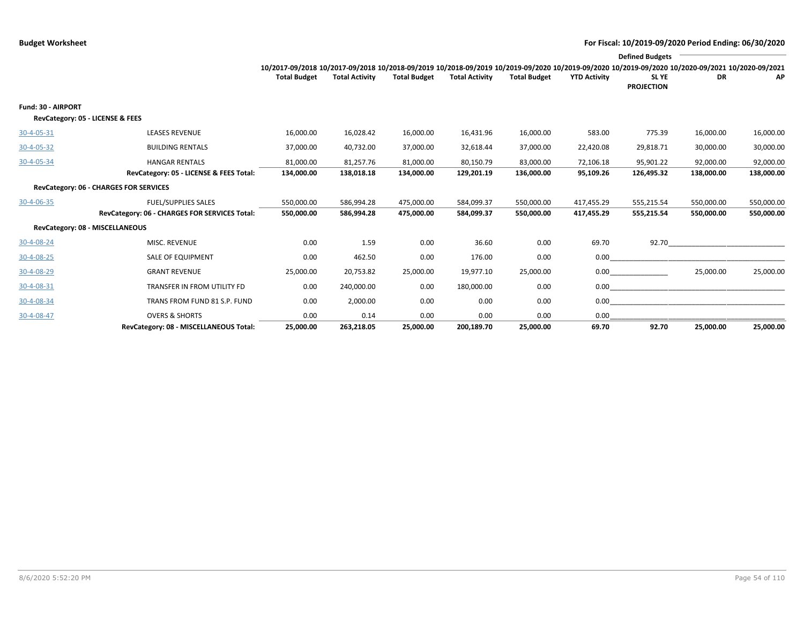|                                                               |                                               |                                                                                                                                                 |                       |                     |                       |                     |                     | <b>Defined Budgets</b>     |            |            |
|---------------------------------------------------------------|-----------------------------------------------|-------------------------------------------------------------------------------------------------------------------------------------------------|-----------------------|---------------------|-----------------------|---------------------|---------------------|----------------------------|------------|------------|
|                                                               |                                               | 10/2017-09/2018 10/2017-09/2018 10/2018-09/2019 10/2018-09/2019 10/2019-09/2020 10/2019-09/2020 10/2019-09/2020 10/2020-09/2021 10/2020-09/2021 |                       |                     |                       |                     |                     |                            |            |            |
|                                                               |                                               | <b>Total Budget</b>                                                                                                                             | <b>Total Activity</b> | <b>Total Budget</b> | <b>Total Activity</b> | <b>Total Budget</b> | <b>YTD Activity</b> | SL YE<br><b>PROJECTION</b> | DR         | AP         |
| <b>Fund: 30 - AIRPORT</b><br>RevCategory: 05 - LICENSE & FEES |                                               |                                                                                                                                                 |                       |                     |                       |                     |                     |                            |            |            |
| 30-4-05-31                                                    | <b>LEASES REVENUE</b>                         | 16,000.00                                                                                                                                       | 16,028.42             | 16,000.00           | 16,431.96             | 16,000.00           | 583.00              | 775.39                     | 16,000.00  | 16,000.00  |
| 30-4-05-32                                                    | <b>BUILDING RENTALS</b>                       | 37,000.00                                                                                                                                       | 40,732.00             | 37,000.00           | 32,618.44             | 37,000.00           | 22,420.08           | 29,818.71                  | 30,000.00  | 30,000.00  |
| 30-4-05-34                                                    | <b>HANGAR RENTALS</b>                         | 81,000.00                                                                                                                                       | 81,257.76             | 81,000.00           | 80,150.79             | 83,000.00           | 72,106.18           | 95,901.22                  | 92,000.00  | 92,000.00  |
|                                                               | RevCategory: 05 - LICENSE & FEES Total:       | 134,000.00                                                                                                                                      | 138,018.18            | 134,000.00          | 129,201.19            | 136,000.00          | 95,109.26           | 126.495.32                 | 138,000.00 | 138,000.00 |
|                                                               | RevCategory: 06 - CHARGES FOR SERVICES        |                                                                                                                                                 |                       |                     |                       |                     |                     |                            |            |            |
| 30-4-06-35                                                    | <b>FUEL/SUPPLIES SALES</b>                    | 550,000.00                                                                                                                                      | 586,994.28            | 475,000.00          | 584,099.37            | 550,000.00          | 417,455.29          | 555,215.54                 | 550,000.00 | 550,000.00 |
|                                                               | RevCategory: 06 - CHARGES FOR SERVICES Total: | 550,000.00                                                                                                                                      | 586,994.28            | 475,000.00          | 584,099.37            | 550,000.00          | 417,455.29          | 555,215.54                 | 550,000.00 | 550,000.00 |
| RevCategory: 08 - MISCELLANEOUS                               |                                               |                                                                                                                                                 |                       |                     |                       |                     |                     |                            |            |            |
| 30-4-08-24                                                    | MISC. REVENUE                                 | 0.00                                                                                                                                            | 1.59                  | 0.00                | 36.60                 | 0.00                | 69.70               |                            | 92.70      |            |
| 30-4-08-25                                                    | <b>SALE OF EQUIPMENT</b>                      | 0.00                                                                                                                                            | 462.50                | 0.00                | 176.00                | 0.00                | 0.00                |                            |            |            |
| 30-4-08-29                                                    | <b>GRANT REVENUE</b>                          | 25,000.00                                                                                                                                       | 20,753.82             | 25,000.00           | 19,977.10             | 25,000.00           | 0.00                |                            | 25,000.00  | 25,000.00  |
| 30-4-08-31                                                    | TRANSFER IN FROM UTILITY FD                   | 0.00                                                                                                                                            | 240,000.00            | 0.00                | 180,000.00            | 0.00                | 0.00                |                            |            |            |
| 30-4-08-34                                                    | TRANS FROM FUND 81 S.P. FUND                  | 0.00                                                                                                                                            | 2,000.00              | 0.00                | 0.00                  | 0.00                | 0.00                |                            |            |            |
| 30-4-08-47                                                    | <b>OVERS &amp; SHORTS</b>                     | 0.00                                                                                                                                            | 0.14                  | 0.00                | 0.00                  | 0.00                | 0.00                |                            |            |            |
|                                                               | RevCategory: 08 - MISCELLANEOUS Total:        | 25.000.00                                                                                                                                       | 263.218.05            | 25.000.00           | 200.189.70            | 25.000.00           | 69.70               | 92.70                      | 25.000.00  | 25,000,00  |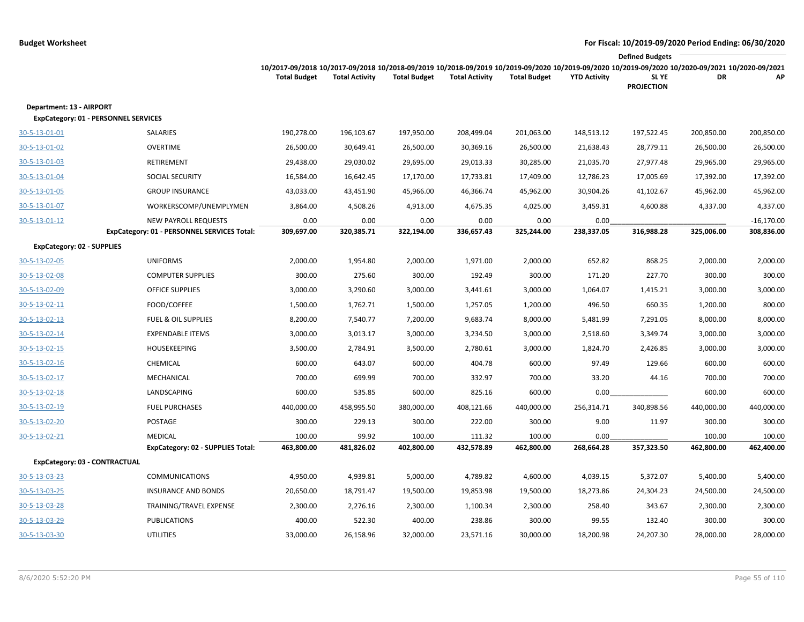|                                                                         |                                                                            |                                                                                                                                                                        |                       |                     |                       |                     |                     | <b>Defined Budgets</b>     |            |                            |
|-------------------------------------------------------------------------|----------------------------------------------------------------------------|------------------------------------------------------------------------------------------------------------------------------------------------------------------------|-----------------------|---------------------|-----------------------|---------------------|---------------------|----------------------------|------------|----------------------------|
|                                                                         |                                                                            | 10/2017-09/2018 10/2017-09/2018 10/2018-09/2019 10/2018-09/2019 10/2019-09/2020 10/2019-09/2020 10/2019-09/2020 10/2020-09/2021 10/2020-09/2021<br><b>Total Budget</b> | <b>Total Activity</b> | <b>Total Budget</b> | <b>Total Activity</b> | <b>Total Budget</b> | <b>YTD Activity</b> | SL YE<br><b>PROJECTION</b> | DR         | AP                         |
| Department: 13 - AIRPORT<br><b>ExpCategory: 01 - PERSONNEL SERVICES</b> |                                                                            |                                                                                                                                                                        |                       |                     |                       |                     |                     |                            |            |                            |
| 30-5-13-01-01                                                           | SALARIES                                                                   | 190,278.00                                                                                                                                                             | 196,103.67            | 197,950.00          | 208,499.04            | 201,063.00          | 148,513.12          | 197,522.45                 | 200,850.00 | 200,850.00                 |
| 30-5-13-01-02                                                           | <b>OVERTIME</b>                                                            | 26,500.00                                                                                                                                                              | 30,649.41             | 26,500.00           | 30,369.16             | 26,500.00           | 21,638.43           | 28,779.11                  | 26,500.00  | 26,500.00                  |
| 30-5-13-01-03                                                           | RETIREMENT                                                                 | 29,438.00                                                                                                                                                              | 29,030.02             | 29,695.00           | 29,013.33             | 30,285.00           | 21,035.70           | 27,977.48                  | 29,965.00  | 29,965.00                  |
| 30-5-13-01-04                                                           | <b>SOCIAL SECURITY</b>                                                     | 16,584.00                                                                                                                                                              | 16,642.45             | 17,170.00           | 17,733.81             | 17,409.00           | 12,786.23           | 17,005.69                  | 17,392.00  | 17,392.00                  |
| 30-5-13-01-05                                                           | <b>GROUP INSURANCE</b>                                                     | 43,033.00                                                                                                                                                              | 43,451.90             | 45,966.00           | 46,366.74             | 45,962.00           | 30,904.26           | 41,102.67                  | 45,962.00  | 45,962.00                  |
| 30-5-13-01-07                                                           | WORKERSCOMP/UNEMPLYMEN                                                     | 3,864.00                                                                                                                                                               | 4,508.26              | 4,913.00            | 4,675.35              | 4,025.00            | 3,459.31            | 4,600.88                   | 4,337.00   | 4,337.00                   |
| 30-5-13-01-12                                                           | <b>NEW PAYROLL REQUESTS</b><br>ExpCategory: 01 - PERSONNEL SERVICES Total: | 0.00<br>309,697.00                                                                                                                                                     | 0.00<br>320,385.71    | 0.00<br>322,194.00  | 0.00<br>336,657.43    | 0.00<br>325,244.00  | 0.00<br>238,337.05  | 316,988.28                 | 325,006.00 | $-16,170.00$<br>308,836.00 |
| <b>ExpCategory: 02 - SUPPLIES</b>                                       |                                                                            |                                                                                                                                                                        |                       |                     |                       |                     |                     |                            |            |                            |
| 30-5-13-02-05                                                           | <b>UNIFORMS</b>                                                            | 2,000.00                                                                                                                                                               | 1,954.80              | 2,000.00            | 1,971.00              | 2,000.00            | 652.82              | 868.25                     | 2,000.00   | 2,000.00                   |
| 30-5-13-02-08                                                           | <b>COMPUTER SUPPLIES</b>                                                   | 300.00                                                                                                                                                                 | 275.60                | 300.00              | 192.49                | 300.00              | 171.20              | 227.70                     | 300.00     | 300.00                     |
| 30-5-13-02-09                                                           | <b>OFFICE SUPPLIES</b>                                                     | 3,000.00                                                                                                                                                               | 3,290.60              | 3,000.00            | 3,441.61              | 3,000.00            | 1,064.07            | 1,415.21                   | 3,000.00   | 3,000.00                   |
| 30-5-13-02-11                                                           | FOOD/COFFEE                                                                | 1,500.00                                                                                                                                                               | 1,762.71              | 1,500.00            | 1,257.05              | 1,200.00            | 496.50              | 660.35                     | 1,200.00   | 800.00                     |
| 30-5-13-02-13                                                           | <b>FUEL &amp; OIL SUPPLIES</b>                                             | 8,200.00                                                                                                                                                               | 7,540.77              | 7,200.00            | 9,683.74              | 8,000.00            | 5,481.99            | 7,291.05                   | 8,000.00   | 8,000.00                   |
| 30-5-13-02-14                                                           | <b>EXPENDABLE ITEMS</b>                                                    | 3,000.00                                                                                                                                                               | 3,013.17              | 3,000.00            | 3,234.50              | 3,000.00            | 2,518.60            | 3,349.74                   | 3,000.00   | 3,000.00                   |
| 30-5-13-02-15                                                           | <b>HOUSEKEEPING</b>                                                        | 3,500.00                                                                                                                                                               | 2,784.91              | 3,500.00            | 2,780.61              | 3,000.00            | 1,824.70            | 2,426.85                   | 3,000.00   | 3,000.00                   |
| 30-5-13-02-16                                                           | CHEMICAL                                                                   | 600.00                                                                                                                                                                 | 643.07                | 600.00              | 404.78                | 600.00              | 97.49               | 129.66                     | 600.00     | 600.00                     |
| 30-5-13-02-17                                                           | MECHANICAL                                                                 | 700.00                                                                                                                                                                 | 699.99                | 700.00              | 332.97                | 700.00              | 33.20               | 44.16                      | 700.00     | 700.00                     |
| 30-5-13-02-18                                                           | LANDSCAPING                                                                | 600.00                                                                                                                                                                 | 535.85                | 600.00              | 825.16                | 600.00              | 0.00                |                            | 600.00     | 600.00                     |
| 30-5-13-02-19                                                           | <b>FUEL PURCHASES</b>                                                      | 440,000.00                                                                                                                                                             | 458,995.50            | 380,000.00          | 408,121.66            | 440,000.00          | 256,314.71          | 340,898.56                 | 440,000.00 | 440,000.00                 |
| 30-5-13-02-20                                                           | POSTAGE                                                                    | 300.00                                                                                                                                                                 | 229.13                | 300.00              | 222.00                | 300.00              | 9.00                | 11.97                      | 300.00     | 300.00                     |
| 30-5-13-02-21                                                           | <b>MEDICAL</b>                                                             | 100.00                                                                                                                                                                 | 99.92                 | 100.00              | 111.32                | 100.00              | 0.00                |                            | 100.00     | 100.00                     |
|                                                                         | ExpCategory: 02 - SUPPLIES Total:                                          | 463,800.00                                                                                                                                                             | 481,826.02            | 402,800.00          | 432,578.89            | 462,800.00          | 268,664.28          | 357,323.50                 | 462,800.00 | 462,400.00                 |
| ExpCategory: 03 - CONTRACTUAL                                           |                                                                            |                                                                                                                                                                        |                       |                     |                       |                     |                     |                            |            |                            |
| 30-5-13-03-23                                                           | <b>COMMUNICATIONS</b>                                                      | 4,950.00                                                                                                                                                               | 4,939.81              | 5,000.00            | 4,789.82              | 4,600.00            | 4,039.15            | 5,372.07                   | 5,400.00   | 5,400.00                   |
| 30-5-13-03-25                                                           | <b>INSURANCE AND BONDS</b>                                                 | 20,650.00                                                                                                                                                              | 18,791.47             | 19,500.00           | 19,853.98             | 19,500.00           | 18,273.86           | 24,304.23                  | 24,500.00  | 24,500.00                  |
| 30-5-13-03-28                                                           | TRAINING/TRAVEL EXPENSE                                                    | 2,300.00                                                                                                                                                               | 2,276.16              | 2,300.00            | 1,100.34              | 2,300.00            | 258.40              | 343.67                     | 2,300.00   | 2,300.00                   |
| 30-5-13-03-29                                                           | <b>PUBLICATIONS</b>                                                        | 400.00                                                                                                                                                                 | 522.30                | 400.00              | 238.86                | 300.00              | 99.55               | 132.40                     | 300.00     | 300.00                     |
| 30-5-13-03-30                                                           | <b>UTILITIES</b>                                                           | 33,000.00                                                                                                                                                              | 26,158.96             | 32,000.00           | 23,571.16             | 30,000.00           | 18,200.98           | 24,207.30                  | 28,000.00  | 28,000.00                  |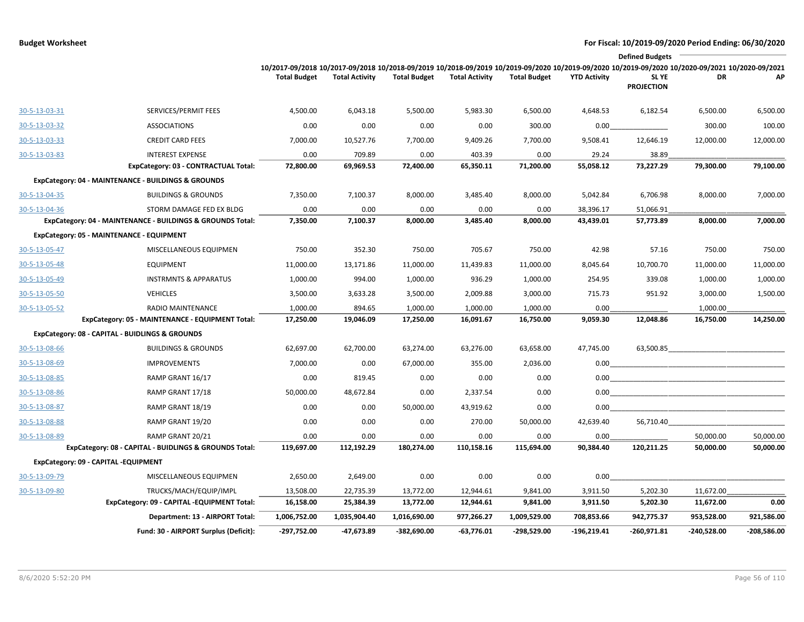|               | <b>Defined Budgets</b>                                     |                                                                                                                                                                        |                       |                     |                       |                     |                     |                            |                                                                                                                       |               |
|---------------|------------------------------------------------------------|------------------------------------------------------------------------------------------------------------------------------------------------------------------------|-----------------------|---------------------|-----------------------|---------------------|---------------------|----------------------------|-----------------------------------------------------------------------------------------------------------------------|---------------|
|               |                                                            | 10/2017-09/2018 10/2017-09/2018 10/2018-09/2019 10/2018-09/2019 10/2019-09/2020 10/2019-09/2020 10/2019-09/2020 10/2020-09/2021 10/2020-09/2021<br><b>Total Budget</b> | <b>Total Activity</b> | <b>Total Budget</b> | <b>Total Activity</b> | <b>Total Budget</b> | <b>YTD Activity</b> | SL YE<br><b>PROJECTION</b> | DR                                                                                                                    | АP            |
| 30-5-13-03-31 | SERVICES/PERMIT FEES                                       | 4,500.00                                                                                                                                                               | 6,043.18              | 5,500.00            | 5,983.30              | 6,500.00            | 4,648.53            | 6,182.54                   | 6,500.00                                                                                                              | 6,500.00      |
| 30-5-13-03-32 | <b>ASSOCIATIONS</b>                                        | 0.00                                                                                                                                                                   | 0.00                  | 0.00                | 0.00                  | 300.00              | 0.00                |                            | 300.00                                                                                                                | 100.00        |
| 30-5-13-03-33 | <b>CREDIT CARD FEES</b>                                    | 7,000.00                                                                                                                                                               | 10,527.76             | 7,700.00            | 9,409.26              | 7,700.00            | 9,508.41            | 12,646.19                  | 12,000.00                                                                                                             | 12,000.00     |
| 30-5-13-03-83 | <b>INTEREST EXPENSE</b>                                    | 0.00                                                                                                                                                                   | 709.89                | 0.00                | 403.39                | 0.00                | 29.24               | 38.89                      |                                                                                                                       |               |
|               | ExpCategory: 03 - CONTRACTUAL Total:                       | 72,800.00                                                                                                                                                              | 69,969.53             | 72,400.00           | 65,350.11             | 71,200.00           | 55,058.12           | 73,227.29                  | 79,300.00                                                                                                             | 79,100.00     |
|               | ExpCategory: 04 - MAINTENANCE - BUILDINGS & GROUNDS        |                                                                                                                                                                        |                       |                     |                       |                     |                     |                            |                                                                                                                       |               |
| 30-5-13-04-35 | <b>BUILDINGS &amp; GROUNDS</b>                             | 7,350.00                                                                                                                                                               | 7,100.37              | 8,000.00            | 3,485.40              | 8,000.00            | 5,042.84            | 6,706.98                   | 8,000.00                                                                                                              | 7,000.00      |
| 30-5-13-04-36 | STORM DAMAGE FED EX BLDG                                   | 0.00                                                                                                                                                                   | 0.00                  | 0.00                | 0.00                  | 0.00                | 38,396.17           | 51,066.91                  |                                                                                                                       |               |
|               | ExpCategory: 04 - MAINTENANCE - BUILDINGS & GROUNDS Total: | 7,350.00                                                                                                                                                               | 7,100.37              | 8,000.00            | 3,485.40              | 8,000.00            | 43,439.01           | 57,773.89                  | 8,000.00                                                                                                              | 7,000.00      |
|               | ExpCategory: 05 - MAINTENANCE - EQUIPMENT                  |                                                                                                                                                                        |                       |                     |                       |                     |                     |                            |                                                                                                                       |               |
| 30-5-13-05-47 | MISCELLANEOUS EQUIPMEN                                     | 750.00                                                                                                                                                                 | 352.30                | 750.00              | 705.67                | 750.00              | 42.98               | 57.16                      | 750.00                                                                                                                | 750.00        |
| 30-5-13-05-48 | <b>EQUIPMENT</b>                                           | 11,000.00                                                                                                                                                              | 13,171.86             | 11,000.00           | 11,439.83             | 11,000.00           | 8,045.64            | 10,700.70                  | 11,000.00                                                                                                             | 11,000.00     |
| 30-5-13-05-49 | <b>INSTRMNTS &amp; APPARATUS</b>                           | 1,000.00                                                                                                                                                               | 994.00                | 1,000.00            | 936.29                | 1,000.00            | 254.95              | 339.08                     | 1,000.00                                                                                                              | 1,000.00      |
| 30-5-13-05-50 | <b>VEHICLES</b>                                            | 3,500.00                                                                                                                                                               | 3,633.28              | 3,500.00            | 2,009.88              | 3,000.00            | 715.73              | 951.92                     | 3,000.00                                                                                                              | 1,500.00      |
| 30-5-13-05-52 | <b>RADIO MAINTENANCE</b>                                   | 1,000.00                                                                                                                                                               | 894.65                | 1,000.00            | 1,000.00              | 1,000.00            | 0.00                |                            | 1,000.00                                                                                                              |               |
|               | ExpCategory: 05 - MAINTENANCE - EQUIPMENT Total:           | 17,250.00                                                                                                                                                              | 19,046.09             | 17,250.00           | 16,091.67             | 16,750.00           | 9,059.30            | 12,048.86                  | 16,750.00                                                                                                             | 14,250.00     |
|               | ExpCategory: 08 - CAPITAL - BUIDLINGS & GROUNDS            |                                                                                                                                                                        |                       |                     |                       |                     |                     |                            |                                                                                                                       |               |
| 30-5-13-08-66 | <b>BUILDINGS &amp; GROUNDS</b>                             | 62,697.00                                                                                                                                                              | 62,700.00             | 63,274.00           | 63,276.00             | 63,658.00           | 47,745.00           | 63,500.85                  | the control of the control of the control of the control of                                                           |               |
| 30-5-13-08-69 | <b>IMPROVEMENTS</b>                                        | 7,000.00                                                                                                                                                               | 0.00                  | 67,000.00           | 355.00                | 2,036.00            | $0.00\,$            |                            | <u> 1989 - John Harry Harry Harry Harry Harry Harry Harry Harry Harry Harry Harry Harry Harry Harry Harry Harry H</u> |               |
| 30-5-13-08-85 | RAMP GRANT 16/17                                           | 0.00                                                                                                                                                                   | 819.45                | 0.00                | 0.00                  | 0.00                | $0.00\,$            |                            | <u> 1990 - Johann John Stone, mars eta biztanleria (</u>                                                              |               |
| 30-5-13-08-86 | RAMP GRANT 17/18                                           | 50,000.00                                                                                                                                                              | 48,672.84             | 0.00                | 2,337.54              | 0.00                | $0.00\,$            |                            |                                                                                                                       |               |
| 30-5-13-08-87 | RAMP GRANT 18/19                                           | 0.00                                                                                                                                                                   | 0.00                  | 50,000.00           | 43,919.62             | 0.00                | 0.00                |                            |                                                                                                                       |               |
| 30-5-13-08-88 | RAMP GRANT 19/20                                           | 0.00                                                                                                                                                                   | 0.00                  | 0.00                | 270.00                | 50,000.00           | 42,639.40           | 56,710.40                  |                                                                                                                       |               |
| 30-5-13-08-89 | RAMP GRANT 20/21                                           | 0.00                                                                                                                                                                   | 0.00                  | 0.00                | 0.00                  | 0.00                | 0.00                |                            | 50,000.00                                                                                                             | 50,000.00     |
|               | ExpCategory: 08 - CAPITAL - BUIDLINGS & GROUNDS Total:     | 119,697.00                                                                                                                                                             | 112,192.29            | 180,274.00          | 110,158.16            | 115,694.00          | 90,384.40           | 120,211.25                 | 50,000.00                                                                                                             | 50,000.00     |
|               | ExpCategory: 09 - CAPITAL -EQUIPMENT                       |                                                                                                                                                                        |                       |                     |                       |                     |                     |                            |                                                                                                                       |               |
| 30-5-13-09-79 | MISCELLANEOUS EQUIPMEN                                     | 2,650.00                                                                                                                                                               | 2,649.00              | 0.00                | 0.00                  | 0.00                | 0.00                |                            |                                                                                                                       |               |
| 30-5-13-09-80 | TRUCKS/MACH/EQUIP/IMPL                                     | 13,508.00                                                                                                                                                              | 22,735.39             | 13,772.00           | 12,944.61             | 9,841.00            | 3,911.50            | 5,202.30                   | 11,672.00                                                                                                             |               |
|               | ExpCategory: 09 - CAPITAL -EQUIPMENT Total:                | 16,158.00                                                                                                                                                              | 25,384.39             | 13,772.00           | 12,944.61             | 9,841.00            | 3,911.50            | 5,202.30                   | 11,672.00                                                                                                             | 0.00          |
|               | Department: 13 - AIRPORT Total:                            | 1,006,752.00                                                                                                                                                           | 1,035,904.40          | 1,016,690.00        | 977,266.27            | 1,009,529.00        | 708,853.66          | 942,775.37                 | 953,528.00                                                                                                            | 921,586.00    |
|               | Fund: 30 - AIRPORT Surplus (Deficit):                      | -297,752.00                                                                                                                                                            | -47,673.89            | $-382,690.00$       | $-63,776.01$          | $-298,529.00$       | -196,219.41         | -260,971.81                | $-240,528.00$                                                                                                         | $-208,586.00$ |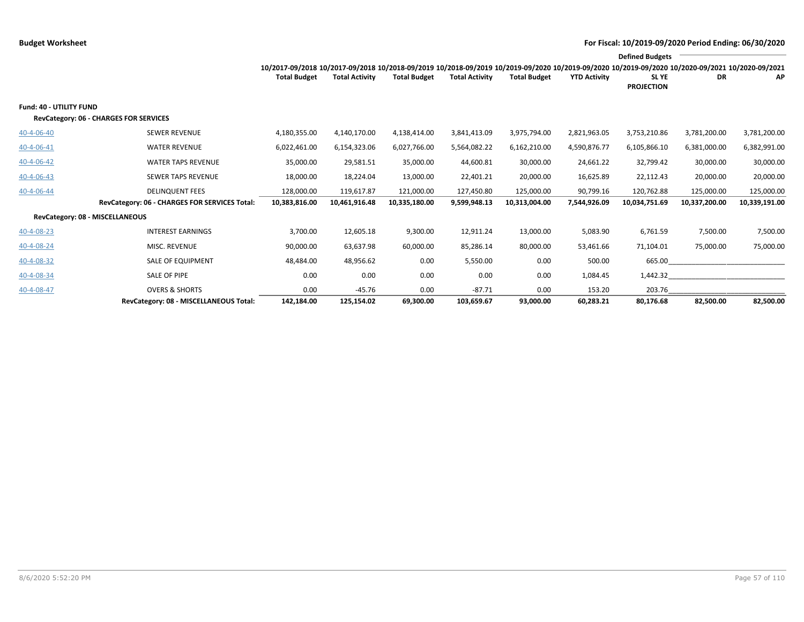|                                 |                                               |                                                                                                                                                 |                       |                     |                       |                     |                     | <b>Defined Budgets</b>     |               |               |
|---------------------------------|-----------------------------------------------|-------------------------------------------------------------------------------------------------------------------------------------------------|-----------------------|---------------------|-----------------------|---------------------|---------------------|----------------------------|---------------|---------------|
|                                 |                                               | 10/2017-09/2018 10/2017-09/2018 10/2018-09/2019 10/2018-09/2019 10/2019-09/2020 10/2019-09/2020 10/2019-09/2020 10/2020-09/2021 10/2020-09/2021 |                       |                     |                       |                     |                     |                            |               |               |
|                                 |                                               | <b>Total Budget</b>                                                                                                                             | <b>Total Activity</b> | <b>Total Budget</b> | <b>Total Activity</b> | <b>Total Budget</b> | <b>YTD Activity</b> | SL YE<br><b>PROJECTION</b> | DR            | АP            |
|                                 |                                               |                                                                                                                                                 |                       |                     |                       |                     |                     |                            |               |               |
| <b>Fund: 40 - UTILITY FUND</b>  |                                               |                                                                                                                                                 |                       |                     |                       |                     |                     |                            |               |               |
|                                 | RevCategory: 06 - CHARGES FOR SERVICES        |                                                                                                                                                 |                       |                     |                       |                     |                     |                            |               |               |
| 40-4-06-40                      | <b>SEWER REVENUE</b>                          | 4,180,355.00                                                                                                                                    | 4,140,170.00          | 4,138,414.00        | 3,841,413.09          | 3,975,794.00        | 2,821,963.05        | 3,753,210.86               | 3,781,200.00  | 3,781,200.00  |
| 40-4-06-41                      | <b>WATER REVENUE</b>                          | 6,022,461.00                                                                                                                                    | 6,154,323.06          | 6,027,766.00        | 5,564,082.22          | 6,162,210.00        | 4,590,876.77        | 6,105,866.10               | 6,381,000.00  | 6,382,991.00  |
| 40-4-06-42                      | <b>WATER TAPS REVENUE</b>                     | 35,000.00                                                                                                                                       | 29,581.51             | 35,000.00           | 44,600.81             | 30,000.00           | 24,661.22           | 32,799.42                  | 30,000.00     | 30,000.00     |
| $40 - 4 - 06 - 43$              | SEWER TAPS REVENUE                            | 18,000.00                                                                                                                                       | 18,224.04             | 13,000.00           | 22,401.21             | 20,000.00           | 16,625.89           | 22,112.43                  | 20,000.00     | 20,000.00     |
| 40-4-06-44                      | <b>DELINQUENT FEES</b>                        | 128,000.00                                                                                                                                      | 119,617.87            | 121,000.00          | 127,450.80            | 125,000.00          | 90,799.16           | 120,762.88                 | 125,000.00    | 125,000.00    |
|                                 | RevCategory: 06 - CHARGES FOR SERVICES Total: | 10,383,816.00                                                                                                                                   | 10,461,916.48         | 10,335,180.00       | 9,599,948.13          | 10,313,004.00       | 7,544,926.09        | 10,034,751.69              | 10,337,200.00 | 10,339,191.00 |
| RevCategory: 08 - MISCELLANEOUS |                                               |                                                                                                                                                 |                       |                     |                       |                     |                     |                            |               |               |
| 40-4-08-23                      | <b>INTEREST EARNINGS</b>                      | 3,700.00                                                                                                                                        | 12,605.18             | 9,300.00            | 12,911.24             | 13,000.00           | 5,083.90            | 6,761.59                   | 7,500.00      | 7,500.00      |
| 40-4-08-24                      | MISC. REVENUE                                 | 90,000.00                                                                                                                                       | 63,637.98             | 60,000.00           | 85,286.14             | 80,000.00           | 53,461.66           | 71,104.01                  | 75,000.00     | 75,000.00     |
| 40-4-08-32                      | <b>SALE OF EQUIPMENT</b>                      | 48,484.00                                                                                                                                       | 48,956.62             | 0.00                | 5,550.00              | 0.00                | 500.00              | 665.00                     |               |               |
| 40-4-08-34                      | SALE OF PIPE                                  | 0.00                                                                                                                                            | 0.00                  | 0.00                | 0.00                  | 0.00                | 1,084.45            | 1,442.32                   |               |               |
| 40-4-08-47                      | <b>OVERS &amp; SHORTS</b>                     | 0.00                                                                                                                                            | $-45.76$              | 0.00                | $-87.71$              | 0.00                | 153.20              | 203.76                     |               |               |
|                                 | RevCategory: 08 - MISCELLANEOUS Total:        | 142,184.00                                                                                                                                      | 125,154.02            | 69,300.00           | 103,659.67            | 93.000.00           | 60,283.21           | 80,176.68                  | 82,500.00     | 82,500.00     |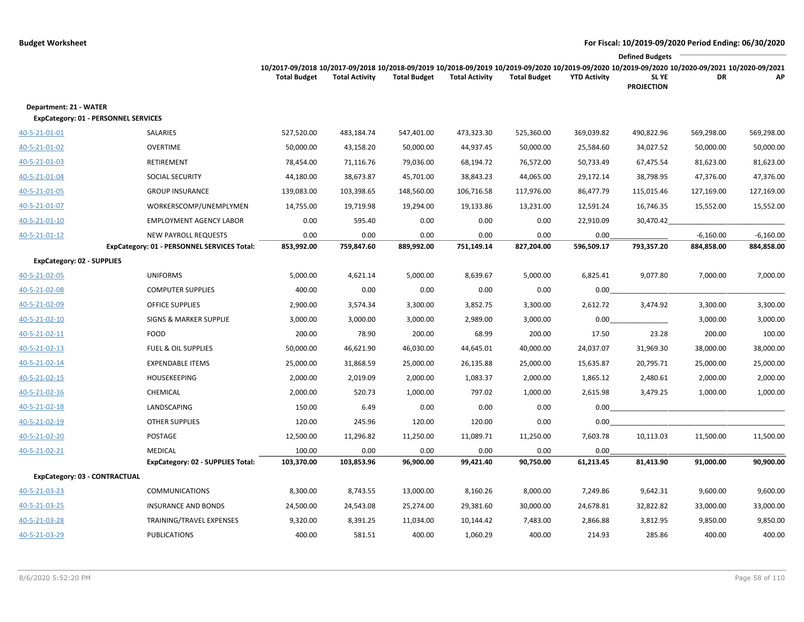|                                                                       |                                             |                                                                                                                                                                        |                       |                     |                       |                     |                     | <b>Defined Budgets</b>     |             |             |
|-----------------------------------------------------------------------|---------------------------------------------|------------------------------------------------------------------------------------------------------------------------------------------------------------------------|-----------------------|---------------------|-----------------------|---------------------|---------------------|----------------------------|-------------|-------------|
|                                                                       |                                             | 10/2017-09/2018 10/2017-09/2018 10/2018-09/2019 10/2018-09/2019 10/2019-09/2020 10/2019-09/2020 10/2019-09/2020 10/2020-09/2021 10/2020-09/2021<br><b>Total Budget</b> | <b>Total Activity</b> | <b>Total Budget</b> | <b>Total Activity</b> | <b>Total Budget</b> | <b>YTD Activity</b> | SL YE<br><b>PROJECTION</b> | DR          | AP          |
| Department: 21 - WATER<br><b>ExpCategory: 01 - PERSONNEL SERVICES</b> |                                             |                                                                                                                                                                        |                       |                     |                       |                     |                     |                            |             |             |
| 40-5-21-01-01                                                         | SALARIES                                    | 527,520.00                                                                                                                                                             | 483,184.74            | 547,401.00          | 473,323.30            | 525,360.00          | 369,039.82          | 490,822.96                 | 569,298.00  | 569,298.00  |
| 40-5-21-01-02                                                         | <b>OVERTIME</b>                             | 50,000.00                                                                                                                                                              | 43,158.20             | 50,000.00           | 44,937.45             | 50,000.00           | 25,584.60           | 34,027.52                  | 50,000.00   | 50,000.00   |
| 40-5-21-01-03                                                         | RETIREMENT                                  | 78,454.00                                                                                                                                                              | 71,116.76             | 79,036.00           | 68,194.72             | 76,572.00           | 50,733.49           | 67,475.54                  | 81,623.00   | 81,623.00   |
| 40-5-21-01-04                                                         | <b>SOCIAL SECURITY</b>                      | 44,180.00                                                                                                                                                              | 38,673.87             | 45,701.00           | 38,843.23             | 44,065.00           | 29,172.14           | 38,798.95                  | 47,376.00   | 47,376.00   |
| 40-5-21-01-05                                                         | <b>GROUP INSURANCE</b>                      | 139,083.00                                                                                                                                                             | 103,398.65            | 148,560.00          | 106,716.58            | 117,976.00          | 86,477.79           | 115,015.46                 | 127,169.00  | 127,169.00  |
| 40-5-21-01-07                                                         | WORKERSCOMP/UNEMPLYMEN                      | 14,755.00                                                                                                                                                              | 19,719.98             | 19,294.00           | 19,133.86             | 13,231.00           | 12,591.24           | 16,746.35                  | 15,552.00   | 15,552.00   |
| 40-5-21-01-10                                                         | <b>EMPLOYMENT AGENCY LABOR</b>              | 0.00                                                                                                                                                                   | 595.40                | 0.00                | 0.00                  | 0.00                | 22,910.09           | 30,470.42                  |             |             |
| 40-5-21-01-12                                                         | <b>NEW PAYROLL REQUESTS</b>                 | 0.00                                                                                                                                                                   | 0.00                  | 0.00                | 0.00                  | 0.00                | 0.00                |                            | $-6,160.00$ | $-6,160.00$ |
|                                                                       | ExpCategory: 01 - PERSONNEL SERVICES Total: | 853,992.00                                                                                                                                                             | 759,847.60            | 889,992.00          | 751,149.14            | 827,204.00          | 596,509.17          | 793,357.20                 | 884,858.00  | 884,858.00  |
| <b>ExpCategory: 02 - SUPPLIES</b>                                     |                                             |                                                                                                                                                                        |                       |                     |                       |                     |                     |                            |             |             |
| 40-5-21-02-05                                                         | <b>UNIFORMS</b>                             | 5,000.00                                                                                                                                                               | 4,621.14              | 5,000.00            | 8,639.67              | 5,000.00            | 6,825.41            | 9,077.80                   | 7,000.00    | 7,000.00    |
| 40-5-21-02-08                                                         | <b>COMPUTER SUPPLIES</b>                    | 400.00                                                                                                                                                                 | 0.00                  | 0.00                | 0.00                  | 0.00                | 0.00                |                            |             |             |
| 40-5-21-02-09                                                         | <b>OFFICE SUPPLIES</b>                      | 2,900.00                                                                                                                                                               | 3,574.34              | 3,300.00            | 3,852.75              | 3,300.00            | 2,612.72            | 3,474.92                   | 3,300.00    | 3,300.00    |
| 40-5-21-02-10                                                         | <b>SIGNS &amp; MARKER SUPPLIE</b>           | 3,000.00                                                                                                                                                               | 3,000.00              | 3,000.00            | 2,989.00              | 3,000.00            | 0.00                |                            | 3,000.00    | 3,000.00    |
| 40-5-21-02-11                                                         | <b>FOOD</b>                                 | 200.00                                                                                                                                                                 | 78.90                 | 200.00              | 68.99                 | 200.00              | 17.50               | 23.28                      | 200.00      | 100.00      |
| 40-5-21-02-13                                                         | <b>FUEL &amp; OIL SUPPLIES</b>              | 50,000.00                                                                                                                                                              | 46,621.90             | 46,030.00           | 44,645.01             | 40,000.00           | 24,037.07           | 31,969.30                  | 38,000.00   | 38,000.00   |
| 40-5-21-02-14                                                         | <b>EXPENDABLE ITEMS</b>                     | 25,000.00                                                                                                                                                              | 31,868.59             | 25,000.00           | 26,135.88             | 25,000.00           | 15,635.87           | 20,795.71                  | 25,000.00   | 25,000.00   |
| 40-5-21-02-15                                                         | <b>HOUSEKEEPING</b>                         | 2,000.00                                                                                                                                                               | 2,019.09              | 2,000.00            | 1,083.37              | 2,000.00            | 1,865.12            | 2,480.61                   | 2,000.00    | 2,000.00    |
| 40-5-21-02-16                                                         | CHEMICAL                                    | 2,000.00                                                                                                                                                               | 520.73                | 1,000.00            | 797.02                | 1,000.00            | 2,615.98            | 3,479.25                   | 1,000.00    | 1,000.00    |
| 40-5-21-02-18                                                         | LANDSCAPING                                 | 150.00                                                                                                                                                                 | 6.49                  | 0.00                | 0.00                  | 0.00                | 0.00                |                            |             |             |
| 40-5-21-02-19                                                         | <b>OTHER SUPPLIES</b>                       | 120.00                                                                                                                                                                 | 245.96                | 120.00              | 120.00                | 0.00                | 0.00                |                            |             |             |
| 40-5-21-02-20                                                         | POSTAGE                                     | 12,500.00                                                                                                                                                              | 11,296.82             | 11,250.00           | 11,089.71             | 11,250.00           | 7,603.78            | 10,113.03                  | 11,500.00   | 11,500.00   |
| 40-5-21-02-21                                                         | <b>MEDICAL</b>                              | 100.00                                                                                                                                                                 | 0.00                  | 0.00                | 0.00                  | 0.00                | 0.00                |                            |             |             |
|                                                                       | ExpCategory: 02 - SUPPLIES Total:           | 103,370.00                                                                                                                                                             | 103,853.96            | 96,900.00           | 99,421.40             | 90,750.00           | 61,213.45           | 81,413.90                  | 91,000.00   | 90,900.00   |
| ExpCategory: 03 - CONTRACTUAL                                         |                                             |                                                                                                                                                                        |                       |                     |                       |                     |                     |                            |             |             |
| 40-5-21-03-23                                                         | <b>COMMUNICATIONS</b>                       | 8,300.00                                                                                                                                                               | 8,743.55              | 13,000.00           | 8,160.26              | 8,000.00            | 7,249.86            | 9,642.31                   | 9,600.00    | 9,600.00    |
| 40-5-21-03-25                                                         | <b>INSURANCE AND BONDS</b>                  | 24,500.00                                                                                                                                                              | 24,543.08             | 25,274.00           | 29,381.60             | 30,000.00           | 24,678.81           | 32,822.82                  | 33,000.00   | 33,000.00   |
| 40-5-21-03-28                                                         | TRAINING/TRAVEL EXPENSES                    | 9,320.00                                                                                                                                                               | 8,391.25              | 11,034.00           | 10,144.42             | 7,483.00            | 2,866.88            | 3,812.95                   | 9,850.00    | 9,850.00    |
| 40-5-21-03-29                                                         | <b>PUBLICATIONS</b>                         | 400.00                                                                                                                                                                 | 581.51                | 400.00              | 1,060.29              | 400.00              | 214.93              | 285.86                     | 400.00      | 400.00      |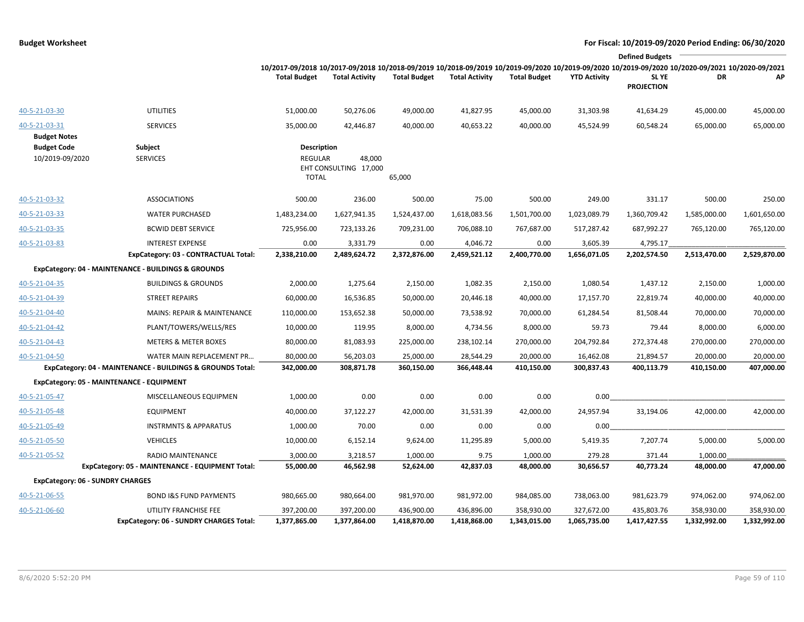|                                       |                                                            |                                                                                                                                                                        |                                 |                            |                            |                            |                     | <b>Defined Budgets</b>     |                            |                            |
|---------------------------------------|------------------------------------------------------------|------------------------------------------------------------------------------------------------------------------------------------------------------------------------|---------------------------------|----------------------------|----------------------------|----------------------------|---------------------|----------------------------|----------------------------|----------------------------|
|                                       |                                                            | 10/2017-09/2018 10/2017-09/2018 10/2018-09/2019 10/2018-09/2019 10/2019-09/2020 10/2019-09/2020 10/2019-09/2020 10/2020-09/2021 10/2020-09/2021<br><b>Total Budget</b> | <b>Total Activity</b>           | <b>Total Budget</b>        | <b>Total Activity</b>      | <b>Total Budget</b>        | <b>YTD Activity</b> | SL YE<br><b>PROJECTION</b> | DR                         | AP                         |
| 40-5-21-03-30                         | <b>UTILITIES</b>                                           | 51,000.00                                                                                                                                                              | 50,276.06                       | 49,000.00                  | 41,827.95                  | 45,000.00                  | 31,303.98           | 41,634.29                  | 45,000.00                  | 45,000.00                  |
| 40-5-21-03-31<br><b>Budget Notes</b>  | <b>SERVICES</b>                                            | 35,000.00                                                                                                                                                              | 42,446.87                       | 40,000.00                  | 40,653.22                  | 40,000.00                  | 45,524.99           | 60,548.24                  | 65,000.00                  | 65,000.00                  |
| <b>Budget Code</b><br>10/2019-09/2020 | Subject<br><b>SERVICES</b>                                 | <b>Description</b><br><b>REGULAR</b><br><b>TOTAL</b>                                                                                                                   | 48,000<br>EHT CONSULTING 17,000 | 65,000                     |                            |                            |                     |                            |                            |                            |
| 40-5-21-03-32                         | <b>ASSOCIATIONS</b>                                        | 500.00                                                                                                                                                                 | 236.00                          | 500.00                     | 75.00                      | 500.00                     | 249.00              | 331.17                     | 500.00                     | 250.00                     |
| 40-5-21-03-33                         | <b>WATER PURCHASED</b>                                     | 1,483,234.00                                                                                                                                                           | 1,627,941.35                    | 1,524,437.00               | 1,618,083.56               | 1,501,700.00               | 1,023,089.79        | 1,360,709.42               | 1,585,000.00               | 1,601,650.00               |
| 40-5-21-03-35                         | <b>BCWID DEBT SERVICE</b>                                  | 725,956.00                                                                                                                                                             | 723,133.26                      | 709,231.00                 | 706,088.10                 | 767,687.00                 | 517,287.42          | 687,992.27                 | 765,120.00                 | 765,120.00                 |
| 40-5-21-03-83                         | <b>INTEREST EXPENSE</b>                                    | 0.00                                                                                                                                                                   | 3,331.79                        | 0.00                       | 4,046.72                   | 0.00                       | 3,605.39            | 4,795.17                   |                            |                            |
|                                       | ExpCategory: 03 - CONTRACTUAL Total:                       | 2,338,210.00                                                                                                                                                           | 2,489,624.72                    | 2,372,876.00               | 2,459,521.12               | 2,400,770.00               | 1,656,071.05        | 2,202,574.50               | 2,513,470.00               | 2,529,870.00               |
|                                       | ExpCategory: 04 - MAINTENANCE - BUILDINGS & GROUNDS        |                                                                                                                                                                        |                                 |                            |                            |                            |                     |                            |                            |                            |
| 40-5-21-04-35                         | <b>BUILDINGS &amp; GROUNDS</b>                             | 2,000.00                                                                                                                                                               | 1,275.64                        | 2,150.00                   | 1,082.35                   | 2,150.00                   | 1,080.54            | 1,437.12                   | 2,150.00                   | 1,000.00                   |
| 40-5-21-04-39                         | <b>STREET REPAIRS</b>                                      | 60,000.00                                                                                                                                                              | 16,536.85                       | 50,000.00                  | 20,446.18                  | 40,000.00                  | 17,157.70           | 22,819.74                  | 40,000.00                  | 40,000.00                  |
| 40-5-21-04-40                         | MAINS: REPAIR & MAINTENANCE                                | 110,000.00                                                                                                                                                             | 153,652.38                      | 50,000.00                  | 73,538.92                  | 70,000.00                  | 61,284.54           | 81,508.44                  | 70,000.00                  | 70,000.00                  |
| 40-5-21-04-42                         | PLANT/TOWERS/WELLS/RES                                     | 10,000.00                                                                                                                                                              | 119.95                          | 8,000.00                   | 4,734.56                   | 8,000.00                   | 59.73               | 79.44                      | 8,000.00                   | 6,000.00                   |
| 40-5-21-04-43                         | <b>METERS &amp; METER BOXES</b>                            | 80,000.00                                                                                                                                                              | 81,083.93                       | 225,000.00                 | 238,102.14                 | 270,000.00                 | 204,792.84          | 272,374.48                 | 270,000.00                 | 270,000.00                 |
| 40-5-21-04-50                         | WATER MAIN REPLACEMENT PR                                  | 80,000.00                                                                                                                                                              | 56,203.03                       | 25,000.00                  | 28,544.29                  | 20,000.00                  | 16,462.08           | 21,894.57                  | 20,000.00                  | 20,000.00                  |
|                                       | ExpCategory: 04 - MAINTENANCE - BUILDINGS & GROUNDS Total: | 342,000.00                                                                                                                                                             | 308,871.78                      | 360,150.00                 | 366,448.44                 | 410,150.00                 | 300,837.43          | 400,113.79                 | 410,150.00                 | 407,000.00                 |
|                                       | ExpCategory: 05 - MAINTENANCE - EQUIPMENT                  |                                                                                                                                                                        |                                 |                            |                            |                            |                     |                            |                            |                            |
| 40-5-21-05-47                         | MISCELLANEOUS EQUIPMEN                                     | 1,000.00                                                                                                                                                               | 0.00                            | 0.00                       | 0.00                       | 0.00                       | 0.00                |                            |                            |                            |
| 40-5-21-05-48                         | <b>EQUIPMENT</b>                                           | 40,000.00                                                                                                                                                              | 37,122.27                       | 42,000.00                  | 31,531.39                  | 42,000.00                  | 24,957.94           | 33,194.06                  | 42,000.00                  | 42,000.00                  |
| 40-5-21-05-49                         | <b>INSTRMNTS &amp; APPARATUS</b>                           | 1,000.00                                                                                                                                                               | 70.00                           | 0.00                       | 0.00                       | 0.00                       | 0.00                |                            |                            |                            |
| 40-5-21-05-50                         | <b>VEHICLES</b>                                            | 10,000.00                                                                                                                                                              | 6,152.14                        | 9,624.00                   | 11,295.89                  | 5,000.00                   | 5,419.35            | 7,207.74                   | 5,000.00                   | 5,000.00                   |
| 40-5-21-05-52                         | <b>RADIO MAINTENANCE</b>                                   | 3,000.00                                                                                                                                                               | 3,218.57                        | 1,000.00                   | 9.75                       | 1,000.00                   | 279.28              | 371.44                     | 1,000.00                   |                            |
|                                       | ExpCategory: 05 - MAINTENANCE - EQUIPMENT Total:           | 55,000.00                                                                                                                                                              | 46,562.98                       | 52,624.00                  | 42,837.03                  | 48,000.00                  | 30,656.57           | 40,773.24                  | 48,000.00                  | 47,000.00                  |
|                                       | <b>ExpCategory: 06 - SUNDRY CHARGES</b>                    |                                                                                                                                                                        |                                 |                            |                            |                            |                     |                            |                            |                            |
| 40-5-21-06-55                         | <b>BOND I&amp;S FUND PAYMENTS</b>                          | 980,665.00                                                                                                                                                             | 980,664.00                      | 981,970.00                 | 981,972.00                 | 984,085.00                 | 738,063.00          | 981,623.79                 | 974,062.00                 | 974,062.00                 |
| 40-5-21-06-60                         | UTILITY FRANCHISE FEE                                      | 397,200.00<br>1,377,865.00                                                                                                                                             | 397,200.00<br>1,377,864.00      | 436,900.00<br>1,418,870.00 | 436,896.00<br>1,418,868.00 | 358,930.00<br>1,343,015.00 | 327,672.00          | 435,803.76<br>1,417,427.55 | 358,930.00<br>1,332,992.00 | 358,930.00<br>1,332,992.00 |
|                                       | <b>ExpCategory: 06 - SUNDRY CHARGES Total:</b>             |                                                                                                                                                                        |                                 |                            |                            |                            | 1,065,735.00        |                            |                            |                            |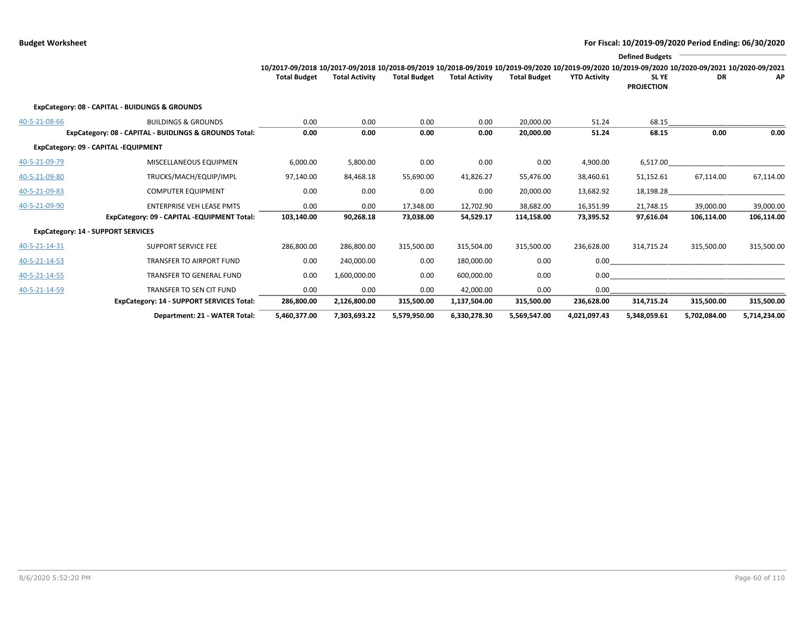|               |                                                        |                                                                                                                                                 |                       |                     |                       |                     |                     | <b>Defined Budgets</b>     |              |              |
|---------------|--------------------------------------------------------|-------------------------------------------------------------------------------------------------------------------------------------------------|-----------------------|---------------------|-----------------------|---------------------|---------------------|----------------------------|--------------|--------------|
|               |                                                        | 10/2017-09/2018 10/2017-09/2018 10/2018-09/2019 10/2018-09/2019 10/2019-09/2020 10/2019-09/2020 10/2019-09/2020 10/2020-09/2021 10/2020-09/2021 |                       |                     |                       |                     |                     |                            |              |              |
|               |                                                        | <b>Total Budget</b>                                                                                                                             | <b>Total Activity</b> | <b>Total Budget</b> | <b>Total Activity</b> | <b>Total Budget</b> | <b>YTD Activity</b> | SL YE<br><b>PROJECTION</b> | <b>DR</b>    | AP           |
|               | ExpCategory: 08 - CAPITAL - BUIDLINGS & GROUNDS        |                                                                                                                                                 |                       |                     |                       |                     |                     |                            |              |              |
| 40-5-21-08-66 | <b>BUILDINGS &amp; GROUNDS</b>                         | 0.00                                                                                                                                            | 0.00                  | 0.00                | 0.00                  | 20,000.00           | 51.24               | 68.15                      |              |              |
|               | ExpCategory: 08 - CAPITAL - BUIDLINGS & GROUNDS Total: | 0.00                                                                                                                                            | 0.00                  | 0.00                | 0.00                  | 20,000.00           | 51.24               | 68.15                      | 0.00         | 0.00         |
|               | ExpCategory: 09 - CAPITAL -EQUIPMENT                   |                                                                                                                                                 |                       |                     |                       |                     |                     |                            |              |              |
| 40-5-21-09-79 | MISCELLANEOUS EQUIPMEN                                 | 6,000.00                                                                                                                                        | 5,800.00              | 0.00                | 0.00                  | 0.00                | 4,900.00            | 6,517.00                   |              |              |
| 40-5-21-09-80 | TRUCKS/MACH/EQUIP/IMPL                                 | 97,140.00                                                                                                                                       | 84,468.18             | 55,690.00           | 41,826.27             | 55,476.00           | 38,460.61           | 51,152.61                  | 67,114.00    | 67,114.00    |
| 40-5-21-09-83 | <b>COMPUTER EQUIPMENT</b>                              | 0.00                                                                                                                                            | 0.00                  | 0.00                | 0.00                  | 20,000.00           | 13,682.92           | 18,198.28                  |              |              |
| 40-5-21-09-90 | <b>ENTERPRISE VEH LEASE PMTS</b>                       | 0.00                                                                                                                                            | 0.00                  | 17,348.00           | 12,702.90             | 38,682.00           | 16,351.99           | 21,748.15                  | 39,000.00    | 39,000.00    |
|               | ExpCategory: 09 - CAPITAL -EQUIPMENT Total:            | 103,140.00                                                                                                                                      | 90,268.18             | 73,038.00           | 54,529.17             | 114,158.00          | 73,395.52           | 97,616.04                  | 106,114.00   | 106,114.00   |
|               | <b>ExpCategory: 14 - SUPPORT SERVICES</b>              |                                                                                                                                                 |                       |                     |                       |                     |                     |                            |              |              |
| 40-5-21-14-31 | <b>SUPPORT SERVICE FEE</b>                             | 286,800.00                                                                                                                                      | 286,800.00            | 315,500.00          | 315,504.00            | 315,500.00          | 236,628.00          | 314,715.24                 | 315,500.00   | 315,500.00   |
| 40-5-21-14-53 | <b>TRANSFER TO AIRPORT FUND</b>                        | 0.00                                                                                                                                            | 240,000.00            | 0.00                | 180,000.00            | 0.00                | 0.00                |                            |              |              |
| 40-5-21-14-55 | <b>TRANSFER TO GENERAL FUND</b>                        | 0.00                                                                                                                                            | 1,600,000.00          | 0.00                | 600,000.00            | 0.00                | 0.00                |                            |              |              |
| 40-5-21-14-59 | TRANSFER TO SEN CIT FUND                               | 0.00                                                                                                                                            | 0.00                  | 0.00                | 42.000.00             | 0.00                | 0.00                |                            |              |              |
|               | <b>ExpCategory: 14 - SUPPORT SERVICES Total:</b>       | 286,800.00                                                                                                                                      | 2,126,800.00          | 315,500.00          | 1,137,504.00          | 315,500.00          | 236,628.00          | 314,715.24                 | 315,500.00   | 315,500.00   |
|               | Department: 21 - WATER Total:                          | 5,460,377.00                                                                                                                                    | 7,303,693.22          | 5,579,950.00        | 6,330,278.30          | 5,569,547.00        | 4,021,097.43        | 5,348,059.61               | 5,702,084.00 | 5,714,234.00 |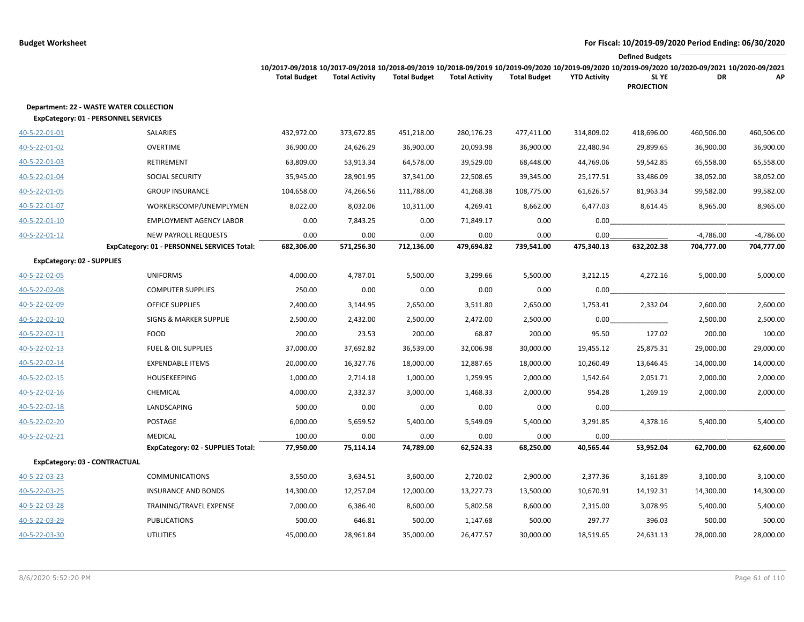|                                      |                                                |                                                                                                                                                                                        |                       |                     |                       |                     |                     | <b>Defined Budgets</b>     |             |             |
|--------------------------------------|------------------------------------------------|----------------------------------------------------------------------------------------------------------------------------------------------------------------------------------------|-----------------------|---------------------|-----------------------|---------------------|---------------------|----------------------------|-------------|-------------|
|                                      |                                                | 10/2017-09/2018 10/2017-09/2018 10/2018-09/2019 10/2018-09/2019 10/2019-09/2020 10/2019-09/2020 10/2019-09/2020 10/2019-09/2020 10/2020-09/2021 10/2020-09/2021<br><b>Total Budget</b> | <b>Total Activity</b> | <b>Total Budget</b> | <b>Total Activity</b> | <b>Total Budget</b> | <b>YTD Activity</b> | SL YE<br><b>PROJECTION</b> | DR          | AP          |
| ExpCategory: 01 - PERSONNEL SERVICES | <b>Department: 22 - WASTE WATER COLLECTION</b> |                                                                                                                                                                                        |                       |                     |                       |                     |                     |                            |             |             |
| 40-5-22-01-01                        | SALARIES                                       | 432,972.00                                                                                                                                                                             | 373,672.85            | 451,218.00          | 280,176.23            | 477,411.00          | 314,809.02          | 418,696.00                 | 460,506.00  | 460,506.00  |
| 40-5-22-01-02                        | <b>OVERTIME</b>                                | 36,900.00                                                                                                                                                                              | 24,626.29             | 36,900.00           | 20,093.98             | 36,900.00           | 22,480.94           | 29,899.65                  | 36,900.00   | 36,900.00   |
| 40-5-22-01-03                        | RETIREMENT                                     | 63,809.00                                                                                                                                                                              | 53,913.34             | 64,578.00           | 39,529.00             | 68,448.00           | 44,769.06           | 59,542.85                  | 65,558.00   | 65,558.00   |
| 40-5-22-01-04                        | SOCIAL SECURITY                                | 35,945.00                                                                                                                                                                              | 28,901.95             | 37,341.00           | 22,508.65             | 39,345.00           | 25,177.51           | 33,486.09                  | 38,052.00   | 38,052.00   |
| 40-5-22-01-05                        | <b>GROUP INSURANCE</b>                         | 104,658.00                                                                                                                                                                             | 74,266.56             | 111,788.00          | 41,268.38             | 108,775.00          | 61,626.57           | 81,963.34                  | 99,582.00   | 99,582.00   |
| 40-5-22-01-07                        | WORKERSCOMP/UNEMPLYMEN                         | 8,022.00                                                                                                                                                                               | 8,032.06              | 10,311.00           | 4,269.41              | 8,662.00            | 6,477.03            | 8,614.45                   | 8,965.00    | 8,965.00    |
| 40-5-22-01-10                        | <b>EMPLOYMENT AGENCY LABOR</b>                 | 0.00                                                                                                                                                                                   | 7,843.25              | 0.00                | 71,849.17             | 0.00                | 0.00                |                            |             |             |
| 40-5-22-01-12                        | <b>NEW PAYROLL REQUESTS</b>                    | 0.00                                                                                                                                                                                   | 0.00                  | 0.00                | 0.00                  | 0.00                | 0.00                |                            | $-4,786.00$ | $-4,786.00$ |
|                                      | ExpCategory: 01 - PERSONNEL SERVICES Total:    | 682,306.00                                                                                                                                                                             | 571,256.30            | 712,136.00          | 479,694.82            | 739,541.00          | 475,340.13          | 632,202.38                 | 704,777.00  | 704,777.00  |
| <b>ExpCategory: 02 - SUPPLIES</b>    |                                                |                                                                                                                                                                                        |                       |                     |                       |                     |                     |                            |             |             |
| 40-5-22-02-05                        | <b>UNIFORMS</b>                                | 4,000.00                                                                                                                                                                               | 4,787.01              | 5,500.00            | 3,299.66              | 5,500.00            | 3,212.15            | 4,272.16                   | 5,000.00    | 5,000.00    |
| 40-5-22-02-08                        | <b>COMPUTER SUPPLIES</b>                       | 250.00                                                                                                                                                                                 | 0.00                  | 0.00                | 0.00                  | 0.00                | 0.00                |                            |             |             |
| 40-5-22-02-09                        | <b>OFFICE SUPPLIES</b>                         | 2,400.00                                                                                                                                                                               | 3,144.95              | 2,650.00            | 3,511.80              | 2,650.00            | 1,753.41            | 2,332.04                   | 2,600.00    | 2,600.00    |
| 40-5-22-02-10                        | <b>SIGNS &amp; MARKER SUPPLIE</b>              | 2,500.00                                                                                                                                                                               | 2,432.00              | 2,500.00            | 2,472.00              | 2,500.00            | 0.00                |                            | 2,500.00    | 2,500.00    |
| 40-5-22-02-11                        | <b>FOOD</b>                                    | 200.00                                                                                                                                                                                 | 23.53                 | 200.00              | 68.87                 | 200.00              | 95.50               | 127.02                     | 200.00      | 100.00      |
| 40-5-22-02-13                        | <b>FUEL &amp; OIL SUPPLIES</b>                 | 37,000.00                                                                                                                                                                              | 37,692.82             | 36,539.00           | 32,006.98             | 30,000.00           | 19,455.12           | 25,875.31                  | 29,000.00   | 29,000.00   |
| 40-5-22-02-14                        | <b>EXPENDABLE ITEMS</b>                        | 20,000.00                                                                                                                                                                              | 16,327.76             | 18,000.00           | 12,887.65             | 18,000.00           | 10,260.49           | 13,646.45                  | 14,000.00   | 14,000.00   |
| 40-5-22-02-15                        | HOUSEKEEPING                                   | 1,000.00                                                                                                                                                                               | 2,714.18              | 1,000.00            | 1,259.95              | 2,000.00            | 1,542.64            | 2,051.71                   | 2,000.00    | 2,000.00    |
| 40-5-22-02-16                        | CHEMICAL                                       | 4,000.00                                                                                                                                                                               | 2,332.37              | 3,000.00            | 1,468.33              | 2,000.00            | 954.28              | 1,269.19                   | 2,000.00    | 2,000.00    |
| 40-5-22-02-18                        | LANDSCAPING                                    | 500.00                                                                                                                                                                                 | 0.00                  | 0.00                | 0.00                  | 0.00                | 0.00                |                            |             |             |
| 40-5-22-02-20                        | POSTAGE                                        | 6,000.00                                                                                                                                                                               | 5,659.52              | 5,400.00            | 5,549.09              | 5,400.00            | 3,291.85            | 4,378.16                   | 5,400.00    | 5,400.00    |
| 40-5-22-02-21                        | <b>MEDICAL</b>                                 | 100.00                                                                                                                                                                                 | 0.00                  | 0.00                | 0.00                  | 0.00                | 0.00                |                            |             |             |
|                                      | ExpCategory: 02 - SUPPLIES Total:              | 77,950.00                                                                                                                                                                              | 75,114.14             | 74,789.00           | 62,524.33             | 68,250.00           | 40,565.44           | 53,952.04                  | 62,700.00   | 62,600.00   |
| ExpCategory: 03 - CONTRACTUAL        |                                                |                                                                                                                                                                                        |                       |                     |                       |                     |                     |                            |             |             |
| 40-5-22-03-23                        | <b>COMMUNICATIONS</b>                          | 3,550.00                                                                                                                                                                               | 3,634.51              | 3,600.00            | 2,720.02              | 2,900.00            | 2,377.36            | 3,161.89                   | 3,100.00    | 3,100.00    |
| 40-5-22-03-25                        | <b>INSURANCE AND BONDS</b>                     | 14,300.00                                                                                                                                                                              | 12,257.04             | 12,000.00           | 13,227.73             | 13,500.00           | 10,670.91           | 14,192.31                  | 14,300.00   | 14,300.00   |
| 40-5-22-03-28                        | TRAINING/TRAVEL EXPENSE                        | 7,000.00                                                                                                                                                                               | 6,386.40              | 8,600.00            | 5,802.58              | 8,600.00            | 2,315.00            | 3,078.95                   | 5,400.00    | 5,400.00    |
| 40-5-22-03-29                        | <b>PUBLICATIONS</b>                            | 500.00                                                                                                                                                                                 | 646.81                | 500.00              | 1,147.68              | 500.00              | 297.77              | 396.03                     | 500.00      | 500.00      |
| 40-5-22-03-30                        | <b>UTILITIES</b>                               | 45,000.00                                                                                                                                                                              | 28,961.84             | 35,000.00           | 26,477.57             | 30,000.00           | 18,519.65           | 24,631.13                  | 28,000.00   | 28,000.00   |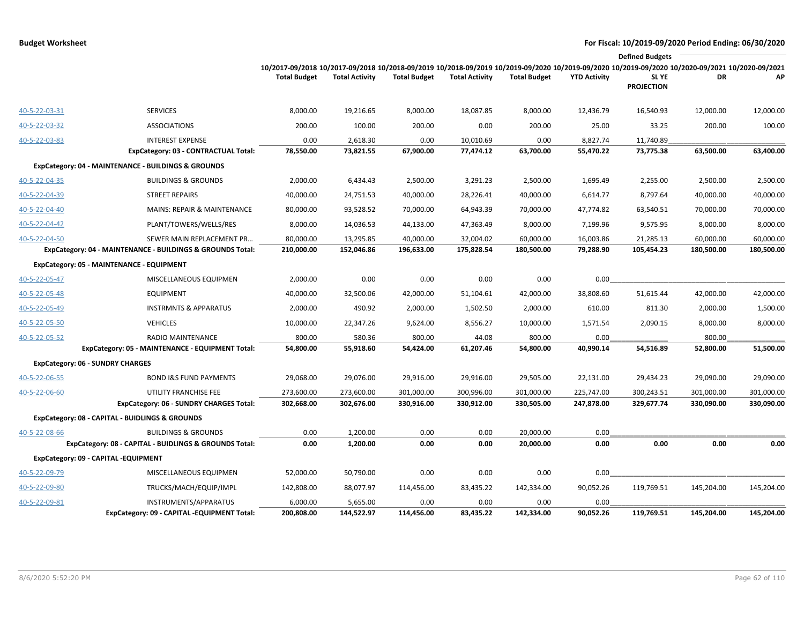|               |                                                                      |                                                                                                                                                                        |                        |                     |                       |                     |                     | <b>Defined Budgets</b>     |            |            |
|---------------|----------------------------------------------------------------------|------------------------------------------------------------------------------------------------------------------------------------------------------------------------|------------------------|---------------------|-----------------------|---------------------|---------------------|----------------------------|------------|------------|
|               |                                                                      | 10/2017-09/2018 10/2017-09/2018 10/2018-09/2019 10/2018-09/2019 10/2019-09/2020 10/2019-09/2020 10/2019-09/2020 10/2020-09/2021 10/2020-09/2021<br><b>Total Budget</b> | <b>Total Activity</b>  | <b>Total Budget</b> | <b>Total Activity</b> | <b>Total Budget</b> | <b>YTD Activity</b> | SL YE<br><b>PROJECTION</b> | DR         | AP         |
| 40-5-22-03-31 | <b>SERVICES</b>                                                      | 8,000.00                                                                                                                                                               | 19,216.65              | 8,000.00            | 18,087.85             | 8,000.00            | 12,436.79           | 16,540.93                  | 12,000.00  | 12,000.00  |
| 40-5-22-03-32 | <b>ASSOCIATIONS</b>                                                  | 200.00                                                                                                                                                                 | 100.00                 | 200.00              | 0.00                  | 200.00              | 25.00               | 33.25                      | 200.00     | 100.00     |
| 40-5-22-03-83 | <b>INTEREST EXPENSE</b>                                              | 0.00                                                                                                                                                                   | 2,618.30               | 0.00                | 10,010.69             | 0.00                | 8,827.74            | 11,740.89                  |            |            |
|               | ExpCategory: 03 - CONTRACTUAL Total:                                 | 78,550.00                                                                                                                                                              | 73,821.55              | 67,900.00           | 77,474.12             | 63,700.00           | 55,470.22           | 73,775.38                  | 63,500.00  | 63,400.00  |
|               | ExpCategory: 04 - MAINTENANCE - BUILDINGS & GROUNDS                  |                                                                                                                                                                        |                        |                     |                       |                     |                     |                            |            |            |
| 40-5-22-04-35 | <b>BUILDINGS &amp; GROUNDS</b>                                       | 2,000.00                                                                                                                                                               | 6,434.43               | 2,500.00            | 3,291.23              | 2,500.00            | 1,695.49            | 2,255.00                   | 2,500.00   | 2,500.00   |
| 40-5-22-04-39 | <b>STREET REPAIRS</b>                                                | 40,000.00                                                                                                                                                              | 24,751.53              | 40,000.00           | 28,226.41             | 40,000.00           | 6,614.77            | 8,797.64                   | 40,000.00  | 40,000.00  |
| 40-5-22-04-40 | <b>MAINS: REPAIR &amp; MAINTENANCE</b>                               | 80,000.00                                                                                                                                                              | 93,528.52              | 70,000.00           | 64,943.39             | 70,000.00           | 47,774.82           | 63,540.51                  | 70,000.00  | 70,000.00  |
| 40-5-22-04-42 | PLANT/TOWERS/WELLS/RES                                               | 8,000.00                                                                                                                                                               | 14,036.53              | 44,133.00           | 47,363.49             | 8,000.00            | 7,199.96            | 9,575.95                   | 8,000.00   | 8,000.00   |
| 40-5-22-04-50 | SEWER MAIN REPLACEMENT PR                                            | 80,000.00                                                                                                                                                              | 13,295.85              | 40,000.00           | 32,004.02             | 60,000.00           | 16,003.86           | 21,285.13                  | 60,000.00  | 60,000.00  |
|               | ExpCategory: 04 - MAINTENANCE - BUILDINGS & GROUNDS Total:           | 210,000.00                                                                                                                                                             | 152,046.86             | 196,633.00          | 175,828.54            | 180,500.00          | 79,288.90           | 105,454.23                 | 180,500.00 | 180,500.00 |
|               | ExpCategory: 05 - MAINTENANCE - EQUIPMENT                            |                                                                                                                                                                        |                        |                     |                       |                     |                     |                            |            |            |
| 40-5-22-05-47 | MISCELLANEOUS EQUIPMEN                                               | 2,000.00                                                                                                                                                               | 0.00                   | 0.00                | 0.00                  | 0.00                | 0.00                |                            |            |            |
| 40-5-22-05-48 | <b>EQUIPMENT</b>                                                     | 40,000.00                                                                                                                                                              | 32,500.06              | 42,000.00           | 51,104.61             | 42,000.00           | 38,808.60           | 51,615.44                  | 42,000.00  | 42,000.00  |
| 40-5-22-05-49 | <b>INSTRMNTS &amp; APPARATUS</b>                                     | 2,000.00                                                                                                                                                               | 490.92                 | 2,000.00            | 1,502.50              | 2,000.00            | 610.00              | 811.30                     | 2,000.00   | 1,500.00   |
| 40-5-22-05-50 | <b>VEHICLES</b>                                                      | 10,000.00                                                                                                                                                              | 22,347.26              | 9,624.00            | 8,556.27              | 10,000.00           | 1,571.54            | 2,090.15                   | 8,000.00   | 8,000.00   |
| 40-5-22-05-52 | RADIO MAINTENANCE                                                    | 800.00                                                                                                                                                                 | 580.36                 | 800.00              | 44.08                 | 800.00              | 0.00                |                            | 800.00     |            |
|               | ExpCategory: 05 - MAINTENANCE - EQUIPMENT Total:                     | 54,800.00                                                                                                                                                              | 55,918.60              | 54,424.00           | 61,207.46             | 54,800.00           | 40,990.14           | 54,516.89                  | 52,800.00  | 51,500.00  |
|               | <b>ExpCategory: 06 - SUNDRY CHARGES</b>                              |                                                                                                                                                                        |                        |                     |                       |                     |                     |                            |            |            |
| 40-5-22-06-55 | <b>BOND I&amp;S FUND PAYMENTS</b>                                    | 29,068.00                                                                                                                                                              | 29,076.00              | 29,916.00           | 29,916.00             | 29,505.00           | 22,131.00           | 29,434.23                  | 29,090.00  | 29,090.00  |
| 40-5-22-06-60 | UTILITY FRANCHISE FEE                                                | 273,600.00                                                                                                                                                             | 273,600.00             | 301,000.00          | 300,996.00            | 301,000.00          | 225,747.00          | 300,243.51                 | 301,000.00 | 301,000.00 |
|               | ExpCategory: 06 - SUNDRY CHARGES Total:                              | 302,668.00                                                                                                                                                             | 302,676.00             | 330,916.00          | 330,912.00            | 330,505.00          | 247,878.00          | 329,677.74                 | 330,090.00 | 330,090.00 |
|               | ExpCategory: 08 - CAPITAL - BUIDLINGS & GROUNDS                      |                                                                                                                                                                        |                        |                     |                       |                     |                     |                            |            |            |
| 40-5-22-08-66 | <b>BUILDINGS &amp; GROUNDS</b>                                       | 0.00                                                                                                                                                                   | 1,200.00               | 0.00                | 0.00                  | 20,000.00           | 0.00                |                            |            |            |
|               | ExpCategory: 08 - CAPITAL - BUIDLINGS & GROUNDS Total:               | 0.00                                                                                                                                                                   | 1,200.00               | 0.00                | 0.00                  | 20,000.00           | 0.00                | 0.00                       | 0.00       | 0.00       |
|               | ExpCategory: 09 - CAPITAL -EQUIPMENT                                 |                                                                                                                                                                        |                        |                     |                       |                     |                     |                            |            |            |
| 40-5-22-09-79 | MISCELLANEOUS EQUIPMEN                                               | 52,000.00                                                                                                                                                              | 50,790.00              | 0.00                | 0.00                  | 0.00                | 0.00                |                            |            |            |
| 40-5-22-09-80 | TRUCKS/MACH/EQUIP/IMPL                                               | 142,808.00                                                                                                                                                             | 88,077.97              | 114,456.00          | 83,435.22             | 142,334.00          | 90,052.26           | 119,769.51                 | 145,204.00 | 145,204.00 |
| 40-5-22-09-81 | INSTRUMENTS/APPARATUS<br>ExpCategory: 09 - CAPITAL -EQUIPMENT Total: | 6,000.00<br>200,808.00                                                                                                                                                 | 5,655.00<br>144,522.97 | 0.00<br>114,456.00  | 0.00<br>83,435.22     | 0.00<br>142,334.00  | 0.00<br>90,052.26   | 119,769.51                 | 145,204.00 | 145,204.00 |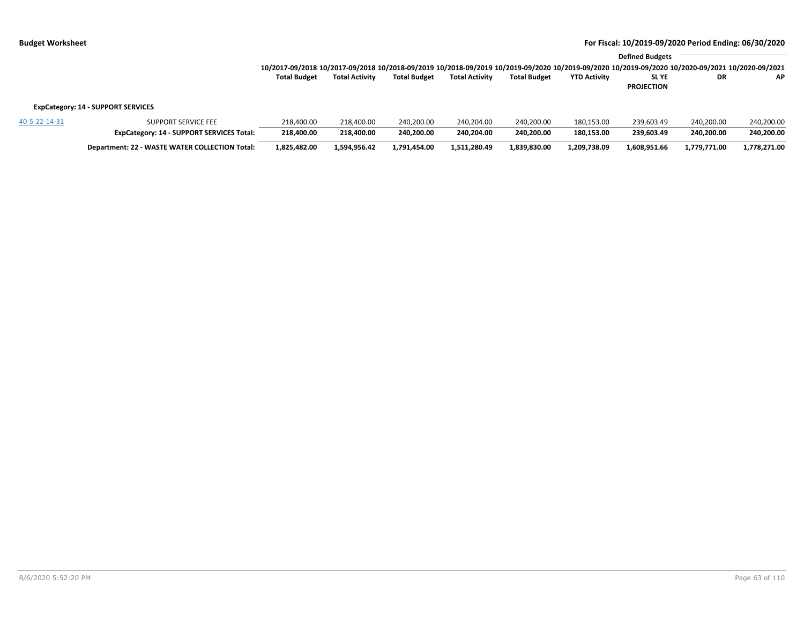|                                           |                     |                                                                                                                                                                                        |                       |                     |                       |                     |                     | <b>Defined Budgets</b>     |            |            |  |
|-------------------------------------------|---------------------|----------------------------------------------------------------------------------------------------------------------------------------------------------------------------------------|-----------------------|---------------------|-----------------------|---------------------|---------------------|----------------------------|------------|------------|--|
|                                           |                     | 10/2017-09/2018 10/2017-09/2018 10/2018-09/2019 10/2018-09/2019 10/2019-09/2020 10/2019-09/2020 10/2019-09/2020 10/2019-09/2020 10/2020-09/2021 10/2020-09/2021<br><b>Total Budget</b> | <b>Total Activity</b> | <b>Total Budget</b> | <b>Total Activity</b> | <b>Total Budget</b> | <b>YTD Activity</b> | SL YE<br><b>PROJECTION</b> | <b>DR</b>  | AP         |  |
| <b>ExpCategory: 14 - SUPPORT SERVICES</b> |                     |                                                                                                                                                                                        |                       |                     |                       |                     |                     |                            |            |            |  |
| 40-5-22-14-31                             | SUPPORT SERVICE FEE | 218.400.00                                                                                                                                                                             | 218.400.00            | 240,200.00          | 240.204.00            | 240.200.00          | 180,153.00          | 239.603.49                 | 240,200.00 | 240.200.00 |  |

**ExpCategory: 14 - SUPPORT SERVICES Total: 218,400.00 218,400.00 240,200.00 240,204.00 240,200.00 180,153.00 239,603.49 240,200.00 240,200.00** Department: 22 - WASTE WATER COLLECTION Total: 1,825,482.00 1,594,956.42 1,791,454.00 1,511,280.49 1,839,830.00 1,209,738.09 1,608,951.66 1,779,771.00 1,778,271.00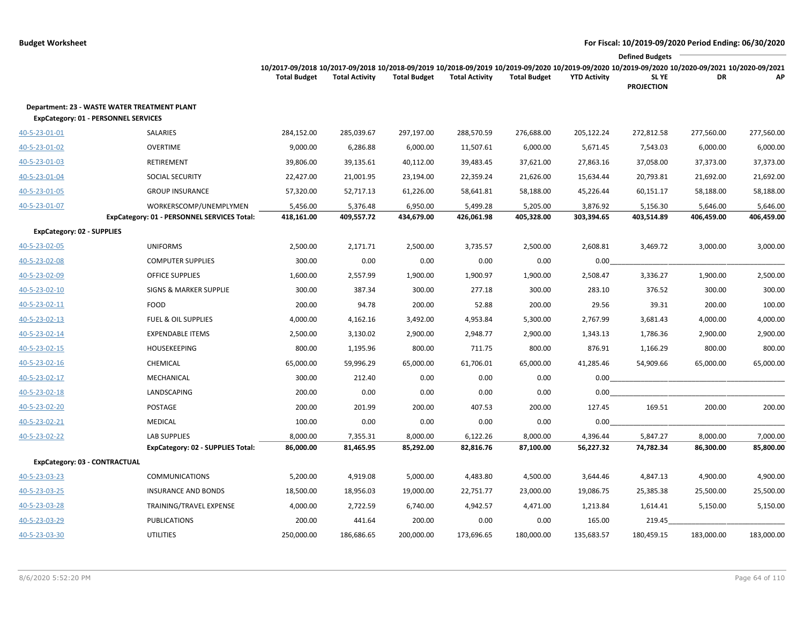|                                             |                                                     |                                                                                                                                                                                        |                       |                     |                       |                     |                     | <b>Defined Budgets</b>     |            |            |
|---------------------------------------------|-----------------------------------------------------|----------------------------------------------------------------------------------------------------------------------------------------------------------------------------------------|-----------------------|---------------------|-----------------------|---------------------|---------------------|----------------------------|------------|------------|
|                                             |                                                     | 10/2017-09/2018 10/2017-09/2018 10/2018-09/2019 10/2018-09/2019 10/2019-09/2020 10/2019-09/2020 10/2019-09/2020 10/2019-09/2020 10/2020-09/2021 10/2020-09/2021<br><b>Total Budget</b> | <b>Total Activity</b> | <b>Total Budget</b> | <b>Total Activity</b> | <b>Total Budget</b> | <b>YTD Activity</b> | SL YE<br><b>PROJECTION</b> | DR         | AP         |
| <b>ExpCategory: 01 - PERSONNEL SERVICES</b> | <b>Department: 23 - WASTE WATER TREATMENT PLANT</b> |                                                                                                                                                                                        |                       |                     |                       |                     |                     |                            |            |            |
| 40-5-23-01-01                               | SALARIES                                            | 284,152.00                                                                                                                                                                             | 285,039.67            | 297,197.00          | 288,570.59            | 276,688.00          | 205,122.24          | 272,812.58                 | 277,560.00 | 277,560.00 |
| 40-5-23-01-02                               | <b>OVERTIME</b>                                     | 9,000.00                                                                                                                                                                               | 6,286.88              | 6,000.00            | 11,507.61             | 6,000.00            | 5,671.45            | 7,543.03                   | 6,000.00   | 6,000.00   |
| 40-5-23-01-03                               | <b>RETIREMENT</b>                                   | 39,806.00                                                                                                                                                                              | 39,135.61             | 40,112.00           | 39,483.45             | 37,621.00           | 27,863.16           | 37,058.00                  | 37,373.00  | 37,373.00  |
| 40-5-23-01-04                               | <b>SOCIAL SECURITY</b>                              | 22,427.00                                                                                                                                                                              | 21,001.95             | 23,194.00           | 22,359.24             | 21,626.00           | 15,634.44           | 20,793.81                  | 21,692.00  | 21,692.00  |
| 40-5-23-01-05                               | <b>GROUP INSURANCE</b>                              | 57,320.00                                                                                                                                                                              | 52,717.13             | 61,226.00           | 58,641.81             | 58,188.00           | 45,226.44           | 60,151.17                  | 58,188.00  | 58,188.00  |
| 40-5-23-01-07                               | WORKERSCOMP/UNEMPLYMEN                              | 5,456.00                                                                                                                                                                               | 5,376.48              | 6,950.00            | 5,499.28              | 5,205.00            | 3,876.92            | 5,156.30                   | 5,646.00   | 5,646.00   |
|                                             | ExpCategory: 01 - PERSONNEL SERVICES Total:         | 418,161.00                                                                                                                                                                             | 409,557.72            | 434,679.00          | 426,061.98            | 405,328.00          | 303,394.65          | 403,514.89                 | 406,459.00 | 406,459.00 |
| <b>ExpCategory: 02 - SUPPLIES</b>           |                                                     |                                                                                                                                                                                        |                       |                     |                       |                     |                     |                            |            |            |
| 40-5-23-02-05                               | <b>UNIFORMS</b>                                     | 2,500.00                                                                                                                                                                               | 2,171.71              | 2,500.00            | 3,735.57              | 2,500.00            | 2,608.81            | 3,469.72                   | 3,000.00   | 3,000.00   |
| 40-5-23-02-08                               | <b>COMPUTER SUPPLIES</b>                            | 300.00                                                                                                                                                                                 | 0.00                  | 0.00                | 0.00                  | 0.00                | 0.00                |                            |            |            |
| 40-5-23-02-09                               | <b>OFFICE SUPPLIES</b>                              | 1,600.00                                                                                                                                                                               | 2,557.99              | 1,900.00            | 1,900.97              | 1,900.00            | 2,508.47            | 3,336.27                   | 1,900.00   | 2,500.00   |
| 40-5-23-02-10                               | <b>SIGNS &amp; MARKER SUPPLIE</b>                   | 300.00                                                                                                                                                                                 | 387.34                | 300.00              | 277.18                | 300.00              | 283.10              | 376.52                     | 300.00     | 300.00     |
| 40-5-23-02-11                               | <b>FOOD</b>                                         | 200.00                                                                                                                                                                                 | 94.78                 | 200.00              | 52.88                 | 200.00              | 29.56               | 39.31                      | 200.00     | 100.00     |
| 40-5-23-02-13                               | <b>FUEL &amp; OIL SUPPLIES</b>                      | 4,000.00                                                                                                                                                                               | 4,162.16              | 3,492.00            | 4,953.84              | 5,300.00            | 2,767.99            | 3,681.43                   | 4,000.00   | 4,000.00   |
| 40-5-23-02-14                               | <b>EXPENDABLE ITEMS</b>                             | 2,500.00                                                                                                                                                                               | 3,130.02              | 2,900.00            | 2,948.77              | 2,900.00            | 1,343.13            | 1,786.36                   | 2,900.00   | 2,900.00   |
| 40-5-23-02-15                               | HOUSEKEEPING                                        | 800.00                                                                                                                                                                                 | 1,195.96              | 800.00              | 711.75                | 800.00              | 876.91              | 1,166.29                   | 800.00     | 800.00     |
| 40-5-23-02-16                               | CHEMICAL                                            | 65,000.00                                                                                                                                                                              | 59,996.29             | 65,000.00           | 61,706.01             | 65,000.00           | 41,285.46           | 54,909.66                  | 65,000.00  | 65,000.00  |
| 40-5-23-02-17                               | MECHANICAL                                          | 300.00                                                                                                                                                                                 | 212.40                | 0.00                | 0.00                  | 0.00                | 0.00                |                            |            |            |
| 40-5-23-02-18                               | LANDSCAPING                                         | 200.00                                                                                                                                                                                 | 0.00                  | 0.00                | 0.00                  | 0.00                | 0.00                |                            |            |            |
| 40-5-23-02-20                               | POSTAGE                                             | 200.00                                                                                                                                                                                 | 201.99                | 200.00              | 407.53                | 200.00              | 127.45              | 169.51                     | 200.00     | 200.00     |
| 40-5-23-02-21                               | <b>MEDICAL</b>                                      | 100.00                                                                                                                                                                                 | 0.00                  | 0.00                | 0.00                  | 0.00                | 0.00                |                            |            |            |
| 40-5-23-02-22                               | <b>LAB SUPPLIES</b>                                 | 8,000.00                                                                                                                                                                               | 7,355.31              | 8,000.00            | 6,122.26              | 8,000.00            | 4,396.44            | 5,847.27                   | 8,000.00   | 7,000.00   |
|                                             | ExpCategory: 02 - SUPPLIES Total:                   | 86,000.00                                                                                                                                                                              | 81,465.95             | 85,292.00           | 82,816.76             | 87,100.00           | 56,227.32           | 74,782.34                  | 86,300.00  | 85,800.00  |
| ExpCategory: 03 - CONTRACTUAL               |                                                     |                                                                                                                                                                                        |                       |                     |                       |                     |                     |                            |            |            |
| 40-5-23-03-23                               | <b>COMMUNICATIONS</b>                               | 5,200.00                                                                                                                                                                               | 4,919.08              | 5,000.00            | 4,483.80              | 4,500.00            | 3,644.46            | 4,847.13                   | 4,900.00   | 4,900.00   |
| 40-5-23-03-25                               | <b>INSURANCE AND BONDS</b>                          | 18,500.00                                                                                                                                                                              | 18,956.03             | 19,000.00           | 22,751.77             | 23,000.00           | 19,086.75           | 25,385.38                  | 25,500.00  | 25,500.00  |
| 40-5-23-03-28                               | TRAINING/TRAVEL EXPENSE                             | 4,000.00                                                                                                                                                                               | 2,722.59              | 6,740.00            | 4,942.57              | 4,471.00            | 1,213.84            | 1,614.41                   | 5,150.00   | 5,150.00   |
| 40-5-23-03-29                               | <b>PUBLICATIONS</b>                                 | 200.00                                                                                                                                                                                 | 441.64                | 200.00              | 0.00                  | 0.00                | 165.00              | 219.45                     |            |            |
| 40-5-23-03-30                               | <b>UTILITIES</b>                                    | 250,000.00                                                                                                                                                                             | 186,686.65            | 200,000.00          | 173,696.65            | 180,000.00          | 135,683.57          | 180,459.15                 | 183,000.00 | 183,000.00 |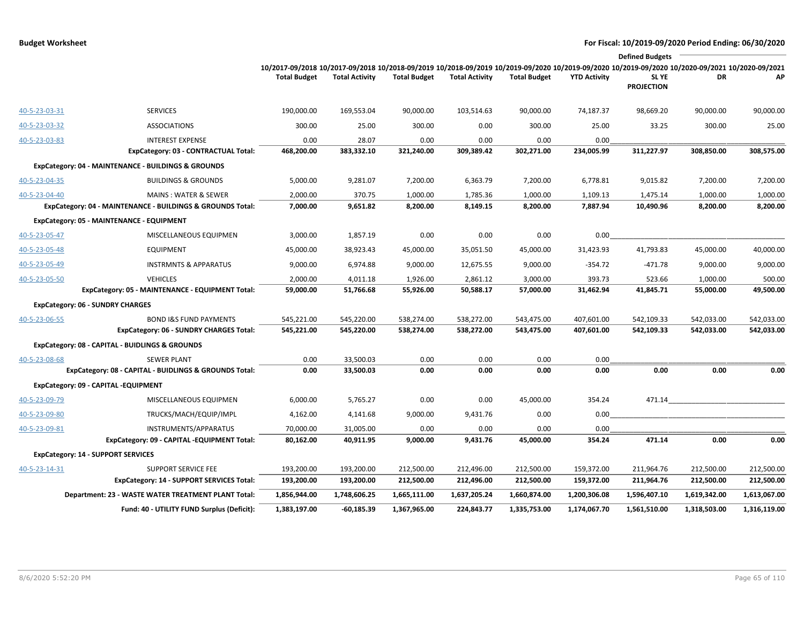|               |                                                            |                                                                                                                                                                        |                       |                     |                       |                     |                     | <b>Defined Budgets</b>     |              |              |
|---------------|------------------------------------------------------------|------------------------------------------------------------------------------------------------------------------------------------------------------------------------|-----------------------|---------------------|-----------------------|---------------------|---------------------|----------------------------|--------------|--------------|
|               |                                                            | 10/2017-09/2018 10/2017-09/2018 10/2018-09/2019 10/2018-09/2019 10/2019-09/2020 10/2019-09/2020 10/2019-09/2020 10/2020-09/2021 10/2020-09/2021<br><b>Total Budget</b> | <b>Total Activity</b> | <b>Total Budget</b> | <b>Total Activity</b> | <b>Total Budget</b> | <b>YTD Activity</b> | SL YE<br><b>PROJECTION</b> | DR           | АP           |
| 40-5-23-03-31 | <b>SERVICES</b>                                            | 190,000.00                                                                                                                                                             | 169,553.04            | 90,000.00           | 103,514.63            | 90,000.00           | 74,187.37           | 98,669.20                  | 90,000.00    | 90,000.00    |
| 40-5-23-03-32 | <b>ASSOCIATIONS</b>                                        | 300.00                                                                                                                                                                 | 25.00                 | 300.00              | 0.00                  | 300.00              | 25.00               | 33.25                      | 300.00       | 25.00        |
| 40-5-23-03-83 | <b>INTEREST EXPENSE</b>                                    | 0.00                                                                                                                                                                   | 28.07                 | 0.00                | 0.00                  | 0.00                | 0.00                |                            |              |              |
|               | ExpCategory: 03 - CONTRACTUAL Total:                       | 468,200.00                                                                                                                                                             | 383,332.10            | 321,240.00          | 309,389.42            | 302,271.00          | 234,005.99          | 311,227.97                 | 308,850.00   | 308,575.00   |
|               | ExpCategory: 04 - MAINTENANCE - BUILDINGS & GROUNDS        |                                                                                                                                                                        |                       |                     |                       |                     |                     |                            |              |              |
| 40-5-23-04-35 | <b>BUILDINGS &amp; GROUNDS</b>                             | 5,000.00                                                                                                                                                               | 9,281.07              | 7,200.00            | 6,363.79              | 7,200.00            | 6,778.81            | 9,015.82                   | 7,200.00     | 7,200.00     |
| 40-5-23-04-40 | <b>MAINS: WATER &amp; SEWER</b>                            | 2,000.00                                                                                                                                                               | 370.75                | 1,000.00            | 1,785.36              | 1,000.00            | 1,109.13            | 1,475.14                   | 1,000.00     | 1,000.00     |
|               | ExpCategory: 04 - MAINTENANCE - BUILDINGS & GROUNDS Total: | 7,000.00                                                                                                                                                               | 9,651.82              | 8,200.00            | 8,149.15              | 8,200.00            | 7,887.94            | 10,490.96                  | 8,200.00     | 8,200.00     |
|               | ExpCategory: 05 - MAINTENANCE - EQUIPMENT                  |                                                                                                                                                                        |                       |                     |                       |                     |                     |                            |              |              |
| 40-5-23-05-47 | MISCELLANEOUS EQUIPMEN                                     | 3,000.00                                                                                                                                                               | 1,857.19              | 0.00                | 0.00                  | 0.00                | 0.00                |                            |              |              |
| 40-5-23-05-48 | <b>EQUIPMENT</b>                                           | 45,000.00                                                                                                                                                              | 38,923.43             | 45,000.00           | 35,051.50             | 45,000.00           | 31,423.93           | 41,793.83                  | 45,000.00    | 40,000.00    |
| 40-5-23-05-49 | <b>INSTRMNTS &amp; APPARATUS</b>                           | 9,000.00                                                                                                                                                               | 6,974.88              | 9,000.00            | 12,675.55             | 9,000.00            | $-354.72$           | $-471.78$                  | 9,000.00     | 9,000.00     |
| 40-5-23-05-50 | <b>VEHICLES</b>                                            | 2,000.00                                                                                                                                                               | 4,011.18              | 1,926.00            | 2,861.12              | 3,000.00            | 393.73              | 523.66                     | 1,000.00     | 500.00       |
|               | ExpCategory: 05 - MAINTENANCE - EQUIPMENT Total:           | 59,000.00                                                                                                                                                              | 51,766.68             | 55,926.00           | 50,588.17             | 57,000.00           | 31,462.94           | 41,845.71                  | 55,000.00    | 49,500.00    |
|               | <b>ExpCategory: 06 - SUNDRY CHARGES</b>                    |                                                                                                                                                                        |                       |                     |                       |                     |                     |                            |              |              |
| 40-5-23-06-55 | <b>BOND I&amp;S FUND PAYMENTS</b>                          | 545,221.00                                                                                                                                                             | 545,220.00            | 538,274.00          | 538,272.00            | 543,475.00          | 407,601.00          | 542,109.33                 | 542,033.00   | 542,033.00   |
|               | <b>ExpCategory: 06 - SUNDRY CHARGES Total:</b>             | 545,221.00                                                                                                                                                             | 545,220.00            | 538,274.00          | 538,272.00            | 543,475.00          | 407,601.00          | 542,109.33                 | 542,033.00   | 542,033.00   |
|               | ExpCategory: 08 - CAPITAL - BUIDLINGS & GROUNDS            |                                                                                                                                                                        |                       |                     |                       |                     |                     |                            |              |              |
| 40-5-23-08-68 | <b>SEWER PLANT</b>                                         | 0.00                                                                                                                                                                   | 33,500.03             | 0.00                | 0.00                  | 0.00                | 0.00                |                            |              |              |
|               | ExpCategory: 08 - CAPITAL - BUIDLINGS & GROUNDS Total:     | 0.00                                                                                                                                                                   | 33,500.03             | 0.00                | 0.00                  | 0.00                | 0.00                | 0.00                       | 0.00         | 0.00         |
|               | ExpCategory: 09 - CAPITAL -EQUIPMENT                       |                                                                                                                                                                        |                       |                     |                       |                     |                     |                            |              |              |
| 40-5-23-09-79 | MISCELLANEOUS EQUIPMEN                                     | 6,000.00                                                                                                                                                               | 5,765.27              | 0.00                | 0.00                  | 45,000.00           | 354.24              | 471.14                     |              |              |
| 40-5-23-09-80 | TRUCKS/MACH/EQUIP/IMPL                                     | 4,162.00                                                                                                                                                               | 4,141.68              | 9,000.00            | 9,431.76              | 0.00                | 0.00                |                            |              |              |
| 40-5-23-09-81 | INSTRUMENTS/APPARATUS                                      | 70,000.00                                                                                                                                                              | 31,005.00             | 0.00                | 0.00                  | 0.00                | 0.00                |                            |              |              |
|               | ExpCategory: 09 - CAPITAL -EQUIPMENT Total:                | 80,162.00                                                                                                                                                              | 40,911.95             | 9,000.00            | 9,431.76              | 45,000.00           | 354.24              | 471.14                     | 0.00         | 0.00         |
|               | <b>ExpCategory: 14 - SUPPORT SERVICES</b>                  |                                                                                                                                                                        |                       |                     |                       |                     |                     |                            |              |              |
| 40-5-23-14-31 | <b>SUPPORT SERVICE FEE</b>                                 | 193,200.00                                                                                                                                                             | 193,200.00            | 212,500.00          | 212,496.00            | 212,500.00          | 159,372.00          | 211,964.76                 | 212,500.00   | 212,500.00   |
|               | <b>ExpCategory: 14 - SUPPORT SERVICES Total:</b>           | 193,200.00                                                                                                                                                             | 193,200.00            | 212,500.00          | 212,496.00            | 212,500.00          | 159,372.00          | 211,964.76                 | 212,500.00   | 212,500.00   |
|               | Department: 23 - WASTE WATER TREATMENT PLANT Total:        | 1,856,944.00                                                                                                                                                           | 1,748,606.25          | 1,665,111.00        | 1,637,205.24          | 1,660,874.00        | 1,200,306.08        | 1,596,407.10               | 1,619,342.00 | 1,613,067.00 |
|               | Fund: 40 - UTILITY FUND Surplus (Deficit):                 | 1,383,197.00                                                                                                                                                           | $-60,185.39$          | 1,367,965.00        | 224,843.77            | 1,335,753.00        | 1,174,067.70        | 1,561,510.00               | 1,318,503.00 | 1,316,119.00 |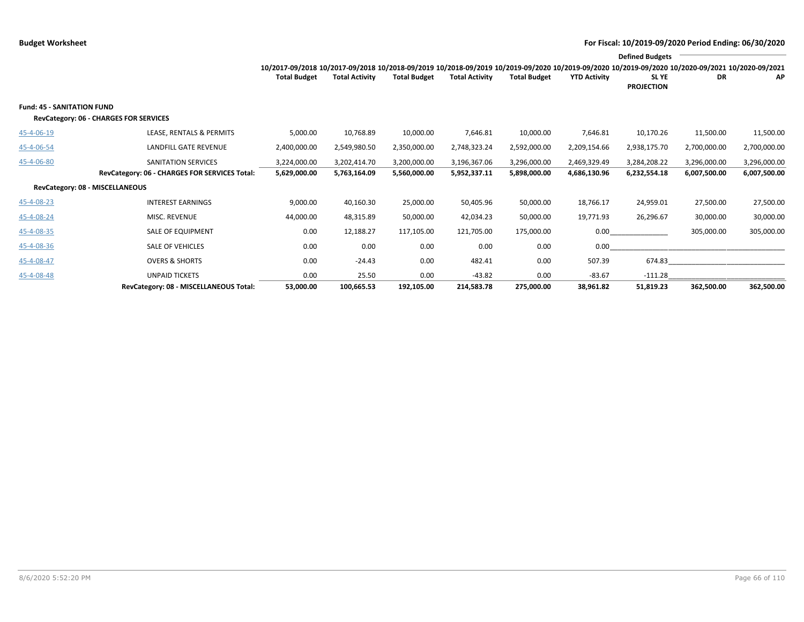|                                                                             |                                               |                                                                                                                                                                 |                       |                     |                       |                     |                     | <b>Defined Budgets</b>     |              |              |
|-----------------------------------------------------------------------------|-----------------------------------------------|-----------------------------------------------------------------------------------------------------------------------------------------------------------------|-----------------------|---------------------|-----------------------|---------------------|---------------------|----------------------------|--------------|--------------|
|                                                                             |                                               | 10/2017-09/2018 10/2017-09/2018 10/2018-09/2019 10/2018-09/2019 10/2019-09/2020 10/2019-09/2020 10/2019-09/2020 10/2019-09/2020 10/2020-09/2021 10/2020-09/2021 |                       |                     |                       |                     |                     |                            |              |              |
|                                                                             |                                               | <b>Total Budget</b>                                                                                                                                             | <b>Total Activity</b> | <b>Total Budget</b> | <b>Total Activity</b> | <b>Total Budget</b> | <b>YTD Activity</b> | SL YE<br><b>PROJECTION</b> | DR           | AP           |
| <b>Fund: 45 - SANITATION FUND</b><br>RevCategory: 06 - CHARGES FOR SERVICES |                                               |                                                                                                                                                                 |                       |                     |                       |                     |                     |                            |              |              |
| 45-4-06-19                                                                  | LEASE, RENTALS & PERMITS                      | 5,000.00                                                                                                                                                        | 10,768.89             | 10,000.00           | 7,646.81              | 10,000.00           | 7,646.81            | 10,170.26                  | 11,500.00    | 11,500.00    |
| 45-4-06-54                                                                  | LANDFILL GATE REVENUE                         | 2,400,000.00                                                                                                                                                    | 2,549,980.50          | 2,350,000.00        | 2,748,323.24          | 2,592,000.00        | 2,209,154.66        | 2,938,175.70               | 2,700,000.00 | 2,700,000.00 |
| 45-4-06-80                                                                  | SANITATION SERVICES                           | 3,224,000.00                                                                                                                                                    | 3,202,414.70          | 3,200,000.00        | 3,196,367.06          | 3,296,000.00        | 2,469,329.49        | 3,284,208.22               | 3,296,000.00 | 3,296,000.00 |
|                                                                             | RevCategory: 06 - CHARGES FOR SERVICES Total: | 5,629,000.00                                                                                                                                                    | 5,763,164.09          | 5,560,000.00        | 5,952,337.11          | 5,898,000.00        | 4,686,130.96        | 6,232,554.18               | 6,007,500.00 | 6,007,500.00 |
| RevCategory: 08 - MISCELLANEOUS                                             |                                               |                                                                                                                                                                 |                       |                     |                       |                     |                     |                            |              |              |
| 45-4-08-23                                                                  | <b>INTEREST EARNINGS</b>                      | 9,000.00                                                                                                                                                        | 40,160.30             | 25,000.00           | 50,405.96             | 50,000.00           | 18,766.17           | 24,959.01                  | 27,500.00    | 27,500.00    |
| 45-4-08-24                                                                  | MISC. REVENUE                                 | 44,000.00                                                                                                                                                       | 48,315.89             | 50,000.00           | 42,034.23             | 50,000.00           | 19,771.93           | 26,296.67                  | 30,000.00    | 30,000.00    |
| 45-4-08-35                                                                  | SALE OF EQUIPMENT                             | 0.00                                                                                                                                                            | 12,188.27             | 117,105.00          | 121,705.00            | 175,000.00          | $0.00\,$            |                            | 305,000.00   | 305,000.00   |
| 45-4-08-36                                                                  | <b>SALE OF VEHICLES</b>                       | 0.00                                                                                                                                                            | 0.00                  | 0.00                | 0.00                  | 0.00                | 0.00                |                            |              |              |
| 45-4-08-47                                                                  | <b>OVERS &amp; SHORTS</b>                     | 0.00                                                                                                                                                            | $-24.43$              | 0.00                | 482.41                | 0.00                | 507.39              | 674.83                     |              |              |
| 45-4-08-48                                                                  | <b>UNPAID TICKETS</b>                         | 0.00                                                                                                                                                            | 25.50                 | 0.00                | -43.82                | 0.00                | $-83.67$            | $-111.28$                  |              |              |
|                                                                             | RevCategory: 08 - MISCELLANEOUS Total:        | 53,000.00                                                                                                                                                       | 100,665.53            | 192,105.00          | 214.583.78            | 275,000.00          | 38.961.82           | 51.819.23                  | 362,500.00   | 362,500.00   |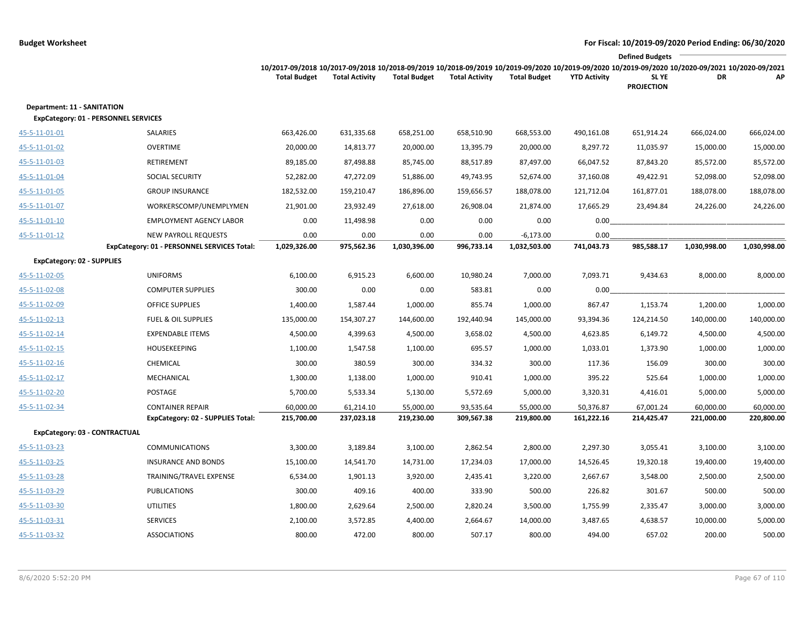|                                                                                   |                                                                            |                                                                                                                                                                        |                       |                      |                       |                             |                     | <b>Defined Budgets</b>     |              |              |
|-----------------------------------------------------------------------------------|----------------------------------------------------------------------------|------------------------------------------------------------------------------------------------------------------------------------------------------------------------|-----------------------|----------------------|-----------------------|-----------------------------|---------------------|----------------------------|--------------|--------------|
|                                                                                   |                                                                            | 10/2017-09/2018 10/2017-09/2018 10/2018-09/2019 10/2018-09/2019 10/2019-09/2020 10/2019-09/2020 10/2019-09/2020 10/2020-09/2021 10/2020-09/2021<br><b>Total Budget</b> | <b>Total Activity</b> | <b>Total Budget</b>  | <b>Total Activity</b> | <b>Total Budget</b>         | <b>YTD Activity</b> | SL YE<br><b>PROJECTION</b> | DR           | АP           |
| <b>Department: 11 - SANITATION</b><br><b>ExpCategory: 01 - PERSONNEL SERVICES</b> |                                                                            |                                                                                                                                                                        |                       |                      |                       |                             |                     |                            |              |              |
| 45-5-11-01-01                                                                     | SALARIES                                                                   | 663,426.00                                                                                                                                                             | 631,335.68            | 658,251.00           | 658,510.90            | 668,553.00                  | 490,161.08          | 651,914.24                 | 666,024.00   | 666,024.00   |
| 45-5-11-01-02                                                                     | <b>OVERTIME</b>                                                            | 20,000.00                                                                                                                                                              | 14,813.77             | 20,000.00            | 13,395.79             | 20,000.00                   | 8,297.72            | 11,035.97                  | 15,000.00    | 15,000.00    |
| 45-5-11-01-03                                                                     | RETIREMENT                                                                 | 89,185.00                                                                                                                                                              | 87,498.88             | 85,745.00            | 88,517.89             | 87,497.00                   | 66,047.52           | 87,843.20                  | 85,572.00    | 85,572.00    |
| 45-5-11-01-04                                                                     | SOCIAL SECURITY                                                            | 52,282.00                                                                                                                                                              | 47,272.09             | 51,886.00            | 49,743.95             | 52,674.00                   | 37,160.08           | 49,422.91                  | 52,098.00    | 52,098.00    |
| 45-5-11-01-05                                                                     | <b>GROUP INSURANCE</b>                                                     | 182,532.00                                                                                                                                                             | 159,210.47            | 186,896.00           | 159,656.57            | 188,078.00                  | 121,712.04          | 161,877.01                 | 188,078.00   | 188,078.00   |
| 45-5-11-01-07                                                                     | WORKERSCOMP/UNEMPLYMEN                                                     | 21,901.00                                                                                                                                                              | 23,932.49             | 27,618.00            | 26,908.04             | 21,874.00                   | 17,665.29           | 23,494.84                  | 24,226.00    | 24,226.00    |
| 45-5-11-01-10                                                                     | <b>EMPLOYMENT AGENCY LABOR</b>                                             | 0.00                                                                                                                                                                   | 11,498.98             | 0.00                 | 0.00                  | 0.00                        | 0.00                |                            |              |              |
| 45-5-11-01-12                                                                     | <b>NEW PAYROLL REQUESTS</b><br>ExpCategory: 01 - PERSONNEL SERVICES Total: | 0.00<br>1,029,326.00                                                                                                                                                   | 0.00<br>975,562.36    | 0.00<br>1,030,396.00 | 0.00<br>996,733.14    | $-6,173.00$<br>1,032,503.00 | 0.00<br>741,043.73  | 985,588.17                 | 1,030,998.00 | 1,030,998.00 |
| <b>ExpCategory: 02 - SUPPLIES</b>                                                 |                                                                            |                                                                                                                                                                        |                       |                      |                       |                             |                     |                            |              |              |
| 45-5-11-02-05                                                                     | <b>UNIFORMS</b>                                                            | 6,100.00                                                                                                                                                               | 6,915.23              | 6,600.00             | 10,980.24             | 7,000.00                    | 7,093.71            | 9,434.63                   | 8,000.00     | 8,000.00     |
| 45-5-11-02-08                                                                     | <b>COMPUTER SUPPLIES</b>                                                   | 300.00                                                                                                                                                                 | 0.00                  | 0.00                 | 583.81                | 0.00                        | 0.00                |                            |              |              |
| 45-5-11-02-09                                                                     | <b>OFFICE SUPPLIES</b>                                                     | 1,400.00                                                                                                                                                               | 1,587.44              | 1,000.00             | 855.74                | 1,000.00                    | 867.47              | 1,153.74                   | 1,200.00     | 1,000.00     |
| 45-5-11-02-13                                                                     | <b>FUEL &amp; OIL SUPPLIES</b>                                             | 135,000.00                                                                                                                                                             | 154,307.27            | 144,600.00           | 192,440.94            | 145,000.00                  | 93,394.36           | 124,214.50                 | 140,000.00   | 140,000.00   |
| 45-5-11-02-14                                                                     | <b>EXPENDABLE ITEMS</b>                                                    | 4,500.00                                                                                                                                                               | 4,399.63              | 4,500.00             | 3,658.02              | 4,500.00                    | 4,623.85            | 6,149.72                   | 4,500.00     | 4,500.00     |
| 45-5-11-02-15                                                                     | <b>HOUSEKEEPING</b>                                                        | 1,100.00                                                                                                                                                               | 1,547.58              | 1,100.00             | 695.57                | 1,000.00                    | 1,033.01            | 1,373.90                   | 1,000.00     | 1,000.00     |
| 45-5-11-02-16                                                                     | CHEMICAL                                                                   | 300.00                                                                                                                                                                 | 380.59                | 300.00               | 334.32                | 300.00                      | 117.36              | 156.09                     | 300.00       | 300.00       |
| 45-5-11-02-17                                                                     | MECHANICAL                                                                 | 1,300.00                                                                                                                                                               | 1,138.00              | 1,000.00             | 910.41                | 1,000.00                    | 395.22              | 525.64                     | 1,000.00     | 1,000.00     |
| 45-5-11-02-20                                                                     | POSTAGE                                                                    | 5,700.00                                                                                                                                                               | 5,533.34              | 5,130.00             | 5,572.69              | 5,000.00                    | 3,320.31            | 4,416.01                   | 5,000.00     | 5,000.00     |
| 45-5-11-02-34                                                                     | <b>CONTAINER REPAIR</b>                                                    | 60,000.00                                                                                                                                                              | 61,214.10             | 55,000.00            | 93,535.64             | 55,000.00                   | 50,376.87           | 67,001.24                  | 60,000.00    | 60,000.00    |
|                                                                                   | <b>ExpCategory: 02 - SUPPLIES Total:</b>                                   | 215,700.00                                                                                                                                                             | 237,023.18            | 219,230.00           | 309,567.38            | 219,800.00                  | 161,222.16          | 214,425.47                 | 221,000.00   | 220,800.00   |
| ExpCategory: 03 - CONTRACTUAL                                                     |                                                                            |                                                                                                                                                                        |                       |                      |                       |                             |                     |                            |              |              |
| 45-5-11-03-23                                                                     | <b>COMMUNICATIONS</b>                                                      | 3,300.00                                                                                                                                                               | 3,189.84              | 3,100.00             | 2,862.54              | 2,800.00                    | 2,297.30            | 3,055.41                   | 3,100.00     | 3,100.00     |
| 45-5-11-03-25                                                                     | <b>INSURANCE AND BONDS</b>                                                 | 15,100.00                                                                                                                                                              | 14,541.70             | 14,731.00            | 17,234.03             | 17,000.00                   | 14,526.45           | 19,320.18                  | 19,400.00    | 19,400.00    |
| 45-5-11-03-28                                                                     | TRAINING/TRAVEL EXPENSE                                                    | 6,534.00                                                                                                                                                               | 1,901.13              | 3,920.00             | 2,435.41              | 3,220.00                    | 2,667.67            | 3,548.00                   | 2,500.00     | 2,500.00     |
| 45-5-11-03-29                                                                     | <b>PUBLICATIONS</b>                                                        | 300.00                                                                                                                                                                 | 409.16                | 400.00               | 333.90                | 500.00                      | 226.82              | 301.67                     | 500.00       | 500.00       |
| 45-5-11-03-30                                                                     | <b>UTILITIES</b>                                                           | 1,800.00                                                                                                                                                               | 2,629.64              | 2,500.00             | 2,820.24              | 3,500.00                    | 1,755.99            | 2,335.47                   | 3,000.00     | 3,000.00     |
| 45-5-11-03-31                                                                     | <b>SERVICES</b>                                                            | 2,100.00                                                                                                                                                               | 3,572.85              | 4,400.00             | 2,664.67              | 14,000.00                   | 3,487.65            | 4,638.57                   | 10,000.00    | 5,000.00     |
| 45-5-11-03-32                                                                     | <b>ASSOCIATIONS</b>                                                        | 800.00                                                                                                                                                                 | 472.00                | 800.00               | 507.17                | 800.00                      | 494.00              | 657.02                     | 200.00       | 500.00       |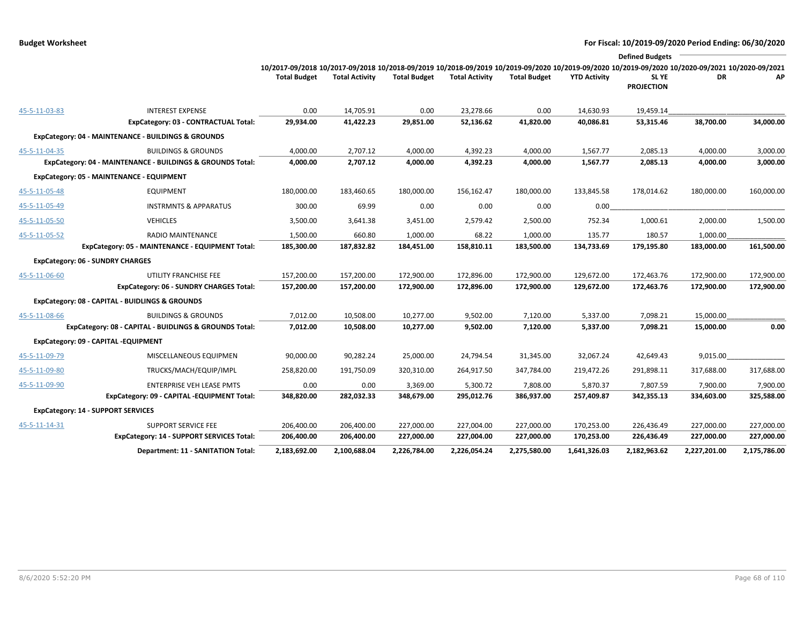|               |                                                            |                                                                                                                                                                        |                       |                     |                       |                     |                     | <b>Defined Budgets</b> |              |              |
|---------------|------------------------------------------------------------|------------------------------------------------------------------------------------------------------------------------------------------------------------------------|-----------------------|---------------------|-----------------------|---------------------|---------------------|------------------------|--------------|--------------|
|               |                                                            | 10/2017-09/2018 10/2017-09/2018 10/2018-09/2019 10/2018-09/2019 10/2019-09/2020 10/2019-09/2020 10/2019-09/2020 10/2020-09/2020 10/2020-09/2021<br><b>Total Budget</b> | <b>Total Activity</b> | <b>Total Budget</b> | <b>Total Activity</b> | <b>Total Budget</b> | <b>YTD Activity</b> | SL YE                  | DR           | АP           |
|               |                                                            |                                                                                                                                                                        |                       |                     |                       |                     |                     | <b>PROJECTION</b>      |              |              |
| 45-5-11-03-83 | <b>INTEREST EXPENSE</b>                                    | 0.00                                                                                                                                                                   | 14,705.91             | 0.00                | 23,278.66             | 0.00                | 14,630.93           | 19,459.14              |              |              |
|               | ExpCategory: 03 - CONTRACTUAL Total:                       | 29,934.00                                                                                                                                                              | 41,422.23             | 29,851.00           | 52,136.62             | 41,820.00           | 40,086.81           | 53,315.46              | 38,700.00    | 34,000.00    |
|               | ExpCategory: 04 - MAINTENANCE - BUILDINGS & GROUNDS        |                                                                                                                                                                        |                       |                     |                       |                     |                     |                        |              |              |
| 45-5-11-04-35 | <b>BUILDINGS &amp; GROUNDS</b>                             | 4,000.00                                                                                                                                                               | 2,707.12              | 4,000.00            | 4,392.23              | 4,000.00            | 1,567.77            | 2,085.13               | 4,000.00     | 3,000.00     |
|               | ExpCategory: 04 - MAINTENANCE - BUILDINGS & GROUNDS Total: | 4,000.00                                                                                                                                                               | 2,707.12              | 4,000.00            | 4,392.23              | 4,000.00            | 1,567.77            | 2,085.13               | 4,000.00     | 3,000.00     |
|               | ExpCategory: 05 - MAINTENANCE - EQUIPMENT                  |                                                                                                                                                                        |                       |                     |                       |                     |                     |                        |              |              |
| 45-5-11-05-48 | <b>EQUIPMENT</b>                                           | 180,000.00                                                                                                                                                             | 183,460.65            | 180,000.00          | 156,162.47            | 180,000.00          | 133,845.58          | 178,014.62             | 180,000.00   | 160,000.00   |
| 45-5-11-05-49 | <b>INSTRMNTS &amp; APPARATUS</b>                           | 300.00                                                                                                                                                                 | 69.99                 | 0.00                | 0.00                  | 0.00                | 0.00                |                        |              |              |
| 45-5-11-05-50 | <b>VEHICLES</b>                                            | 3,500.00                                                                                                                                                               | 3,641.38              | 3,451.00            | 2,579.42              | 2,500.00            | 752.34              | 1,000.61               | 2,000.00     | 1,500.00     |
| 45-5-11-05-52 | RADIO MAINTENANCE                                          | 1,500.00                                                                                                                                                               | 660.80                | 1,000.00            | 68.22                 | 1,000.00            | 135.77              | 180.57                 | 1,000.00     |              |
|               | ExpCategory: 05 - MAINTENANCE - EQUIPMENT Total:           | 185,300.00                                                                                                                                                             | 187,832.82            | 184,451.00          | 158,810.11            | 183,500.00          | 134,733.69          | 179,195.80             | 183,000.00   | 161,500.00   |
|               | <b>ExpCategory: 06 - SUNDRY CHARGES</b>                    |                                                                                                                                                                        |                       |                     |                       |                     |                     |                        |              |              |
| 45-5-11-06-60 | UTILITY FRANCHISE FEE                                      | 157,200.00                                                                                                                                                             | 157,200.00            | 172,900.00          | 172,896.00            | 172,900.00          | 129,672.00          | 172,463.76             | 172,900.00   | 172,900.00   |
|               | <b>ExpCategory: 06 - SUNDRY CHARGES Total:</b>             | 157,200.00                                                                                                                                                             | 157,200.00            | 172,900.00          | 172,896.00            | 172,900.00          | 129,672.00          | 172,463.76             | 172,900.00   | 172,900.00   |
|               | ExpCategory: 08 - CAPITAL - BUIDLINGS & GROUNDS            |                                                                                                                                                                        |                       |                     |                       |                     |                     |                        |              |              |
| 45-5-11-08-66 | <b>BUILDINGS &amp; GROUNDS</b>                             | 7,012.00                                                                                                                                                               | 10,508.00             | 10,277.00           | 9,502.00              | 7,120.00            | 5,337.00            | 7,098.21               | 15,000.00    |              |
|               | ExpCategory: 08 - CAPITAL - BUIDLINGS & GROUNDS Total:     | 7,012.00                                                                                                                                                               | 10,508.00             | 10,277.00           | 9,502.00              | 7,120.00            | 5,337.00            | 7,098.21               | 15,000.00    | 0.00         |
|               | ExpCategory: 09 - CAPITAL -EQUIPMENT                       |                                                                                                                                                                        |                       |                     |                       |                     |                     |                        |              |              |
| 45-5-11-09-79 | MISCELLANEOUS EQUIPMEN                                     | 90,000.00                                                                                                                                                              | 90,282.24             | 25,000.00           | 24,794.54             | 31,345.00           | 32,067.24           | 42,649.43              | 9,015.00     |              |
| 45-5-11-09-80 | TRUCKS/MACH/EQUIP/IMPL                                     | 258,820.00                                                                                                                                                             | 191,750.09            | 320,310.00          | 264,917.50            | 347,784.00          | 219,472.26          | 291,898.11             | 317,688.00   | 317,688.00   |
| 45-5-11-09-90 | <b>ENTERPRISE VEH LEASE PMTS</b>                           | 0.00                                                                                                                                                                   | 0.00                  | 3,369.00            | 5,300.72              | 7,808.00            | 5,870.37            | 7,807.59               | 7,900.00     | 7,900.00     |
|               | ExpCategory: 09 - CAPITAL -EQUIPMENT Total:                | 348,820.00                                                                                                                                                             | 282,032.33            | 348,679.00          | 295,012.76            | 386,937.00          | 257,409.87          | 342,355.13             | 334,603.00   | 325,588.00   |
|               | <b>ExpCategory: 14 - SUPPORT SERVICES</b>                  |                                                                                                                                                                        |                       |                     |                       |                     |                     |                        |              |              |
| 45-5-11-14-31 | <b>SUPPORT SERVICE FEE</b>                                 | 206,400.00                                                                                                                                                             | 206,400.00            | 227,000.00          | 227,004.00            | 227,000.00          | 170,253.00          | 226,436.49             | 227,000.00   | 227,000.00   |
|               | ExpCategory: 14 - SUPPORT SERVICES Total:                  | 206,400.00                                                                                                                                                             | 206,400.00            | 227,000.00          | 227,004.00            | 227,000.00          | 170,253.00          | 226,436.49             | 227,000.00   | 227,000.00   |
|               | Department: 11 - SANITATION Total:                         | 2,183,692.00                                                                                                                                                           | 2,100,688.04          | 2,226,784.00        | 2,226,054.24          | 2,275,580.00        | 1,641,326.03        | 2,182,963.62           | 2,227,201.00 | 2,175,786.00 |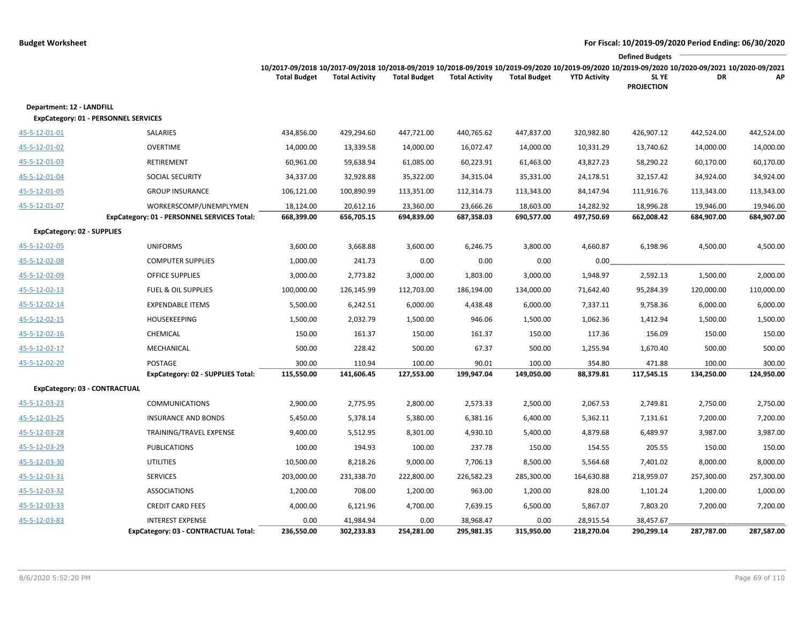|                                                                                  |                                                                                                                                                                        |                         |                     |                         |                     |                         | <b>Defined Budgets</b>     |            |            |
|----------------------------------------------------------------------------------|------------------------------------------------------------------------------------------------------------------------------------------------------------------------|-------------------------|---------------------|-------------------------|---------------------|-------------------------|----------------------------|------------|------------|
|                                                                                  | 10/2017-09/2018 10/2017-09/2018 10/2018-09/2019 10/2018-09/2019 10/2019-09/2020 10/2019-09/2020 10/2019-09/2020 10/2020-09/2021 10/2020-09/2021<br><b>Total Budget</b> | <b>Total Activity</b>   | <b>Total Budget</b> | <b>Total Activity</b>   | <b>Total Budget</b> | <b>YTD Activity</b>     | SL YE<br><b>PROJECTION</b> | DR         | АP         |
| Department: 12 - LANDFILL<br><b>ExpCategory: 01 - PERSONNEL SERVICES</b>         |                                                                                                                                                                        |                         |                     |                         |                     |                         |                            |            |            |
| 45-5-12-01-01<br>SALARIES                                                        | 434,856.00                                                                                                                                                             | 429,294.60              | 447,721.00          | 440,765.62              | 447,837.00          | 320,982.80              | 426,907.12                 | 442,524.00 | 442,524.00 |
| <b>OVERTIME</b><br>45-5-12-01-02                                                 | 14,000.00                                                                                                                                                              | 13,339.58               | 14,000.00           | 16,072.47               | 14,000.00           | 10,331.29               | 13,740.62                  | 14,000.00  | 14,000.00  |
| RETIREMENT<br><u>45-5-12-01-03</u>                                               | 60,961.00                                                                                                                                                              | 59,638.94               | 61,085.00           | 60,223.91               | 61,463.00           | 43,827.23               | 58,290.22                  | 60,170.00  | 60,170.00  |
| SOCIAL SECURITY<br>45-5-12-01-04                                                 | 34,337.00                                                                                                                                                              | 32,928.88               | 35,322.00           | 34,315.04               | 35,331.00           | 24,178.51               | 32,157.42                  | 34,924.00  | 34,924.00  |
| <b>GROUP INSURANCE</b><br>45-5-12-01-05                                          | 106,121.00                                                                                                                                                             | 100,890.99              | 113,351.00          | 112,314.73              | 113,343.00          | 84,147.94               | 111,916.76                 | 113,343.00 | 113,343.00 |
| 45-5-12-01-07<br>WORKERSCOMP/UNEMPLYMEN                                          | 18,124.00                                                                                                                                                              | 20,612.16               | 23,360.00           | 23,666.26               | 18,603.00           | 14,282.92               | 18,996.28                  | 19,946.00  | 19,946.00  |
| ExpCategory: 01 - PERSONNEL SERVICES Total:                                      | 668,399.00                                                                                                                                                             | 656,705.15              | 694,839.00          | 687,358.03              | 690,577.00          | 497,750.69              | 662,008.42                 | 684,907.00 | 684,907.00 |
| <b>ExpCategory: 02 - SUPPLIES</b>                                                |                                                                                                                                                                        |                         |                     |                         |                     |                         |                            |            |            |
| <b>UNIFORMS</b><br>45-5-12-02-05                                                 | 3,600.00                                                                                                                                                               | 3,668.88                | 3,600.00            | 6,246.75                | 3,800.00            | 4,660.87                | 6,198.96                   | 4,500.00   | 4,500.00   |
| 45-5-12-02-08<br><b>COMPUTER SUPPLIES</b>                                        | 1,000.00                                                                                                                                                               | 241.73                  | 0.00                | 0.00                    | 0.00                | 0.00                    |                            |            |            |
| 45-5-12-02-09<br><b>OFFICE SUPPLIES</b>                                          | 3,000.00                                                                                                                                                               | 2,773.82                | 3,000.00            | 1,803.00                | 3,000.00            | 1,948.97                | 2,592.13                   | 1,500.00   | 2,000.00   |
| 45-5-12-02-13<br><b>FUEL &amp; OIL SUPPLIES</b>                                  | 100,000.00                                                                                                                                                             | 126,145.99              | 112,703.00          | 186,194.00              | 134,000.00          | 71,642.40               | 95,284.39                  | 120,000.00 | 110,000.00 |
| 45-5-12-02-14<br><b>EXPENDABLE ITEMS</b>                                         | 5,500.00                                                                                                                                                               | 6,242.51                | 6,000.00            | 4,438.48                | 6,000.00            | 7,337.11                | 9,758.36                   | 6,000.00   | 6,000.00   |
| <b>HOUSEKEEPING</b><br>45-5-12-02-15                                             | 1,500.00                                                                                                                                                               | 2,032.79                | 1,500.00            | 946.06                  | 1,500.00            | 1,062.36                | 1,412.94                   | 1,500.00   | 1,500.00   |
| 45-5-12-02-16<br>CHEMICAL                                                        | 150.00                                                                                                                                                                 | 161.37                  | 150.00              | 161.37                  | 150.00              | 117.36                  | 156.09                     | 150.00     | 150.00     |
| 45-5-12-02-17<br>MECHANICAL                                                      | 500.00                                                                                                                                                                 | 228.42                  | 500.00              | 67.37                   | 500.00              | 1,255.94                | 1,670.40                   | 500.00     | 500.00     |
| 45-5-12-02-20<br>POSTAGE                                                         | 300.00                                                                                                                                                                 | 110.94                  | 100.00              | 90.01                   | 100.00              | 354.80                  | 471.88                     | 100.00     | 300.00     |
| ExpCategory: 02 - SUPPLIES Total:                                                | 115,550.00                                                                                                                                                             | 141,606.45              | 127,553.00          | 199,947.04              | 149,050.00          | 88,379.81               | 117,545.15                 | 134,250.00 | 124,950.00 |
| ExpCategory: 03 - CONTRACTUAL                                                    |                                                                                                                                                                        |                         |                     |                         |                     |                         |                            |            |            |
| 45-5-12-03-23<br><b>COMMUNICATIONS</b>                                           | 2,900.00                                                                                                                                                               | 2,775.95                | 2,800.00            | 2,573.33                | 2,500.00            | 2,067.53                | 2,749.81                   | 2,750.00   | 2,750.00   |
| 45-5-12-03-25<br><b>INSURANCE AND BONDS</b>                                      | 5,450.00                                                                                                                                                               | 5,378.14                | 5,380.00            | 6,381.16                | 6,400.00            | 5,362.11                | 7,131.61                   | 7,200.00   | 7,200.00   |
| TRAINING/TRAVEL EXPENSE<br>45-5-12-03-28                                         | 9,400.00                                                                                                                                                               | 5,512.95                | 8,301.00            | 4,930.10                | 5,400.00            | 4,879.68                | 6,489.97                   | 3,987.00   | 3,987.00   |
| 45-5-12-03-29<br><b>PUBLICATIONS</b>                                             | 100.00                                                                                                                                                                 | 194.93                  | 100.00              | 237.78                  | 150.00              | 154.55                  | 205.55                     | 150.00     | 150.00     |
| 45-5-12-03-30<br><b>UTILITIES</b>                                                | 10,500.00                                                                                                                                                              | 8,218.26                | 9,000.00            | 7,706.13                | 8,500.00            | 5,564.68                | 7,401.02                   | 8,000.00   | 8,000.00   |
| <b>SERVICES</b><br>45-5-12-03-31                                                 | 203,000.00                                                                                                                                                             | 231,338.70              | 222,800.00          | 226,582.23              | 285,300.00          | 164,630.88              | 218,959.07                 | 257,300.00 | 257,300.00 |
| 45-5-12-03-32<br><b>ASSOCIATIONS</b>                                             | 1,200.00                                                                                                                                                               | 708.00                  | 1,200.00            | 963.00                  | 1,200.00            | 828.00                  | 1,101.24                   | 1,200.00   | 1,000.00   |
| 45-5-12-03-33<br><b>CREDIT CARD FEES</b>                                         | 4,000.00                                                                                                                                                               | 6,121.96                | 4,700.00            | 7,639.15                | 6,500.00            | 5,867.07                | 7,803.20                   | 7,200.00   | 7,200.00   |
| <b>INTEREST EXPENSE</b><br>45-5-12-03-83<br>ExpCategory: 03 - CONTRACTUAL Total: | 0.00<br>236,550.00                                                                                                                                                     | 41,984.94<br>302,233.83 | 0.00<br>254,281.00  | 38,968.47<br>295,981.35 | 0.00<br>315,950.00  | 28,915.54<br>218,270.04 | 38,457.67<br>290,299.14    | 287,787.00 | 287,587.00 |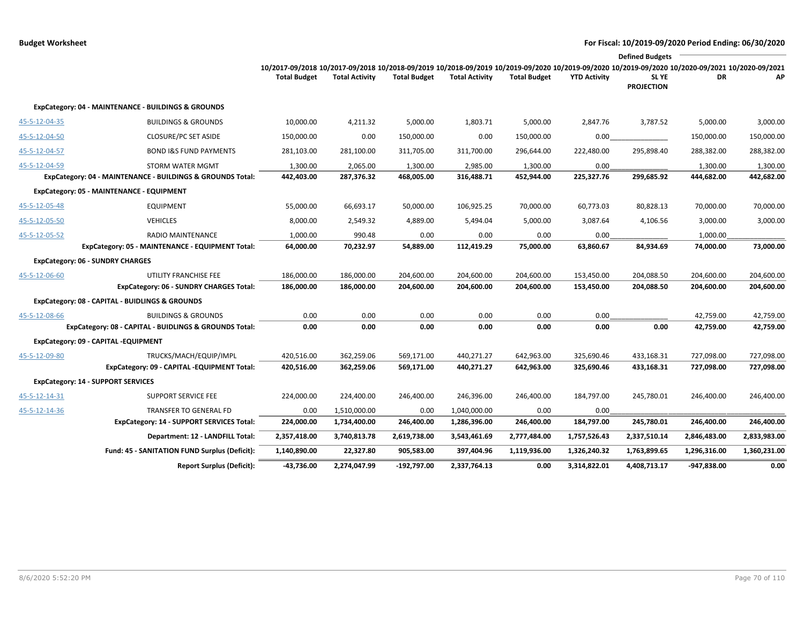|               |                                                            |                                                                                                                                                 |                       |                     |                       |                     |                     | <b>Defined Budgets</b>     |              |              |
|---------------|------------------------------------------------------------|-------------------------------------------------------------------------------------------------------------------------------------------------|-----------------------|---------------------|-----------------------|---------------------|---------------------|----------------------------|--------------|--------------|
|               |                                                            | 10/2017-09/2018 10/2017-09/2018 10/2018-09/2019 10/2018-09/2019 10/2019-09/2020 10/2019-09/2020 10/2019-09/2020 10/2020-09/2021 10/2020-09/2021 |                       |                     |                       |                     |                     |                            |              |              |
|               |                                                            | <b>Total Budget</b>                                                                                                                             | <b>Total Activity</b> | <b>Total Budget</b> | <b>Total Activity</b> | <b>Total Budget</b> | <b>YTD Activity</b> | SL YE<br><b>PROJECTION</b> | DR           | АP           |
|               | ExpCategory: 04 - MAINTENANCE - BUILDINGS & GROUNDS        |                                                                                                                                                 |                       |                     |                       |                     |                     |                            |              |              |
| 45-5-12-04-35 | <b>BUILDINGS &amp; GROUNDS</b>                             | 10,000.00                                                                                                                                       | 4,211.32              | 5,000.00            | 1,803.71              | 5,000.00            | 2,847.76            | 3,787.52                   | 5,000.00     | 3,000.00     |
| 45-5-12-04-50 | <b>CLOSURE/PC SET ASIDE</b>                                | 150,000.00                                                                                                                                      | 0.00                  | 150,000.00          | 0.00                  | 150,000.00          | 0.00                |                            | 150,000.00   | 150,000.00   |
| 45-5-12-04-57 | <b>BOND I&amp;S FUND PAYMENTS</b>                          | 281,103.00                                                                                                                                      | 281,100.00            | 311,705.00          | 311,700.00            | 296,644.00          | 222,480.00          | 295,898.40                 | 288,382.00   | 288,382.00   |
| 45-5-12-04-59 | STORM WATER MGMT                                           | 1,300.00                                                                                                                                        | 2,065.00              | 1,300.00            | 2,985.00              | 1,300.00            | 0.00                |                            | 1,300.00     | 1,300.00     |
|               | ExpCategory: 04 - MAINTENANCE - BUILDINGS & GROUNDS Total: | 442,403.00                                                                                                                                      | 287,376.32            | 468,005.00          | 316,488.71            | 452,944.00          | 225,327.76          | 299,685.92                 | 444,682.00   | 442,682.00   |
|               | ExpCategory: 05 - MAINTENANCE - EQUIPMENT                  |                                                                                                                                                 |                       |                     |                       |                     |                     |                            |              |              |
| 45-5-12-05-48 | <b>EQUIPMENT</b>                                           | 55,000.00                                                                                                                                       | 66,693.17             | 50,000.00           | 106,925.25            | 70,000.00           | 60,773.03           | 80,828.13                  | 70,000.00    | 70,000.00    |
| 45-5-12-05-50 | <b>VEHICLES</b>                                            | 8,000.00                                                                                                                                        | 2,549.32              | 4,889.00            | 5,494.04              | 5,000.00            | 3,087.64            | 4,106.56                   | 3,000.00     | 3,000.00     |
| 45-5-12-05-52 | RADIO MAINTENANCE                                          | 1,000.00                                                                                                                                        | 990.48                | 0.00                | 0.00                  | 0.00                | 0.00                |                            | 1,000.00     |              |
|               | ExpCategory: 05 - MAINTENANCE - EQUIPMENT Total:           | 64,000.00                                                                                                                                       | 70,232.97             | 54,889.00           | 112,419.29            | 75,000.00           | 63,860.67           | 84,934.69                  | 74,000.00    | 73,000.00    |
|               | <b>ExpCategory: 06 - SUNDRY CHARGES</b>                    |                                                                                                                                                 |                       |                     |                       |                     |                     |                            |              |              |
| 45-5-12-06-60 | UTILITY FRANCHISE FEE                                      | 186,000.00                                                                                                                                      | 186,000.00            | 204,600.00          | 204,600.00            | 204,600.00          | 153,450.00          | 204,088.50                 | 204,600.00   | 204,600.00   |
|               | ExpCategory: 06 - SUNDRY CHARGES Total:                    | 186,000.00                                                                                                                                      | 186,000.00            | 204,600.00          | 204,600.00            | 204,600.00          | 153,450.00          | 204,088.50                 | 204,600.00   | 204,600.00   |
|               | ExpCategory: 08 - CAPITAL - BUIDLINGS & GROUNDS            |                                                                                                                                                 |                       |                     |                       |                     |                     |                            |              |              |
| 45-5-12-08-66 | <b>BUILDINGS &amp; GROUNDS</b>                             | 0.00                                                                                                                                            | 0.00                  | 0.00                | 0.00                  | 0.00                | 0.00                |                            | 42,759.00    | 42,759.00    |
|               | ExpCategory: 08 - CAPITAL - BUIDLINGS & GROUNDS Total:     | 0.00                                                                                                                                            | 0.00                  | 0.00                | 0.00                  | 0.00                | 0.00                | 0.00                       | 42,759.00    | 42,759.00    |
|               | ExpCategory: 09 - CAPITAL -EQUIPMENT                       |                                                                                                                                                 |                       |                     |                       |                     |                     |                            |              |              |
| 45-5-12-09-80 | TRUCKS/MACH/EQUIP/IMPL                                     | 420,516.00                                                                                                                                      | 362,259.06            | 569,171.00          | 440,271.27            | 642,963.00          | 325,690.46          | 433,168.31                 | 727,098.00   | 727,098.00   |
|               | ExpCategory: 09 - CAPITAL -EQUIPMENT Total:                | 420,516.00                                                                                                                                      | 362,259.06            | 569,171.00          | 440,271.27            | 642,963.00          | 325,690.46          | 433,168.31                 | 727,098.00   | 727,098.00   |
|               | <b>ExpCategory: 14 - SUPPORT SERVICES</b>                  |                                                                                                                                                 |                       |                     |                       |                     |                     |                            |              |              |
| 45-5-12-14-31 | <b>SUPPORT SERVICE FEE</b>                                 | 224,000.00                                                                                                                                      | 224,400.00            | 246,400.00          | 246,396.00            | 246,400.00          | 184,797.00          | 245,780.01                 | 246,400.00   | 246,400.00   |
| 45-5-12-14-36 | <b>TRANSFER TO GENERAL FD</b>                              | 0.00                                                                                                                                            | 1,510,000.00          | 0.00                | 1,040,000.00          | 0.00                | 0.00                |                            |              |              |
|               | <b>ExpCategory: 14 - SUPPORT SERVICES Total:</b>           | 224,000.00                                                                                                                                      | 1,734,400.00          | 246,400.00          | 1,286,396.00          | 246,400.00          | 184,797.00          | 245,780.01                 | 246,400.00   | 246,400.00   |
|               | Department: 12 - LANDFILL Total:                           | 2,357,418.00                                                                                                                                    | 3,740,813.78          | 2,619,738.00        | 3,543,461.69          | 2,777,484.00        | 1,757,526.43        | 2,337,510.14               | 2,846,483.00 | 2,833,983.00 |
|               | Fund: 45 - SANITATION FUND Surplus (Deficit):              | 1,140,890.00                                                                                                                                    | 22,327.80             | 905,583.00          | 397,404.96            | 1,119,936.00        | 1,326,240.32        | 1,763,899.65               | 1,296,316.00 | 1,360,231.00 |
|               | <b>Report Surplus (Deficit):</b>                           | -43,736.00                                                                                                                                      | 2,274,047.99          | -192,797.00         | 2,337,764.13          | 0.00                | 3,314,822.01        | 4,408,713.17               | -947,838.00  | 0.00         |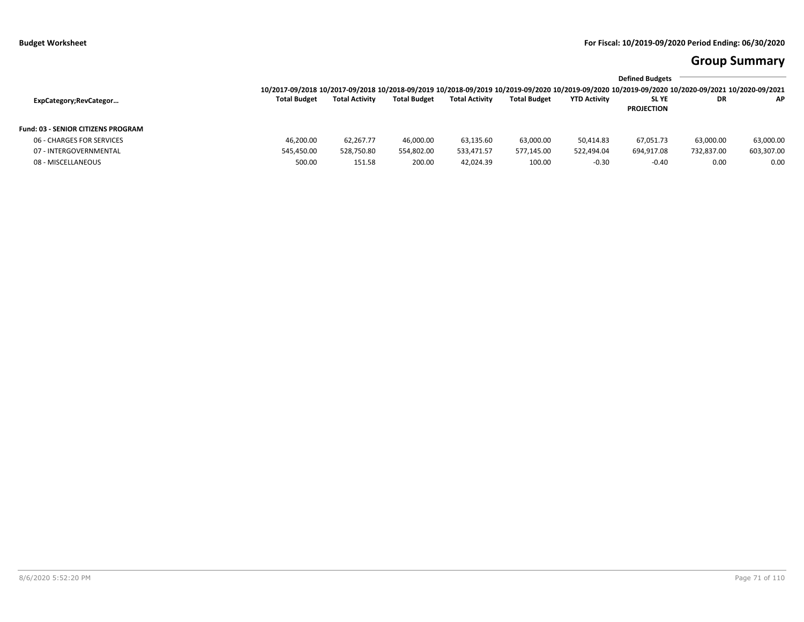# **Group Summary**

|                                           | <b>Defined Budgets</b>                                                                                                                          |                       |                     |                       |                     |                     |                                  |            |            |
|-------------------------------------------|-------------------------------------------------------------------------------------------------------------------------------------------------|-----------------------|---------------------|-----------------------|---------------------|---------------------|----------------------------------|------------|------------|
|                                           | 10/2017-09/2018 10/2017-09/2018 10/2018-09/2019 10/2018-09/2019 10/2019-09/2020 10/2019-09/2020 10/2019-09/2020 10/2020-09/2021 10/2020-09/2021 |                       |                     |                       |                     |                     |                                  |            |            |
| ExpCategory;RevCategor                    | <b>Total Budget</b>                                                                                                                             | <b>Total Activity</b> | <b>Total Budget</b> | <b>Total Activity</b> | <b>Total Budget</b> | <b>YTD Activity</b> | <b>SLYE</b><br><b>PROJECTION</b> | DR         | AP.        |
| <b>Fund: 03 - SENIOR CITIZENS PROGRAM</b> |                                                                                                                                                 |                       |                     |                       |                     |                     |                                  |            |            |
| 06 - CHARGES FOR SERVICES                 | 46.200.00                                                                                                                                       | 62.267.77             | 46.000.00           | 63,135.60             | 63,000.00           | 50.414.83           | 67,051.73                        | 63,000.00  | 63,000.00  |
| 07 - INTERGOVERNMENTAL                    | 545,450.00                                                                                                                                      | 528,750.80            | 554,802.00          | 533,471.57            | 577,145.00          | 522,494.04          | 694,917.08                       | 732,837.00 | 603,307.00 |
| 08 - MISCELLANEOUS                        | 500.00                                                                                                                                          | 151.58                | 200.00              | 42,024.39             | 100.00              | $-0.30$             | $-0.40$                          | 0.00       | 0.00       |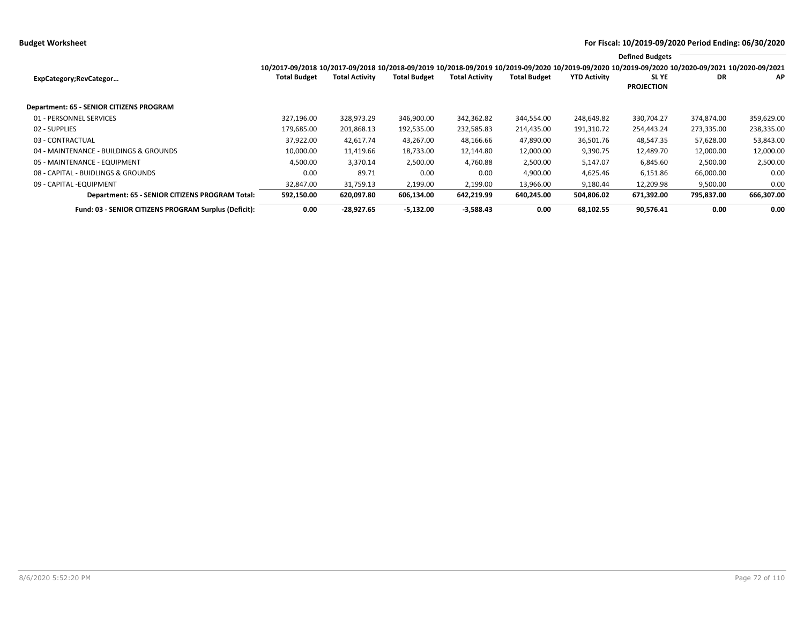**Budget Worksheet For Fiscal: 10/2019-09/2020 Period Ending: 06/30/2020**

|                                                              | <b>Defined Budgets</b>                                                                                                                                          |                       |                     |                       |                     |                     |                            |            |            |
|--------------------------------------------------------------|-----------------------------------------------------------------------------------------------------------------------------------------------------------------|-----------------------|---------------------|-----------------------|---------------------|---------------------|----------------------------|------------|------------|
|                                                              | 10/2017-09/2018 10/2017-09/2018 10/2018-09/2019 10/2018-09/2019 10/2019-09/2020 10/2019-09/2020 10/2019-09/2020 10/2019-09/2020 10/2020-09/2021 10/2020-09/2021 |                       |                     |                       |                     |                     |                            |            |            |
| ExpCategory;RevCategor                                       | <b>Total Budget</b>                                                                                                                                             | <b>Total Activity</b> | <b>Total Budget</b> | <b>Total Activity</b> | <b>Total Budget</b> | <b>YTD Activity</b> | SL YE<br><b>PROJECTION</b> | DR         | AP         |
| <b>Department: 65 - SENIOR CITIZENS PROGRAM</b>              |                                                                                                                                                                 |                       |                     |                       |                     |                     |                            |            |            |
| 01 - PERSONNEL SERVICES                                      | 327,196.00                                                                                                                                                      | 328,973.29            | 346,900.00          | 342,362.82            | 344,554.00          | 248,649.82          | 330,704.27                 | 374,874.00 | 359,629.00 |
| 02 - SUPPLIES                                                | 179,685.00                                                                                                                                                      | 201,868.13            | 192,535.00          | 232,585.83            | 214,435.00          | 191,310.72          | 254,443.24                 | 273,335.00 | 238,335.00 |
| 03 - CONTRACTUAL                                             | 37,922.00                                                                                                                                                       | 42,617.74             | 43,267.00           | 48,166.66             | 47,890.00           | 36,501.76           | 48,547.35                  | 57,628.00  | 53,843.00  |
| 04 - MAINTENANCE - BUILDINGS & GROUNDS                       | 10,000.00                                                                                                                                                       | 11,419.66             | 18,733.00           | 12,144.80             | 12,000.00           | 9,390.75            | 12,489.70                  | 12,000.00  | 12,000.00  |
| 05 - MAINTENANCE - EQUIPMENT                                 | 4,500.00                                                                                                                                                        | 3,370.14              | 2,500.00            | 4,760.88              | 2,500.00            | 5,147.07            | 6,845.60                   | 2,500.00   | 2,500.00   |
| 08 - CAPITAL - BUIDLINGS & GROUNDS                           | 0.00                                                                                                                                                            | 89.71                 | 0.00                | 0.00                  | 4,900.00            | 4,625.46            | 6,151.86                   | 66,000.00  | 0.00       |
| 09 - CAPITAL - EQUIPMENT                                     | 32,847.00                                                                                                                                                       | 31,759.13             | 2,199.00            | 2,199.00              | 13,966.00           | 9,180.44            | 12,209.98                  | 9,500.00   | 0.00       |
| Department: 65 - SENIOR CITIZENS PROGRAM Total:              | 592,150.00                                                                                                                                                      | 620,097.80            | 606,134.00          | 642,219.99            | 640,245.00          | 504,806.02          | 671,392.00                 | 795,837.00 | 666,307.00 |
| <b>Fund: 03 - SENIOR CITIZENS PROGRAM Surplus (Deficit):</b> | 0.00                                                                                                                                                            | $-28.927.65$          | $-5.132.00$         | $-3,588.43$           | 0.00                | 68.102.55           | 90,576.41                  | 0.00       | 0.00       |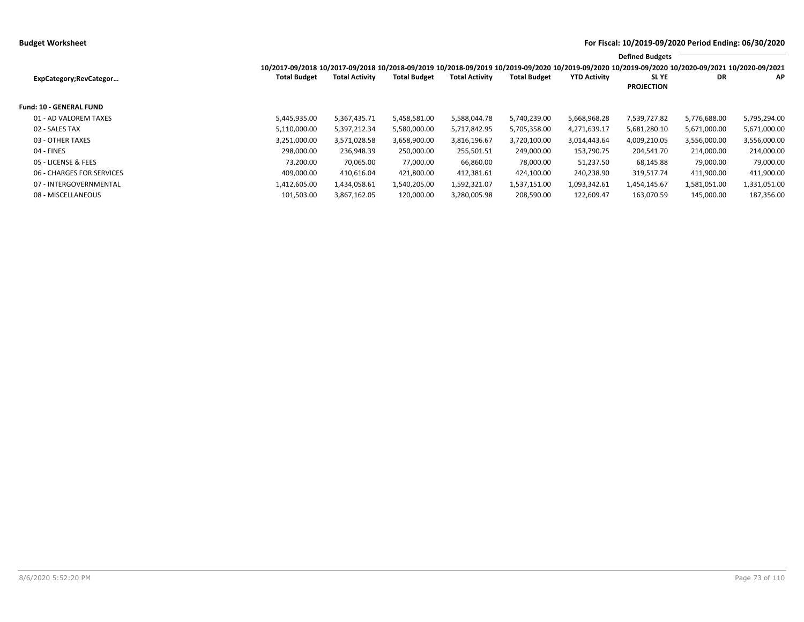|                           |                                                                                                                                                 |                       |                     |                       |                     |                     | <b>Defined Budgets</b>           |              |              |
|---------------------------|-------------------------------------------------------------------------------------------------------------------------------------------------|-----------------------|---------------------|-----------------------|---------------------|---------------------|----------------------------------|--------------|--------------|
|                           | 10/2017-09/2018 10/2017-09/2018 10/2018-09/2019 10/2018-09/2019 10/2019-09/2020 10/2019-09/2020 10/2019-09/2020 10/2020-09/2021 10/2020-09/2021 |                       |                     |                       |                     |                     |                                  |              |              |
| ExpCategory;RevCategor    | <b>Total Budget</b>                                                                                                                             | <b>Total Activity</b> | <b>Total Budget</b> | <b>Total Activity</b> | <b>Total Budget</b> | <b>YTD Activity</b> | <b>SLYE</b><br><b>PROJECTION</b> | DR           | ΑP           |
| Fund: 10 - GENERAL FUND   |                                                                                                                                                 |                       |                     |                       |                     |                     |                                  |              |              |
| 01 - AD VALOREM TAXES     | 5,445,935.00                                                                                                                                    | 5,367,435.71          | 5,458,581.00        | 5,588,044.78          | 5,740,239.00        | 5,668,968.28        | 7,539,727.82                     | 5,776,688.00 | 5,795,294.00 |
| 02 - SALES TAX            | 5,110,000.00                                                                                                                                    | 5,397,212.34          | 5,580,000.00        | 5,717,842.95          | 5,705,358.00        | 4,271,639.17        | 5,681,280.10                     | 5,671,000.00 | 5,671,000.00 |
| 03 - OTHER TAXES          | 3,251,000.00                                                                                                                                    | 3,571,028.58          | 3,658,900.00        | 3,816,196.67          | 3,720,100.00        | 3,014,443.64        | 4,009,210.05                     | 3,556,000.00 | 3,556,000.00 |
| 04 - FINES                | 298.000.00                                                                                                                                      | 236,948.39            | 250,000.00          | 255,501.51            | 249,000.00          | 153.790.75          | 204,541.70                       | 214,000.00   | 214,000.00   |
| 05 - LICENSE & FEES       | 73,200.00                                                                                                                                       | 70,065.00             | 77,000.00           | 66,860.00             | 78,000.00           | 51,237.50           | 68,145.88                        | 79,000.00    | 79,000.00    |
| 06 - CHARGES FOR SERVICES | 409,000.00                                                                                                                                      | 410,616.04            | 421,800.00          | 412,381.61            | 424,100.00          | 240,238.90          | 319,517.74                       | 411,900.00   | 411,900.00   |
| 07 - INTERGOVERNMENTAL    | 1,412,605.00                                                                                                                                    | 1,434,058.61          | 1,540,205.00        | 1,592,321.07          | 1,537,151.00        | 1,093,342.61        | 1,454,145.67                     | 1,581,051.00 | 1,331,051.00 |
| 08 - MISCELLANEOUS        | 101,503.00                                                                                                                                      | 3,867,162.05          | 120,000.00          | 3,280,005.98          | 208,590.00          | 122.609.47          | 163,070.59                       | 145,000.00   | 187,356.00   |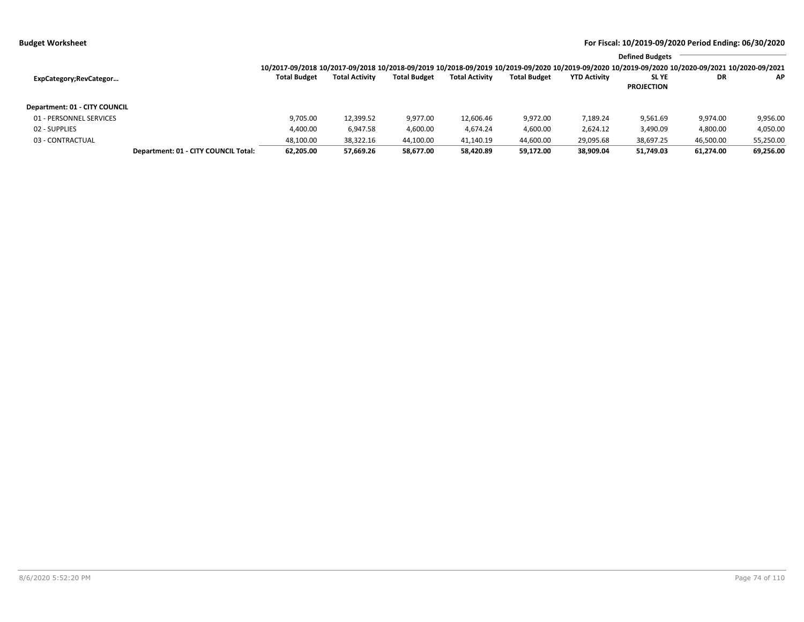|                               |                                      |                     |                       |                     |                       |                     |                     | <b>Defined Budgets</b>                                                                                                                          |           |           |
|-------------------------------|--------------------------------------|---------------------|-----------------------|---------------------|-----------------------|---------------------|---------------------|-------------------------------------------------------------------------------------------------------------------------------------------------|-----------|-----------|
|                               |                                      |                     |                       |                     |                       |                     |                     | 10/2017-09/2018 10/2017-09/2018 10/2018-09/2019 10/2018-09/2019 10/2019-09/2020 10/2019-09/2020 10/2019-09/2020 10/2020-09/2021 10/2020-09/2021 |           |           |
| ExpCategory;RevCategor        |                                      | <b>Total Budget</b> | <b>Total Activity</b> | <b>Total Budget</b> | <b>Total Activity</b> | <b>Total Budget</b> | <b>YTD Activity</b> | SL YE                                                                                                                                           | DR        | AP.       |
|                               |                                      |                     |                       |                     |                       |                     |                     | <b>PROJECTION</b>                                                                                                                               |           |           |
| Department: 01 - CITY COUNCIL |                                      |                     |                       |                     |                       |                     |                     |                                                                                                                                                 |           |           |
| 01 - PERSONNEL SERVICES       |                                      | 9,705.00            | 12,399.52             | 9,977.00            | 12,606.46             | 9,972.00            | 7,189.24            | 9,561.69                                                                                                                                        | 9,974.00  | 9,956.00  |
| 02 - SUPPLIES                 |                                      | 4,400.00            | 6,947.58              | 4,600.00            | 4.674.24              | 4,600.00            | 2.624.12            | 3,490.09                                                                                                                                        | 4,800.00  | 4,050.00  |
| 03 - CONTRACTUAL              |                                      | 48,100.00           | 38,322.16             | 44,100.00           | 41,140.19             | 44,600.00           | 29,095.68           | 38,697.25                                                                                                                                       | 46,500.00 | 55,250.00 |
|                               | Department: 01 - CITY COUNCIL Total: | 62,205.00           | 57,669.26             | 58,677.00           | 58,420.89             | 59,172.00           | 38,909.04           | 51,749.03                                                                                                                                       | 61,274.00 | 69,256.00 |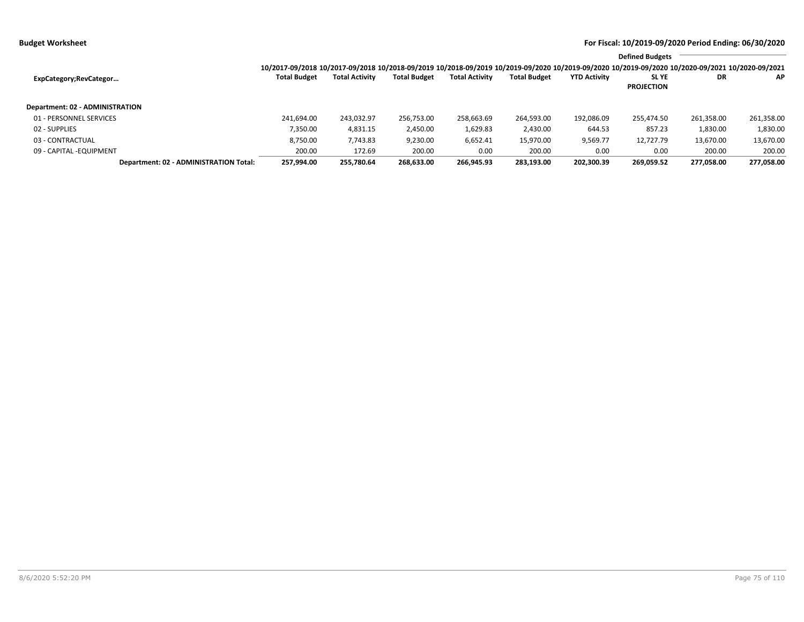|                                        |                                                                                                                                                                 |                       |                     |                       |                     |                     | <b>Defined Budgets</b> |            |            |
|----------------------------------------|-----------------------------------------------------------------------------------------------------------------------------------------------------------------|-----------------------|---------------------|-----------------------|---------------------|---------------------|------------------------|------------|------------|
|                                        | 10/2017-09/2018 10/2017-09/2018 10/2018-09/2019 10/2018-09/2019 10/2019-09/2020 10/2019-09/2020 10/2019-09/2020 10/2019-09/2020 10/2020-09/2021 10/2020-09/2021 |                       |                     |                       |                     |                     |                        |            |            |
| ExpCategory; RevCategor                | <b>Total Budget</b>                                                                                                                                             | <b>Total Activity</b> | <b>Total Budget</b> | <b>Total Activity</b> | <b>Total Budget</b> | <b>YTD Activity</b> | <b>SLYE</b>            | DR         | ΑP         |
|                                        |                                                                                                                                                                 |                       |                     |                       |                     |                     | <b>PROJECTION</b>      |            |            |
| Department: 02 - ADMINISTRATION        |                                                                                                                                                                 |                       |                     |                       |                     |                     |                        |            |            |
| 01 - PERSONNEL SERVICES                | 241.694.00                                                                                                                                                      | 243,032.97            | 256,753.00          | 258,663.69            | 264,593.00          | 192,086.09          | 255,474.50             | 261,358.00 | 261,358.00 |
| 02 - SUPPLIES                          | 7,350.00                                                                                                                                                        | 4,831.15              | 2,450.00            | 1,629.83              | 2,430.00            | 644.53              | 857.23                 | 1,830.00   | 1,830.00   |
| 03 - CONTRACTUAL                       | 8,750.00                                                                                                                                                        | 7,743.83              | 9,230.00            | 6,652.41              | 15,970.00           | 9,569.77            | 12,727.79              | 13,670.00  | 13,670.00  |
| 09 - CAPITAL - EQUIPMENT               | 200.00                                                                                                                                                          | 172.69                | 200.00              | 0.00                  | 200.00              | 0.00                | 0.00                   | 200.00     | 200.00     |
| Department: 02 - ADMINISTRATION Total: | 257.994.00                                                                                                                                                      | 255.780.64            | 268.633.00          | 266.945.93            | 283,193.00          | 202.300.39          | 269.059.52             | 277.058.00 | 277.058.00 |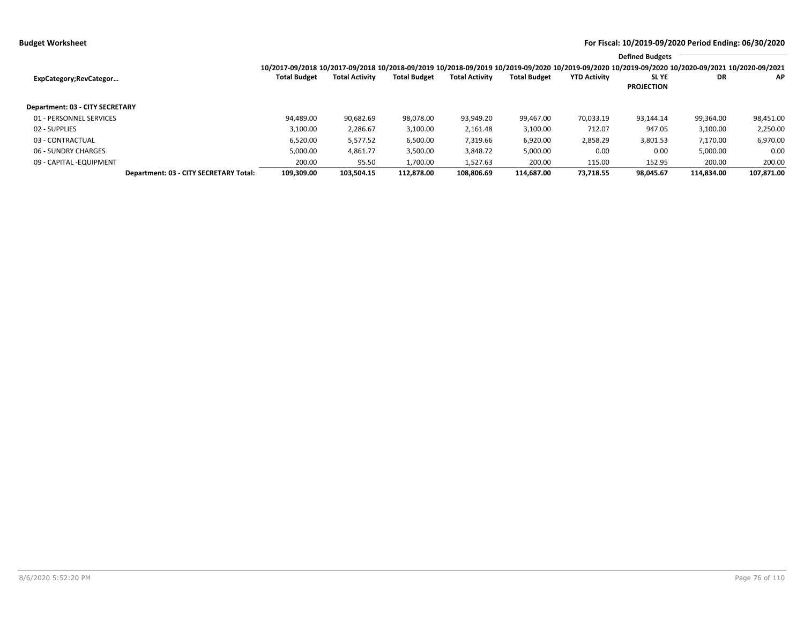|                                        |                                                                                                                                                                 |                       |                     |                       |                     |                     | <b>Defined Budgets</b>           |            |            |
|----------------------------------------|-----------------------------------------------------------------------------------------------------------------------------------------------------------------|-----------------------|---------------------|-----------------------|---------------------|---------------------|----------------------------------|------------|------------|
|                                        | 10/2017-09/2018 10/2017-09/2018 10/2018-09/2019 10/2018-09/2019 10/2019-09/2020 10/2019-09/2020 10/2019-09/2020 10/2019-09/2020 10/2020-09/2021 10/2020-09/2021 |                       |                     |                       |                     |                     |                                  |            |            |
| ExpCategory;RevCategor                 | <b>Total Budget</b>                                                                                                                                             | <b>Total Activity</b> | <b>Total Budget</b> | <b>Total Activity</b> | <b>Total Budget</b> | <b>YTD Activity</b> | <b>SLYE</b><br><b>PROJECTION</b> | DR         | ΑP         |
| <b>Department: 03 - CITY SECRETARY</b> |                                                                                                                                                                 |                       |                     |                       |                     |                     |                                  |            |            |
| 01 - PERSONNEL SERVICES                | 94,489.00                                                                                                                                                       | 90,682.69             | 98,078.00           | 93,949.20             | 99.467.00           | 70,033.19           | 93.144.14                        | 99,364.00  | 98,451.00  |
| 02 - SUPPLIES                          | 3,100.00                                                                                                                                                        | 2,286.67              | 3,100.00            | 2,161.48              | 3,100.00            | 712.07              | 947.05                           | 3,100.00   | 2,250.00   |
| 03 - CONTRACTUAL                       | 6,520.00                                                                                                                                                        | 5,577.52              | 6,500.00            | 7,319.66              | 6,920.00            | 2,858.29            | 3,801.53                         | 7,170.00   | 6,970.00   |
| 06 - SUNDRY CHARGES                    | 5,000.00                                                                                                                                                        | 4,861.77              | 3,500.00            | 3,848.72              | 5,000.00            | 0.00                | 0.00                             | 5,000.00   | 0.00       |
| 09 - CAPITAL - EQUIPMENT               | 200.00                                                                                                                                                          | 95.50                 | 1.700.00            | 1,527.63              | 200.00              | 115.00              | 152.95                           | 200.00     | 200.00     |
| Department: 03 - CITY SECRETARY Total: | 109,309.00                                                                                                                                                      | 103,504.15            | 112,878.00          | 108.806.69            | 114.687.00          | 73,718.55           | 98,045.67                        | 114,834.00 | 107,871.00 |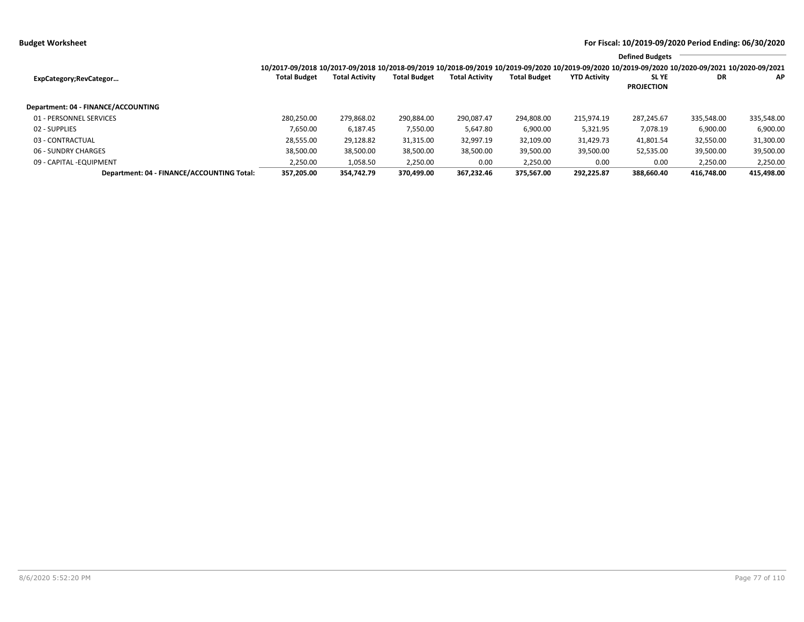|                                            |                                                                                                                                                                 |                       |                     |                       |                     |                     | <b>Defined Budgets</b>           |            |            |
|--------------------------------------------|-----------------------------------------------------------------------------------------------------------------------------------------------------------------|-----------------------|---------------------|-----------------------|---------------------|---------------------|----------------------------------|------------|------------|
|                                            | 10/2017-09/2018 10/2017-09/2018 10/2018-09/2019 10/2018-09/2019 10/2019-09/2020 10/2019-09/2020 10/2019-09/2020 10/2019-09/2020 10/2020-09/2021 10/2020-09/2021 |                       |                     |                       |                     |                     |                                  |            |            |
| ExpCategory; RevCategor                    | <b>Total Budget</b>                                                                                                                                             | <b>Total Activity</b> | <b>Total Budget</b> | <b>Total Activity</b> | <b>Total Budget</b> | <b>YTD Activity</b> | <b>SLYE</b><br><b>PROJECTION</b> | DR         | ΑP         |
| Department: 04 - FINANCE/ACCOUNTING        |                                                                                                                                                                 |                       |                     |                       |                     |                     |                                  |            |            |
| 01 - PERSONNEL SERVICES                    | 280,250.00                                                                                                                                                      | 279,868.02            | 290,884.00          | 290,087.47            | 294,808.00          | 215,974.19          | 287.245.67                       | 335,548.00 | 335,548.00 |
| 02 - SUPPLIES                              | 7,650.00                                                                                                                                                        | 6,187.45              | 7,550.00            | 5,647.80              | 6,900.00            | 5,321.95            | 7,078.19                         | 6,900.00   | 6,900.00   |
| 03 - CONTRACTUAL                           | 28,555.00                                                                                                                                                       | 29,128.82             | 31,315.00           | 32,997.19             | 32,109.00           | 31,429.73           | 41,801.54                        | 32,550.00  | 31,300.00  |
| 06 - SUNDRY CHARGES                        | 38,500.00                                                                                                                                                       | 38,500.00             | 38,500.00           | 38,500.00             | 39,500.00           | 39,500.00           | 52,535.00                        | 39,500.00  | 39,500.00  |
| 09 - CAPITAL -EQUIPMENT                    | 2,250.00                                                                                                                                                        | 1,058.50              | 2,250.00            | 0.00                  | 2,250.00            | 0.00                | 0.00                             | 2,250.00   | 2,250.00   |
| Department: 04 - FINANCE/ACCOUNTING Total: | 357.205.00                                                                                                                                                      | 354.742.79            | 370.499.00          | 367.232.46            | 375.567.00          | 292.225.87          | 388.660.40                       | 416.748.00 | 415.498.00 |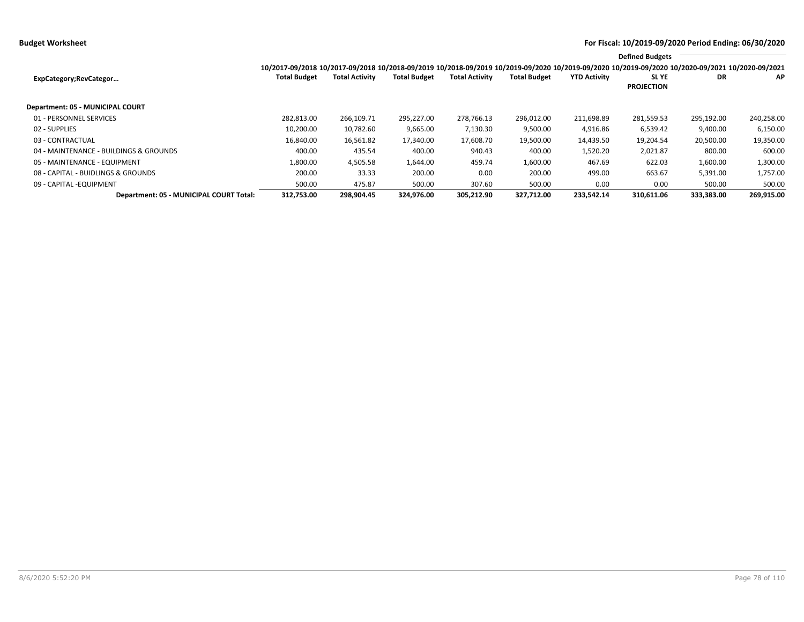**Budget Worksheet For Fiscal: 10/2019-09/2020 Period Ending: 06/30/2020**

|                                         |                                                                                                                                                                 |                       |                     |                       |                     |                     | <b>Defined Budgets</b>           |            |            |
|-----------------------------------------|-----------------------------------------------------------------------------------------------------------------------------------------------------------------|-----------------------|---------------------|-----------------------|---------------------|---------------------|----------------------------------|------------|------------|
|                                         | 10/2017-09/2018 10/2017-09/2018 10/2018-09/2019 10/2018-09/2019 10/2019-09/2020 10/2019-09/2020 10/2019-09/2020 10/2019-09/2020 10/2020-09/2021 10/2020-09/2021 |                       |                     |                       |                     |                     |                                  |            |            |
| ExpCategory;RevCategor                  | <b>Total Budget</b>                                                                                                                                             | <b>Total Activity</b> | <b>Total Budget</b> | <b>Total Activity</b> | <b>Total Budget</b> | <b>YTD Activity</b> | <b>SLYE</b><br><b>PROJECTION</b> | DR         | ΑP         |
|                                         |                                                                                                                                                                 |                       |                     |                       |                     |                     |                                  |            |            |
| Department: 05 - MUNICIPAL COURT        |                                                                                                                                                                 |                       |                     |                       |                     |                     |                                  |            |            |
| 01 - PERSONNEL SERVICES                 | 282,813.00                                                                                                                                                      | 266,109.71            | 295,227.00          | 278,766.13            | 296,012.00          | 211,698.89          | 281,559.53                       | 295,192.00 | 240,258.00 |
| 02 - SUPPLIES                           | 10,200.00                                                                                                                                                       | 10,782.60             | 9,665.00            | 7,130.30              | 9,500.00            | 4,916.86            | 6,539.42                         | 9,400.00   | 6,150.00   |
| 03 - CONTRACTUAL                        | 16,840.00                                                                                                                                                       | 16,561.82             | 17,340.00           | 17,608.70             | 19,500.00           | 14,439.50           | 19,204.54                        | 20,500.00  | 19,350.00  |
| 04 - MAINTENANCE - BUILDINGS & GROUNDS  | 400.00                                                                                                                                                          | 435.54                | 400.00              | 940.43                | 400.00              | 1,520.20            | 2,021.87                         | 800.00     | 600.00     |
| 05 - MAINTENANCE - EQUIPMENT            | 1,800.00                                                                                                                                                        | 4,505.58              | 1,644.00            | 459.74                | 1,600.00            | 467.69              | 622.03                           | 1,600.00   | 1,300.00   |
| 08 - CAPITAL - BUIDLINGS & GROUNDS      | 200.00                                                                                                                                                          | 33.33                 | 200.00              | 0.00                  | 200.00              | 499.00              | 663.67                           | 5,391.00   | 1,757.00   |
| 09 - CAPITAL - EQUIPMENT                | 500.00                                                                                                                                                          | 475.87                | 500.00              | 307.60                | 500.00              | 0.00                | 0.00                             | 500.00     | 500.00     |
| Department: 05 - MUNICIPAL COURT Total: | 312,753.00                                                                                                                                                      | 298,904.45            | 324,976.00          | 305,212.90            | 327.712.00          | 233,542.14          | 310,611.06                       | 333,383.00 | 269,915.00 |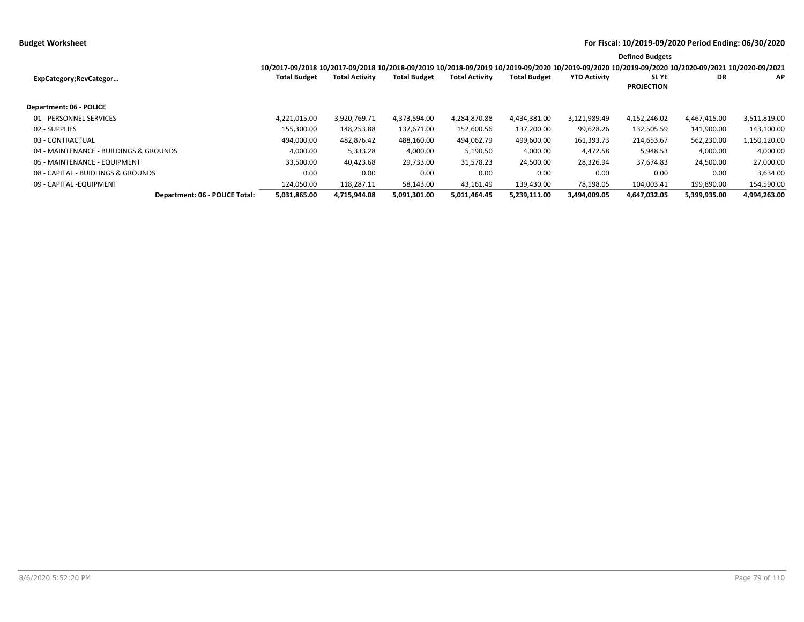|                                        |                                                                                                                                                                 |                       |                     |                       |                     |                     | <b>Defined Budgets</b>     |              |              |
|----------------------------------------|-----------------------------------------------------------------------------------------------------------------------------------------------------------------|-----------------------|---------------------|-----------------------|---------------------|---------------------|----------------------------|--------------|--------------|
|                                        | 10/2017-09/2018 10/2017-09/2018 10/2018-09/2019 10/2018-09/2019 10/2019-09/2020 10/2019-09/2020 10/2019-09/2020 10/2019-09/2020 10/2020-09/2021 10/2020-09/2021 |                       |                     |                       |                     |                     |                            |              |              |
| ExpCategory; RevCategor                | <b>Total Budget</b>                                                                                                                                             | <b>Total Activity</b> | <b>Total Budget</b> | <b>Total Activity</b> | <b>Total Budget</b> | <b>YTD Activity</b> | SL YE<br><b>PROJECTION</b> | DR           | AP           |
| Department: 06 - POLICE                |                                                                                                                                                                 |                       |                     |                       |                     |                     |                            |              |              |
| 01 - PERSONNEL SERVICES                | 4,221,015.00                                                                                                                                                    | 3,920,769.71          | 4,373,594.00        | 4,284,870.88          | 4,434,381.00        | 3,121,989.49        | 4,152,246.02               | 4,467,415.00 | 3,511,819.00 |
| 02 - SUPPLIES                          | 155,300.00                                                                                                                                                      | 148,253.88            | 137,671.00          | 152,600.56            | 137,200.00          | 99,628.26           | 132,505.59                 | 141,900.00   | 143,100.00   |
| 03 - CONTRACTUAL                       | 494,000.00                                                                                                                                                      | 482,876.42            | 488,160.00          | 494,062.79            | 499,600.00          | 161,393.73          | 214,653.67                 | 562,230.00   | 1,150,120.00 |
| 04 - MAINTENANCE - BUILDINGS & GROUNDS | 4,000.00                                                                                                                                                        | 5,333.28              | 4,000.00            | 5,190.50              | 4,000.00            | 4,472.58            | 5,948.53                   | 4,000.00     | 4,000.00     |
| 05 - MAINTENANCE - EQUIPMENT           | 33,500.00                                                                                                                                                       | 40,423.68             | 29,733.00           | 31,578.23             | 24,500.00           | 28.326.94           | 37.674.83                  | 24.500.00    | 27,000.00    |
| 08 - CAPITAL - BUIDLINGS & GROUNDS     | 0.00                                                                                                                                                            | 0.00                  | 0.00                | 0.00                  | 0.00                | 0.00                | 0.00                       | 0.00         | 3,634.00     |
| 09 - CAPITAL - EQUIPMENT               | 124.050.00                                                                                                                                                      | 118.287.11            | 58,143.00           | 43,161.49             | 139,430.00          | 78.198.05           | 104.003.41                 | 199,890.00   | 154,590.00   |
| Department: 06 - POLICE Total:         | 5,031,865.00                                                                                                                                                    | 4,715,944.08          | 5,091,301.00        | 5,011,464.45          | 5,239,111.00        | 3,494,009.05        | 4,647,032.05               | 5,399,935.00 | 4,994,263.00 |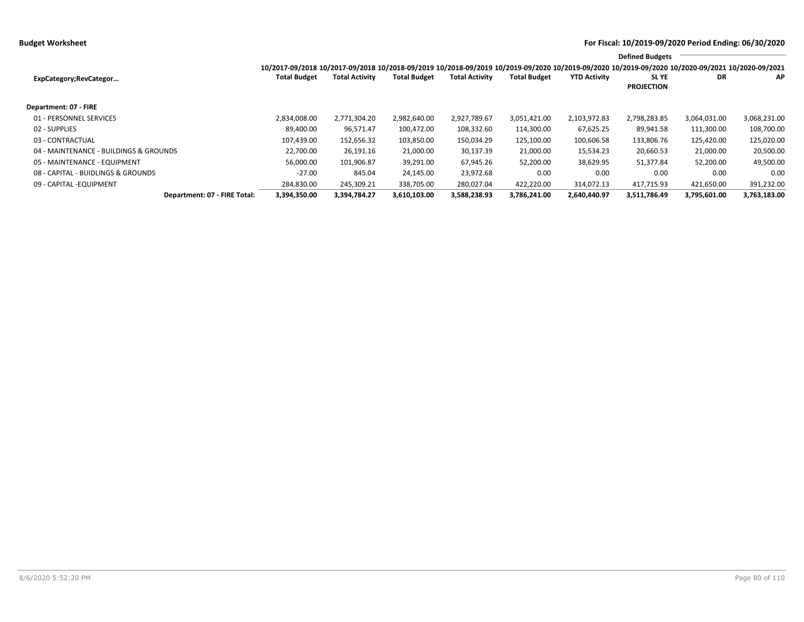|                                        |                                                                                                                                                 |                       |                     |                       |                     |                     | <b>Defined Budgets</b>     |              |              |
|----------------------------------------|-------------------------------------------------------------------------------------------------------------------------------------------------|-----------------------|---------------------|-----------------------|---------------------|---------------------|----------------------------|--------------|--------------|
|                                        | 10/2017-09/2018 10/2017-09/2018 10/2018-09/2019 10/2018-09/2019 10/2019-09/2020 10/2019-09/2020 10/2019-09/2020 10/2020-09/2021 10/2020-09/2021 |                       |                     |                       |                     |                     |                            |              |              |
| ExpCategory;RevCategor                 | <b>Total Budget</b>                                                                                                                             | <b>Total Activity</b> | <b>Total Budget</b> | <b>Total Activity</b> | <b>Total Budget</b> | <b>YTD Activity</b> | SL YE<br><b>PROJECTION</b> | DR           | AP           |
| Department: 07 - FIRE                  |                                                                                                                                                 |                       |                     |                       |                     |                     |                            |              |              |
| 01 - PERSONNEL SERVICES                | 2,834,008.00                                                                                                                                    | 2,771,304.20          | 2,982,640.00        | 2,927,789.67          | 3,051,421.00        | 2,103,972.83        | 2,798,283.85               | 3,064,031.00 | 3,068,231.00 |
| 02 - SUPPLIES                          | 89.400.00                                                                                                                                       | 96,571.47             | 100,472.00          | 108,332.60            | 114,300.00          | 67,625.25           | 89,941.58                  | 111,300.00   | 108,700.00   |
| 03 - CONTRACTUAL                       | 107,439.00                                                                                                                                      | 152,656.32            | 103,850.00          | 150,034.29            | 125,100.00          | 100,606.58          | 133,806.76                 | 125,420.00   | 125,020.00   |
| 04 - MAINTENANCE - BUILDINGS & GROUNDS | 22.700.00                                                                                                                                       | 26,191.16             | 21,000.00           | 30,137.39             | 21,000.00           | 15,534.23           | 20,660.53                  | 21,000.00    | 20,500.00    |
| 05 - MAINTENANCE - EQUIPMENT           | 56,000.00                                                                                                                                       | 101.906.87            | 39,291.00           | 67.945.26             | 52,200.00           | 38,629.95           | 51.377.84                  | 52,200.00    | 49,500.00    |
| 08 - CAPITAL - BUIDLINGS & GROUNDS     | $-27.00$                                                                                                                                        | 845.04                | 24,145.00           | 23,972.68             | 0.00                | 0.00                | 0.00                       | 0.00         | 0.00         |
| 09 - CAPITAL - EQUIPMENT               | 284,830.00                                                                                                                                      | 245,309.21            | 338,705.00          | 280.027.04            | 422.220.00          | 314.072.13          | 417.715.93                 | 421,650.00   | 391,232.00   |
| Department: 07 - FIRE Total:           | 3,394,350.00                                                                                                                                    | 3,394,784.27          | 3,610,103.00        | 3,588,238.93          | 3,786,241.00        | 2,640,440.97        | 3,511,786.49               | 3,795,601.00 | 3,763,183.00 |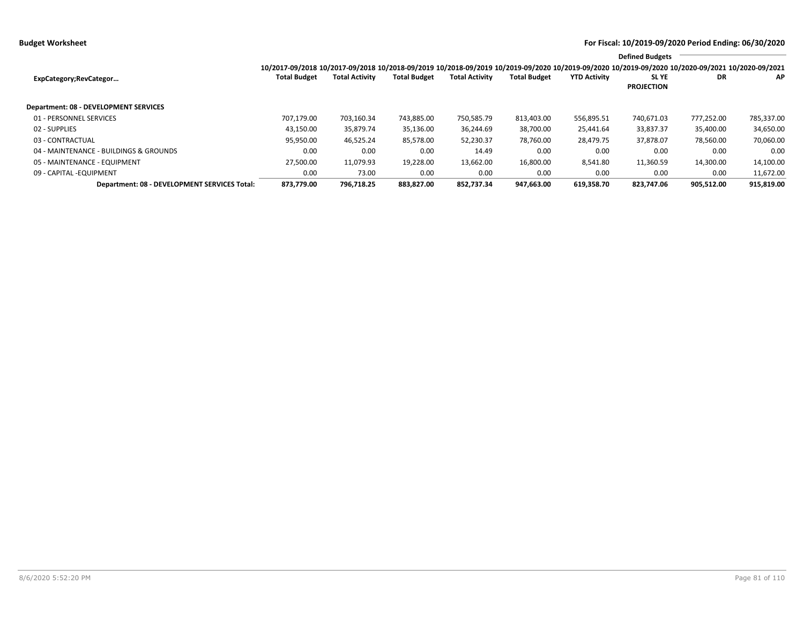**Budget Worksheet For Fiscal: 10/2019-09/2020 Period Ending: 06/30/2020**

|                                              |                                                                                                                                                                 |                       |                     |                       |                     |                     | <b>Defined Budgets</b>           |            |            |
|----------------------------------------------|-----------------------------------------------------------------------------------------------------------------------------------------------------------------|-----------------------|---------------------|-----------------------|---------------------|---------------------|----------------------------------|------------|------------|
|                                              | 10/2017-09/2018 10/2017-09/2018 10/2018-09/2019 10/2018-09/2019 10/2019-09/2020 10/2019-09/2020 10/2019-09/2020 10/2019-09/2020 10/2020-09/2021 10/2020-09/2021 |                       |                     |                       |                     |                     |                                  |            |            |
| ExpCategory;RevCategor                       | <b>Total Budget</b>                                                                                                                                             | <b>Total Activity</b> | <b>Total Budget</b> | <b>Total Activity</b> | <b>Total Budget</b> | <b>YTD Activity</b> | <b>SLYE</b><br><b>PROJECTION</b> | DR         | ΑP         |
| <b>Department: 08 - DEVELOPMENT SERVICES</b> |                                                                                                                                                                 |                       |                     |                       |                     |                     |                                  |            |            |
| 01 - PERSONNEL SERVICES                      | 707.179.00                                                                                                                                                      | 703.160.34            | 743,885.00          | 750,585.79            | 813,403.00          | 556,895.51          | 740,671.03                       | 777,252.00 | 785,337.00 |
| 02 - SUPPLIES                                | 43,150.00                                                                                                                                                       | 35,879.74             | 35,136.00           | 36,244.69             | 38,700.00           | 25,441.64           | 33,837.37                        | 35,400.00  | 34,650.00  |
| 03 - CONTRACTUAL                             | 95,950.00                                                                                                                                                       | 46,525.24             | 85,578.00           | 52,230.37             | 78,760.00           | 28,479.75           | 37,878.07                        | 78,560.00  | 70,060.00  |
| 04 - MAINTENANCE - BUILDINGS & GROUNDS       | 0.00                                                                                                                                                            | 0.00                  | 0.00                | 14.49                 | 0.00                | 0.00                | 0.00                             | 0.00       | 0.00       |
| 05 - MAINTENANCE - EQUIPMENT                 | 27,500.00                                                                                                                                                       | 11,079.93             | 19,228.00           | 13,662.00             | 16,800.00           | 8,541.80            | 11,360.59                        | 14,300.00  | 14,100.00  |
| 09 - CAPITAL - EQUIPMENT                     | 0.00                                                                                                                                                            | 73.00                 | 0.00                | 0.00                  | 0.00                | 0.00                | 0.00                             | 0.00       | 11,672.00  |
| Department: 08 - DEVELOPMENT SERVICES Total: | 873.779.00                                                                                                                                                      | 796.718.25            | 883.827.00          | 852.737.34            | 947.663.00          | 619.358.70          | 823.747.06                       | 905.512.00 | 915,819.00 |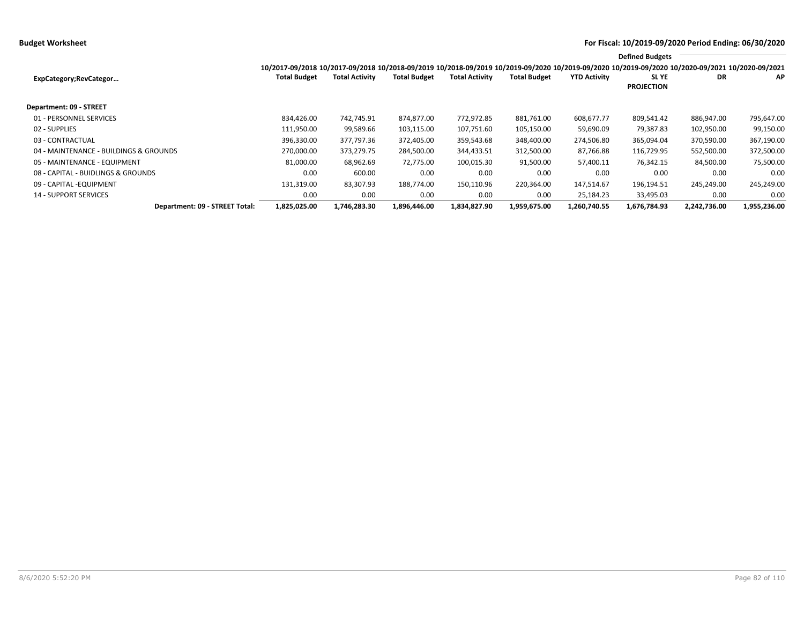**Budget Worksheet For Fiscal: 10/2019-09/2020 Period Ending: 06/30/2020**

|                                        |                                                                                                                                                                                        |                       |                     |                       |                     |                     | <b>Defined Budgets</b>           |              |              |
|----------------------------------------|----------------------------------------------------------------------------------------------------------------------------------------------------------------------------------------|-----------------------|---------------------|-----------------------|---------------------|---------------------|----------------------------------|--------------|--------------|
| ExpCategory; RevCategor                | 10/2017-09/2018 10/2017-09/2018 10/2018-09/2019 10/2018-09/2019 10/2019-09/2020 10/2019-09/2020 10/2019-09/2020 10/2019-09/2020 10/2020-09/2021 10/2020-09/2021<br><b>Total Budget</b> | <b>Total Activity</b> | <b>Total Budget</b> | <b>Total Activity</b> | <b>Total Budget</b> | <b>YTD Activity</b> | <b>SLYE</b><br><b>PROJECTION</b> | DR           | AP           |
| Department: 09 - STREET                |                                                                                                                                                                                        |                       |                     |                       |                     |                     |                                  |              |              |
| 01 - PERSONNEL SERVICES                | 834,426.00                                                                                                                                                                             | 742,745.91            | 874,877.00          | 772.972.85            | 881,761.00          | 608,677.77          | 809,541.42                       | 886,947.00   | 795,647.00   |
| 02 - SUPPLIES                          | 111,950.00                                                                                                                                                                             | 99,589.66             | 103,115.00          | 107,751.60            | 105,150.00          | 59,690.09           | 79,387.83                        | 102,950.00   | 99,150.00    |
| 03 - CONTRACTUAL                       | 396,330.00                                                                                                                                                                             | 377.797.36            | 372.405.00          | 359.543.68            | 348,400.00          | 274,506.80          | 365,094.04                       | 370,590.00   | 367,190.00   |
| 04 - MAINTENANCE - BUILDINGS & GROUNDS | 270,000.00                                                                                                                                                                             | 373,279.75            | 284,500.00          | 344,433.51            | 312,500.00          | 87,766.88           | 116,729.95                       | 552,500.00   | 372,500.00   |
| 05 - MAINTENANCE - EQUIPMENT           | 81,000.00                                                                                                                                                                              | 68,962.69             | 72,775.00           | 100,015.30            | 91,500.00           | 57,400.11           | 76,342.15                        | 84,500.00    | 75,500.00    |
| 08 - CAPITAL - BUIDLINGS & GROUNDS     | 0.00                                                                                                                                                                                   | 600.00                | 0.00                | 0.00                  | 0.00                | 0.00                | 0.00                             | 0.00         | 0.00         |
| 09 - CAPITAL - EQUIPMENT               | 131,319.00                                                                                                                                                                             | 83,307.93             | 188.774.00          | 150.110.96            | 220,364.00          | 147,514.67          | 196,194.51                       | 245,249.00   | 245,249.00   |
| <b>14 - SUPPORT SERVICES</b>           | 0.00                                                                                                                                                                                   | 0.00                  | 0.00                | 0.00                  | 0.00                | 25,184.23           | 33,495.03                        | 0.00         | 0.00         |
| Department: 09 - STREET Total:         | 1,825,025.00                                                                                                                                                                           | 1,746,283.30          | 1,896,446.00        | 1,834,827.90          | 1,959,675.00        | 1,260,740.55        | 1,676,784.93                     | 2,242,736.00 | 1,955,236.00 |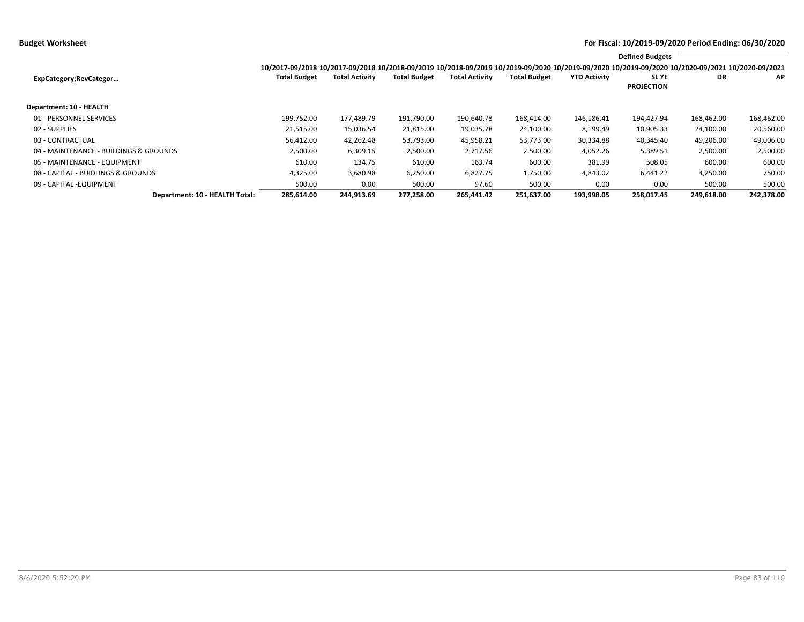**Budget Worksheet For Fiscal: 10/2019-09/2020 Period Ending: 06/30/2020**

|                                        |                                                                                                                                                                 |                       |                     |                       |                     |                     | <b>Defined Budgets</b>           |            |            |
|----------------------------------------|-----------------------------------------------------------------------------------------------------------------------------------------------------------------|-----------------------|---------------------|-----------------------|---------------------|---------------------|----------------------------------|------------|------------|
|                                        | 10/2017-09/2018 10/2017-09/2018 10/2018-09/2019 10/2018-09/2019 10/2019-09/2020 10/2019-09/2020 10/2019-09/2020 10/2019-09/2020 10/2020-09/2021 10/2020-09/2021 |                       |                     |                       |                     |                     |                                  |            |            |
| ExpCategory;RevCategor                 | <b>Total Budget</b>                                                                                                                                             | <b>Total Activity</b> | <b>Total Budget</b> | <b>Total Activity</b> | <b>Total Budget</b> | <b>YTD Activity</b> | <b>SLYE</b><br><b>PROJECTION</b> | DR         | AP         |
|                                        |                                                                                                                                                                 |                       |                     |                       |                     |                     |                                  |            |            |
| <b>Department: 10 - HEALTH</b>         |                                                                                                                                                                 |                       |                     |                       |                     |                     |                                  |            |            |
| 01 - PERSONNEL SERVICES                | 199.752.00                                                                                                                                                      | 177,489.79            | 191,790.00          | 190,640.78            | 168.414.00          | 146,186.41          | 194,427.94                       | 168,462.00 | 168,462.00 |
| 02 - SUPPLIES                          | 21,515.00                                                                                                                                                       | 15,036.54             | 21,815.00           | 19,035.78             | 24,100.00           | 8,199.49            | 10,905.33                        | 24,100.00  | 20,560.00  |
| 03 - CONTRACTUAL                       | 56,412.00                                                                                                                                                       | 42,262.48             | 53,793.00           | 45,958.21             | 53,773.00           | 30,334.88           | 40,345.40                        | 49,206.00  | 49,006.00  |
| 04 - MAINTENANCE - BUILDINGS & GROUNDS | 2,500.00                                                                                                                                                        | 6,309.15              | 2,500.00            | 2,717.56              | 2,500.00            | 4,052.26            | 5,389.51                         | 2,500.00   | 2,500.00   |
| 05 - MAINTENANCE - EQUIPMENT           | 610.00                                                                                                                                                          | 134.75                | 610.00              | 163.74                | 600.00              | 381.99              | 508.05                           | 600.00     | 600.00     |
| 08 - CAPITAL - BUIDLINGS & GROUNDS     | 4,325.00                                                                                                                                                        | 3,680.98              | 6,250.00            | 6,827.75              | 1,750.00            | 4,843.02            | 6,441.22                         | 4,250.00   | 750.00     |
| 09 - CAPITAL - EQUIPMENT               | 500.00                                                                                                                                                          | 0.00                  | 500.00              | 97.60                 | 500.00              | 0.00                | 0.00                             | 500.00     | 500.00     |
| Department: 10 - HEALTH Total:         | 285,614.00                                                                                                                                                      | 244,913.69            | 277,258.00          | 265,441.42            | 251,637.00          | 193,998.05          | 258,017.45                       | 249,618.00 | 242,378.00 |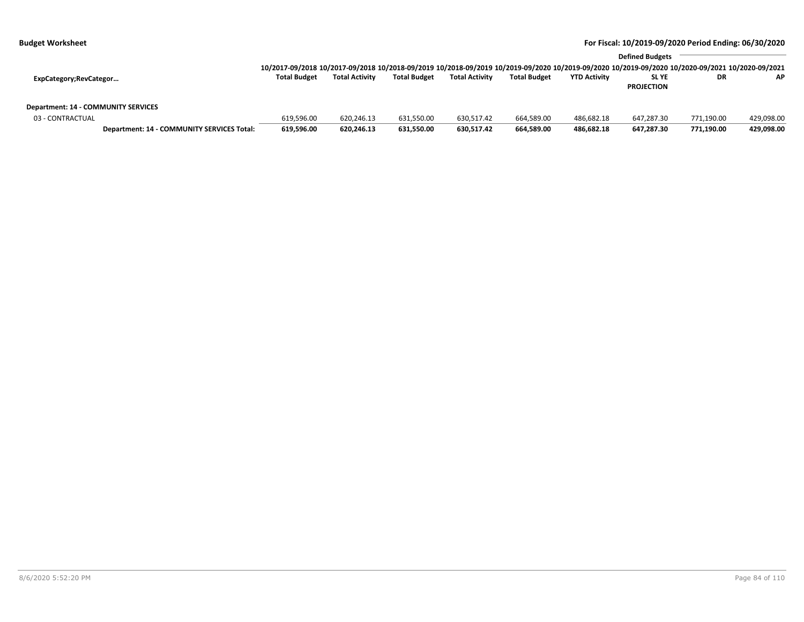|                                                         |                                            | 10/2017-09/2018 10/2017-09/2018 10/2018-09/2019 10/2018-09/2019 10/2019-09/2020 10/2019-09/2020 10/2019-09/2020 10/2020-09/2021 10/2020-09/2021 |                       |                     |                       |                     |                     | <b>Defined Budgets</b>           |            |            |
|---------------------------------------------------------|--------------------------------------------|-------------------------------------------------------------------------------------------------------------------------------------------------|-----------------------|---------------------|-----------------------|---------------------|---------------------|----------------------------------|------------|------------|
| ExpCategory;RevCategor                                  |                                            | <b>Total Budget</b>                                                                                                                             | <b>Total Activity</b> | <b>Total Budget</b> | <b>Total Activity</b> | <b>Total Budget</b> | <b>YTD Activity</b> | <b>SLYE</b><br><b>PROJECTION</b> | DR         | <b>AP</b>  |
| Department: 14 - COMMUNITY SERVICES<br>03 - CONTRACTUAL |                                            | 619.596.00                                                                                                                                      | 620.246.13            | 631.550.00          | 630.517.42            | 664,589.00          | 486.682.18          | 647.287.30                       | 771.190.00 | 429.098.00 |
|                                                         | Department: 14 - COMMUNITY SERVICES Total: | 619.596.00                                                                                                                                      | 620.246.13            | 631.550.00          | 630.517.42            | 664,589.00          | 486,682.18          | 647.287.30                       | 771.190.00 | 429,098.00 |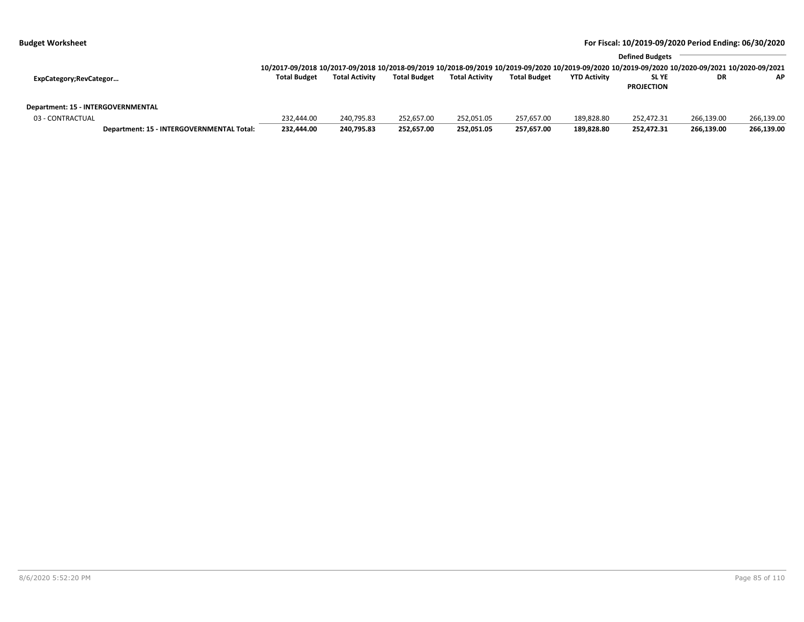|                                    |                                           |                                                                                                                                                 | <b>Defined Budgets</b> |                     |                       |                     |                     |                   |            |            |
|------------------------------------|-------------------------------------------|-------------------------------------------------------------------------------------------------------------------------------------------------|------------------------|---------------------|-----------------------|---------------------|---------------------|-------------------|------------|------------|
|                                    |                                           | 10/2017-09/2018 10/2017-09/2018 10/2018-09/2019 10/2018-09/2019 10/2019-09/2020 10/2019-09/2020 10/2019-09/2020 10/2020-09/2021 10/2020-09/2021 |                        |                     |                       |                     |                     |                   |            |            |
| ExpCategory;RevCategor             |                                           | <b>Total Budget</b>                                                                                                                             | <b>Total Activity</b>  | <b>Total Budget</b> | <b>Total Activity</b> | <b>Total Budget</b> | <b>YTD Activity</b> | <b>SLYE</b>       | DR         | <b>AP</b>  |
|                                    |                                           |                                                                                                                                                 |                        |                     |                       |                     |                     | <b>PROJECTION</b> |            |            |
| Department: 15 - INTERGOVERNMENTAL |                                           |                                                                                                                                                 |                        |                     |                       |                     |                     |                   |            |            |
| 03 - CONTRACTUAL                   |                                           | 232.444.00                                                                                                                                      | 240.795.83             | 252.657.00          | 252,051.05            | 257,657.00          | 189.828.80          | 252.472.31        | 266.139.00 | 266,139.00 |
|                                    | Department: 15 - INTERGOVERNMENTAL Total: | 232,444.00                                                                                                                                      | 240,795.83             | 252.657.00          | 252,051.05            | 257,657.00          | 189,828.80          | 252,472.31        | 266.139.00 | 266,139.00 |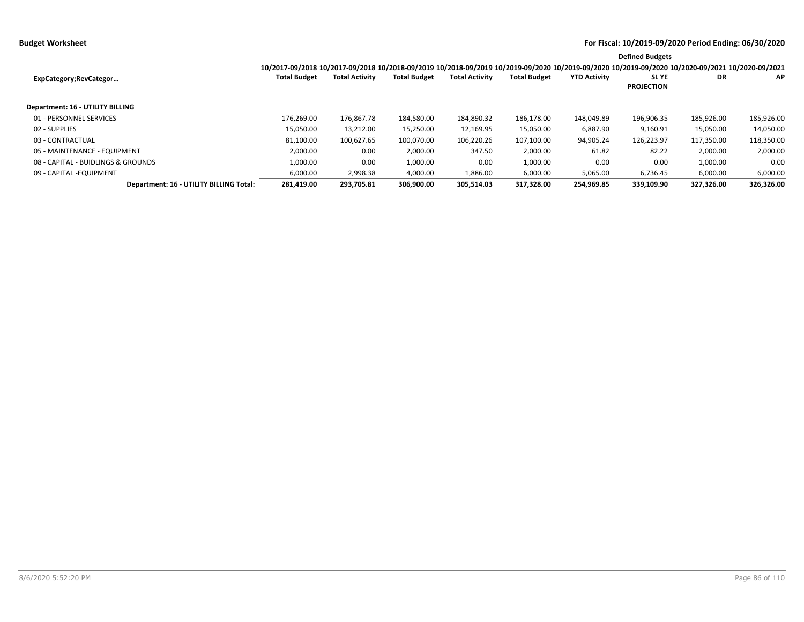|                                         |                                                                                                                                                                 |                       |                     |                       |                     |                     | <b>Defined Budgets</b>           |            |            |
|-----------------------------------------|-----------------------------------------------------------------------------------------------------------------------------------------------------------------|-----------------------|---------------------|-----------------------|---------------------|---------------------|----------------------------------|------------|------------|
|                                         | 10/2017-09/2018 10/2017-09/2018 10/2018-09/2019 10/2018-09/2019 10/2019-09/2020 10/2019-09/2020 10/2019-09/2020 10/2019-09/2020 10/2020-09/2021 10/2020-09/2021 |                       |                     |                       |                     |                     |                                  |            |            |
| ExpCategory;RevCategor                  | <b>Total Budget</b>                                                                                                                                             | <b>Total Activity</b> | <b>Total Budget</b> | <b>Total Activity</b> | <b>Total Budget</b> | <b>YTD Activity</b> | <b>SLYE</b><br><b>PROJECTION</b> | DR         | AP         |
| Department: 16 - UTILITY BILLING        |                                                                                                                                                                 |                       |                     |                       |                     |                     |                                  |            |            |
| 01 - PERSONNEL SERVICES                 | 176,269.00                                                                                                                                                      | 176,867.78            | 184,580.00          | 184,890.32            | 186,178.00          | 148,049.89          | 196,906.35                       | 185,926.00 | 185,926.00 |
| 02 - SUPPLIES                           | 15,050.00                                                                                                                                                       | 13,212.00             | 15,250.00           | 12,169.95             | 15,050.00           | 6,887.90            | 9,160.91                         | 15,050.00  | 14,050.00  |
| 03 - CONTRACTUAL                        | 81,100.00                                                                                                                                                       | 100,627.65            | 100,070.00          | 106,220.26            | 107,100.00          | 94,905.24           | 126,223.97                       | 117,350.00 | 118,350.00 |
| 05 - MAINTENANCE - EQUIPMENT            | 2,000.00                                                                                                                                                        | 0.00                  | 2,000.00            | 347.50                | 2,000.00            | 61.82               | 82.22                            | 2,000.00   | 2,000.00   |
| 08 - CAPITAL - BUIDLINGS & GROUNDS      | 1,000.00                                                                                                                                                        | 0.00                  | 1,000.00            | 0.00                  | 1,000.00            | 0.00                | 0.00                             | 1,000.00   | 0.00       |
| 09 - CAPITAL - EQUIPMENT                | 6,000.00                                                                                                                                                        | 2,998.38              | 4,000.00            | 1,886.00              | 6,000.00            | 5,065.00            | 6,736.45                         | 6,000.00   | 6,000.00   |
| Department: 16 - UTILITY BILLING Total: | 281.419.00                                                                                                                                                      | 293.705.81            | 306.900.00          | 305.514.03            | 317.328.00          | 254.969.85          | 339.109.90                       | 327.326.00 | 326,326.00 |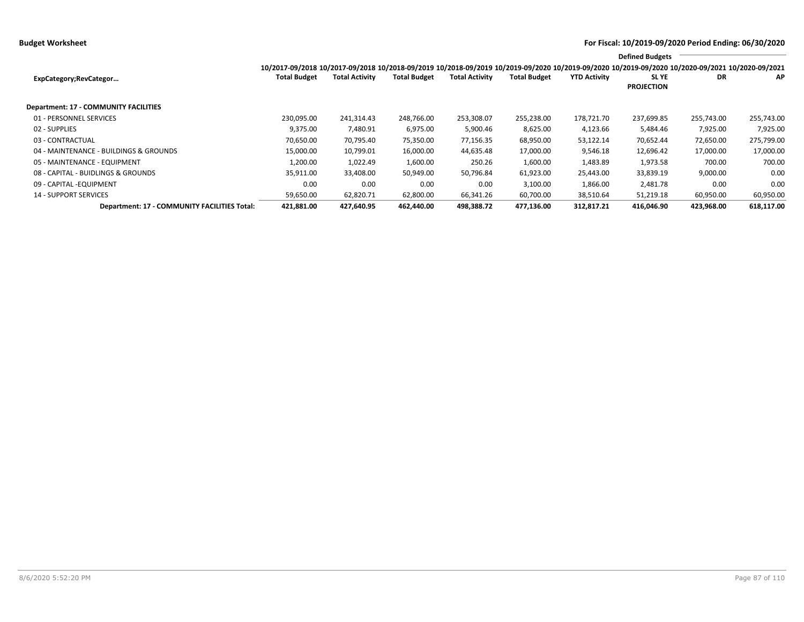**Budget Worksheet For Fiscal: 10/2019-09/2020 Period Ending: 06/30/2020**

|                                              |                                                                                                                                                                 |                       |                     |                       |                     |                     | <b>Defined Budgets</b>           |            |            |
|----------------------------------------------|-----------------------------------------------------------------------------------------------------------------------------------------------------------------|-----------------------|---------------------|-----------------------|---------------------|---------------------|----------------------------------|------------|------------|
|                                              | 10/2017-09/2018 10/2017-09/2018 10/2018-09/2019 10/2018-09/2019 10/2019-09/2020 10/2019-09/2020 10/2019-09/2020 10/2019-09/2020 10/2020-09/2021 10/2020-09/2021 |                       |                     |                       |                     |                     |                                  |            |            |
| ExpCategory;RevCategor                       | <b>Total Budget</b>                                                                                                                                             | <b>Total Activity</b> | <b>Total Budget</b> | <b>Total Activity</b> | <b>Total Budget</b> | <b>YTD Activity</b> | <b>SLYE</b><br><b>PROJECTION</b> | DR         | AP         |
| Department: 17 - COMMUNITY FACILITIES        |                                                                                                                                                                 |                       |                     |                       |                     |                     |                                  |            |            |
| 01 - PERSONNEL SERVICES                      | 230,095.00                                                                                                                                                      | 241,314.43            | 248,766.00          | 253,308.07            | 255,238.00          | 178,721.70          | 237,699.85                       | 255,743.00 | 255,743.00 |
| 02 - SUPPLIES                                | 9,375.00                                                                                                                                                        | 7,480.91              | 6,975.00            | 5,900.46              | 8,625.00            | 4,123.66            | 5,484.46                         | 7,925.00   | 7,925.00   |
| 03 - CONTRACTUAL                             | 70,650.00                                                                                                                                                       | 70,795.40             | 75,350.00           | 77,156.35             | 68,950.00           | 53,122.14           | 70,652.44                        | 72,650.00  | 275,799.00 |
| 04 - MAINTENANCE - BUILDINGS & GROUNDS       | 15,000.00                                                                                                                                                       | 10,799.01             | 16,000.00           | 44,635.48             | 17,000.00           | 9,546.18            | 12,696.42                        | 17,000.00  | 17,000.00  |
| 05 - MAINTENANCE - EQUIPMENT                 | 1,200.00                                                                                                                                                        | 1,022.49              | 1,600.00            | 250.26                | 1,600.00            | 1,483.89            | 1,973.58                         | 700.00     | 700.00     |
| 08 - CAPITAL - BUIDLINGS & GROUNDS           | 35,911.00                                                                                                                                                       | 33,408.00             | 50,949.00           | 50,796.84             | 61,923.00           | 25,443.00           | 33,839.19                        | 9,000.00   | 0.00       |
| 09 - CAPITAL -EQUIPMENT                      | 0.00                                                                                                                                                            | 0.00                  | 0.00                | 0.00                  | 3,100.00            | 1,866.00            | 2,481.78                         | 0.00       | 0.00       |
| <b>14 - SUPPORT SERVICES</b>                 | 59,650.00                                                                                                                                                       | 62,820.71             | 62,800.00           | 66,341.26             | 60,700.00           | 38,510.64           | 51,219.18                        | 60,950.00  | 60,950.00  |
| Department: 17 - COMMUNITY FACILITIES Total: | 421,881.00                                                                                                                                                      | 427,640.95            | 462,440.00          | 498,388.72            | 477,136.00          | 312,817.21          | 416,046.90                       | 423,968.00 | 618,117.00 |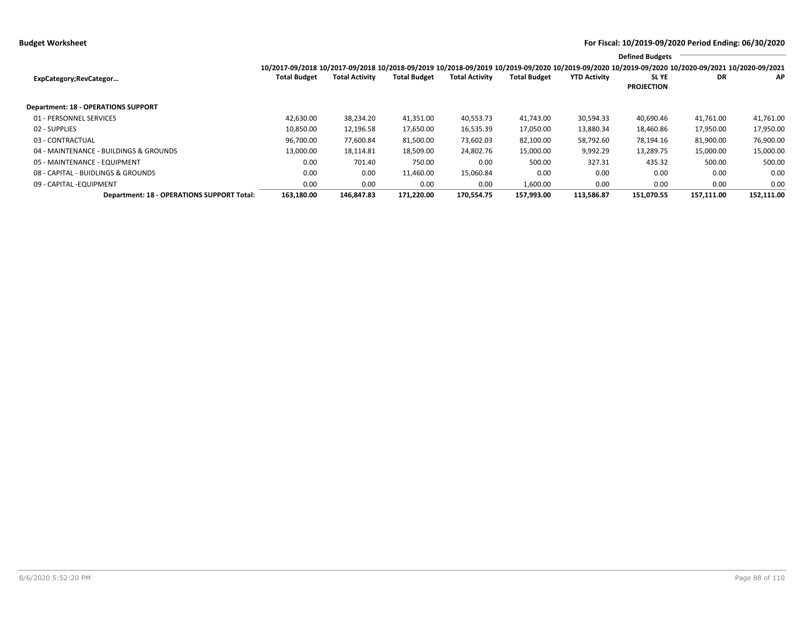**Budget Worksheet For Fiscal: 10/2019-09/2020 Period Ending: 06/30/2020**

|                                            |                                                                                                                                                                 |                       |                     |                       |                     |                     | <b>Defined Budgets</b>           |            |            |
|--------------------------------------------|-----------------------------------------------------------------------------------------------------------------------------------------------------------------|-----------------------|---------------------|-----------------------|---------------------|---------------------|----------------------------------|------------|------------|
|                                            | 10/2017-09/2018 10/2017-09/2018 10/2018-09/2019 10/2018-09/2019 10/2019-09/2020 10/2019-09/2020 10/2019-09/2020 10/2019-09/2020 10/2020-09/2021 10/2020-09/2021 |                       |                     |                       |                     |                     |                                  |            |            |
| ExpCategory;RevCategor                     | <b>Total Budget</b>                                                                                                                                             | <b>Total Activity</b> | <b>Total Budget</b> | <b>Total Activity</b> | <b>Total Budget</b> | <b>YTD Activity</b> | <b>SLYE</b><br><b>PROJECTION</b> | DR         | ΑP         |
| <b>Department: 18 - OPERATIONS SUPPORT</b> |                                                                                                                                                                 |                       |                     |                       |                     |                     |                                  |            |            |
| 01 - PERSONNEL SERVICES                    | 42,630.00                                                                                                                                                       | 38,234.20             | 41,351.00           | 40,553.73             | 41,743.00           | 30,594.33           | 40,690.46                        | 41,761.00  | 41,761.00  |
| 02 - SUPPLIES                              | 10,850.00                                                                                                                                                       | 12,196.58             | 17,650.00           | 16,535.39             | 17,050.00           | 13,880.34           | 18,460.86                        | 17,950.00  | 17,950.00  |
| 03 - CONTRACTUAL                           | 96,700.00                                                                                                                                                       | 77,600.84             | 81,500.00           | 73,602.03             | 82,100.00           | 58,792.60           | 78,194.16                        | 81,900.00  | 76,900.00  |
| 04 - MAINTENANCE - BUILDINGS & GROUNDS     | 13,000.00                                                                                                                                                       | 18,114.81             | 18,509.00           | 24,802.76             | 15,000.00           | 9,992.29            | 13,289.75                        | 15,000.00  | 15,000.00  |
| 05 - MAINTENANCE - EQUIPMENT               | 0.00                                                                                                                                                            | 701.40                | 750.00              | 0.00                  | 500.00              | 327.31              | 435.32                           | 500.00     | 500.00     |
| 08 - CAPITAL - BUIDLINGS & GROUNDS         | 0.00                                                                                                                                                            | 0.00                  | 11,460.00           | 15,060.84             | 0.00                | 0.00                | 0.00                             | 0.00       | 0.00       |
| 09 - CAPITAL - EQUIPMENT                   | 0.00                                                                                                                                                            | 0.00                  | 0.00                | 0.00                  | 1,600.00            | 0.00                | 0.00                             | 0.00       | 0.00       |
| Department: 18 - OPERATIONS SUPPORT Total: | 163,180.00                                                                                                                                                      | 146,847.83            | 171,220.00          | 170,554.75            | 157,993.00          | 113,586.87          | 151,070.55                       | 157,111.00 | 152,111.00 |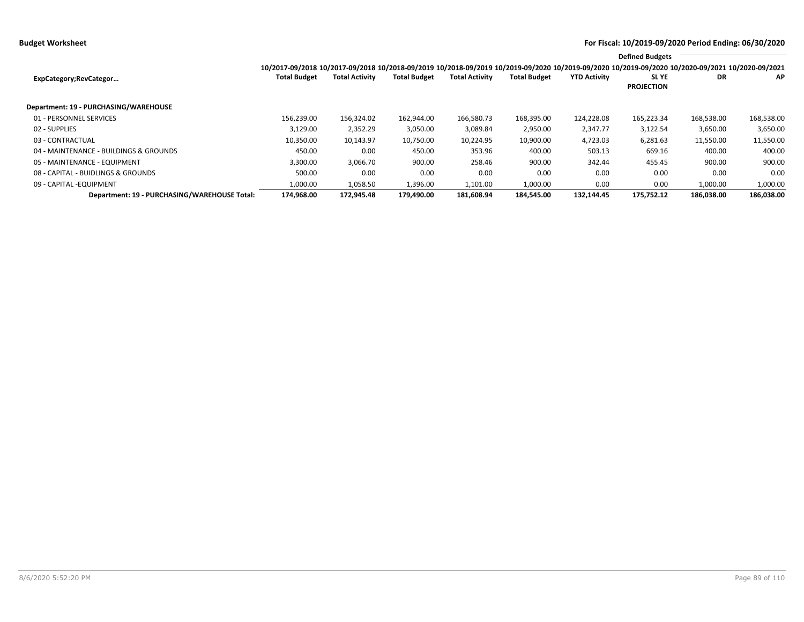**Budget Worksheet For Fiscal: 10/2019-09/2020 Period Ending: 06/30/2020**

|                                              |                                                                                                                                                                 |                       |                     |                       |                     |                     | <b>Defined Budgets</b>           |            |            |
|----------------------------------------------|-----------------------------------------------------------------------------------------------------------------------------------------------------------------|-----------------------|---------------------|-----------------------|---------------------|---------------------|----------------------------------|------------|------------|
|                                              | 10/2017-09/2018 10/2017-09/2018 10/2018-09/2019 10/2018-09/2019 10/2019-09/2020 10/2019-09/2020 10/2019-09/2020 10/2019-09/2020 10/2020-09/2021 10/2020-09/2021 |                       |                     |                       |                     |                     |                                  |            |            |
| ExpCategory;RevCategor                       | <b>Total Budget</b>                                                                                                                                             | <b>Total Activity</b> | <b>Total Budget</b> | <b>Total Activity</b> | <b>Total Budget</b> | <b>YTD Activity</b> | <b>SLYE</b><br><b>PROJECTION</b> | DR         | ΑP         |
| Department: 19 - PURCHASING/WAREHOUSE        |                                                                                                                                                                 |                       |                     |                       |                     |                     |                                  |            |            |
| 01 - PERSONNEL SERVICES                      | 156.239.00                                                                                                                                                      | 156,324.02            | 162,944.00          | 166,580.73            | 168,395.00          | 124,228.08          | 165,223.34                       | 168,538.00 | 168,538.00 |
| 02 - SUPPLIES                                | 3,129.00                                                                                                                                                        | 2,352.29              | 3,050.00            | 3,089.84              | 2,950.00            | 2,347.77            | 3,122.54                         | 3,650.00   | 3,650.00   |
| 03 - CONTRACTUAL                             | 10,350.00                                                                                                                                                       | 10,143.97             | 10,750.00           | 10,224.95             | 10,900.00           | 4,723.03            | 6,281.63                         | 11,550.00  | 11,550.00  |
| 04 - MAINTENANCE - BUILDINGS & GROUNDS       | 450.00                                                                                                                                                          | 0.00                  | 450.00              | 353.96                | 400.00              | 503.13              | 669.16                           | 400.00     | 400.00     |
| 05 - MAINTENANCE - EQUIPMENT                 | 3,300.00                                                                                                                                                        | 3,066.70              | 900.00              | 258.46                | 900.00              | 342.44              | 455.45                           | 900.00     | 900.00     |
| 08 - CAPITAL - BUIDLINGS & GROUNDS           | 500.00                                                                                                                                                          | 0.00                  | 0.00                | 0.00                  | 0.00                | 0.00                | 0.00                             | 0.00       | 0.00       |
| 09 - CAPITAL - EQUIPMENT                     | 1,000.00                                                                                                                                                        | 1,058.50              | 1,396.00            | 1,101.00              | 1,000.00            | 0.00                | 0.00                             | 1,000.00   | 1,000.00   |
| Department: 19 - PURCHASING/WAREHOUSE Total: | 174.968.00                                                                                                                                                      | 172.945.48            | 179.490.00          | 181.608.94            | 184.545.00          | 132.144.45          | 175.752.12                       | 186.038.00 | 186,038.00 |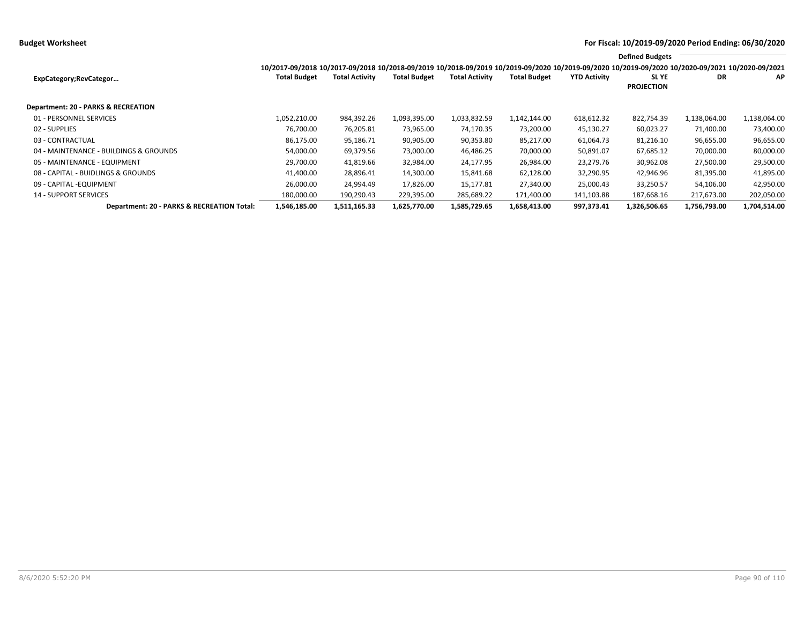**Budget Worksheet For Fiscal: 10/2019-09/2020 Period Ending: 06/30/2020**

|                                            |                                                                                                                                                                 |                       |                     |                       |                     |                     | <b>Defined Budgets</b>           |              |              |
|--------------------------------------------|-----------------------------------------------------------------------------------------------------------------------------------------------------------------|-----------------------|---------------------|-----------------------|---------------------|---------------------|----------------------------------|--------------|--------------|
|                                            | 10/2017-09/2018 10/2017-09/2018 10/2018-09/2019 10/2018-09/2019 10/2019-09/2020 10/2019-09/2020 10/2019-09/2020 10/2019-09/2020 10/2020-09/2021 10/2020-09/2021 |                       |                     |                       |                     |                     |                                  |              |              |
| ExpCategory;RevCategor                     | <b>Total Budget</b>                                                                                                                                             | <b>Total Activity</b> | <b>Total Budget</b> | <b>Total Activity</b> | <b>Total Budget</b> | <b>YTD Activity</b> | <b>SLYE</b><br><b>PROJECTION</b> | DR           | AP           |
|                                            |                                                                                                                                                                 |                       |                     |                       |                     |                     |                                  |              |              |
| Department: 20 - PARKS & RECREATION        |                                                                                                                                                                 |                       |                     |                       |                     |                     |                                  |              |              |
| 01 - PERSONNEL SERVICES                    | 1,052,210.00                                                                                                                                                    | 984,392.26            | 1,093,395.00        | 1,033,832.59          | 1,142,144.00        | 618,612.32          | 822,754.39                       | 1,138,064.00 | 1,138,064.00 |
| 02 - SUPPLIES                              | 76.700.00                                                                                                                                                       | 76,205.81             | 73,965.00           | 74,170.35             | 73,200.00           | 45,130.27           | 60,023.27                        | 71,400.00    | 73,400.00    |
| 03 - CONTRACTUAL                           | 86,175.00                                                                                                                                                       | 95,186.71             | 90,905.00           | 90,353.80             | 85,217.00           | 61,064.73           | 81,216.10                        | 96,655.00    | 96,655.00    |
| 04 - MAINTENANCE - BUILDINGS & GROUNDS     | 54,000.00                                                                                                                                                       | 69,379.56             | 73,000.00           | 46,486.25             | 70,000.00           | 50,891.07           | 67,685.12                        | 70,000.00    | 80,000.00    |
| 05 - MAINTENANCE - EQUIPMENT               | 29,700.00                                                                                                                                                       | 41,819.66             | 32,984.00           | 24,177.95             | 26,984.00           | 23,279.76           | 30,962.08                        | 27,500.00    | 29,500.00    |
| 08 - CAPITAL - BUIDLINGS & GROUNDS         | 41,400.00                                                                                                                                                       | 28,896.41             | 14,300.00           | 15,841.68             | 62,128.00           | 32,290.95           | 42,946.96                        | 81,395.00    | 41,895.00    |
| 09 - CAPITAL - EQUIPMENT                   | 26.000.00                                                                                                                                                       | 24,994.49             | 17,826.00           | 15.177.81             | 27.340.00           | 25,000.43           | 33,250.57                        | 54,106.00    | 42,950.00    |
| <b>14 - SUPPORT SERVICES</b>               | 180,000.00                                                                                                                                                      | 190,290.43            | 229,395.00          | 285,689.22            | 171,400.00          | 141,103.88          | 187,668.16                       | 217,673.00   | 202,050.00   |
| Department: 20 - PARKS & RECREATION Total: | 1,546,185.00                                                                                                                                                    | 1,511,165.33          | 1,625,770.00        | 1,585,729.65          | 1,658,413.00        | 997,373.41          | 1,326,506.65                     | 1,756,793.00 | 1,704,514.00 |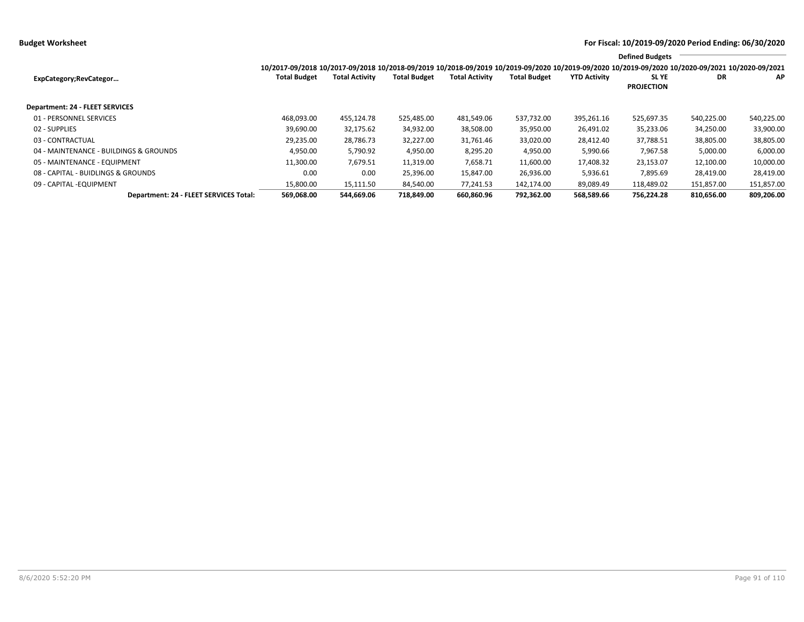**Budget Worksheet For Fiscal: 10/2019-09/2020 Period Ending: 06/30/2020**

|                                        |                                                                                                                                                 |                       |                     |                       |                     |                     | <b>Defined Budgets</b>           |            |            |
|----------------------------------------|-------------------------------------------------------------------------------------------------------------------------------------------------|-----------------------|---------------------|-----------------------|---------------------|---------------------|----------------------------------|------------|------------|
|                                        | 10/2017-09/2018 10/2017-09/2018 10/2018-09/2019 10/2018-09/2019 10/2019-09/2020 10/2019-09/2020 10/2019-09/2020 10/2020-09/2021 10/2020-09/2021 |                       |                     |                       |                     |                     |                                  |            |            |
| ExpCategory;RevCategor                 | <b>Total Budget</b>                                                                                                                             | <b>Total Activity</b> | <b>Total Budget</b> | <b>Total Activity</b> | <b>Total Budget</b> | <b>YTD Activity</b> | <b>SLYE</b><br><b>PROJECTION</b> | DR         | <b>AP</b>  |
| Department: 24 - FLEET SERVICES        |                                                                                                                                                 |                       |                     |                       |                     |                     |                                  |            |            |
| 01 - PERSONNEL SERVICES                | 468,093.00                                                                                                                                      | 455,124.78            | 525,485.00          | 481,549.06            | 537,732.00          | 395,261.16          | 525,697.35                       | 540,225.00 | 540,225.00 |
| 02 - SUPPLIES                          | 39,690.00                                                                                                                                       | 32,175.62             | 34,932.00           | 38,508.00             | 35,950.00           | 26,491.02           | 35,233.06                        | 34,250.00  | 33,900.00  |
| 03 - CONTRACTUAL                       | 29,235.00                                                                                                                                       | 28,786.73             | 32,227.00           | 31,761.46             | 33,020.00           | 28,412.40           | 37,788.51                        | 38,805.00  | 38,805.00  |
| 04 - MAINTENANCE - BUILDINGS & GROUNDS | 4,950.00                                                                                                                                        | 5,790.92              | 4,950.00            | 8,295.20              | 4,950.00            | 5,990.66            | 7,967.58                         | 5,000.00   | 6,000.00   |
| 05 - MAINTENANCE - EQUIPMENT           | 11,300.00                                                                                                                                       | 7,679.51              | 11,319.00           | 7,658.71              | 11,600.00           | 17,408.32           | 23,153.07                        | 12,100.00  | 10,000.00  |
| 08 - CAPITAL - BUIDLINGS & GROUNDS     | 0.00                                                                                                                                            | 0.00                  | 25,396.00           | 15,847.00             | 26,936.00           | 5,936.61            | 7,895.69                         | 28,419.00  | 28,419.00  |
| 09 - CAPITAL - EQUIPMENT               | 15,800.00                                                                                                                                       | 15,111.50             | 84,540.00           | 77,241.53             | 142.174.00          | 89,089.49           | 118,489.02                       | 151,857.00 | 151,857.00 |
| Department: 24 - FLEET SERVICES Total: | 569,068.00                                                                                                                                      | 544,669.06            | 718,849.00          | 660,860.96            | 792,362.00          | 568,589.66          | 756,224.28                       | 810,656.00 | 809,206.00 |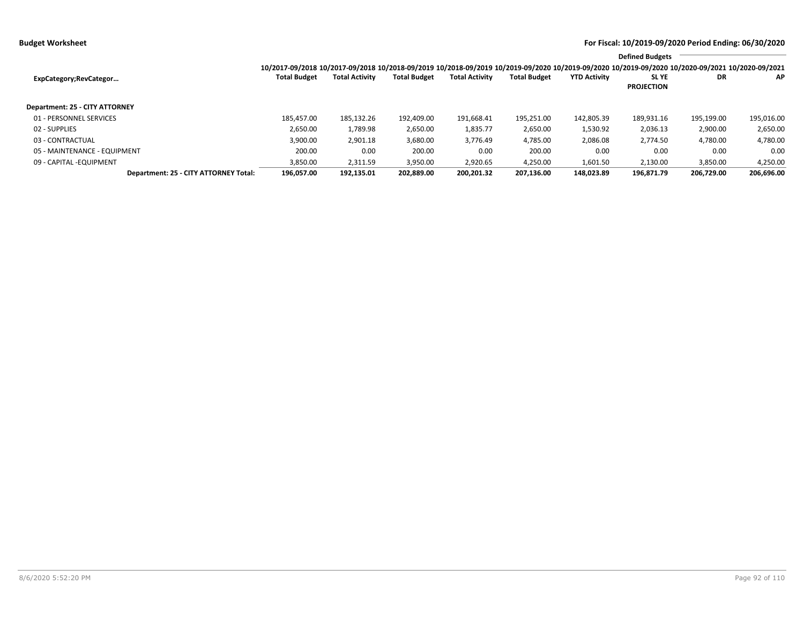**Budget Worksheet For Fiscal: 10/2019-09/2020 Period Ending: 06/30/2020**

|                                              |                                                                                                                                                 |                       |                     |                       |                     |                     | <b>Defined Budgets</b>           |            |            |
|----------------------------------------------|-------------------------------------------------------------------------------------------------------------------------------------------------|-----------------------|---------------------|-----------------------|---------------------|---------------------|----------------------------------|------------|------------|
|                                              | 10/2017-09/2018 10/2017-09/2018 10/2018-09/2019 10/2018-09/2019 10/2019-09/2020 10/2019-09/2020 10/2019-09/2020 10/2020-09/2021 10/2020-09/2021 |                       |                     |                       |                     |                     |                                  |            |            |
| ExpCategory;RevCategor                       | <b>Total Budget</b>                                                                                                                             | <b>Total Activity</b> | <b>Total Budget</b> | <b>Total Activity</b> | <b>Total Budget</b> | <b>YTD Activity</b> | <b>SLYE</b><br><b>PROJECTION</b> | DR         | <b>AP</b>  |
| Department: 25 - CITY ATTORNEY               |                                                                                                                                                 |                       |                     |                       |                     |                     |                                  |            |            |
| 01 - PERSONNEL SERVICES                      | 185.457.00                                                                                                                                      | 185.132.26            | 192.409.00          | 191,668.41            | 195.251.00          | 142.805.39          | 189.931.16                       | 195.199.00 | 195,016.00 |
| 02 - SUPPLIES                                | 2,650.00                                                                                                                                        | 1,789.98              | 2,650.00            | 1,835.77              | 2,650.00            | 1,530.92            | 2,036.13                         | 2,900.00   | 2,650.00   |
| 03 - CONTRACTUAL                             | 3,900.00                                                                                                                                        | 2,901.18              | 3,680.00            | 3,776.49              | 4,785.00            | 2,086.08            | 2,774.50                         | 4,780.00   | 4,780.00   |
| 05 - MAINTENANCE - EQUIPMENT                 | 200.00                                                                                                                                          | 0.00                  | 200.00              | 0.00                  | 200.00              | 0.00                | 0.00                             | 0.00       | 0.00       |
| 09 - CAPITAL - EQUIPMENT                     | 3,850.00                                                                                                                                        | 2,311.59              | 3,950.00            | 2,920.65              | 4,250.00            | 1,601.50            | 2,130.00                         | 3,850.00   | 4,250.00   |
| <b>Department: 25 - CITY ATTORNEY Total:</b> | 196.057.00                                                                                                                                      | 192.135.01            | 202.889.00          | 200.201.32            | 207.136.00          | 148.023.89          | 196.871.79                       | 206.729.00 | 206,696.00 |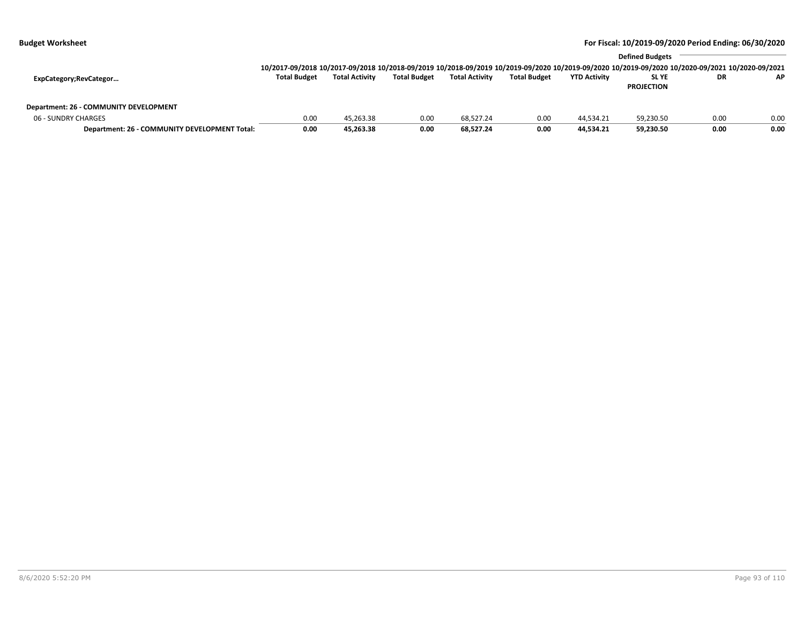|                                               |                                                                                                                                                                 |                       |                     | <b>Defined Budgets</b> |                     |                     |                   |           |      |  |  |
|-----------------------------------------------|-----------------------------------------------------------------------------------------------------------------------------------------------------------------|-----------------------|---------------------|------------------------|---------------------|---------------------|-------------------|-----------|------|--|--|
|                                               | 10/2017-09/2018 10/2017-09/2018 10/2018-09/2019 10/2018-09/2019 10/2019-09/2020 10/2019-09/2020 10/2019-09/2020 10/2019-09/2020 10/2020-09/2021 10/2020-09/2021 |                       |                     |                        |                     |                     |                   |           |      |  |  |
| ExpCategory;RevCategor                        | <b>Total Budget</b>                                                                                                                                             | <b>Total Activity</b> | <b>Total Budget</b> | <b>Total Activity</b>  | <b>Total Budget</b> | <b>YTD Activity</b> | SL YE             | <b>DR</b> | AP.  |  |  |
|                                               |                                                                                                                                                                 |                       |                     |                        |                     |                     | <b>PROJECTION</b> |           |      |  |  |
|                                               |                                                                                                                                                                 |                       |                     |                        |                     |                     |                   |           |      |  |  |
| Department: 26 - COMMUNITY DEVELOPMENT        |                                                                                                                                                                 |                       |                     |                        |                     |                     |                   |           |      |  |  |
| 06 - SUNDRY CHARGES                           | 0.00                                                                                                                                                            | 45,263.38             | 0.00                | 68.527.24              | 0.00                | 44,534.21           | 59,230.50         | 0.00      | 0.00 |  |  |
| Department: 26 - COMMUNITY DEVELOPMENT Total: | 0.00                                                                                                                                                            | 45,263.38             | 0.00                | 68.527.24              | 0.00                | 44.534.21           | 59,230.50         | 0.00      | 0.00 |  |  |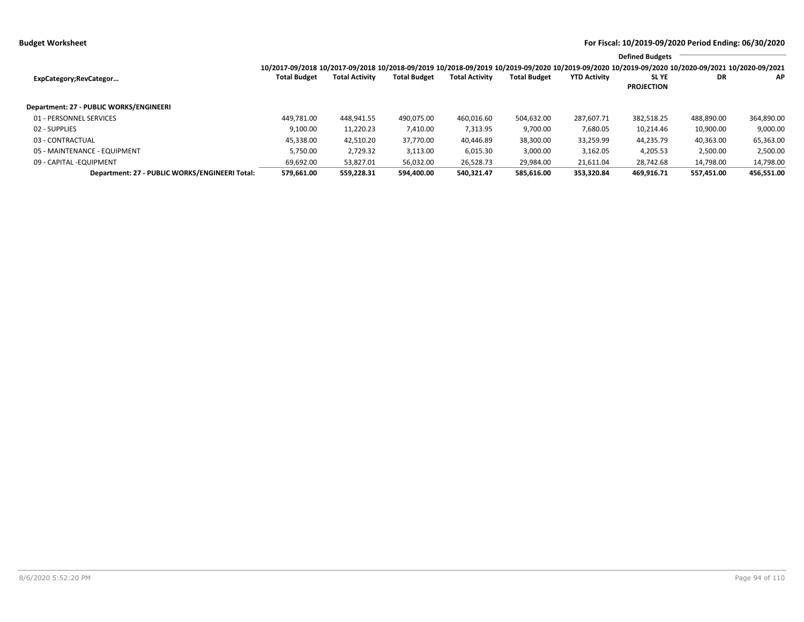|                                                |                                                                                                                                                                 |                       |                     |                       |                     |                     | <b>Defined Budgets</b>           |            |            |
|------------------------------------------------|-----------------------------------------------------------------------------------------------------------------------------------------------------------------|-----------------------|---------------------|-----------------------|---------------------|---------------------|----------------------------------|------------|------------|
|                                                | 10/2017-09/2018 10/2017-09/2018 10/2018-09/2019 10/2018-09/2019 10/2019-09/2020 10/2019-09/2020 10/2019-09/2020 10/2019-09/2020 10/2020-09/2021 10/2020-09/2021 |                       |                     |                       |                     |                     |                                  |            |            |
| ExpCategory;RevCategor                         | <b>Total Budget</b>                                                                                                                                             | <b>Total Activity</b> | <b>Total Budget</b> | <b>Total Activity</b> | <b>Total Budget</b> | <b>YTD Activity</b> | <b>SLYE</b><br><b>PROJECTION</b> | DR         | ΑP         |
| Department: 27 - PUBLIC WORKS/ENGINEERI        |                                                                                                                                                                 |                       |                     |                       |                     |                     |                                  |            |            |
| 01 - PERSONNEL SERVICES                        | 449.781.00                                                                                                                                                      | 448,941.55            | 490,075.00          | 460,016.60            | 504.632.00          | 287.607.71          | 382,518.25                       | 488,890.00 | 364,890.00 |
| 02 - SUPPLIES                                  | 9,100.00                                                                                                                                                        | 11,220.23             | 7,410.00            | 7,313.95              | 9,700.00            | 7,680.05            | 10,214.46                        | 10,900.00  | 9,000.00   |
| 03 - CONTRACTUAL                               | 45,338.00                                                                                                                                                       | 42.510.20             | 37.770.00           | 40.446.89             | 38,300.00           | 33,259.99           | 44.235.79                        | 40,363.00  | 65,363.00  |
| 05 - MAINTENANCE - EQUIPMENT                   | 5.750.00                                                                                                                                                        | 2,729.32              | 3,113.00            | 6,015.30              | 3,000.00            | 3,162.05            | 4,205.53                         | 2,500.00   | 2,500.00   |
| 09 - CAPITAL -EQUIPMENT                        | 69,692.00                                                                                                                                                       | 53,827.01             | 56,032.00           | 26,528.73             | 29,984.00           | 21,611.04           | 28.742.68                        | 14,798.00  | 14,798.00  |
| Department: 27 - PUBLIC WORKS/ENGINEERI Total: | 579,661.00                                                                                                                                                      | 559,228.31            | 594.400.00          | 540.321.47            | 585.616.00          | 353.320.84          | 469.916.71                       | 557.451.00 | 456,551.00 |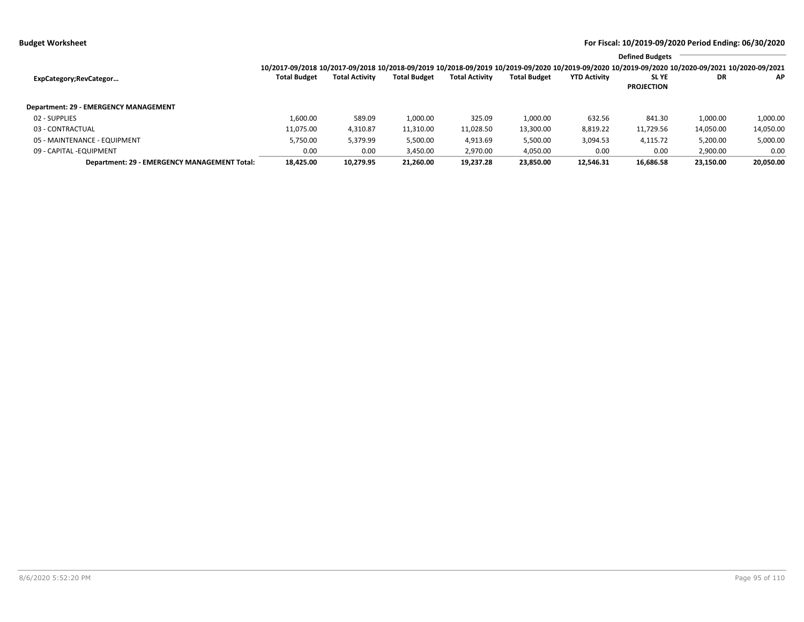|                                              |                     |                       |                     |                       |                     |                     | <b>Defined Budgets</b>                                                                                                                          |           |           |
|----------------------------------------------|---------------------|-----------------------|---------------------|-----------------------|---------------------|---------------------|-------------------------------------------------------------------------------------------------------------------------------------------------|-----------|-----------|
|                                              |                     |                       |                     |                       |                     |                     | 10/2017-09/2018 10/2017-09/2018 10/2018-09/2019 10/2018-09/2019 10/2019-09/2020 10/2019-09/2020 10/2019-09/2020 10/2020-09/2021 10/2020-09/2021 |           |           |
| ExpCategory;RevCategor                       | <b>Total Budget</b> | <b>Total Activity</b> | <b>Total Budget</b> | <b>Total Activity</b> | <b>Total Budget</b> | <b>YTD Activity</b> | <b>SLYE</b>                                                                                                                                     | DR        | AP        |
|                                              |                     |                       |                     |                       |                     |                     | <b>PROJECTION</b>                                                                                                                               |           |           |
| Department: 29 - EMERGENCY MANAGEMENT        |                     |                       |                     |                       |                     |                     |                                                                                                                                                 |           |           |
| 02 - SUPPLIES                                | 1,600.00            | 589.09                | 1,000.00            | 325.09                | 1,000.00            | 632.56              | 841.30                                                                                                                                          | 1,000.00  | 1,000.00  |
| 03 - CONTRACTUAL                             | 11,075.00           | 4,310.87              | 11,310.00           | 11,028.50             | 13,300.00           | 8,819.22            | 11,729.56                                                                                                                                       | 14,050.00 | 14,050.00 |
| 05 - MAINTENANCE - EQUIPMENT                 | 5,750.00            | 5,379.99              | 5,500.00            | 4,913.69              | 5,500.00            | 3,094.53            | 4,115.72                                                                                                                                        | 5,200.00  | 5,000.00  |
| 09 - CAPITAL -EQUIPMENT                      | 0.00                | 0.00                  | 3,450.00            | 2,970.00              | 4,050.00            | 0.00                | 0.00                                                                                                                                            | 2,900.00  | 0.00      |
| Department: 29 - EMERGENCY MANAGEMENT Total: | 18,425.00           | 10,279.95             | 21,260.00           | 19,237.28             | 23,850.00           | 12.546.31           | 16,686.58                                                                                                                                       | 23,150.00 | 20,050.00 |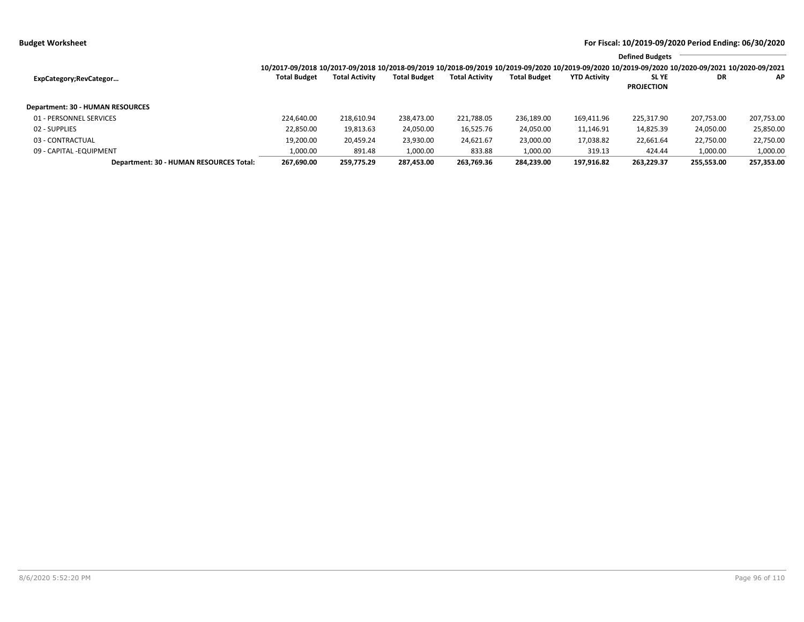|                                         |                                                                                                                                                 |                       |                     |                       |                     |                     | <b>Defined Budgets</b> |            |            |
|-----------------------------------------|-------------------------------------------------------------------------------------------------------------------------------------------------|-----------------------|---------------------|-----------------------|---------------------|---------------------|------------------------|------------|------------|
|                                         | 10/2017-09/2018 10/2017-09/2018 10/2018-09/2019 10/2018-09/2019 10/2019-09/2020 10/2019-09/2020 10/2019-09/2020 10/2020-09/2021 10/2020-09/2021 |                       |                     |                       |                     |                     |                        |            |            |
| ExpCategory;RevCategor                  | <b>Total Budget</b>                                                                                                                             | <b>Total Activity</b> | <b>Total Budget</b> | <b>Total Activity</b> | <b>Total Budget</b> | <b>YTD Activity</b> | <b>SLYE</b>            | <b>DR</b>  | AP.        |
|                                         |                                                                                                                                                 |                       |                     |                       |                     |                     | <b>PROJECTION</b>      |            |            |
| Department: 30 - HUMAN RESOURCES        |                                                                                                                                                 |                       |                     |                       |                     |                     |                        |            |            |
| 01 - PERSONNEL SERVICES                 | 224.640.00                                                                                                                                      | 218,610.94            | 238,473.00          | 221,788.05            | 236,189.00          | 169,411.96          | 225,317.90             | 207,753.00 | 207,753.00 |
| 02 - SUPPLIES                           | 22,850.00                                                                                                                                       | 19,813.63             | 24,050.00           | 16,525.76             | 24,050.00           | 11,146.91           | 14,825.39              | 24,050.00  | 25,850.00  |
| 03 - CONTRACTUAL                        | 19,200.00                                                                                                                                       | 20,459.24             | 23,930.00           | 24,621.67             | 23,000.00           | 17,038.82           | 22,661.64              | 22,750.00  | 22,750.00  |
| 09 - CAPITAL - EQUIPMENT                | 1,000.00                                                                                                                                        | 891.48                | 1,000.00            | 833.88                | 1,000.00            | 319.13              | 424.44                 | 1,000.00   | 1,000.00   |
| Department: 30 - HUMAN RESOURCES Total: | 267.690.00                                                                                                                                      | 259.775.29            | 287.453.00          | 263.769.36            | 284,239.00          | 197,916.82          | 263.229.37             | 255.553.00 | 257,353.00 |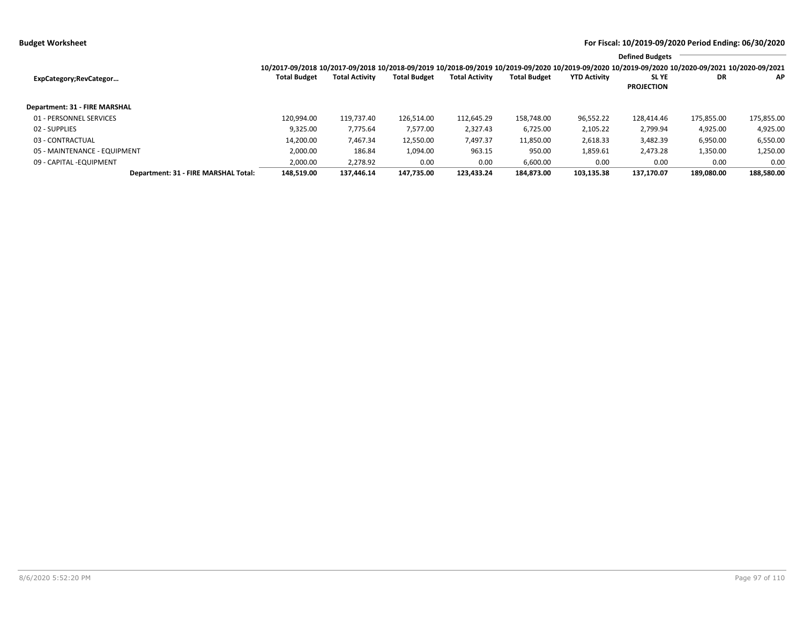|                                      |                                                                                                                                                                 |                       |                     |                       |                     |                     | <b>Defined Budgets</b>           |            |            |
|--------------------------------------|-----------------------------------------------------------------------------------------------------------------------------------------------------------------|-----------------------|---------------------|-----------------------|---------------------|---------------------|----------------------------------|------------|------------|
|                                      | 10/2017-09/2018 10/2017-09/2018 10/2018-09/2019 10/2018-09/2019 10/2019-09/2020 10/2019-09/2020 10/2019-09/2020 10/2019-09/2020 10/2020-09/2021 10/2020-09/2021 |                       |                     |                       |                     |                     |                                  |            |            |
| ExpCategory; RevCategor              | <b>Total Budget</b>                                                                                                                                             | <b>Total Activity</b> | <b>Total Budget</b> | <b>Total Activity</b> | <b>Total Budget</b> | <b>YTD Activity</b> | <b>SLYE</b><br><b>PROJECTION</b> | DR         | ΑP         |
| Department: 31 - FIRE MARSHAL        |                                                                                                                                                                 |                       |                     |                       |                     |                     |                                  |            |            |
| 01 - PERSONNEL SERVICES              | 120,994.00                                                                                                                                                      | 119,737.40            | 126.514.00          | 112,645.29            | 158,748.00          | 96,552.22           | 128.414.46                       | 175,855.00 | 175,855.00 |
| 02 - SUPPLIES                        | 9,325.00                                                                                                                                                        | 7,775.64              | 7,577.00            | 2,327.43              | 6,725.00            | 2,105.22            | 2,799.94                         | 4,925.00   | 4,925.00   |
| 03 - CONTRACTUAL                     | 14,200.00                                                                                                                                                       | 7,467.34              | 12,550.00           | 7,497.37              | 11,850.00           | 2,618.33            | 3,482.39                         | 6,950.00   | 6,550.00   |
| 05 - MAINTENANCE - EQUIPMENT         | 2,000.00                                                                                                                                                        | 186.84                | 1,094.00            | 963.15                | 950.00              | 1,859.61            | 2,473.28                         | 1,350.00   | 1,250.00   |
| 09 - CAPITAL - EQUIPMENT             | 2,000.00                                                                                                                                                        | 2.278.92              | 0.00                | 0.00                  | 6,600.00            | 0.00                | 0.00                             | 0.00       | 0.00       |
| Department: 31 - FIRE MARSHAL Total: | 148.519.00                                                                                                                                                      | 137.446.14            | 147.735.00          | 123.433.24            | 184.873.00          | 103.135.38          | 137.170.07                       | 189.080.00 | 188.580.00 |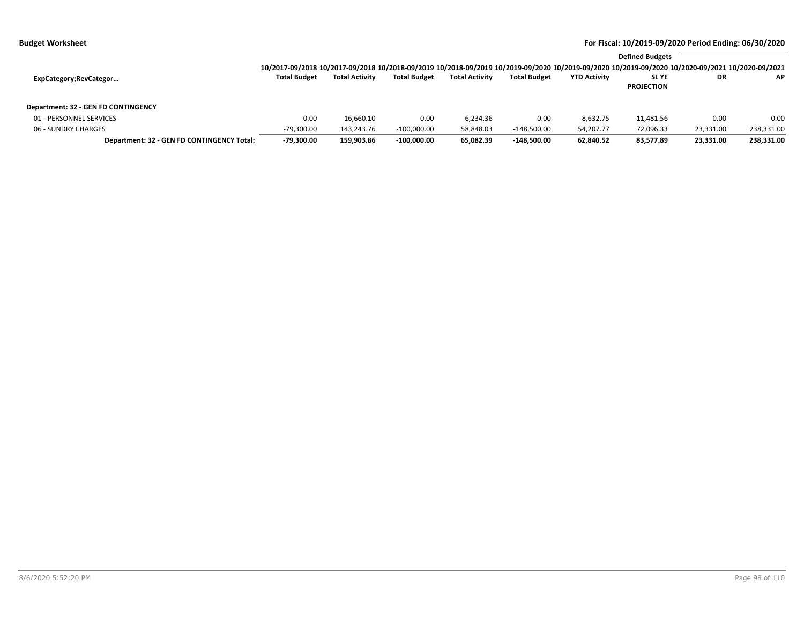| <b>Budget Worksheet</b> |  |  |  |
|-------------------------|--|--|--|
|-------------------------|--|--|--|

|                                            |                                                                                                                                                                 |                       |                     |                       |                     |                     | <b>Defined Budgets</b> |           |            |
|--------------------------------------------|-----------------------------------------------------------------------------------------------------------------------------------------------------------------|-----------------------|---------------------|-----------------------|---------------------|---------------------|------------------------|-----------|------------|
|                                            | 10/2017-09/2018 10/2017-09/2018 10/2018-09/2019 10/2018-09/2019 10/2019-09/2020 10/2019-09/2020 10/2019-09/2020 10/2019-09/2020 10/2020-09/2021 10/2020-09/2021 |                       |                     |                       |                     |                     |                        |           |            |
| ExpCategory;RevCategor                     | <b>Total Budget</b>                                                                                                                                             | <b>Total Activity</b> | <b>Total Budget</b> | <b>Total Activity</b> | <b>Total Budget</b> | <b>YTD Activity</b> | <b>SLYE</b>            | DR        | AP.        |
|                                            |                                                                                                                                                                 |                       |                     |                       |                     |                     | <b>PROJECTION</b>      |           |            |
| Department: 32 - GEN FD CONTINGENCY        |                                                                                                                                                                 |                       |                     |                       |                     |                     |                        |           |            |
| 01 - PERSONNEL SERVICES                    | 0.00                                                                                                                                                            | 16.660.10             | 0.00                | 6.234.36              | 0.00                | 8,632.75            | 11,481.56              | 0.00      | 0.00       |
| 06 - SUNDRY CHARGES                        | $-79,300.00$                                                                                                                                                    | 143.243.76            | $-100.000.00$       | 58,848.03             | $-148.500.00$       | 54.207.77           | 72,096.33              | 23,331.00 | 238,331.00 |
| Department: 32 - GEN FD CONTINGENCY Total: | $-79,300.00$                                                                                                                                                    | 159,903.86            | $-100.000.00$       | 65,082.39             | $-148.500.00$       | 62,840.52           | 83,577.89              | 23,331.00 | 238,331.00 |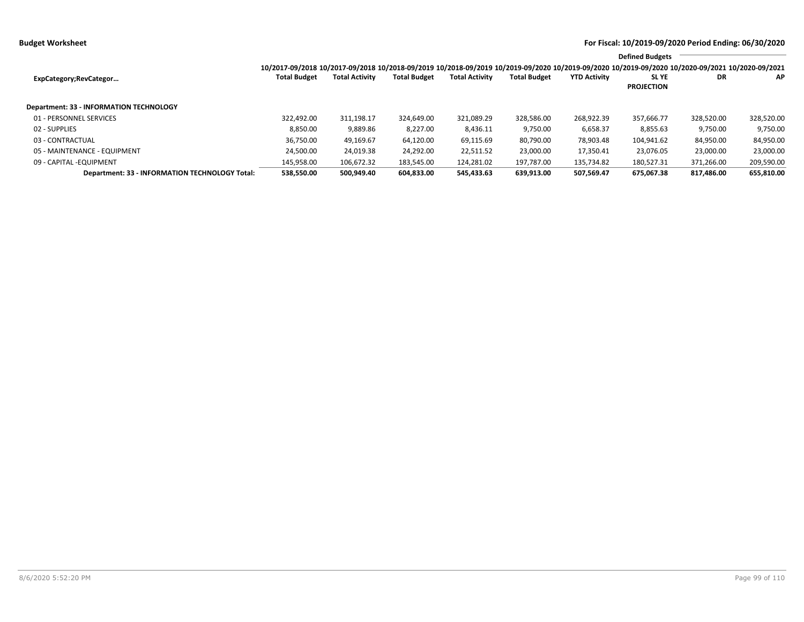|                                                |                                                                                                                                                                 |                       |                     |                       |                     |                     | <b>Defined Budgets</b>           |            |            |
|------------------------------------------------|-----------------------------------------------------------------------------------------------------------------------------------------------------------------|-----------------------|---------------------|-----------------------|---------------------|---------------------|----------------------------------|------------|------------|
|                                                | 10/2017-09/2018 10/2017-09/2018 10/2018-09/2019 10/2018-09/2019 10/2019-09/2020 10/2019-09/2020 10/2019-09/2020 10/2019-09/2020 10/2020-09/2021 10/2020-09/2021 |                       |                     |                       |                     |                     |                                  |            |            |
| ExpCategory;RevCategor                         | <b>Total Budget</b>                                                                                                                                             | <b>Total Activity</b> | <b>Total Budget</b> | <b>Total Activity</b> | <b>Total Budget</b> | <b>YTD Activity</b> | <b>SLYE</b><br><b>PROJECTION</b> | DR         | AP.        |
| <b>Department: 33 - INFORMATION TECHNOLOGY</b> |                                                                                                                                                                 |                       |                     |                       |                     |                     |                                  |            |            |
| 01 - PERSONNEL SERVICES                        | 322.492.00                                                                                                                                                      | 311,198.17            | 324,649.00          | 321,089.29            | 328.586.00          | 268.922.39          | 357.666.77                       | 328,520.00 | 328,520.00 |
| 02 - SUPPLIES                                  | 8,850.00                                                                                                                                                        | 9,889.86              | 8,227.00            | 8,436.11              | 9,750.00            | 6,658.37            | 8,855.63                         | 9,750.00   | 9,750.00   |
| 03 - CONTRACTUAL                               | 36,750.00                                                                                                                                                       | 49,169.67             | 64,120.00           | 69,115.69             | 80.790.00           | 78,903.48           | 104,941.62                       | 84,950.00  | 84,950.00  |
| 05 - MAINTENANCE - EQUIPMENT                   | 24,500.00                                                                                                                                                       | 24,019.38             | 24,292.00           | 22,511.52             | 23,000.00           | 17,350.41           | 23.076.05                        | 23,000.00  | 23,000.00  |
| 09 - CAPITAL - EQUIPMENT                       | 145,958.00                                                                                                                                                      | 106,672.32            | 183,545.00          | 124,281.02            | 197,787.00          | 135,734.82          | 180,527.31                       | 371,266.00 | 209,590.00 |
| Department: 33 - INFORMATION TECHNOLOGY Total: | 538.550.00                                                                                                                                                      | 500.949.40            | 604,833.00          | 545.433.63            | 639.913.00          | 507.569.47          | 675.067.38                       | 817.486.00 | 655,810.00 |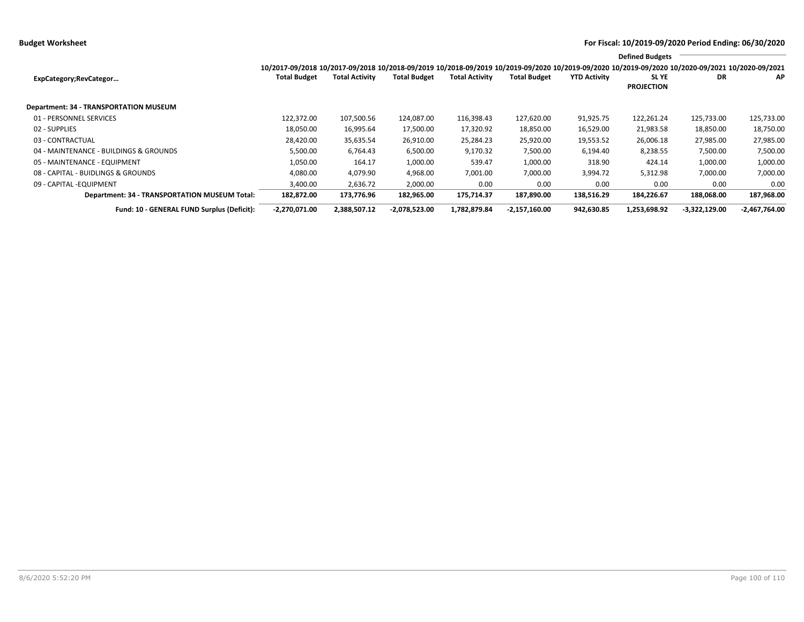**Budget Worksheet For Fiscal: 10/2019-09/2020 Period Ending: 06/30/2020**

|                                               |                                                                                                                                                                 |                       |                     |                       |                     |                     | <b>Defined Budgets</b>           |                 |                 |
|-----------------------------------------------|-----------------------------------------------------------------------------------------------------------------------------------------------------------------|-----------------------|---------------------|-----------------------|---------------------|---------------------|----------------------------------|-----------------|-----------------|
|                                               | 10/2017-09/2018 10/2017-09/2018 10/2018-09/2019 10/2018-09/2019 10/2019-09/2020 10/2019-09/2020 10/2019-09/2020 10/2019-09/2020 10/2020-09/2021 10/2020-09/2021 |                       |                     |                       |                     |                     |                                  |                 |                 |
| ExpCategory;RevCategor                        | <b>Total Budget</b>                                                                                                                                             | <b>Total Activity</b> | <b>Total Budget</b> | <b>Total Activity</b> | <b>Total Budget</b> | <b>YTD Activity</b> | <b>SLYE</b><br><b>PROJECTION</b> | DR              | AP              |
| Department: 34 - TRANSPORTATION MUSEUM        |                                                                                                                                                                 |                       |                     |                       |                     |                     |                                  |                 |                 |
| 01 - PERSONNEL SERVICES                       | 122.372.00                                                                                                                                                      | 107,500.56            | 124,087.00          | 116,398.43            | 127,620.00          | 91,925.75           | 122,261.24                       | 125,733.00      | 125,733.00      |
| 02 - SUPPLIES                                 | 18,050.00                                                                                                                                                       | 16,995.64             | 17,500.00           | 17,320.92             | 18,850.00           | 16,529.00           | 21,983.58                        | 18,850.00       | 18,750.00       |
| 03 - CONTRACTUAL                              | 28,420.00                                                                                                                                                       | 35,635.54             | 26,910.00           | 25,284.23             | 25,920.00           | 19,553.52           | 26,006.18                        | 27,985.00       | 27,985.00       |
| 04 - MAINTENANCE - BUILDINGS & GROUNDS        | 5,500.00                                                                                                                                                        | 6,764.43              | 6,500.00            | 9,170.32              | 7,500.00            | 6,194.40            | 8,238.55                         | 7,500.00        | 7,500.00        |
| 05 - MAINTENANCE - EQUIPMENT                  | 1,050.00                                                                                                                                                        | 164.17                | 1,000.00            | 539.47                | 1,000.00            | 318.90              | 424.14                           | 1,000.00        | 1,000.00        |
| 08 - CAPITAL - BUIDLINGS & GROUNDS            | 4,080.00                                                                                                                                                        | 4,079.90              | 4,968.00            | 7,001.00              | 7,000.00            | 3,994.72            | 5,312.98                         | 7,000.00        | 7,000.00        |
| 09 - CAPITAL - EQUIPMENT                      | 3,400.00                                                                                                                                                        | 2,636.72              | 2,000.00            | 0.00                  | 0.00                | 0.00                | 0.00                             | 0.00            | 0.00            |
| Department: 34 - TRANSPORTATION MUSEUM Total: | 182,872.00                                                                                                                                                      | 173,776.96            | 182,965.00          | 175,714.37            | 187,890.00          | 138,516.29          | 184,226.67                       | 188,068.00      | 187,968.00      |
| Fund: 10 - GENERAL FUND Surplus (Deficit):    | $-2,270,071.00$                                                                                                                                                 | 2,388,507.12          | $-2,078,523.00$     | 1,782,879.84          | $-2,157,160.00$     | 942,630.85          | 1,253,698.92                     | $-3,322,129.00$ | $-2,467,764.00$ |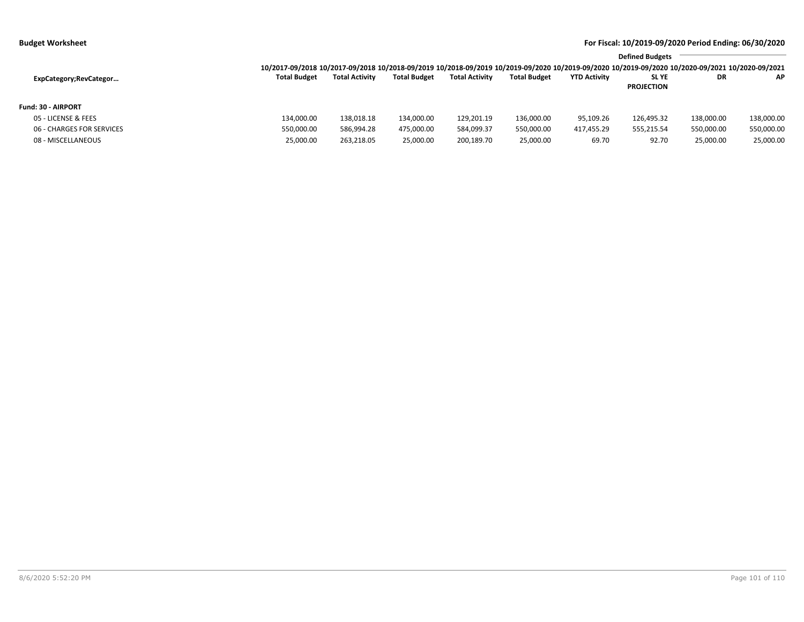| udget Worksheet |  |  |
|-----------------|--|--|
|                 |  |  |

|                           | 10/2017-09/2018 10/2017-09/2018 10/2018-09/2019 10/2018-09/2019 10/2019-09/2020 10/2019-09/2020 10/2019-09/2020 10/2019-09/2020 10/2020-09/2021 10/2020-09/2021 |                       |                     |                       |                     |                     | <b>Defined Budgets</b>           |            |            |
|---------------------------|-----------------------------------------------------------------------------------------------------------------------------------------------------------------|-----------------------|---------------------|-----------------------|---------------------|---------------------|----------------------------------|------------|------------|
| ExpCategory; RevCategor   | <b>Total Budget</b>                                                                                                                                             | <b>Total Activity</b> | <b>Total Budget</b> | <b>Total Activity</b> | <b>Total Budget</b> | <b>YTD Activity</b> | <b>SLYE</b><br><b>PROJECTION</b> | DR         | AP.        |
| <b>Fund: 30 - AIRPORT</b> |                                                                                                                                                                 |                       |                     |                       |                     |                     |                                  |            |            |
| 05 - LICENSE & FEES       | 134.000.00                                                                                                                                                      | 138,018.18            | 134,000.00          | 129,201.19            | 136,000.00          | 95,109.26           | 126,495.32                       | 138,000.00 | 138,000.00 |
| 06 - CHARGES FOR SERVICES | 550,000.00                                                                                                                                                      | 586,994.28            | 475.000.00          | 584,099.37            | 550,000.00          | 417,455.29          | 555,215.54                       | 550,000.00 | 550,000.00 |
| 08 - MISCELLANEOUS        | 25,000.00                                                                                                                                                       | 263,218.05            | 25,000.00           | 200,189.70            | 25,000.00           | 69.70               | 92.70                            | 25,000.00  | 25,000.00  |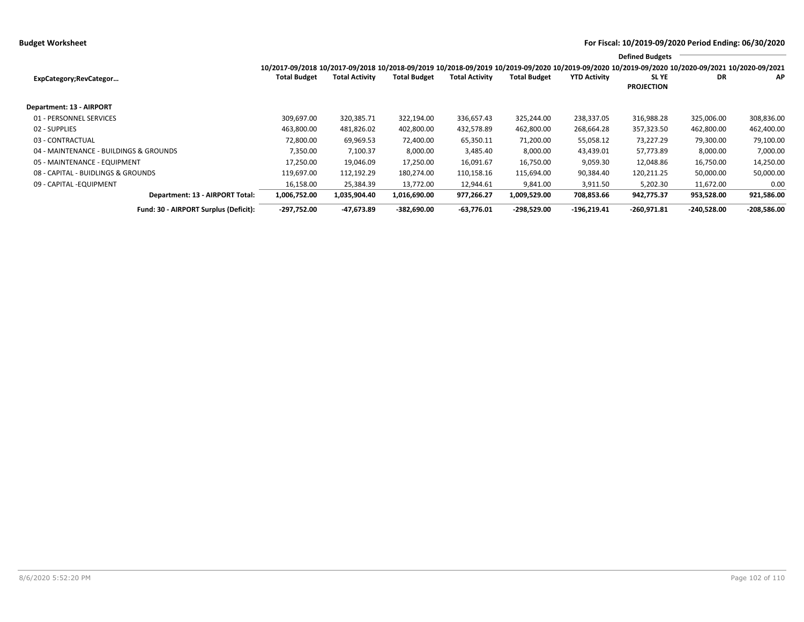**Budget Worksheet For Fiscal: 10/2019-09/2020 Period Ending: 06/30/2020**

|                                        |                                                                                                                                                                        |                       |                     |                       |                     |                     | <b>Defined Budgets</b>     |               |               |
|----------------------------------------|------------------------------------------------------------------------------------------------------------------------------------------------------------------------|-----------------------|---------------------|-----------------------|---------------------|---------------------|----------------------------|---------------|---------------|
| ExpCategory;RevCategor                 | 10/2017-09/2018 10/2017-09/2018 10/2018-09/2019 10/2018-09/2019 10/2019-09/2020 10/2019-09/2020 10/2019-09/2020 10/2020-09/2021 10/2020-09/2021<br><b>Total Budget</b> | <b>Total Activity</b> | <b>Total Budget</b> | <b>Total Activity</b> | <b>Total Budget</b> | <b>YTD Activity</b> | SL YE<br><b>PROJECTION</b> | DR            | AP            |
| <b>Department: 13 - AIRPORT</b>        |                                                                                                                                                                        |                       |                     |                       |                     |                     |                            |               |               |
| 01 - PERSONNEL SERVICES                | 309,697.00                                                                                                                                                             | 320,385.71            | 322,194.00          | 336,657.43            | 325,244.00          | 238,337.05          | 316,988.28                 | 325,006.00    | 308,836.00    |
| 02 - SUPPLIES                          | 463,800.00                                                                                                                                                             | 481,826.02            | 402,800.00          | 432,578.89            | 462,800.00          | 268,664.28          | 357,323.50                 | 462,800.00    | 462,400.00    |
| 03 - CONTRACTUAL                       | 72,800.00                                                                                                                                                              | 69,969.53             | 72,400.00           | 65,350.11             | 71,200.00           | 55,058.12           | 73,227.29                  | 79,300.00     | 79,100.00     |
| 04 - MAINTENANCE - BUILDINGS & GROUNDS | 7,350.00                                                                                                                                                               | 7,100.37              | 8,000.00            | 3,485.40              | 8,000.00            | 43,439.01           | 57,773.89                  | 8,000.00      | 7,000.00      |
| 05 - MAINTENANCE - EQUIPMENT           | 17,250.00                                                                                                                                                              | 19,046.09             | 17,250.00           | 16,091.67             | 16,750.00           | 9,059.30            | 12,048.86                  | 16,750.00     | 14,250.00     |
| 08 - CAPITAL - BUIDLINGS & GROUNDS     | 119,697.00                                                                                                                                                             | 112,192.29            | 180,274.00          | 110,158.16            | 115,694.00          | 90,384.40           | 120,211.25                 | 50,000.00     | 50,000.00     |
| 09 - CAPITAL - EQUIPMENT               | 16,158.00                                                                                                                                                              | 25,384.39             | 13,772.00           | 12,944.61             | 9,841.00            | 3,911.50            | 5,202.30                   | 11,672.00     | 0.00          |
| Department: 13 - AIRPORT Total:        | 1,006,752.00                                                                                                                                                           | 1,035,904.40          | 1,016,690.00        | 977,266.27            | 1,009,529.00        | 708,853.66          | 942,775.37                 | 953,528.00    | 921,586.00    |
| Fund: 30 - AIRPORT Surplus (Deficit):  | $-297,752.00$                                                                                                                                                          | -47,673.89            | $-382,690.00$       | $-63,776.01$          | -298,529.00         | $-196,219.41$       | $-260,971.81$              | $-240,528.00$ | $-208,586.00$ |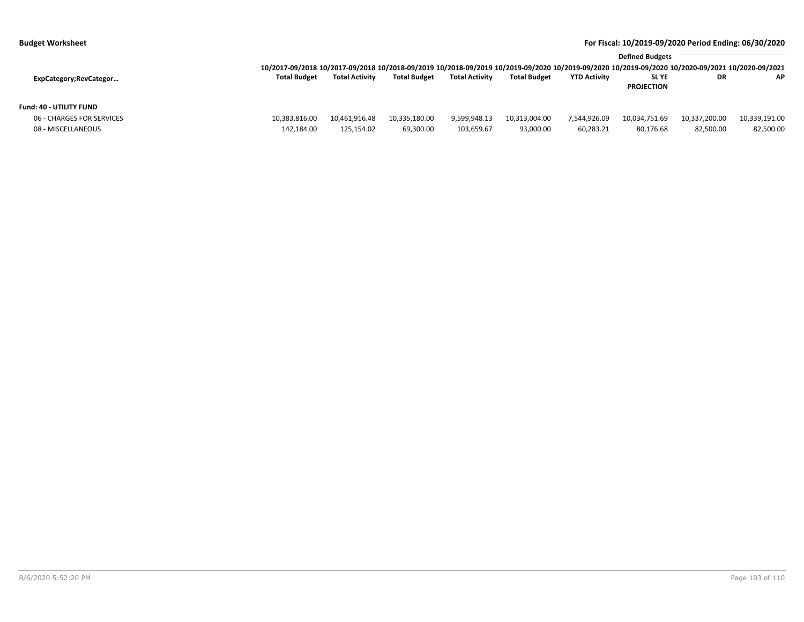| For Fiscal: 10/2019-09/2020 Period Ending: 06/30/2020 |  |  |
|-------------------------------------------------------|--|--|
|-------------------------------------------------------|--|--|

| <b>Budget Worksheet</b>                              | For Fiscal: 10/2019-09/2020 Period Ending: 06/30/2020                                                                                                           |                       |                     |                       |                     |                     |                                  |               |               |  |
|------------------------------------------------------|-----------------------------------------------------------------------------------------------------------------------------------------------------------------|-----------------------|---------------------|-----------------------|---------------------|---------------------|----------------------------------|---------------|---------------|--|
|                                                      | 10/2017-09/2018 10/2017-09/2018 10/2018-09/2019 10/2018-09/2019 10/2019-09/2020 10/2019-09/2020 10/2019-09/2020 10/2019-09/2020 10/2020-09/2021 10/2020-09/2021 |                       |                     |                       |                     |                     | <b>Defined Budgets</b>           |               |               |  |
| ExpCategory;RevCategor                               | <b>Total Budget</b>                                                                                                                                             | <b>Total Activity</b> | <b>Total Budget</b> | <b>Total Activity</b> | <b>Total Budget</b> | <b>YTD Activity</b> | <b>SLYE</b><br><b>PROJECTION</b> | DR            | AP.           |  |
| Fund: 40 - UTILITY FUND<br>06 - CHARGES FOR SERVICES | 10,383,816.00                                                                                                                                                   | 10.461.916.48         | 10.335.180.00       | 9,599,948.13          | 10,313,004.00       | 7.544.926.09        | 10.034.751.69                    | 10,337,200.00 | 10,339,191.00 |  |

08 - MISCELLANEOUS 142,184.00 125,154.02 69,300.00 03,659.67 93,000.00 60,283.21 80,176.68 82,500.00 82,500.00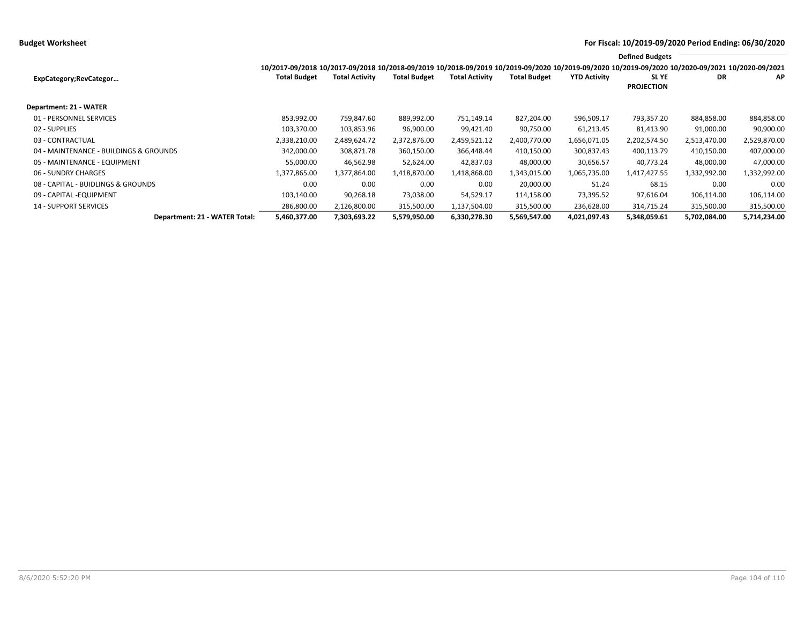|                                        |                                                                                                                                                                 |                |                     |                       |                     |                     | <b>Defined Budgets</b>     |              |              |
|----------------------------------------|-----------------------------------------------------------------------------------------------------------------------------------------------------------------|----------------|---------------------|-----------------------|---------------------|---------------------|----------------------------|--------------|--------------|
|                                        | 10/2017-09/2018 10/2017-09/2018 10/2018-09/2019 10/2018-09/2019 10/2019-09/2020 10/2019-09/2020 10/2019-09/2020 10/2019-09/2020 10/2020-09/2021 10/2020-09/2021 |                |                     |                       |                     |                     |                            |              |              |
| ExpCategory; RevCategor                | <b>Total Budget</b>                                                                                                                                             | Total Activity | <b>Total Budget</b> | <b>Total Activity</b> | <b>Total Budget</b> | <b>YTD Activity</b> | SL YE<br><b>PROJECTION</b> | DR           | AP           |
| Department: 21 - WATER                 |                                                                                                                                                                 |                |                     |                       |                     |                     |                            |              |              |
| 01 - PERSONNEL SERVICES                | 853,992.00                                                                                                                                                      | 759,847.60     | 889,992.00          | 751,149.14            | 827,204.00          | 596,509.17          | 793,357.20                 | 884,858.00   | 884,858.00   |
| 02 - SUPPLIES                          | 103,370.00                                                                                                                                                      | 103,853.96     | 96,900.00           | 99,421.40             | 90,750.00           | 61,213.45           | 81,413.90                  | 91,000.00    | 90,900.00    |
| 03 - CONTRACTUAL                       | 2,338,210.00                                                                                                                                                    | 2,489,624.72   | 2,372,876.00        | 2,459,521.12          | 2,400,770.00        | 1,656,071.05        | 2,202,574.50               | 2,513,470.00 | 2,529,870.00 |
| 04 - MAINTENANCE - BUILDINGS & GROUNDS | 342,000.00                                                                                                                                                      | 308,871.78     | 360,150.00          | 366,448.44            | 410,150.00          | 300,837.43          | 400,113.79                 | 410,150.00   | 407,000.00   |
| 05 - MAINTENANCE - EQUIPMENT           | 55,000.00                                                                                                                                                       | 46,562.98      | 52,624.00           | 42,837.03             | 48,000.00           | 30,656.57           | 40,773.24                  | 48,000.00    | 47,000.00    |
| 06 - SUNDRY CHARGES                    | 1,377,865.00                                                                                                                                                    | 1,377,864.00   | 1,418,870.00        | 1,418,868.00          | 1,343,015.00        | 1,065,735.00        | 1,417,427.55               | 1,332,992.00 | 1,332,992.00 |
| 08 - CAPITAL - BUIDLINGS & GROUNDS     | 0.00                                                                                                                                                            | 0.00           | 0.00                | 0.00                  | 20.000.00           | 51.24               | 68.15                      | 0.00         | 0.00         |
| 09 - CAPITAL - EQUIPMENT               | 103,140.00                                                                                                                                                      | 90,268.18      | 73,038.00           | 54,529.17             | 114,158.00          | 73,395.52           | 97,616.04                  | 106,114.00   | 106,114.00   |
| <b>14 - SUPPORT SERVICES</b>           | 286,800.00                                                                                                                                                      | 2,126,800.00   | 315,500.00          | 1,137,504.00          | 315,500.00          | 236,628.00          | 314,715.24                 | 315,500.00   | 315,500.00   |
| Department: 21 - WATER Total:          | 5,460,377.00                                                                                                                                                    | 7,303,693.22   | 5,579,950.00        | 6,330,278.30          | 5,569,547.00        | 4,021,097.43        | 5,348,059.61               | 5,702,084.00 | 5,714,234.00 |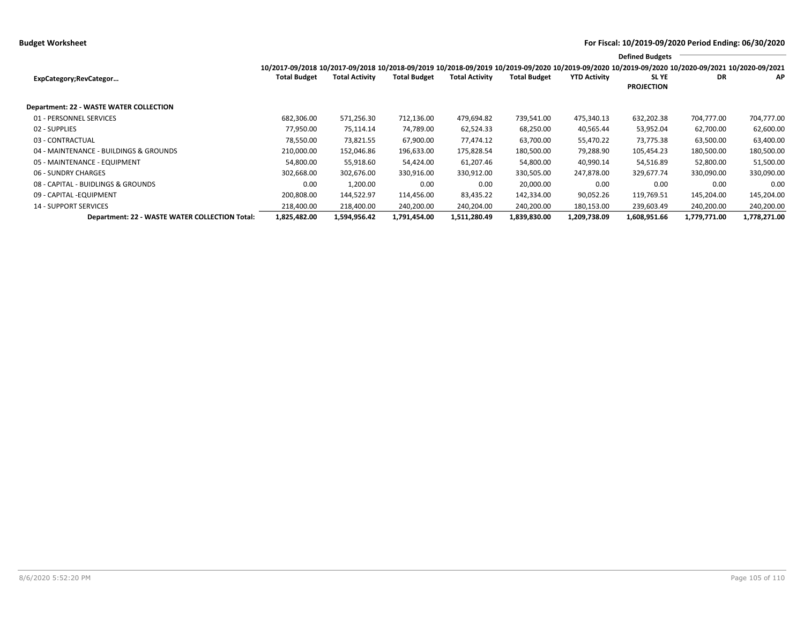**Budget Worksheet For Fiscal: 10/2019-09/2020 Period Ending: 06/30/2020**

|                                                |                                                                                                                                                                                        |                       |                     |                       |                     |                     | <b>Defined Budgets</b>           |              |              |
|------------------------------------------------|----------------------------------------------------------------------------------------------------------------------------------------------------------------------------------------|-----------------------|---------------------|-----------------------|---------------------|---------------------|----------------------------------|--------------|--------------|
| ExpCategory;RevCategor                         | 10/2017-09/2018 10/2017-09/2018 10/2018-09/2019 10/2018-09/2019 10/2019-09/2020 10/2019-09/2020 10/2019-09/2020 10/2019-09/2020 10/2020-09/2021 10/2020-09/2021<br><b>Total Budget</b> | <b>Total Activity</b> | <b>Total Budget</b> | <b>Total Activity</b> | <b>Total Budget</b> | <b>YTD Activity</b> | <b>SLYE</b><br><b>PROJECTION</b> | DR           | ΑP           |
| <b>Department: 22 - WASTE WATER COLLECTION</b> |                                                                                                                                                                                        |                       |                     |                       |                     |                     |                                  |              |              |
| 01 - PERSONNEL SERVICES                        | 682,306.00                                                                                                                                                                             | 571,256.30            | 712,136.00          | 479,694.82            | 739,541.00          | 475,340.13          | 632,202.38                       | 704,777.00   | 704,777.00   |
| 02 - SUPPLIES                                  | 77,950.00                                                                                                                                                                              | 75,114.14             | 74,789.00           | 62,524.33             | 68,250.00           | 40,565.44           | 53,952.04                        | 62,700.00    | 62,600.00    |
| 03 - CONTRACTUAL                               | 78,550.00                                                                                                                                                                              | 73,821.55             | 67,900.00           | 77,474.12             | 63,700.00           | 55,470.22           | 73,775.38                        | 63,500.00    | 63,400.00    |
| 04 - MAINTENANCE - BUILDINGS & GROUNDS         | 210,000.00                                                                                                                                                                             | 152,046.86            | 196,633.00          | 175,828.54            | 180,500.00          | 79,288.90           | 105,454.23                       | 180,500.00   | 180,500.00   |
| 05 - MAINTENANCE - EQUIPMENT                   | 54,800.00                                                                                                                                                                              | 55,918.60             | 54,424.00           | 61,207.46             | 54,800.00           | 40,990.14           | 54,516.89                        | 52,800.00    | 51,500.00    |
| 06 - SUNDRY CHARGES                            | 302,668.00                                                                                                                                                                             | 302,676.00            | 330,916.00          | 330,912.00            | 330,505.00          | 247,878.00          | 329,677.74                       | 330,090.00   | 330,090.00   |
| 08 - CAPITAL - BUIDLINGS & GROUNDS             | 0.00                                                                                                                                                                                   | 1,200.00              | 0.00                | 0.00                  | 20,000.00           | 0.00                | 0.00                             | 0.00         | 0.00         |
| 09 - CAPITAL - EQUIPMENT                       | 200,808.00                                                                                                                                                                             | 144,522.97            | 114,456.00          | 83,435.22             | 142,334.00          | 90,052.26           | 119,769.51                       | 145,204.00   | 145,204.00   |
| <b>14 - SUPPORT SERVICES</b>                   | 218,400.00                                                                                                                                                                             | 218,400.00            | 240,200.00          | 240,204.00            | 240,200.00          | 180,153.00          | 239,603.49                       | 240,200.00   | 240,200.00   |
| Department: 22 - WASTE WATER COLLECTION Total: | 1,825,482.00                                                                                                                                                                           | 1,594,956.42          | 1,791,454.00        | 1,511,280.49          | 1,839,830.00        | 1,209,738.09        | 1,608,951.66                     | 1,779,771.00 | 1,778,271.00 |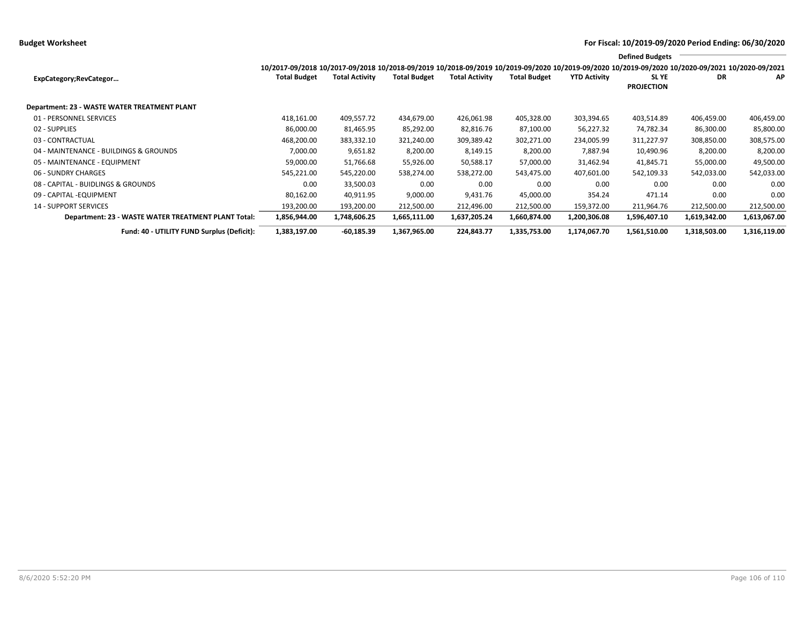**Budget Worksheet For Fiscal: 10/2019-09/2020 Period Ending: 06/30/2020**

|                                                     |                                                                                                                                                                 |                       |                     |                       |                     |                     | <b>Defined Budgets</b>           |              |              |
|-----------------------------------------------------|-----------------------------------------------------------------------------------------------------------------------------------------------------------------|-----------------------|---------------------|-----------------------|---------------------|---------------------|----------------------------------|--------------|--------------|
|                                                     | 10/2017-09/2018 10/2017-09/2018 10/2018-09/2019 10/2018-09/2019 10/2019-09/2020 10/2019-09/2020 10/2019-09/2020 10/2019-09/2020 10/2020-09/2021 10/2020-09/2021 |                       |                     |                       |                     |                     |                                  |              |              |
| ExpCategory;RevCategor                              | <b>Total Budget</b>                                                                                                                                             | <b>Total Activity</b> | <b>Total Budget</b> | <b>Total Activity</b> | <b>Total Budget</b> | <b>YTD Activity</b> | <b>SLYE</b><br><b>PROJECTION</b> | DR           | ΑP           |
| Department: 23 - WASTE WATER TREATMENT PLANT        |                                                                                                                                                                 |                       |                     |                       |                     |                     |                                  |              |              |
| 01 - PERSONNEL SERVICES                             | 418,161.00                                                                                                                                                      | 409,557.72            | 434,679.00          | 426,061.98            | 405,328.00          | 303,394.65          | 403,514.89                       | 406,459.00   | 406,459.00   |
| 02 - SUPPLIES                                       | 86,000.00                                                                                                                                                       | 81,465.95             | 85,292.00           | 82,816.76             | 87,100.00           | 56,227.32           | 74,782.34                        | 86,300.00    | 85,800.00    |
| 03 - CONTRACTUAL                                    | 468,200.00                                                                                                                                                      | 383,332.10            | 321,240.00          | 309,389.42            | 302,271.00          | 234,005.99          | 311,227.97                       | 308,850.00   | 308,575.00   |
| 04 - MAINTENANCE - BUILDINGS & GROUNDS              | 7,000.00                                                                                                                                                        | 9,651.82              | 8,200.00            | 8,149.15              | 8,200.00            | 7,887.94            | 10,490.96                        | 8,200.00     | 8,200.00     |
| 05 - MAINTENANCE - EQUIPMENT                        | 59,000.00                                                                                                                                                       | 51,766.68             | 55,926.00           | 50,588.17             | 57,000.00           | 31,462.94           | 41,845.71                        | 55,000.00    | 49,500.00    |
| 06 - SUNDRY CHARGES                                 | 545,221.00                                                                                                                                                      | 545,220.00            | 538,274.00          | 538,272.00            | 543,475.00          | 407,601.00          | 542,109.33                       | 542,033.00   | 542,033.00   |
| 08 - CAPITAL - BUIDLINGS & GROUNDS                  | 0.00                                                                                                                                                            | 33,500.03             | 0.00                | 0.00                  | 0.00                | 0.00                | 0.00                             | 0.00         | 0.00         |
| 09 - CAPITAL -EQUIPMENT                             | 80,162.00                                                                                                                                                       | 40,911.95             | 9,000.00            | 9,431.76              | 45,000.00           | 354.24              | 471.14                           | 0.00         | 0.00         |
| <b>14 - SUPPORT SERVICES</b>                        | 193,200.00                                                                                                                                                      | 193,200.00            | 212,500.00          | 212,496.00            | 212,500.00          | 159,372.00          | 211,964.76                       | 212,500.00   | 212,500.00   |
| Department: 23 - WASTE WATER TREATMENT PLANT Total: | 1,856,944.00                                                                                                                                                    | 1,748,606.25          | 1,665,111.00        | 1,637,205.24          | 1,660,874.00        | 1,200,306.08        | 1,596,407.10                     | 1,619,342.00 | 1,613,067.00 |
| Fund: 40 - UTILITY FUND Surplus (Deficit):          | 1,383,197.00                                                                                                                                                    | $-60,185.39$          | 1,367,965.00        | 224,843.77            | 1,335,753.00        | 1,174,067.70        | 1,561,510.00                     | 1,318,503.00 | 1,316,119.00 |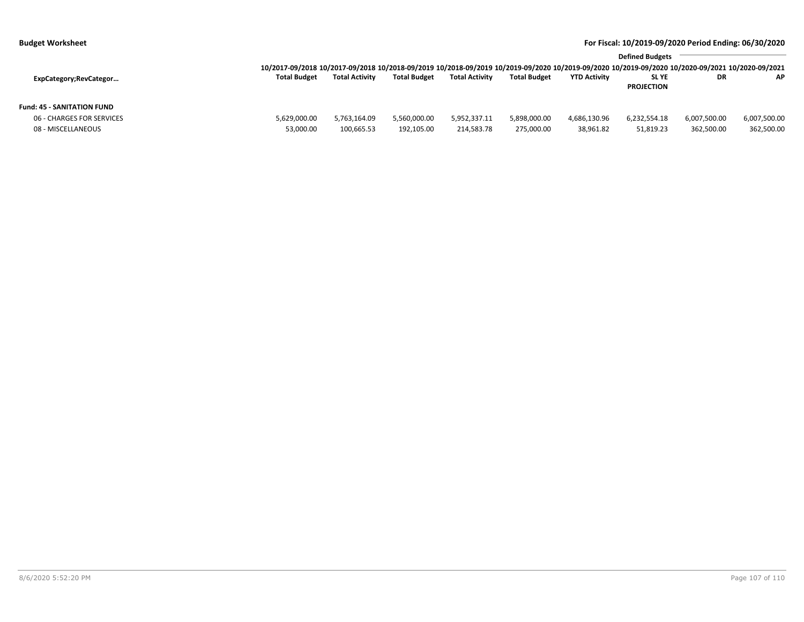|                            |                                                                                                                                                                 | <b>Defined Budgets</b> |                     |                       |                     |                     |                   |              |              |
|----------------------------|-----------------------------------------------------------------------------------------------------------------------------------------------------------------|------------------------|---------------------|-----------------------|---------------------|---------------------|-------------------|--------------|--------------|
|                            | 10/2017-09/2018 10/2017-09/2018 10/2018-09/2019 10/2018-09/2019 10/2019-09/2020 10/2019-09/2020 10/2019-09/2020 10/2019-09/2020 10/2020-09/2021 10/2020-09/2021 |                        |                     |                       |                     |                     |                   |              |              |
| ExpCategory;RevCategor     | <b>Total Budget</b>                                                                                                                                             | <b>Total Activity</b>  | <b>Total Budget</b> | <b>Total Activity</b> | <b>Total Budget</b> | <b>YTD Activity</b> | <b>SLYE</b>       | DR           | AP           |
|                            |                                                                                                                                                                 |                        |                     |                       |                     |                     | <b>PROJECTION</b> |              |              |
| Fund: 45 - SANITATION FUND |                                                                                                                                                                 |                        |                     |                       |                     |                     |                   |              |              |
| 06 - CHARGES FOR SERVICES  | 5,629,000.00                                                                                                                                                    | 5,763,164.09           | 5,560,000.00        | 5,952,337.11          | 5,898,000.00        | 4,686,130.96        | 6,232,554.18      | 6,007,500.00 | 6,007,500.00 |
| 08 - MISCELLANEOUS         | 53,000.00                                                                                                                                                       | 100,665.53             | 192,105.00          | 214,583.78            | 275,000.00          | 38,961.82           | 51,819.23         | 362,500.00   | 362,500.00   |
|                            |                                                                                                                                                                 |                        |                     |                       |                     |                     |                   |              |              |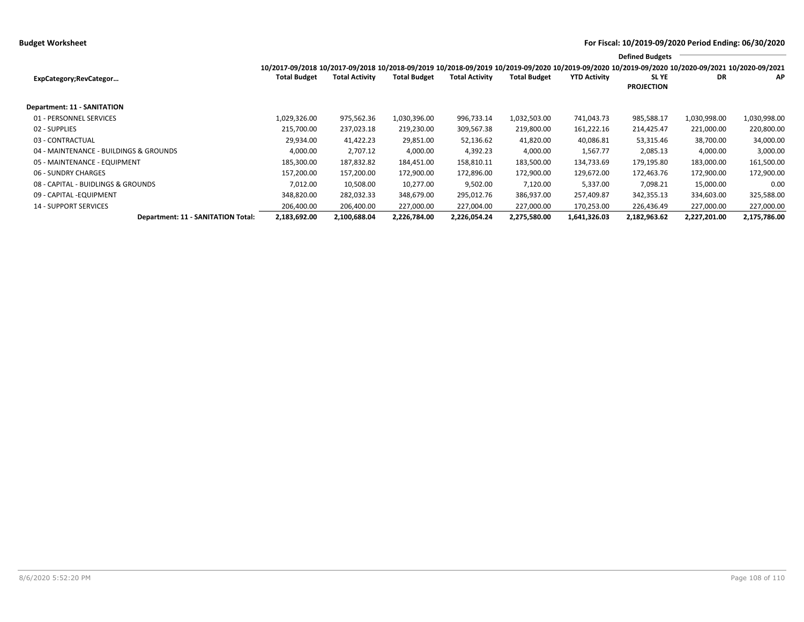|                                        | 10/2017-09/2018 10/2017-09/2018 10/2018-09/2019 10/2018-09/2019 10/2019-09/2020 10/2019-09/2020 10/2019-09/2020 10/2020-09/2021 10/2020-09/2021 |                       |                     |                       |                     |                     | <b>Defined Budgets</b>     |              |              |
|----------------------------------------|-------------------------------------------------------------------------------------------------------------------------------------------------|-----------------------|---------------------|-----------------------|---------------------|---------------------|----------------------------|--------------|--------------|
| ExpCategory;RevCategor                 | <b>Total Budget</b>                                                                                                                             | <b>Total Activity</b> | <b>Total Budget</b> | <b>Total Activity</b> | <b>Total Budget</b> | <b>YTD Activity</b> | SL YE<br><b>PROJECTION</b> | DR           | AP           |
| Department: 11 - SANITATION            |                                                                                                                                                 |                       |                     |                       |                     |                     |                            |              |              |
| 01 - PERSONNEL SERVICES                | 1,029,326.00                                                                                                                                    | 975,562.36            | 1,030,396.00        | 996,733.14            | 1,032,503.00        | 741,043.73          | 985,588.17                 | 1,030,998.00 | 1,030,998.00 |
| 02 - SUPPLIES                          | 215,700.00                                                                                                                                      | 237,023.18            | 219,230.00          | 309,567.38            | 219,800.00          | 161,222.16          | 214,425.47                 | 221,000.00   | 220,800.00   |
| 03 - CONTRACTUAL                       | 29,934.00                                                                                                                                       | 41,422.23             | 29,851.00           | 52,136.62             | 41,820.00           | 40,086.81           | 53,315.46                  | 38,700.00    | 34,000.00    |
| 04 - MAINTENANCE - BUILDINGS & GROUNDS | 4,000.00                                                                                                                                        | 2,707.12              | 4,000.00            | 4,392.23              | 4,000.00            | 1,567.77            | 2,085.13                   | 4,000.00     | 3,000.00     |
| 05 - MAINTENANCE - EQUIPMENT           | 185,300.00                                                                                                                                      | 187,832.82            | 184,451.00          | 158,810.11            | 183,500.00          | 134,733.69          | 179,195.80                 | 183,000.00   | 161,500.00   |
| 06 - SUNDRY CHARGES                    | 157,200.00                                                                                                                                      | 157,200.00            | 172,900.00          | 172,896.00            | 172,900.00          | 129,672.00          | 172,463.76                 | 172,900.00   | 172,900.00   |
| 08 - CAPITAL - BUIDLINGS & GROUNDS     | 7,012.00                                                                                                                                        | 10,508.00             | 10,277.00           | 9,502.00              | 7,120.00            | 5,337.00            | 7,098.21                   | 15,000.00    | 0.00         |
| 09 - CAPITAL - EQUIPMENT               | 348,820.00                                                                                                                                      | 282,032.33            | 348,679.00          | 295,012.76            | 386,937.00          | 257,409.87          | 342,355.13                 | 334,603.00   | 325,588.00   |
| <b>14 - SUPPORT SERVICES</b>           | 206,400.00                                                                                                                                      | 206,400.00            | 227,000.00          | 227,004.00            | 227,000.00          | 170,253.00          | 226,436.49                 | 227,000.00   | 227,000.00   |
| Department: 11 - SANITATION Total:     | 2,183,692.00                                                                                                                                    | 2,100,688.04          | 2,226,784.00        | 2,226,054.24          | 2,275,580.00        | 1,641,326.03        | 2,182,963.62               | 2,227,201.00 | 2,175,786.00 |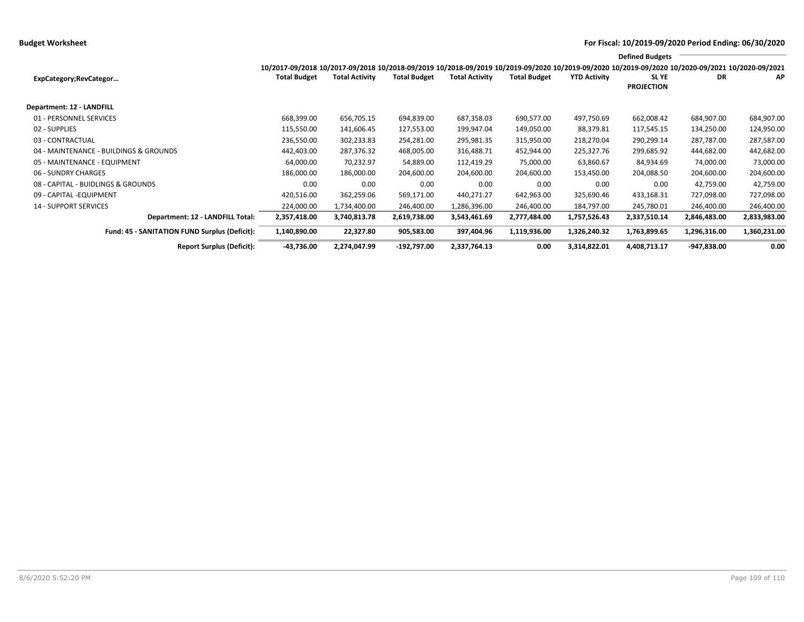## **Budget Worksheet For Fiscal: 10/2019-09/2020 Period Ending: 06/30/2020**

|                                                      |                                                                                                                                                 |                       |                     |                       |                     |                     | <b>Defined Budgets</b>     |              |              |
|------------------------------------------------------|-------------------------------------------------------------------------------------------------------------------------------------------------|-----------------------|---------------------|-----------------------|---------------------|---------------------|----------------------------|--------------|--------------|
|                                                      | 10/2017-09/2018 10/2017-09/2018 10/2018-09/2019 10/2018-09/2019 10/2019-09/2020 10/2019-09/2020 10/2019-09/2020 10/2020-09/2021 10/2020-09/2021 |                       |                     |                       |                     |                     |                            |              |              |
| ExpCategory;RevCategor                               | <b>Total Budget</b>                                                                                                                             | <b>Total Activity</b> | <b>Total Budget</b> | <b>Total Activity</b> | <b>Total Budget</b> | <b>YTD Activity</b> | SL YE<br><b>PROJECTION</b> | DR           | ΑP           |
| Department: 12 - LANDFILL                            |                                                                                                                                                 |                       |                     |                       |                     |                     |                            |              |              |
| 01 - PERSONNEL SERVICES                              | 668,399.00                                                                                                                                      | 656,705.15            | 694,839.00          | 687,358.03            | 690,577.00          | 497,750.69          | 662,008.42                 | 684,907.00   | 684,907.00   |
| 02 - SUPPLIES                                        | 115,550.00                                                                                                                                      | 141,606.45            | 127,553.00          | 199,947.04            | 149,050.00          | 88,379.81           | 117,545.15                 | 134,250.00   | 124,950.00   |
| 03 - CONTRACTUAL                                     | 236,550.00                                                                                                                                      | 302,233.83            | 254,281.00          | 295,981.35            | 315,950.00          | 218,270.04          | 290,299.14                 | 287,787.00   | 287,587.00   |
| 04 - MAINTENANCE - BUILDINGS & GROUNDS               | 442,403.00                                                                                                                                      | 287,376.32            | 468,005.00          | 316,488.71            | 452,944.00          | 225,327.76          | 299,685.92                 | 444,682.00   | 442,682.00   |
| 05 - MAINTENANCE - EQUIPMENT                         | 64,000.00                                                                                                                                       | 70,232.97             | 54,889.00           | 112,419.29            | 75,000.00           | 63,860.67           | 84,934.69                  | 74,000.00    | 73,000.00    |
| 06 - SUNDRY CHARGES                                  | 186,000.00                                                                                                                                      | 186,000.00            | 204,600.00          | 204,600.00            | 204,600.00          | 153,450.00          | 204,088.50                 | 204,600.00   | 204,600.00   |
| 08 - CAPITAL - BUIDLINGS & GROUNDS                   | 0.00                                                                                                                                            | 0.00                  | 0.00                | 0.00                  | 0.00                | 0.00                | 0.00                       | 42,759.00    | 42,759.00    |
| 09 - CAPITAL - EQUIPMENT                             | 420,516.00                                                                                                                                      | 362,259.06            | 569,171.00          | 440,271.27            | 642,963.00          | 325,690.46          | 433,168.31                 | 727,098.00   | 727,098.00   |
| <b>14 - SUPPORT SERVICES</b>                         | 224,000.00                                                                                                                                      | 1,734,400.00          | 246,400.00          | 1,286,396.00          | 246,400.00          | 184,797.00          | 245,780.01                 | 246,400.00   | 246,400.00   |
| Department: 12 - LANDFILL Total:                     | 2,357,418.00                                                                                                                                    | 3,740,813.78          | 2,619,738.00        | 3,543,461.69          | 2,777,484.00        | 1,757,526.43        | 2,337,510.14               | 2,846,483.00 | 2,833,983.00 |
| <b>Fund: 45 - SANITATION FUND Surplus (Deficit):</b> | 1,140,890.00                                                                                                                                    | 22,327.80             | 905,583.00          | 397,404.96            | 1,119,936.00        | 1,326,240.32        | 1,763,899.65               | 1,296,316.00 | 1,360,231.00 |
| <b>Report Surplus (Deficit):</b>                     | -43,736.00                                                                                                                                      | 2,274,047.99          | -192,797.00         | 2,337,764.13          | 0.00                | 3,314,822.01        | 4,408,713.17               | -947,838.00  | 0.00         |